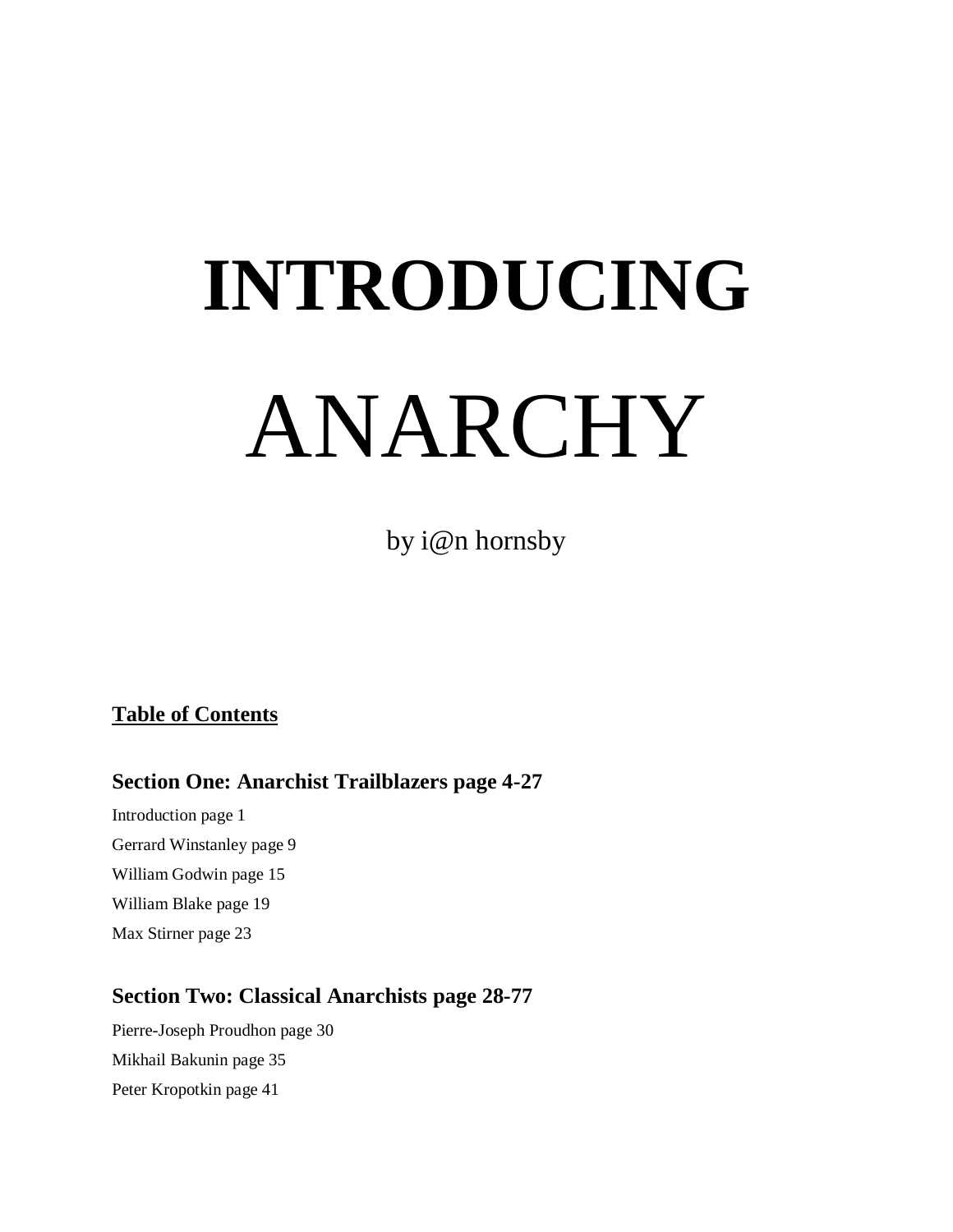# **INTRODUCING** ANARCHY

by i@n hornsby

## **Table of Contents**

## **Section One: Anarchist Trailblazers page 4-27**

Introduction page 1 Gerrard Winstanley page 9 William Godwin page 15 William Blake page 19 Max Stirner page 23

## **Section Two: Classical Anarchists page 28-77**

Pierre-Joseph Proudhon page 30 Mikhail Bakunin page 35 Peter Kropotkin page 41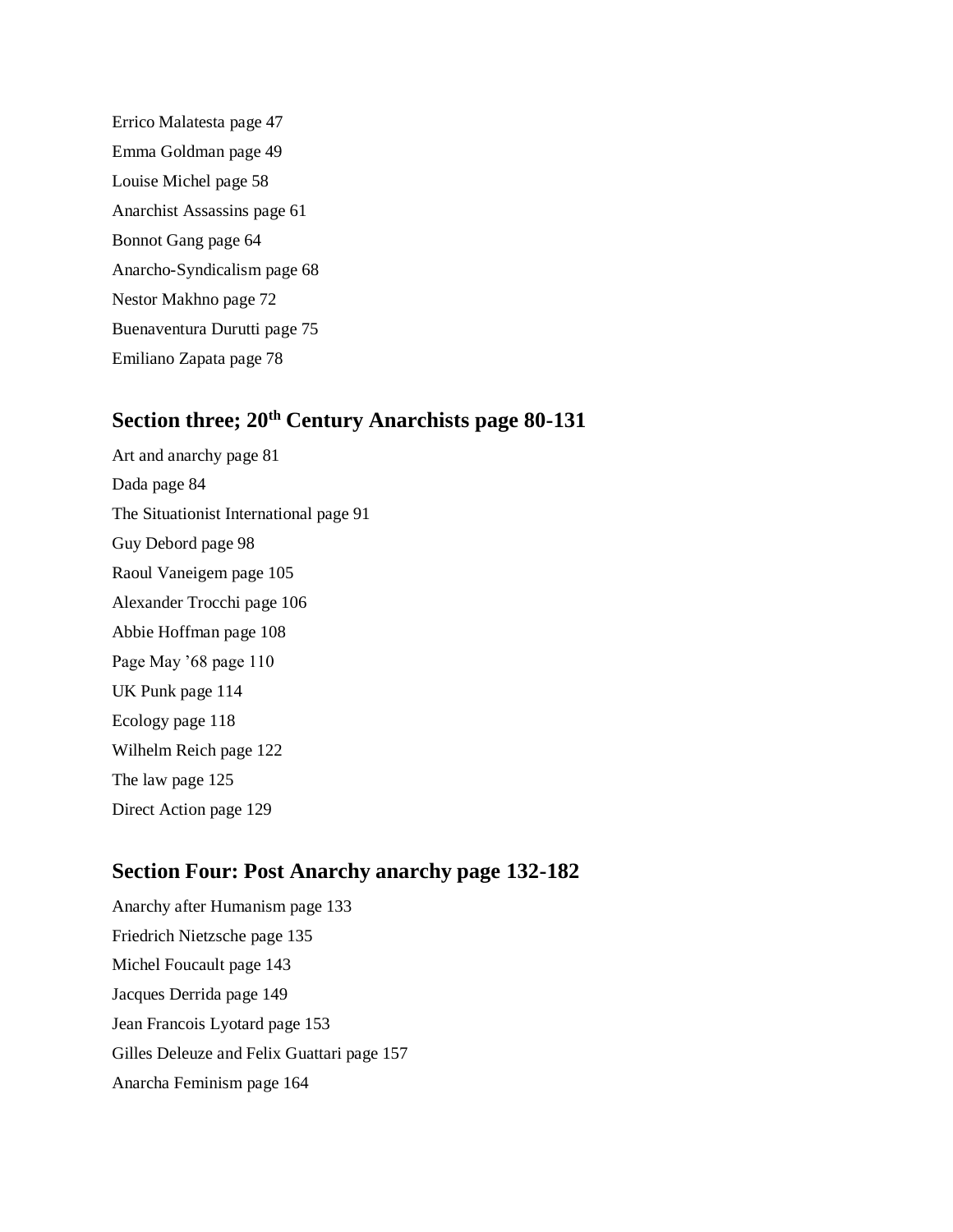Errico Malatesta page 47 Emma Goldman page 49 Louise Michel page 58 Anarchist Assassins page 61 Bonnot Gang page 64 Anarcho-Syndicalism page 68 Nestor Makhno page 72 Buenaventura Durutti page 75 Emiliano Zapata page 78

## **Section three; 20th Century Anarchists page 80-131**

Art and anarchy page 81 Dada page 84 The Situationist International page 91 Guy Debord page 98 Raoul Vaneigem page 105 Alexander Trocchi page 106 Abbie Hoffman page 108 Page May '68 page 110 UK Punk page 114 Ecology page 118 Wilhelm Reich page 122 The law page 125 Direct Action page 129

## **Section Four: Post Anarchy anarchy page 132-182**

Anarchy after Humanism page 133 Friedrich Nietzsche page 135 Michel Foucault page 143 Jacques Derrida page 149 Jean Francois Lyotard page 153 Gilles Deleuze and Felix Guattari page 157 Anarcha Feminism page 164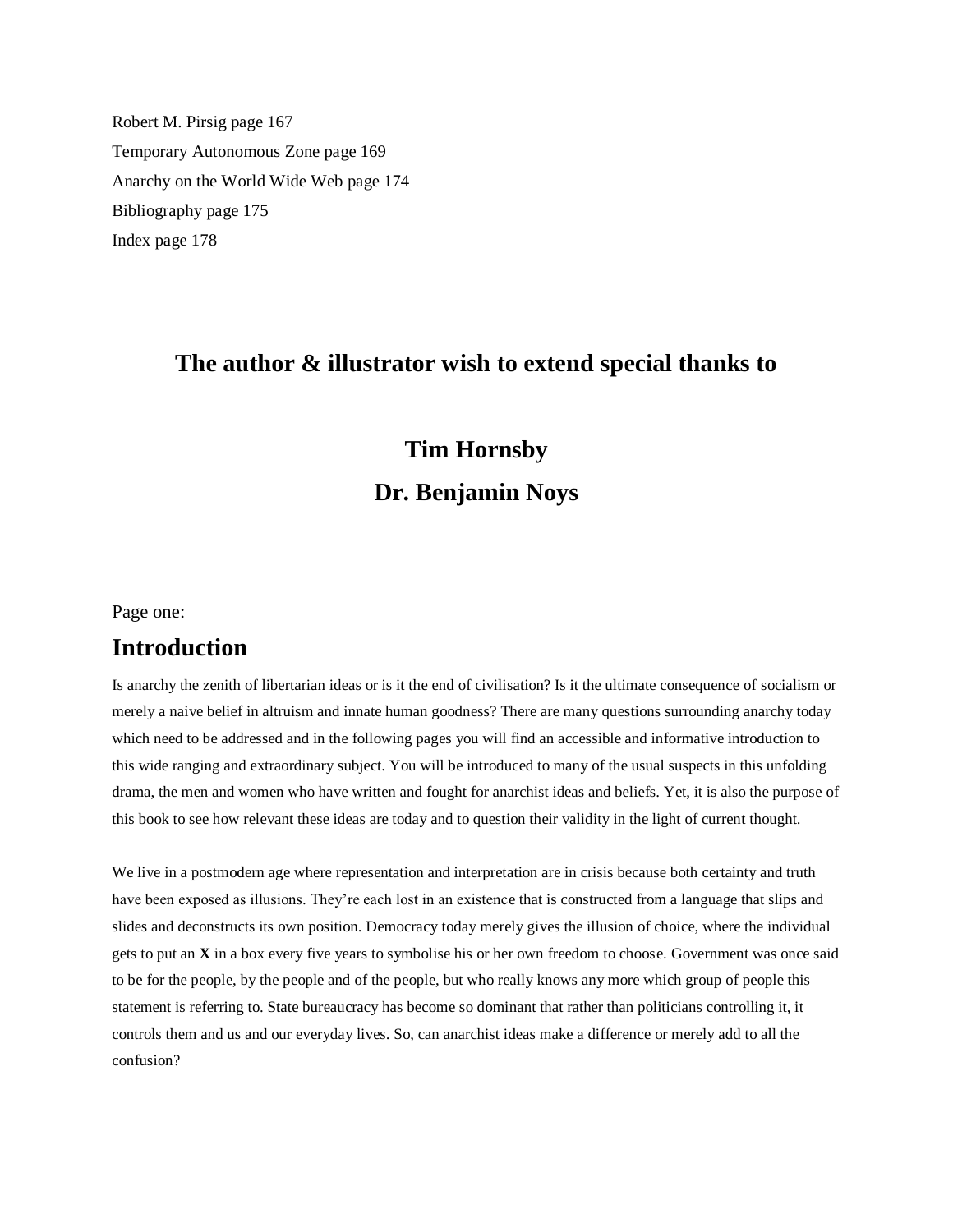Robert M. Pirsig page 167 Temporary Autonomous Zone page 169 Anarchy on the World Wide Web page 174 Bibliography page 175 Index page 178

## **The author & illustrator wish to extend special thanks to**

## **Tim Hornsby Dr. Benjamin Noys**

Page one:

## **Introduction**

Is anarchy the zenith of libertarian ideas or is it the end of civilisation? Is it the ultimate consequence of socialism or merely a naive belief in altruism and innate human goodness? There are many questions surrounding anarchy today which need to be addressed and in the following pages you will find an accessible and informative introduction to this wide ranging and extraordinary subject. You will be introduced to many of the usual suspects in this unfolding drama, the men and women who have written and fought for anarchist ideas and beliefs. Yet, it is also the purpose of this book to see how relevant these ideas are today and to question their validity in the light of current thought.

We live in a postmodern age where representation and interpretation are in crisis because both certainty and truth have been exposed as illusions. They're each lost in an existence that is constructed from a language that slips and slides and deconstructs its own position. Democracy today merely gives the illusion of choice, where the individual gets to put an **X** in a box every five years to symbolise his or her own freedom to choose. Government was once said to be for the people, by the people and of the people, but who really knows any more which group of people this statement is referring to. State bureaucracy has become so dominant that rather than politicians controlling it, it controls them and us and our everyday lives. So, can anarchist ideas make a difference or merely add to all the confusion?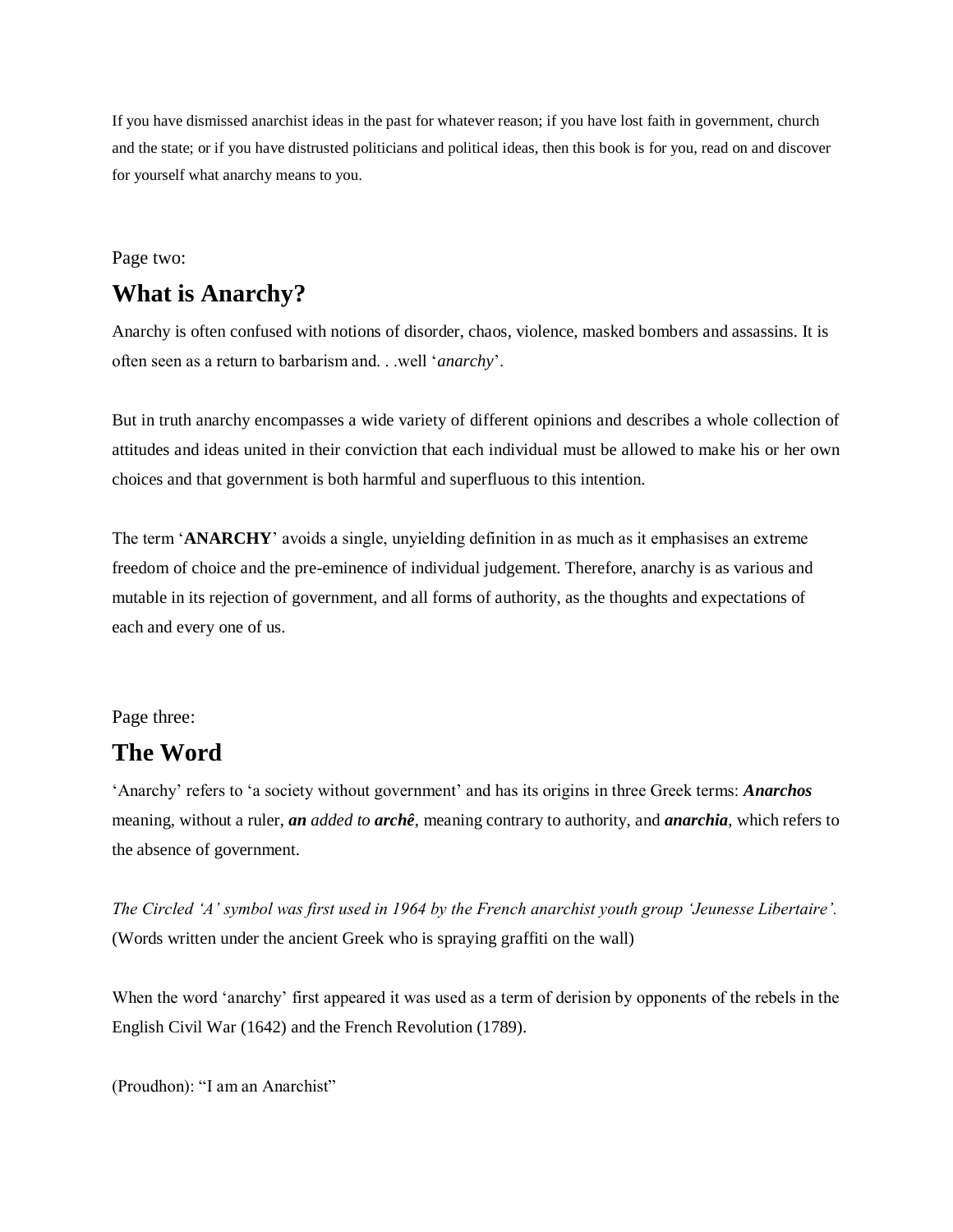If you have dismissed anarchist ideas in the past for whatever reason; if you have lost faith in government, church and the state; or if you have distrusted politicians and political ideas, then this book is for you, read on and discover for yourself what anarchy means to you.

#### Page two:

## **What is Anarchy?**

Anarchy is often confused with notions of disorder, chaos, violence, masked bombers and assassins. It is often seen as a return to barbarism and. . .well '*anarchy*'.

But in truth anarchy encompasses a wide variety of different opinions and describes a whole collection of attitudes and ideas united in their conviction that each individual must be allowed to make his or her own choices and that government is both harmful and superfluous to this intention.

The term '**ANARCHY**' avoids a single, unyielding definition in as much as it emphasises an extreme freedom of choice and the pre-eminence of individual judgement. Therefore, anarchy is as various and mutable in its rejection of government, and all forms of authority, as the thoughts and expectations of each and every one of us.

#### Page three:

## **The Word**

'Anarchy' refers to 'a society without government' and has its origins in three Greek terms: *Anarchos* meaning, without a ruler, *an added to archê*, meaning contrary to authority, and *anarchia*, which refers to the absence of government.

*The Circled 'A' symbol was first used in 1964 by the French anarchist youth group 'Jeunesse Libertaire'.* (Words written under the ancient Greek who is spraying graffiti on the wall)

When the word 'anarchy' first appeared it was used as a term of derision by opponents of the rebels in the English Civil War (1642) and the French Revolution (1789).

(Proudhon): "I am an Anarchist"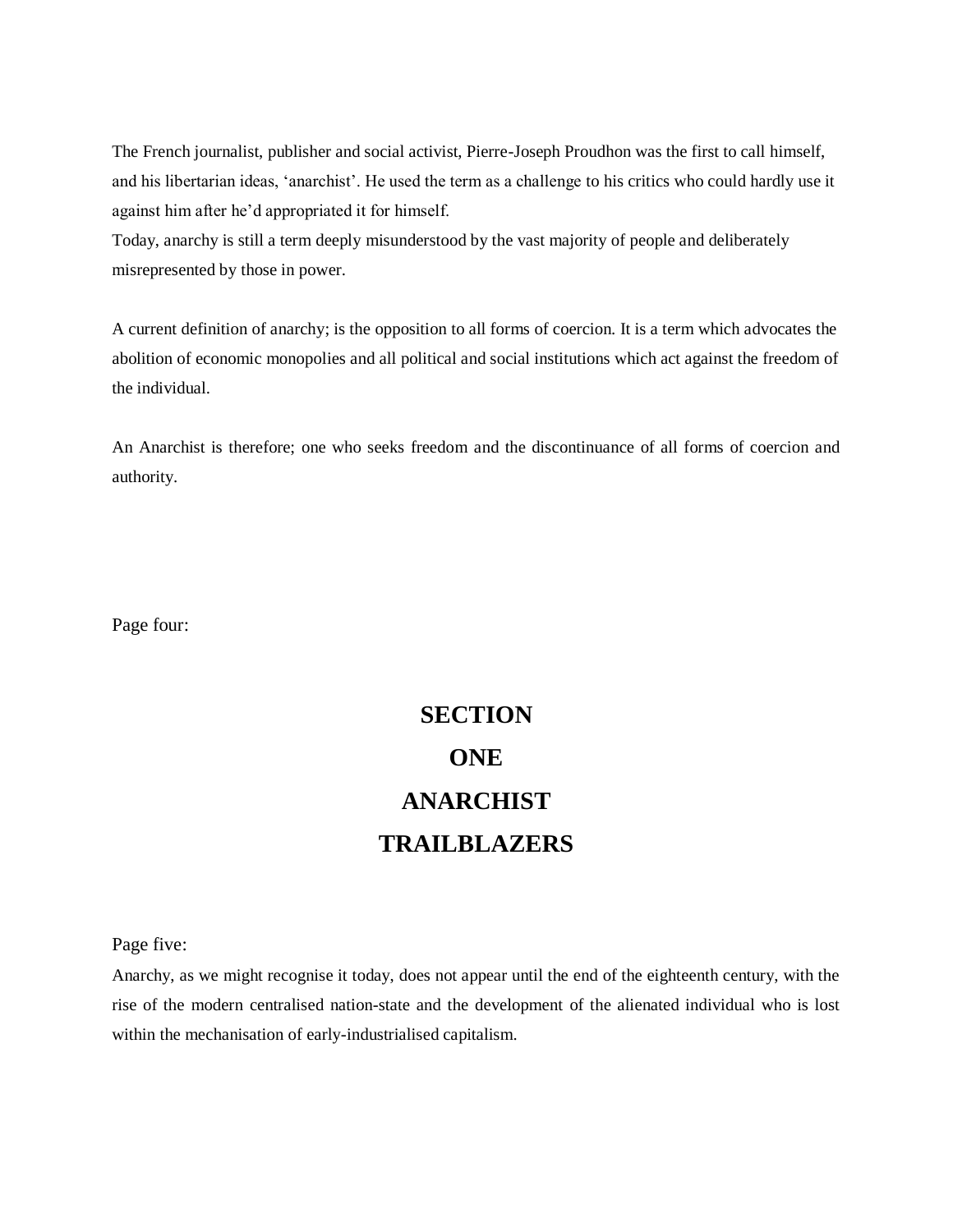The French journalist, publisher and social activist, Pierre-Joseph Proudhon was the first to call himself, and his libertarian ideas, 'anarchist'. He used the term as a challenge to his critics who could hardly use it against him after he'd appropriated it for himself.

Today, anarchy is still a term deeply misunderstood by the vast majority of people and deliberately misrepresented by those in power.

A current definition of anarchy; is the opposition to all forms of coercion. It is a term which advocates the abolition of economic monopolies and all political and social institutions which act against the freedom of the individual.

An Anarchist is therefore; one who seeks freedom and the discontinuance of all forms of coercion and authority.

Page four:

# **SECTION ONE ANARCHIST TRAILBLAZERS**

Page five:

Anarchy, as we might recognise it today, does not appear until the end of the eighteenth century, with the rise of the modern centralised nation-state and the development of the alienated individual who is lost within the mechanisation of early-industrialised capitalism.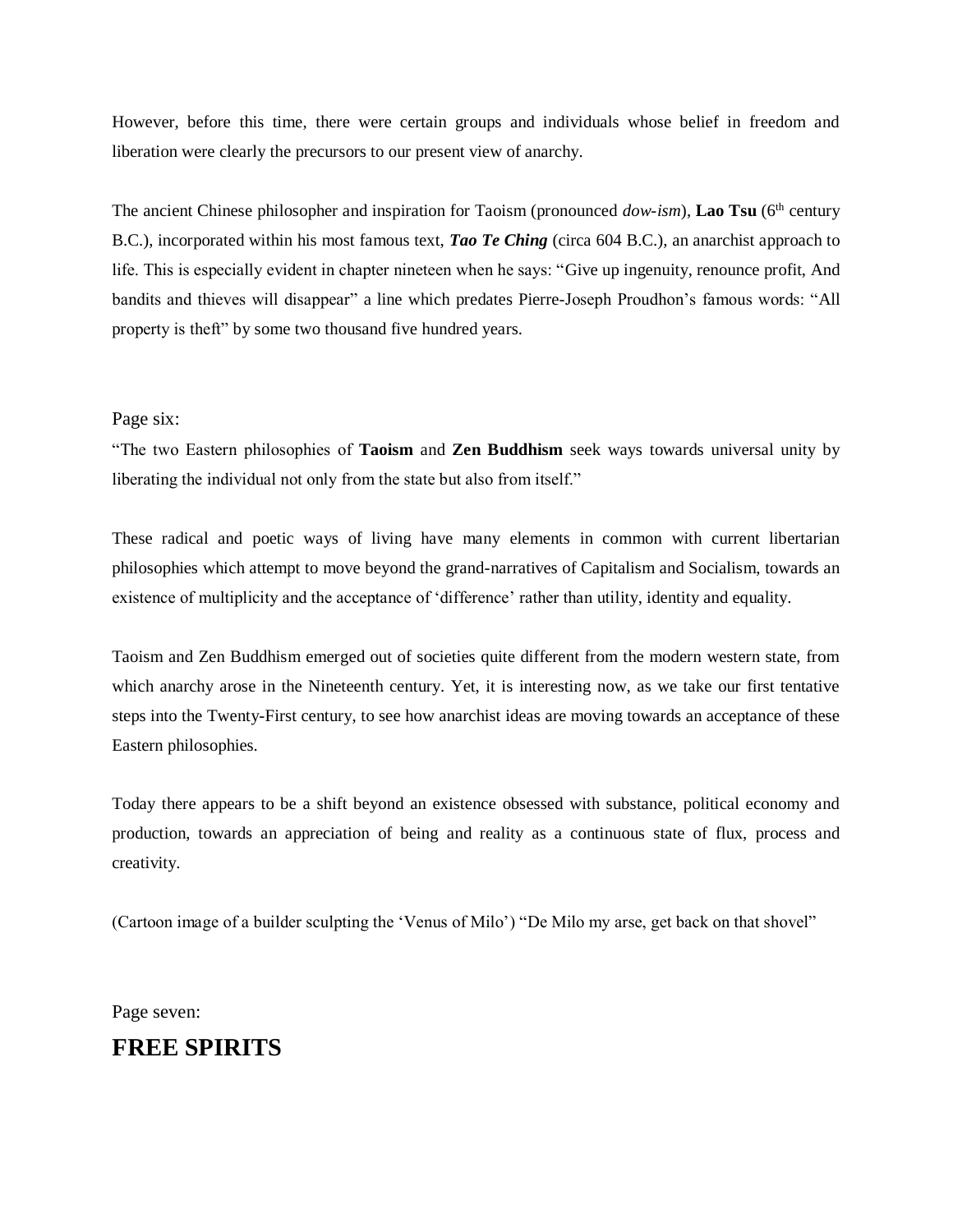However, before this time, there were certain groups and individuals whose belief in freedom and liberation were clearly the precursors to our present view of anarchy.

The ancient Chinese philosopher and inspiration for Taoism (pronounced *dow-ism*), **Lao Tsu** (6th century B.C.), incorporated within his most famous text, *Tao Te Ching* (circa 604 B.C.), an anarchist approach to life. This is especially evident in chapter nineteen when he says: "Give up ingenuity, renounce profit, And bandits and thieves will disappear" a line which predates Pierre-Joseph Proudhon's famous words: "All property is theft" by some two thousand five hundred years.

#### Page six:

"The two Eastern philosophies of **Taoism** and **Zen Buddhism** seek ways towards universal unity by liberating the individual not only from the state but also from itself."

These radical and poetic ways of living have many elements in common with current libertarian philosophies which attempt to move beyond the grand-narratives of Capitalism and Socialism, towards an existence of multiplicity and the acceptance of 'difference' rather than utility, identity and equality.

Taoism and Zen Buddhism emerged out of societies quite different from the modern western state, from which anarchy arose in the Nineteenth century. Yet, it is interesting now, as we take our first tentative steps into the Twenty-First century, to see how anarchist ideas are moving towards an acceptance of these Eastern philosophies.

Today there appears to be a shift beyond an existence obsessed with substance, political economy and production, towards an appreciation of being and reality as a continuous state of flux, process and creativity.

(Cartoon image of a builder sculpting the 'Venus of Milo') "De Milo my arse, get back on that shovel"

Page seven:

## **FREE SPIRITS**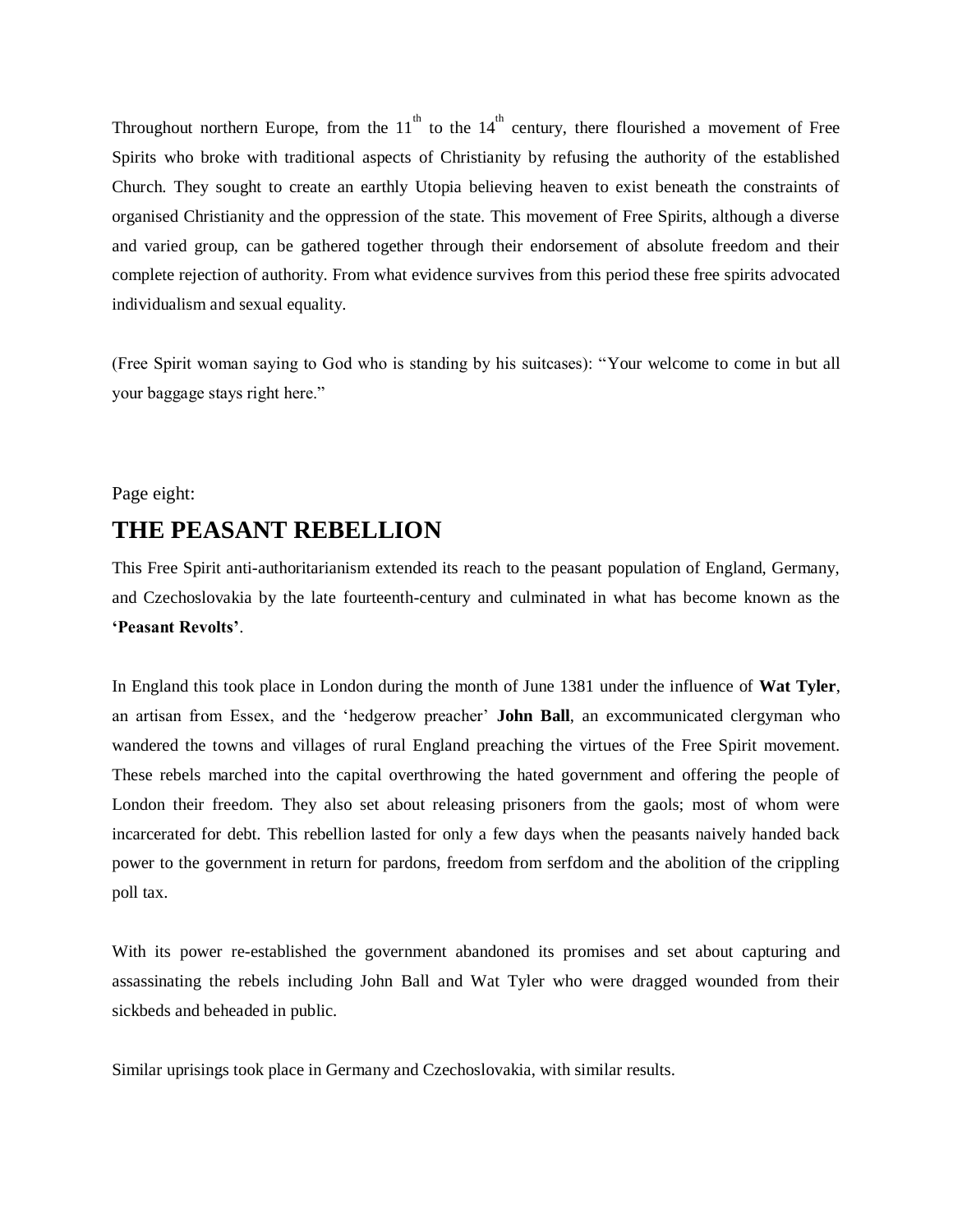Throughout northern Europe, from the  $11<sup>th</sup>$  to the  $14<sup>th</sup>$  century, there flourished a movement of Free Spirits who broke with traditional aspects of Christianity by refusing the authority of the established Church. They sought to create an earthly Utopia believing heaven to exist beneath the constraints of organised Christianity and the oppression of the state. This movement of Free Spirits, although a diverse and varied group, can be gathered together through their endorsement of absolute freedom and their complete rejection of authority. From what evidence survives from this period these free spirits advocated individualism and sexual equality.

(Free Spirit woman saying to God who is standing by his suitcases): "Your welcome to come in but all your baggage stays right here."

#### Page eight:

## **THE PEASANT REBELLION**

This Free Spirit anti-authoritarianism extended its reach to the peasant population of England, Germany, and Czechoslovakia by the late fourteenth-century and culminated in what has become known as the **'Peasant Revolts'**.

In England this took place in London during the month of June 1381 under the influence of **Wat Tyler**, an artisan from Essex, and the 'hedgerow preacher' **John Ball**, an excommunicated clergyman who wandered the towns and villages of rural England preaching the virtues of the Free Spirit movement. These rebels marched into the capital overthrowing the hated government and offering the people of London their freedom. They also set about releasing prisoners from the gaols; most of whom were incarcerated for debt. This rebellion lasted for only a few days when the peasants naively handed back power to the government in return for pardons, freedom from serfdom and the abolition of the crippling poll tax.

With its power re-established the government abandoned its promises and set about capturing and assassinating the rebels including John Ball and Wat Tyler who were dragged wounded from their sickbeds and beheaded in public.

Similar uprisings took place in Germany and Czechoslovakia, with similar results.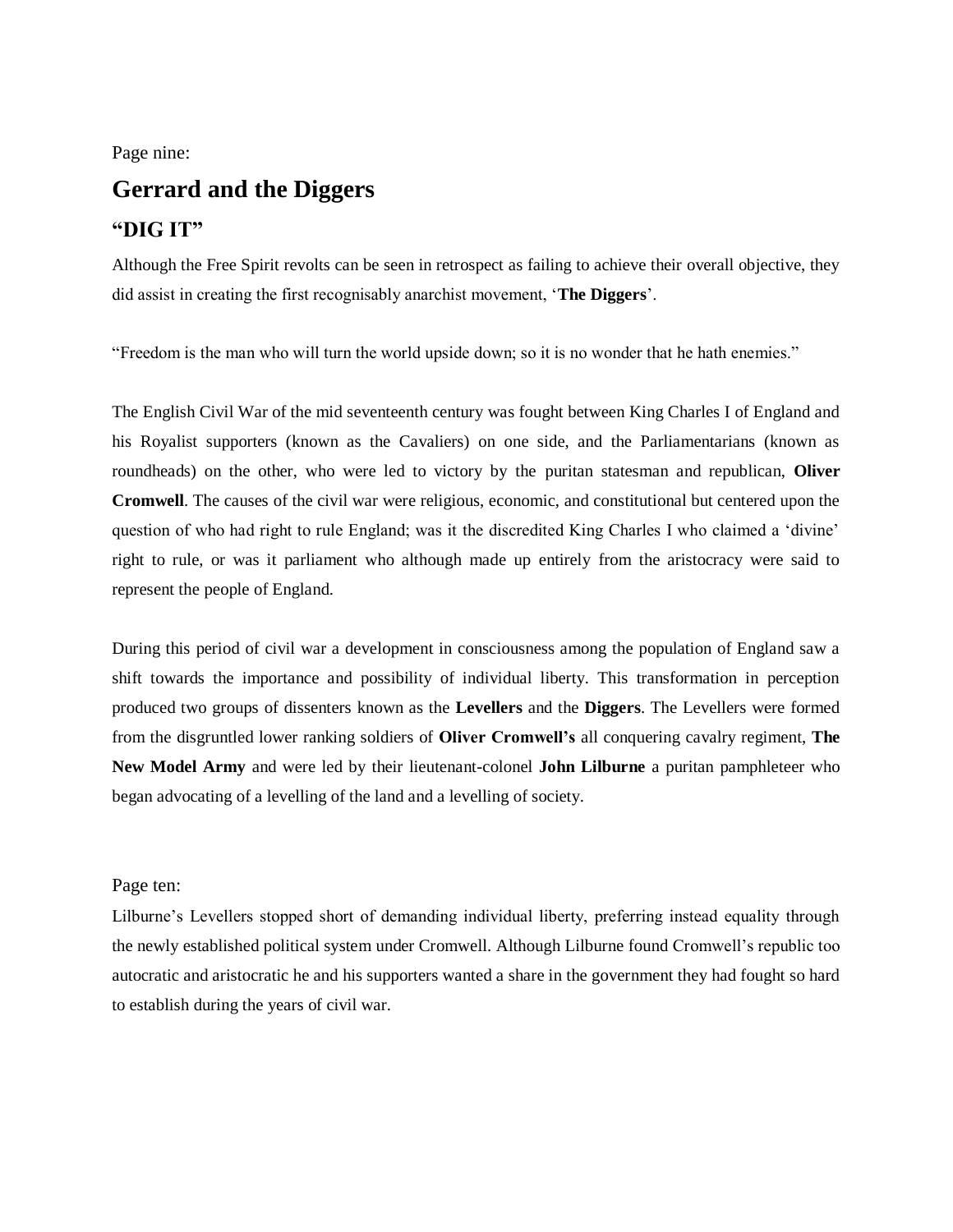Page nine:

# **Gerrard and the Diggers**

## **"DIG IT"**

Although the Free Spirit revolts can be seen in retrospect as failing to achieve their overall objective, they did assist in creating the first recognisably anarchist movement, '**The Diggers**'.

"Freedom is the man who will turn the world upside down; so it is no wonder that he hath enemies."

The English Civil War of the mid seventeenth century was fought between King Charles I of England and his Royalist supporters (known as the Cavaliers) on one side, and the Parliamentarians (known as roundheads) on the other, who were led to victory by the puritan statesman and republican, **Oliver Cromwell**. The causes of the civil war were religious, economic, and constitutional but centered upon the question of who had right to rule England; was it the discredited King Charles I who claimed a 'divine' right to rule, or was it parliament who although made up entirely from the aristocracy were said to represent the people of England.

During this period of civil war a development in consciousness among the population of England saw a shift towards the importance and possibility of individual liberty. This transformation in perception produced two groups of dissenters known as the **Levellers** and the **Diggers**. The Levellers were formed from the disgruntled lower ranking soldiers of **Oliver Cromwell's** all conquering cavalry regiment, **The New Model Army** and were led by their lieutenant-colonel **John Lilburne** a puritan pamphleteer who began advocating of a levelling of the land and a levelling of society.

#### Page ten:

Lilburne's Levellers stopped short of demanding individual liberty, preferring instead equality through the newly established political system under Cromwell. Although Lilburne found Cromwell's republic too autocratic and aristocratic he and his supporters wanted a share in the government they had fought so hard to establish during the years of civil war.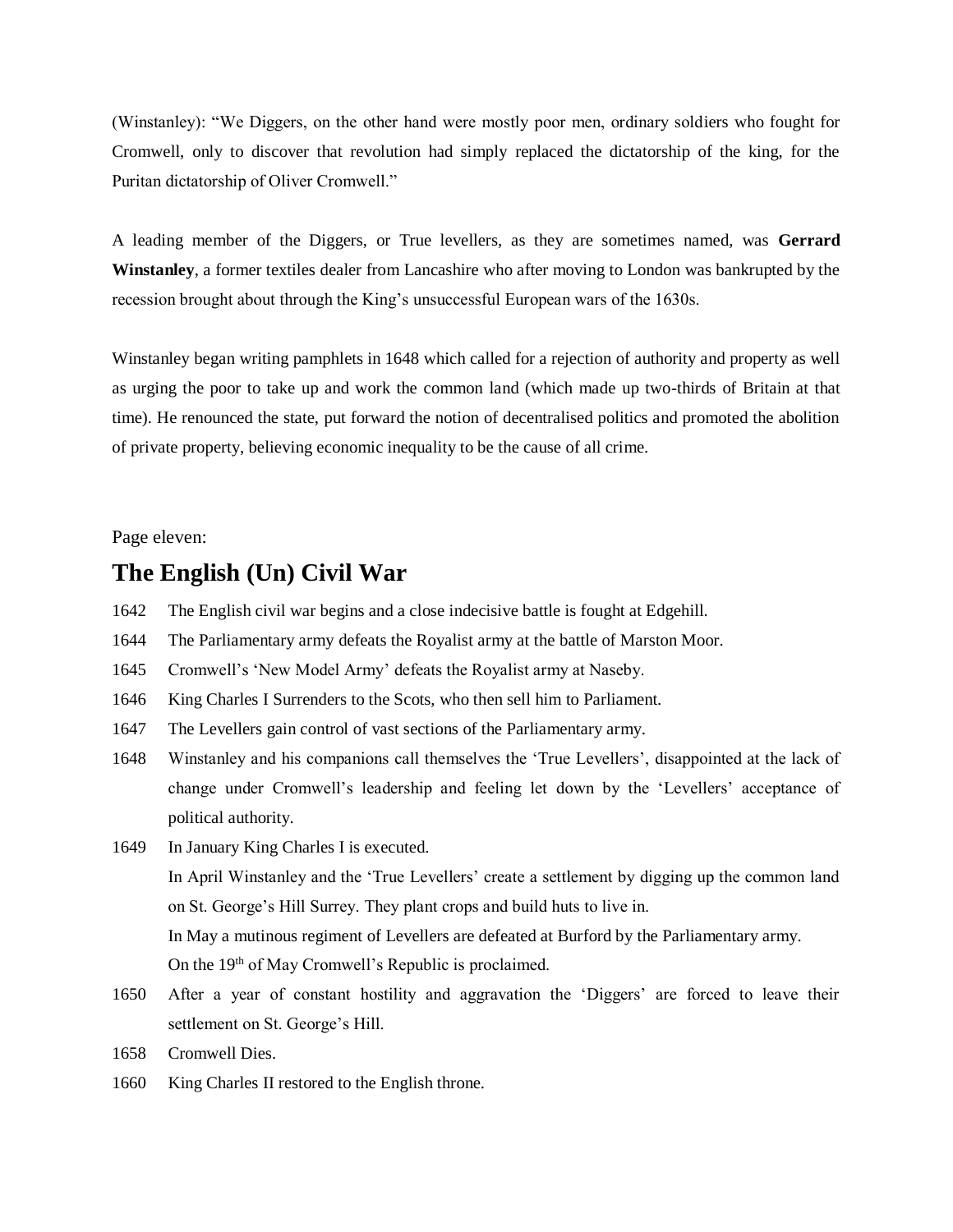(Winstanley): "We Diggers, on the other hand were mostly poor men, ordinary soldiers who fought for Cromwell, only to discover that revolution had simply replaced the dictatorship of the king, for the Puritan dictatorship of Oliver Cromwell."

A leading member of the Diggers, or True levellers, as they are sometimes named, was **Gerrard Winstanley**, a former textiles dealer from Lancashire who after moving to London was bankrupted by the recession brought about through the King's unsuccessful European wars of the 1630s.

Winstanley began writing pamphlets in 1648 which called for a rejection of authority and property as well as urging the poor to take up and work the common land (which made up two-thirds of Britain at that time). He renounced the state, put forward the notion of decentralised politics and promoted the abolition of private property, believing economic inequality to be the cause of all crime.

Page eleven:

## **The English (Un) Civil War**

- 1642 The English civil war begins and a close indecisive battle is fought at Edgehill.
- 1644 The Parliamentary army defeats the Royalist army at the battle of Marston Moor.
- 1645 Cromwell's 'New Model Army' defeats the Royalist army at Naseby.
- 1646 King Charles I Surrenders to the Scots, who then sell him to Parliament.
- 1647 The Levellers gain control of vast sections of the Parliamentary army.
- 1648 Winstanley and his companions call themselves the 'True Levellers', disappointed at the lack of change under Cromwell's leadership and feeling let down by the 'Levellers' acceptance of political authority.
- 1649 In January King Charles I is executed. In April Winstanley and the 'True Levellers' create a settlement by digging up the common land on St. George's Hill Surrey. They plant crops and build huts to live in. In May a mutinous regiment of Levellers are defeated at Burford by the Parliamentary army. On the 19<sup>th</sup> of May Cromwell's Republic is proclaimed.
- 1650 After a year of constant hostility and aggravation the 'Diggers' are forced to leave their settlement on St. George's Hill.
- 1658 Cromwell Dies.
- 1660 King Charles II restored to the English throne.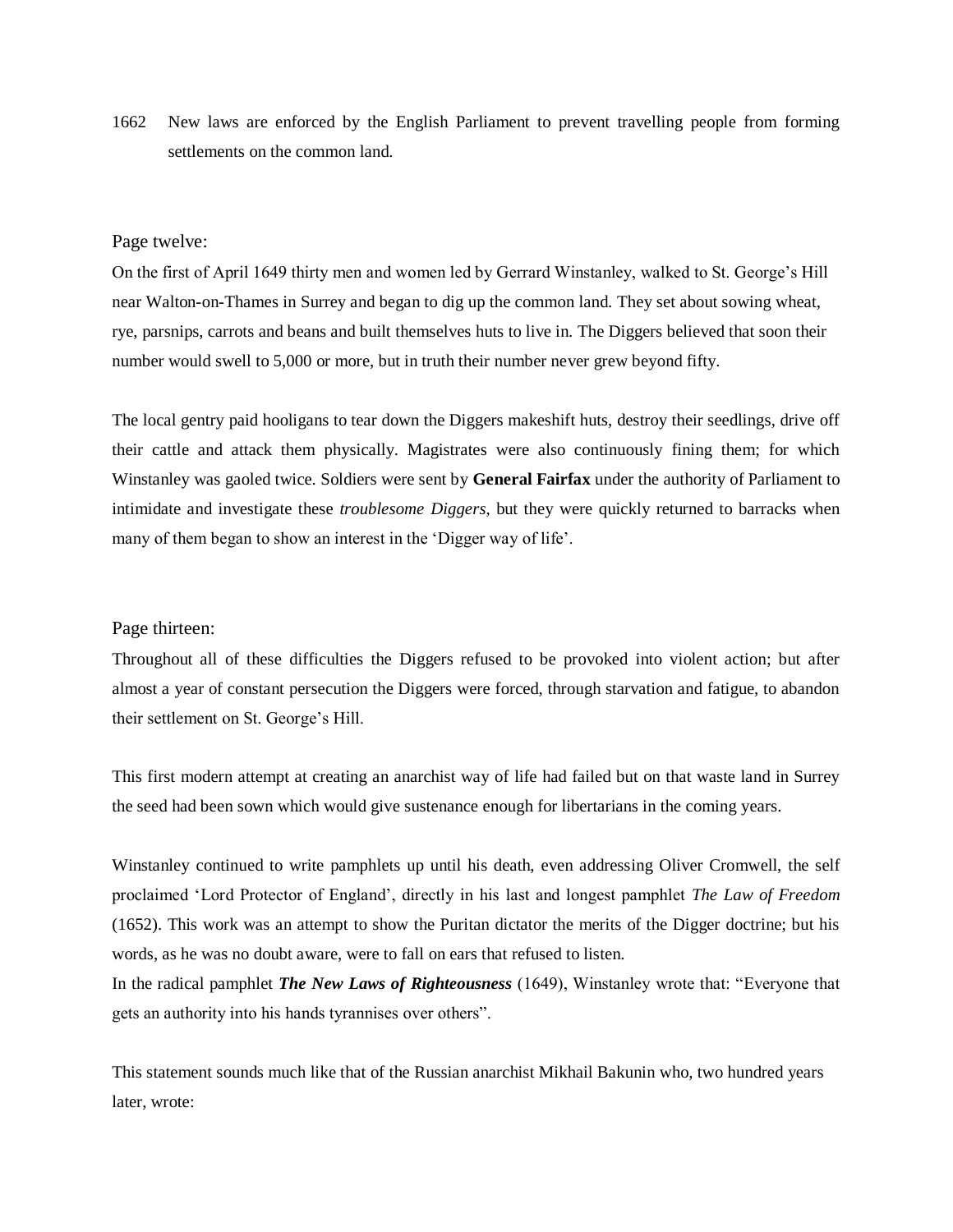1662 New laws are enforced by the English Parliament to prevent travelling people from forming settlements on the common land.

#### Page twelve:

On the first of April 1649 thirty men and women led by Gerrard Winstanley, walked to St. George's Hill near Walton-on-Thames in Surrey and began to dig up the common land. They set about sowing wheat, rye, parsnips, carrots and beans and built themselves huts to live in. The Diggers believed that soon their number would swell to 5,000 or more, but in truth their number never grew beyond fifty.

The local gentry paid hooligans to tear down the Diggers makeshift huts, destroy their seedlings, drive off their cattle and attack them physically. Magistrates were also continuously fining them; for which Winstanley was gaoled twice. Soldiers were sent by **General Fairfax** under the authority of Parliament to intimidate and investigate these *troublesome Diggers*, but they were quickly returned to barracks when many of them began to show an interest in the 'Digger way of life'.

#### Page thirteen:

Throughout all of these difficulties the Diggers refused to be provoked into violent action; but after almost a year of constant persecution the Diggers were forced, through starvation and fatigue, to abandon their settlement on St. George's Hill.

This first modern attempt at creating an anarchist way of life had failed but on that waste land in Surrey the seed had been sown which would give sustenance enough for libertarians in the coming years.

Winstanley continued to write pamphlets up until his death, even addressing Oliver Cromwell, the self proclaimed 'Lord Protector of England', directly in his last and longest pamphlet *The Law of Freedom* (1652). This work was an attempt to show the Puritan dictator the merits of the Digger doctrine; but his words, as he was no doubt aware, were to fall on ears that refused to listen.

In the radical pamphlet *The New Laws of Righteousness* (1649), Winstanley wrote that: "Everyone that gets an authority into his hands tyrannises over others".

This statement sounds much like that of the Russian anarchist Mikhail Bakunin who, two hundred years later, wrote: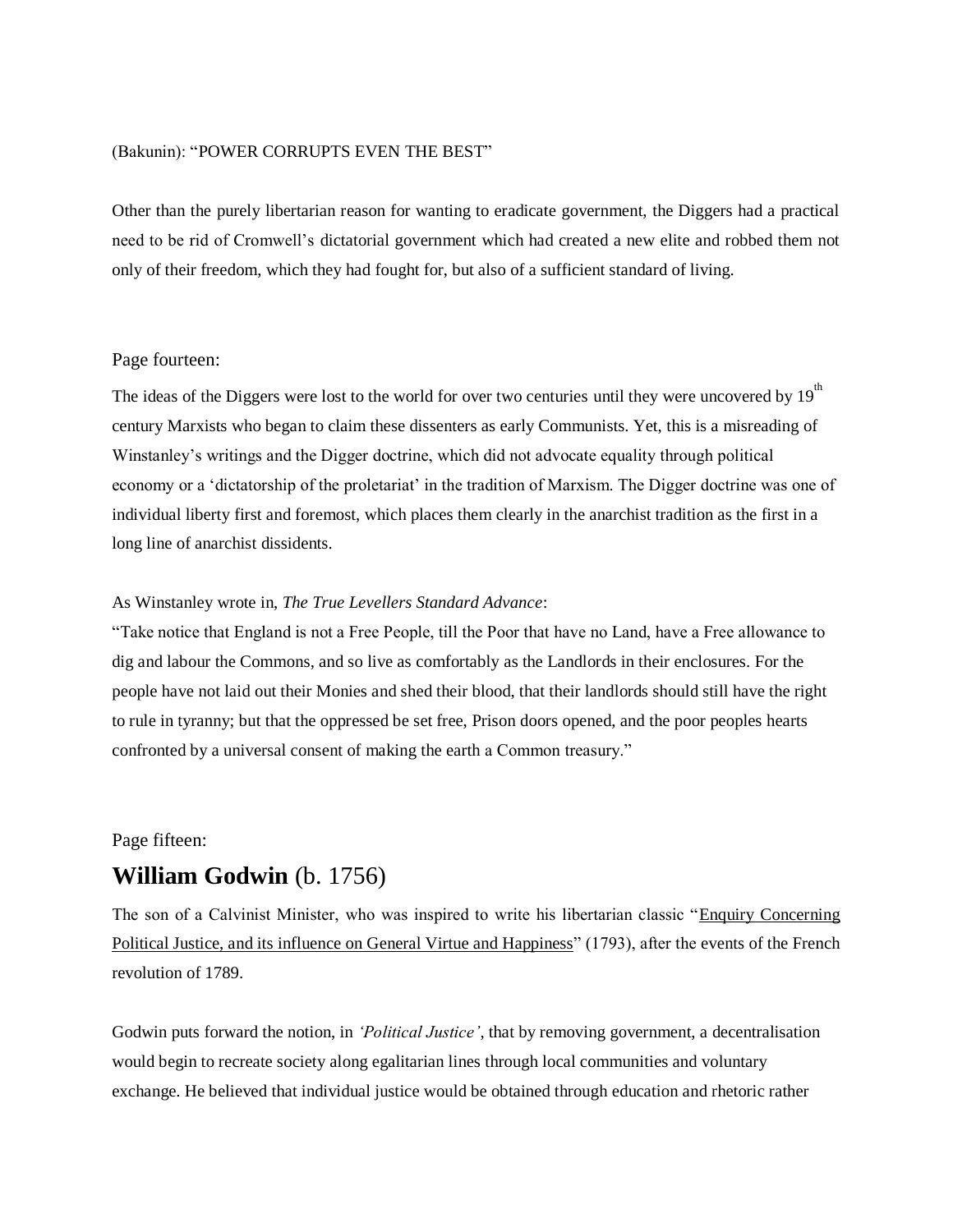#### (Bakunin): "POWER CORRUPTS EVEN THE BEST"

Other than the purely libertarian reason for wanting to eradicate government, the Diggers had a practical need to be rid of Cromwell's dictatorial government which had created a new elite and robbed them not only of their freedom, which they had fought for, but also of a sufficient standard of living.

#### Page fourteen:

The ideas of the Diggers were lost to the world for over two centuries until they were uncovered by  $19<sup>th</sup>$ century Marxists who began to claim these dissenters as early Communists. Yet, this is a misreading of Winstanley's writings and the Digger doctrine, which did not advocate equality through political economy or a 'dictatorship of the proletariat' in the tradition of Marxism. The Digger doctrine was one of individual liberty first and foremost, which places them clearly in the anarchist tradition as the first in a long line of anarchist dissidents.

#### As Winstanley wrote in, *The True Levellers Standard Advance*:

"Take notice that England is not a Free People, till the Poor that have no Land, have a Free allowance to dig and labour the Commons, and so live as comfortably as the Landlords in their enclosures. For the people have not laid out their Monies and shed their blood, that their landlords should still have the right to rule in tyranny; but that the oppressed be set free, Prison doors opened, and the poor peoples hearts confronted by a universal consent of making the earth a Common treasury."

#### Page fifteen:

## **William Godwin** (b. 1756)

The son of a Calvinist Minister, who was inspired to write his libertarian classic "Enquiry Concerning Political Justice, and its influence on General Virtue and Happiness" (1793), after the events of the French revolution of 1789.

Godwin puts forward the notion, in *'Political Justice'*, that by removing government, a decentralisation would begin to recreate society along egalitarian lines through local communities and voluntary exchange. He believed that individual justice would be obtained through education and rhetoric rather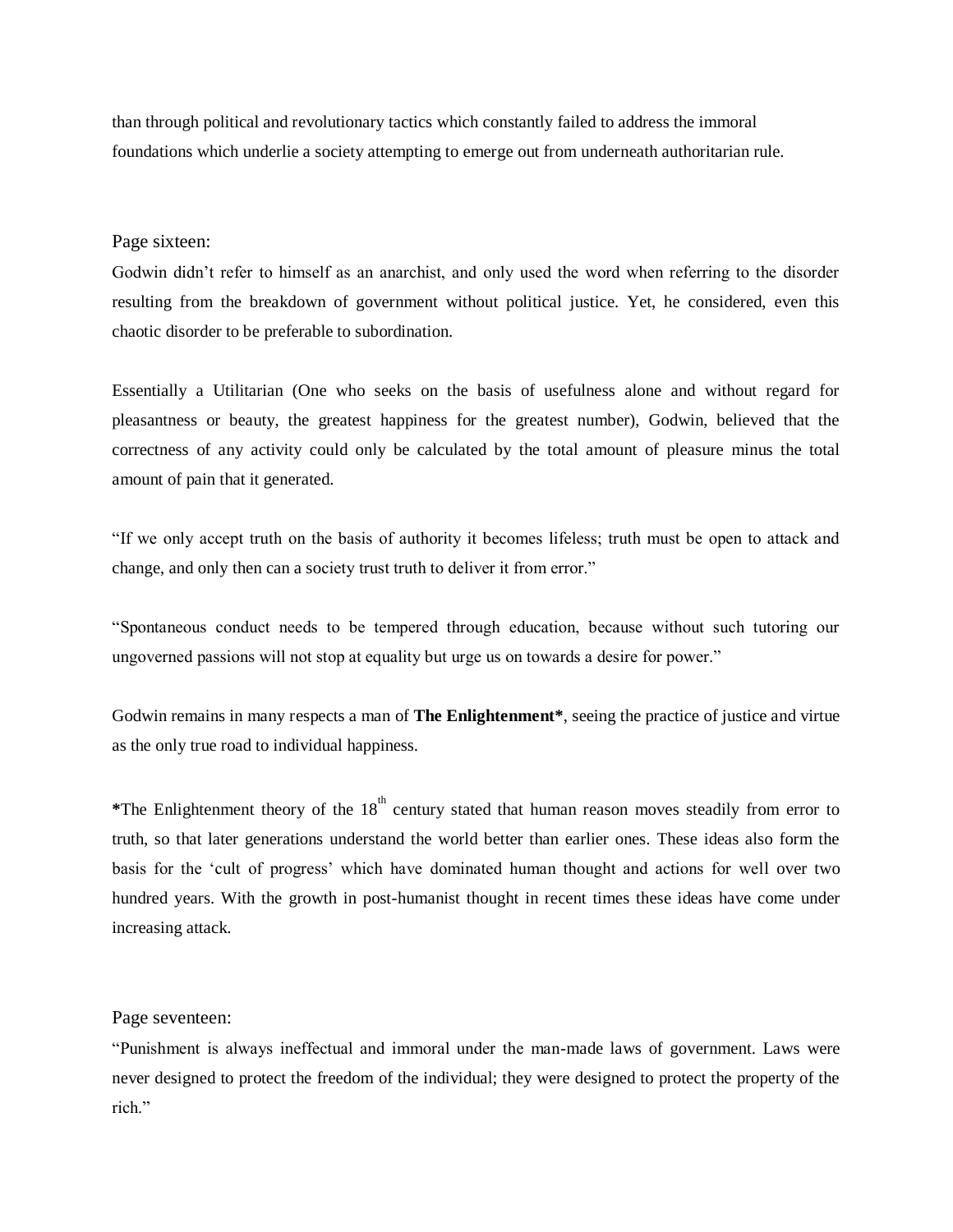than through political and revolutionary tactics which constantly failed to address the immoral foundations which underlie a society attempting to emerge out from underneath authoritarian rule.

#### Page sixteen:

Godwin didn't refer to himself as an anarchist, and only used the word when referring to the disorder resulting from the breakdown of government without political justice. Yet, he considered, even this chaotic disorder to be preferable to subordination.

Essentially a Utilitarian (One who seeks on the basis of usefulness alone and without regard for pleasantness or beauty, the greatest happiness for the greatest number), Godwin, believed that the correctness of any activity could only be calculated by the total amount of pleasure minus the total amount of pain that it generated.

"If we only accept truth on the basis of authority it becomes lifeless; truth must be open to attack and change, and only then can a society trust truth to deliver it from error."

"Spontaneous conduct needs to be tempered through education, because without such tutoring our ungoverned passions will not stop at equality but urge us on towards a desire for power."

Godwin remains in many respects a man of **The Enlightenment\***, seeing the practice of justice and virtue as the only true road to individual happiness.

\*The Enlightenment theory of the 18<sup>th</sup> century stated that human reason moves steadily from error to truth, so that later generations understand the world better than earlier ones. These ideas also form the basis for the 'cult of progress' which have dominated human thought and actions for well over two hundred years. With the growth in post-humanist thought in recent times these ideas have come under increasing attack.

#### Page seventeen:

"Punishment is always ineffectual and immoral under the man-made laws of government. Laws were never designed to protect the freedom of the individual; they were designed to protect the property of the rich."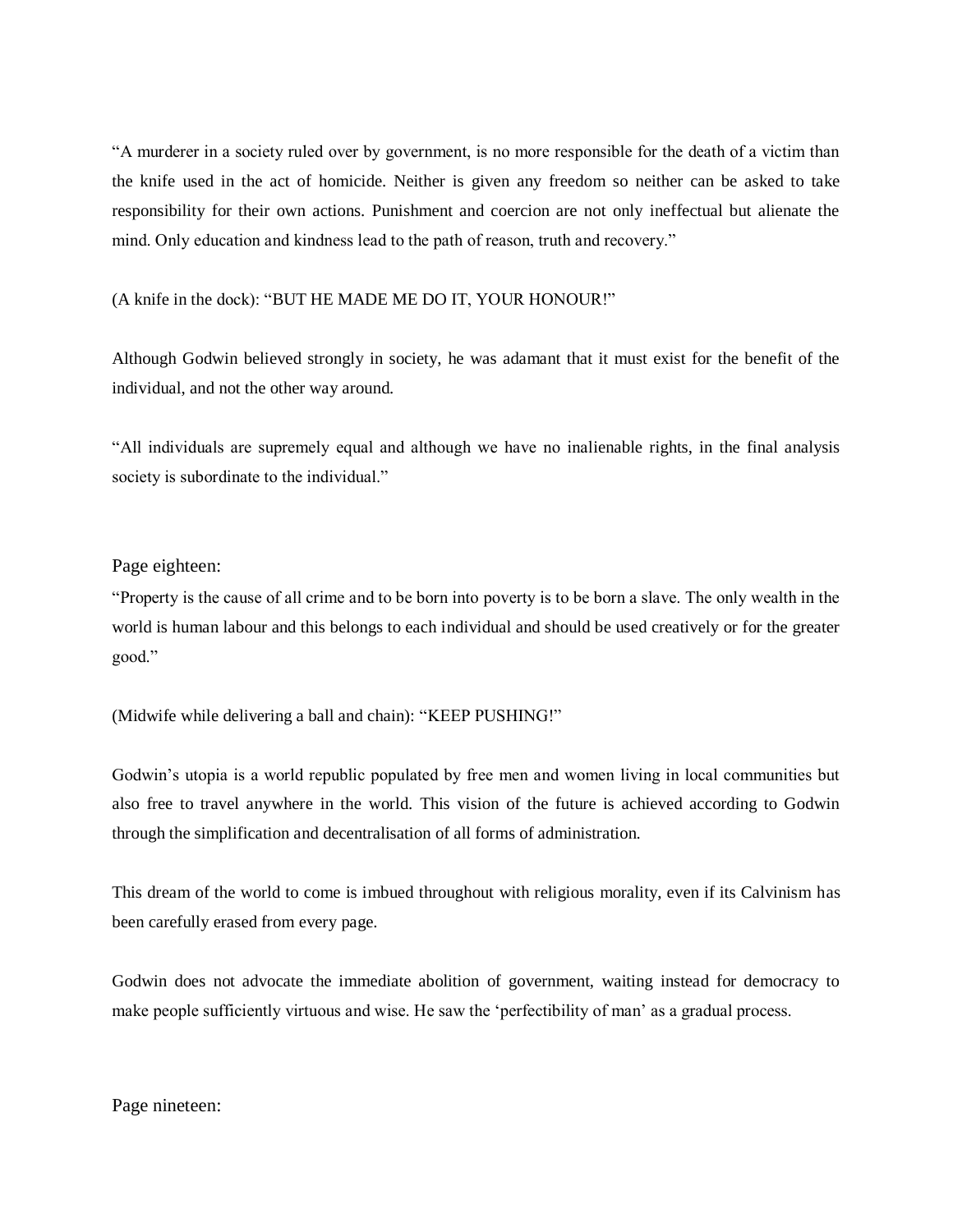"A murderer in a society ruled over by government, is no more responsible for the death of a victim than the knife used in the act of homicide. Neither is given any freedom so neither can be asked to take responsibility for their own actions. Punishment and coercion are not only ineffectual but alienate the mind. Only education and kindness lead to the path of reason, truth and recovery."

(A knife in the dock): "BUT HE MADE ME DO IT, YOUR HONOUR!"

Although Godwin believed strongly in society, he was adamant that it must exist for the benefit of the individual, and not the other way around.

"All individuals are supremely equal and although we have no inalienable rights, in the final analysis society is subordinate to the individual."

#### Page eighteen:

"Property is the cause of all crime and to be born into poverty is to be born a slave. The only wealth in the world is human labour and this belongs to each individual and should be used creatively or for the greater good."

(Midwife while delivering a ball and chain): "KEEP PUSHING!"

Godwin's utopia is a world republic populated by free men and women living in local communities but also free to travel anywhere in the world. This vision of the future is achieved according to Godwin through the simplification and decentralisation of all forms of administration.

This dream of the world to come is imbued throughout with religious morality, even if its Calvinism has been carefully erased from every page.

Godwin does not advocate the immediate abolition of government, waiting instead for democracy to make people sufficiently virtuous and wise. He saw the 'perfectibility of man' as a gradual process.

Page nineteen: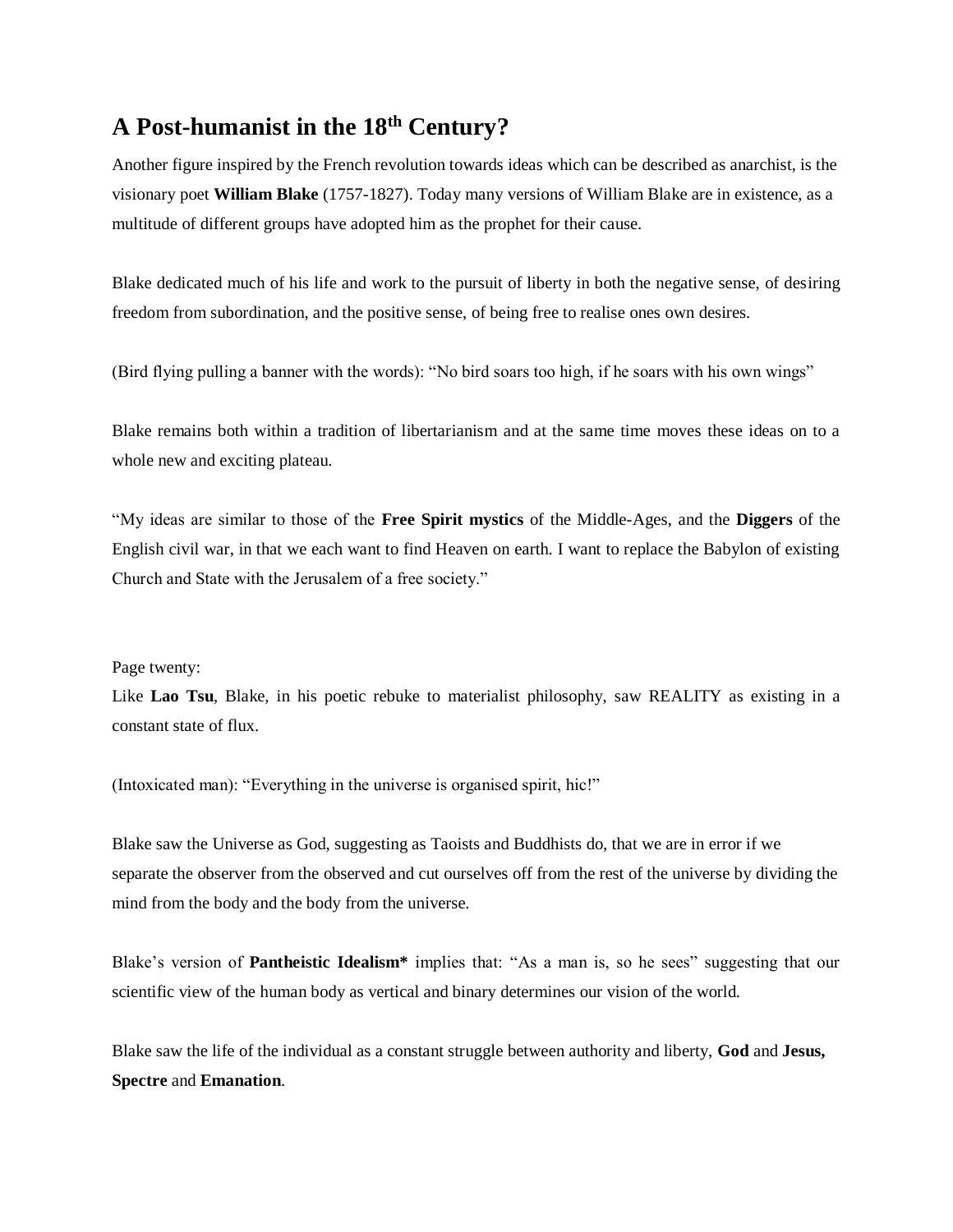## **A Post-humanist in the 18th Century?**

Another figure inspired by the French revolution towards ideas which can be described as anarchist, is the visionary poet **William Blake** (1757-1827). Today many versions of William Blake are in existence, as a multitude of different groups have adopted him as the prophet for their cause.

Blake dedicated much of his life and work to the pursuit of liberty in both the negative sense, of desiring freedom from subordination, and the positive sense, of being free to realise ones own desires.

(Bird flying pulling a banner with the words): "No bird soars too high, if he soars with his own wings"

Blake remains both within a tradition of libertarianism and at the same time moves these ideas on to a whole new and exciting plateau.

"My ideas are similar to those of the **Free Spirit mystics** of the Middle-Ages, and the **Diggers** of the English civil war, in that we each want to find Heaven on earth. I want to replace the Babylon of existing Church and State with the Jerusalem of a free society."

#### Page twenty:

Like **Lao Tsu**, Blake, in his poetic rebuke to materialist philosophy, saw REALITY as existing in a constant state of flux.

(Intoxicated man): "Everything in the universe is organised spirit, hic!"

Blake saw the Universe as God, suggesting as Taoists and Buddhists do, that we are in error if we separate the observer from the observed and cut ourselves off from the rest of the universe by dividing the mind from the body and the body from the universe.

Blake's version of **Pantheistic Idealism\*** implies that: "As a man is, so he sees" suggesting that our scientific view of the human body as vertical and binary determines our vision of the world.

Blake saw the life of the individual as a constant struggle between authority and liberty, **God** and **Jesus, Spectre** and **Emanation**.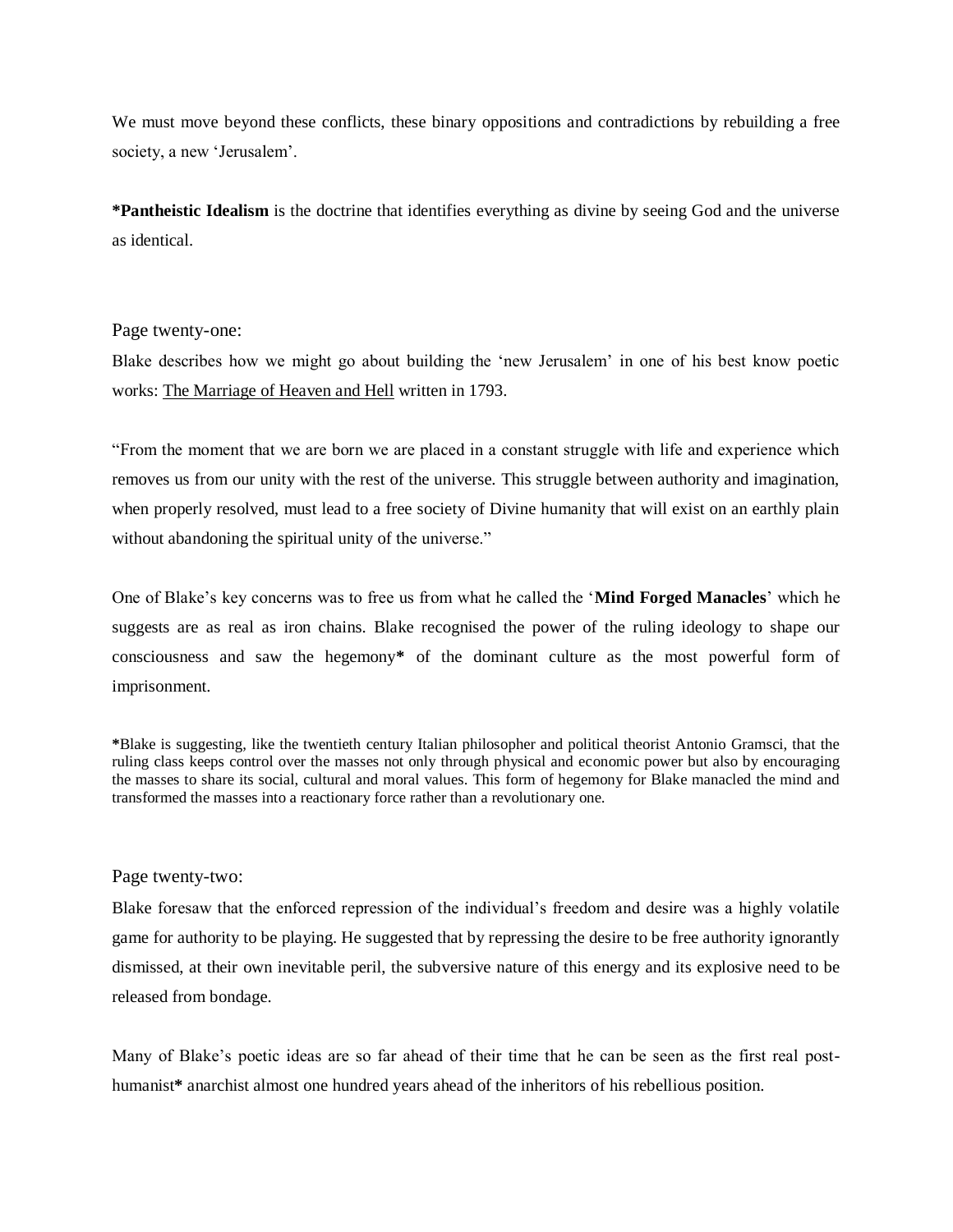We must move beyond these conflicts, these binary oppositions and contradictions by rebuilding a free society, a new 'Jerusalem'.

**\*Pantheistic Idealism** is the doctrine that identifies everything as divine by seeing God and the universe as identical.

#### Page twenty-one:

Blake describes how we might go about building the 'new Jerusalem' in one of his best know poetic works: The Marriage of Heaven and Hell written in 1793.

"From the moment that we are born we are placed in a constant struggle with life and experience which removes us from our unity with the rest of the universe. This struggle between authority and imagination, when properly resolved, must lead to a free society of Divine humanity that will exist on an earthly plain without abandoning the spiritual unity of the universe."

One of Blake's key concerns was to free us from what he called the '**Mind Forged Manacles**' which he suggests are as real as iron chains. Blake recognised the power of the ruling ideology to shape our consciousness and saw the hegemony**\*** of the dominant culture as the most powerful form of imprisonment.

**\***Blake is suggesting, like the twentieth century Italian philosopher and political theorist Antonio Gramsci, that the ruling class keeps control over the masses not only through physical and economic power but also by encouraging the masses to share its social, cultural and moral values. This form of hegemony for Blake manacled the mind and transformed the masses into a reactionary force rather than a revolutionary one.

#### Page twenty-two:

Blake foresaw that the enforced repression of the individual's freedom and desire was a highly volatile game for authority to be playing. He suggested that by repressing the desire to be free authority ignorantly dismissed, at their own inevitable peril, the subversive nature of this energy and its explosive need to be released from bondage.

Many of Blake's poetic ideas are so far ahead of their time that he can be seen as the first real posthumanist**\*** anarchist almost one hundred years ahead of the inheritors of his rebellious position.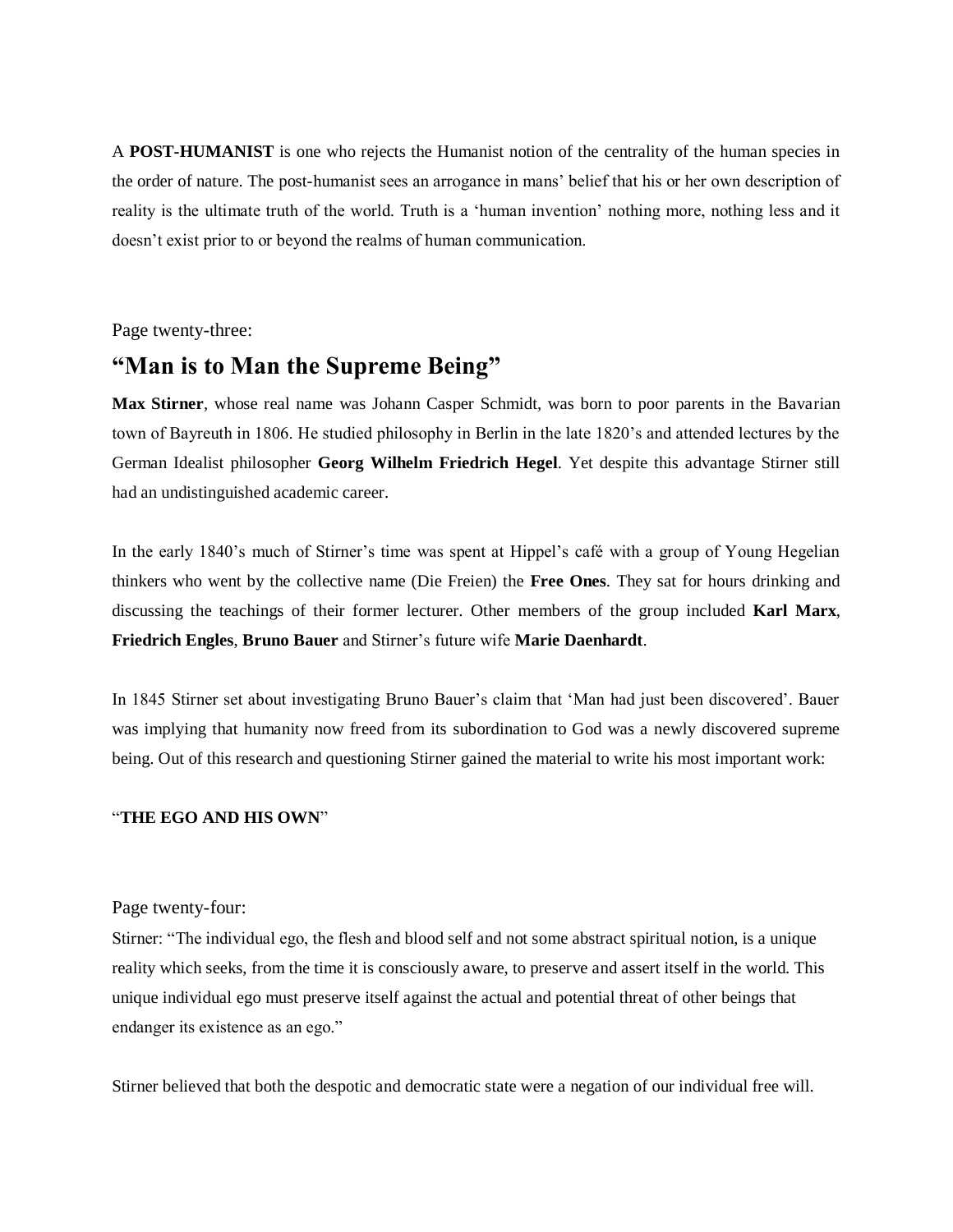A **POST-HUMANIST** is one who rejects the Humanist notion of the centrality of the human species in the order of nature. The post-humanist sees an arrogance in mans' belief that his or her own description of reality is the ultimate truth of the world. Truth is a 'human invention' nothing more, nothing less and it doesn't exist prior to or beyond the realms of human communication.

Page twenty-three:

## **"Man is to Man the Supreme Being"**

**Max Stirner**, whose real name was Johann Casper Schmidt, was born to poor parents in the Bavarian town of Bayreuth in 1806. He studied philosophy in Berlin in the late 1820's and attended lectures by the German Idealist philosopher **Georg Wilhelm Friedrich Hegel**. Yet despite this advantage Stirner still had an undistinguished academic career.

In the early 1840's much of Stirner's time was spent at Hippel's café with a group of Young Hegelian thinkers who went by the collective name (Die Freien) the **Free Ones**. They sat for hours drinking and discussing the teachings of their former lecturer. Other members of the group included **Karl Marx**, **Friedrich Engles**, **Bruno Bauer** and Stirner's future wife **Marie Daenhardt**.

In 1845 Stirner set about investigating Bruno Bauer's claim that 'Man had just been discovered'. Bauer was implying that humanity now freed from its subordination to God was a newly discovered supreme being. Out of this research and questioning Stirner gained the material to write his most important work:

#### "**THE EGO AND HIS OWN**"

Page twenty-four:

Stirner: "The individual ego, the flesh and blood self and not some abstract spiritual notion, is a unique reality which seeks, from the time it is consciously aware, to preserve and assert itself in the world. This unique individual ego must preserve itself against the actual and potential threat of other beings that endanger its existence as an ego."

Stirner believed that both the despotic and democratic state were a negation of our individual free will.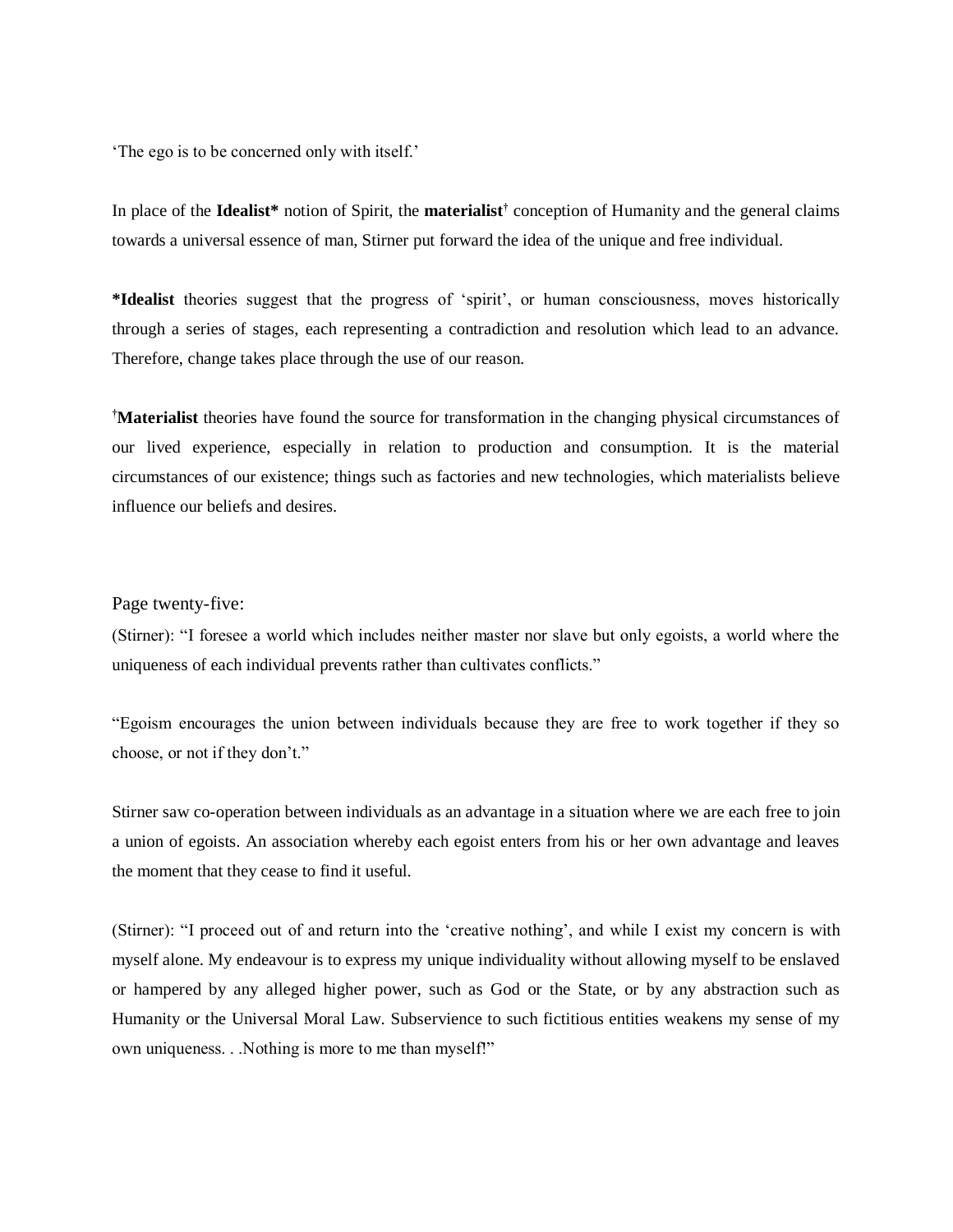'The ego is to be concerned only with itself.'

In place of the **Idealist\*** notion of Spirit, the **materialist†** conception of Humanity and the general claims towards a universal essence of man, Stirner put forward the idea of the unique and free individual.

**\*Idealist** theories suggest that the progress of 'spirit', or human consciousness, moves historically through a series of stages, each representing a contradiction and resolution which lead to an advance. Therefore, change takes place through the use of our reason.

**†Materialist** theories have found the source for transformation in the changing physical circumstances of our lived experience, especially in relation to production and consumption. It is the material circumstances of our existence; things such as factories and new technologies, which materialists believe influence our beliefs and desires.

#### Page twenty-five:

(Stirner): "I foresee a world which includes neither master nor slave but only egoists, a world where the uniqueness of each individual prevents rather than cultivates conflicts."

"Egoism encourages the union between individuals because they are free to work together if they so choose, or not if they don't."

Stirner saw co-operation between individuals as an advantage in a situation where we are each free to join a union of egoists. An association whereby each egoist enters from his or her own advantage and leaves the moment that they cease to find it useful.

(Stirner): "I proceed out of and return into the 'creative nothing', and while I exist my concern is with myself alone. My endeavour is to express my unique individuality without allowing myself to be enslaved or hampered by any alleged higher power, such as God or the State, or by any abstraction such as Humanity or the Universal Moral Law. Subservience to such fictitious entities weakens my sense of my own uniqueness. . .Nothing is more to me than myself!"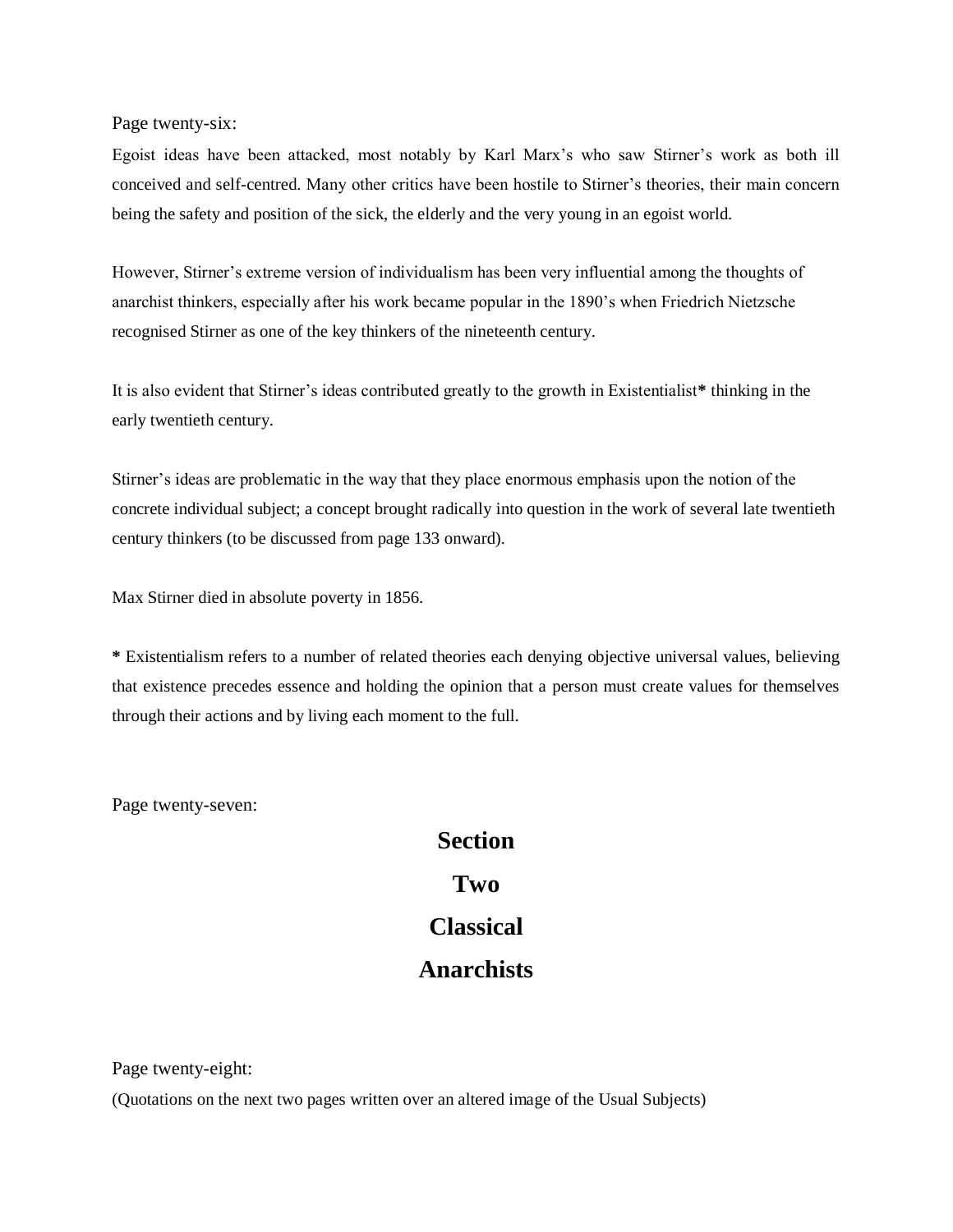Page twenty-six:

Egoist ideas have been attacked, most notably by Karl Marx's who saw Stirner's work as both ill conceived and self-centred. Many other critics have been hostile to Stirner's theories, their main concern being the safety and position of the sick, the elderly and the very young in an egoist world.

However, Stirner's extreme version of individualism has been very influential among the thoughts of anarchist thinkers, especially after his work became popular in the 1890's when Friedrich Nietzsche recognised Stirner as one of the key thinkers of the nineteenth century.

It is also evident that Stirner's ideas contributed greatly to the growth in Existentialist**\*** thinking in the early twentieth century.

Stirner's ideas are problematic in the way that they place enormous emphasis upon the notion of the concrete individual subject; a concept brought radically into question in the work of several late twentieth century thinkers (to be discussed from page 133 onward).

Max Stirner died in absolute poverty in 1856.

**\*** Existentialism refers to a number of related theories each denying objective universal values, believing that existence precedes essence and holding the opinion that a person must create values for themselves through their actions and by living each moment to the full.

Page twenty-seven:

# **Section Two Classical Anarchists**

Page twenty-eight:

(Quotations on the next two pages written over an altered image of the Usual Subjects)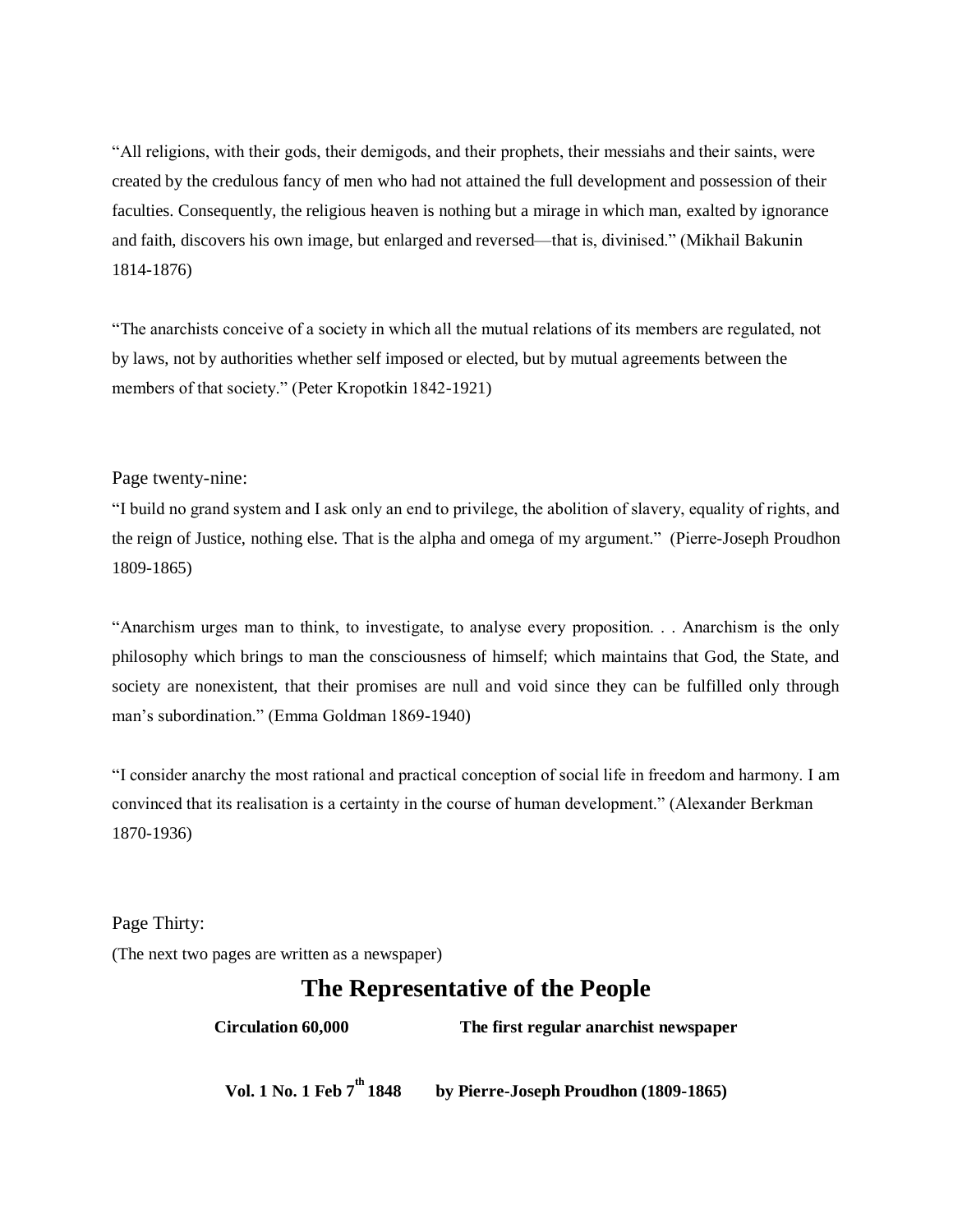"All religions, with their gods, their demigods, and their prophets, their messiahs and their saints, were created by the credulous fancy of men who had not attained the full development and possession of their faculties. Consequently, the religious heaven is nothing but a mirage in which man, exalted by ignorance and faith, discovers his own image, but enlarged and reversed—that is, divinised." (Mikhail Bakunin 1814-1876)

"The anarchists conceive of a society in which all the mutual relations of its members are regulated, not by laws, not by authorities whether self imposed or elected, but by mutual agreements between the members of that society." (Peter Kropotkin 1842-1921)

#### Page twenty-nine:

"I build no grand system and I ask only an end to privilege, the abolition of slavery, equality of rights, and the reign of Justice, nothing else. That is the alpha and omega of my argument." (Pierre-Joseph Proudhon 1809-1865)

"Anarchism urges man to think, to investigate, to analyse every proposition. . . Anarchism is the only philosophy which brings to man the consciousness of himself; which maintains that God, the State, and society are nonexistent, that their promises are null and void since they can be fulfilled only through man's subordination." (Emma Goldman 1869-1940)

"I consider anarchy the most rational and practical conception of social life in freedom and harmony. I am convinced that its realisation is a certainty in the course of human development." (Alexander Berkman 1870-1936)

Page Thirty:

(The next two pages are written as a newspaper)

## **The Representative of the People**

**Circulation 60,000 The first regular anarchist newspaper**

**Vol. 1 No. 1 Feb 7th 1848 by Pierre-Joseph Proudhon (1809-1865)**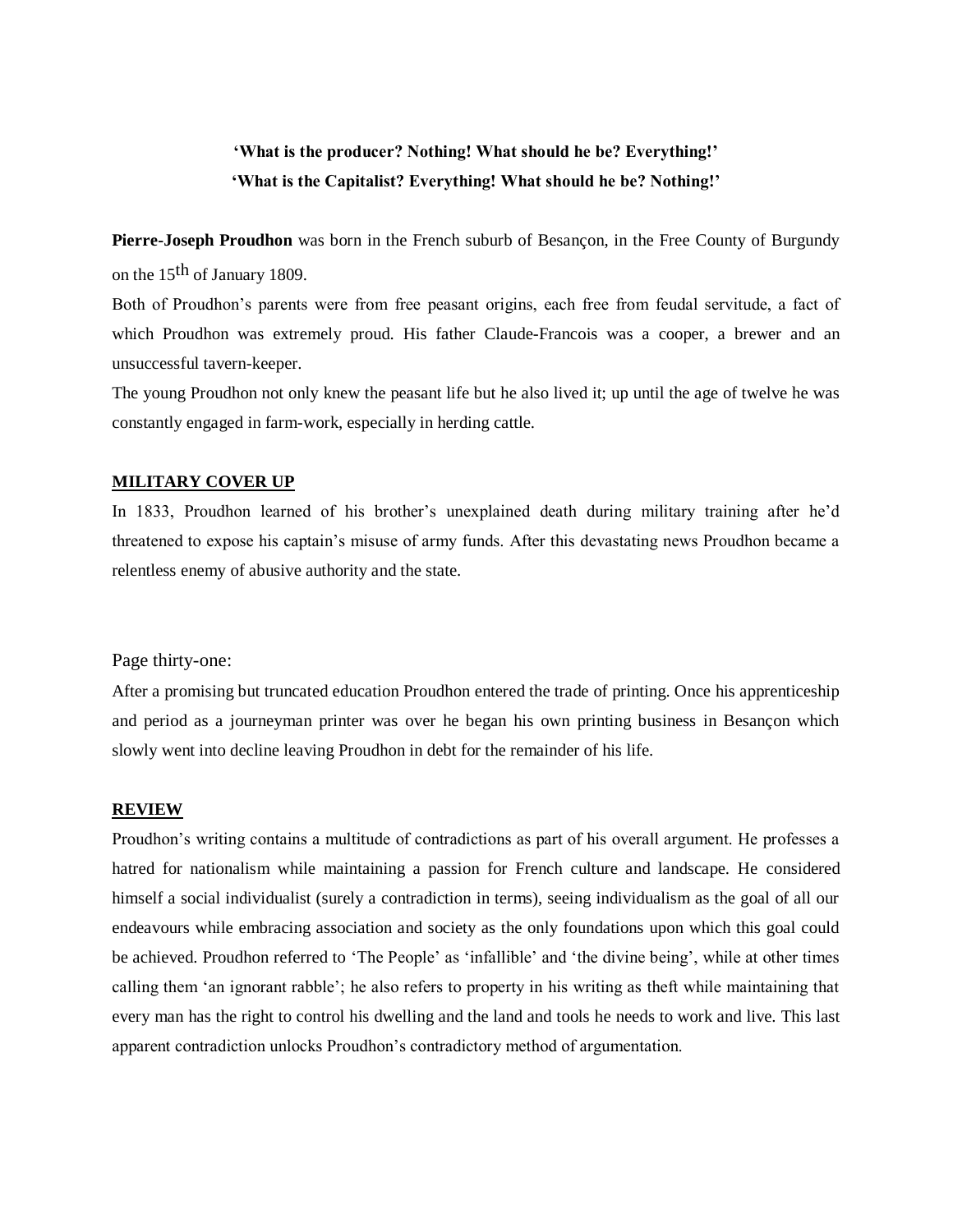### **'What is the producer? Nothing! What should he be? Everything!' 'What is the Capitalist? Everything! What should he be? Nothing!'**

**Pierre-Joseph Proudhon** was born in the French suburb of Besançon, in the Free County of Burgundy on the 15<sup>th</sup> of January 1809.

Both of Proudhon's parents were from free peasant origins, each free from feudal servitude, a fact of which Proudhon was extremely proud. His father Claude-Francois was a cooper, a brewer and an unsuccessful tavern-keeper.

The young Proudhon not only knew the peasant life but he also lived it; up until the age of twelve he was constantly engaged in farm-work, especially in herding cattle.

#### **MILITARY COVER UP**

In 1833, Proudhon learned of his brother's unexplained death during military training after he'd threatened to expose his captain's misuse of army funds. After this devastating news Proudhon became a relentless enemy of abusive authority and the state.

#### Page thirty-one:

After a promising but truncated education Proudhon entered the trade of printing. Once his apprenticeship and period as a journeyman printer was over he began his own printing business in Besançon which slowly went into decline leaving Proudhon in debt for the remainder of his life.

#### **REVIEW**

Proudhon's writing contains a multitude of contradictions as part of his overall argument. He professes a hatred for nationalism while maintaining a passion for French culture and landscape. He considered himself a social individualist (surely a contradiction in terms), seeing individualism as the goal of all our endeavours while embracing association and society as the only foundations upon which this goal could be achieved. Proudhon referred to 'The People' as 'infallible' and 'the divine being', while at other times calling them 'an ignorant rabble'; he also refers to property in his writing as theft while maintaining that every man has the right to control his dwelling and the land and tools he needs to work and live. This last apparent contradiction unlocks Proudhon's contradictory method of argumentation.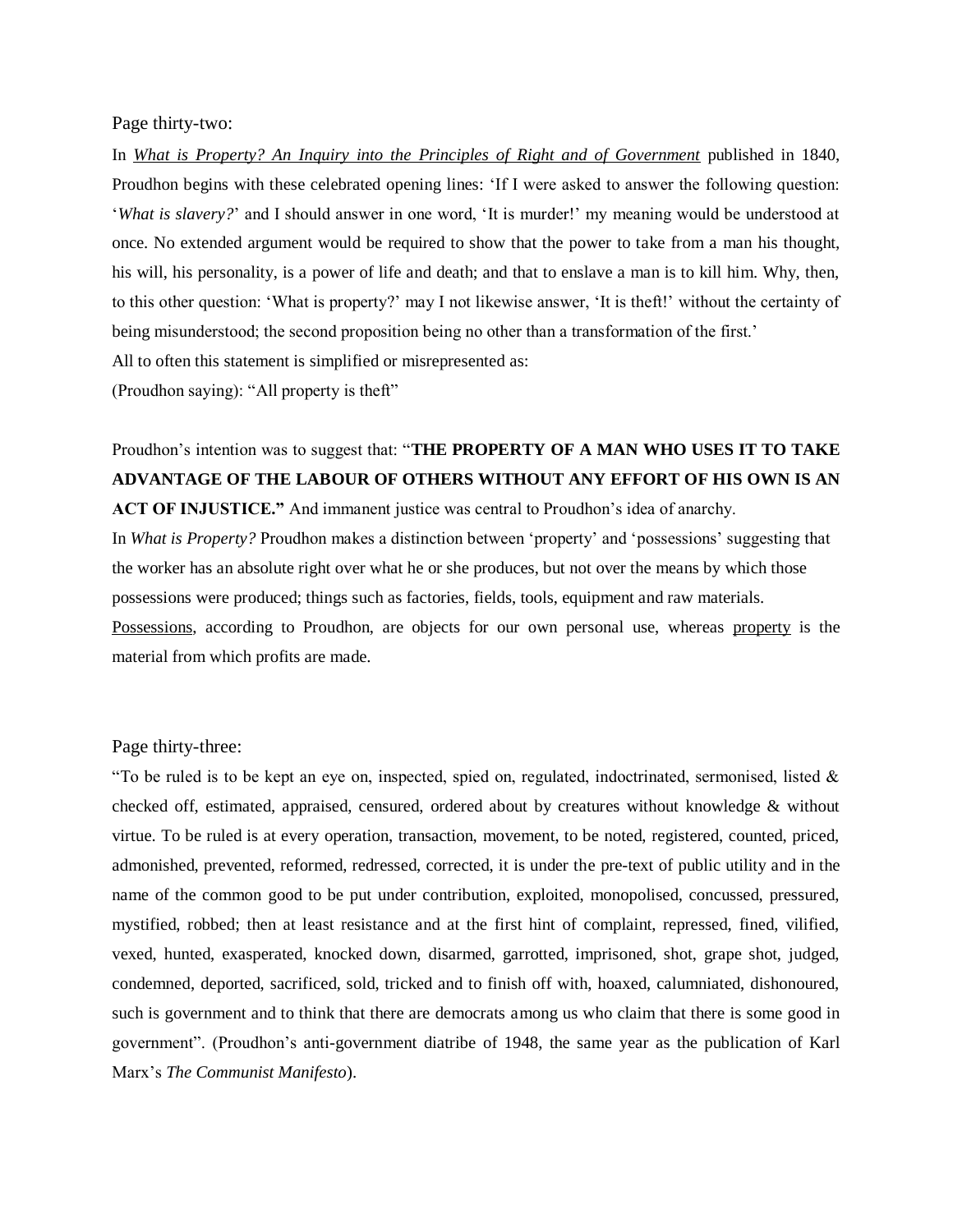#### Page thirty-two:

In *What is Property? An Inquiry into the Principles of Right and of Government* published in 1840, Proudhon begins with these celebrated opening lines: 'If I were asked to answer the following question: '*What is slavery?*' and I should answer in one word, 'It is murder!' my meaning would be understood at once. No extended argument would be required to show that the power to take from a man his thought, his will, his personality, is a power of life and death; and that to enslave a man is to kill him. Why, then, to this other question: 'What is property?' may I not likewise answer, 'It is theft!' without the certainty of being misunderstood; the second proposition being no other than a transformation of the first.' All to often this statement is simplified or misrepresented as:

(Proudhon saying): "All property is theft"

## Proudhon's intention was to suggest that: "**THE PROPERTY OF A MAN WHO USES IT TO TAKE ADVANTAGE OF THE LABOUR OF OTHERS WITHOUT ANY EFFORT OF HIS OWN IS AN**

**ACT OF INJUSTICE."** And immanent justice was central to Proudhon's idea of anarchy. In *What is Property?* Proudhon makes a distinction between 'property' and 'possessions' suggesting that the worker has an absolute right over what he or she produces, but not over the means by which those possessions were produced; things such as factories, fields, tools, equipment and raw materials. Possessions, according to Proudhon, are objects for our own personal use, whereas property is the material from which profits are made.

#### Page thirty-three:

"To be ruled is to be kept an eye on, inspected, spied on, regulated, indoctrinated, sermonised, listed  $\&$ checked off, estimated, appraised, censured, ordered about by creatures without knowledge & without virtue. To be ruled is at every operation, transaction, movement, to be noted, registered, counted, priced, admonished, prevented, reformed, redressed, corrected, it is under the pre-text of public utility and in the name of the common good to be put under contribution, exploited, monopolised, concussed, pressured, mystified, robbed; then at least resistance and at the first hint of complaint, repressed, fined, vilified, vexed, hunted, exasperated, knocked down, disarmed, garrotted, imprisoned, shot, grape shot, judged, condemned, deported, sacrificed, sold, tricked and to finish off with, hoaxed, calumniated, dishonoured, such is government and to think that there are democrats among us who claim that there is some good in government". (Proudhon's anti-government diatribe of 1948, the same year as the publication of Karl Marx's *The Communist Manifesto*).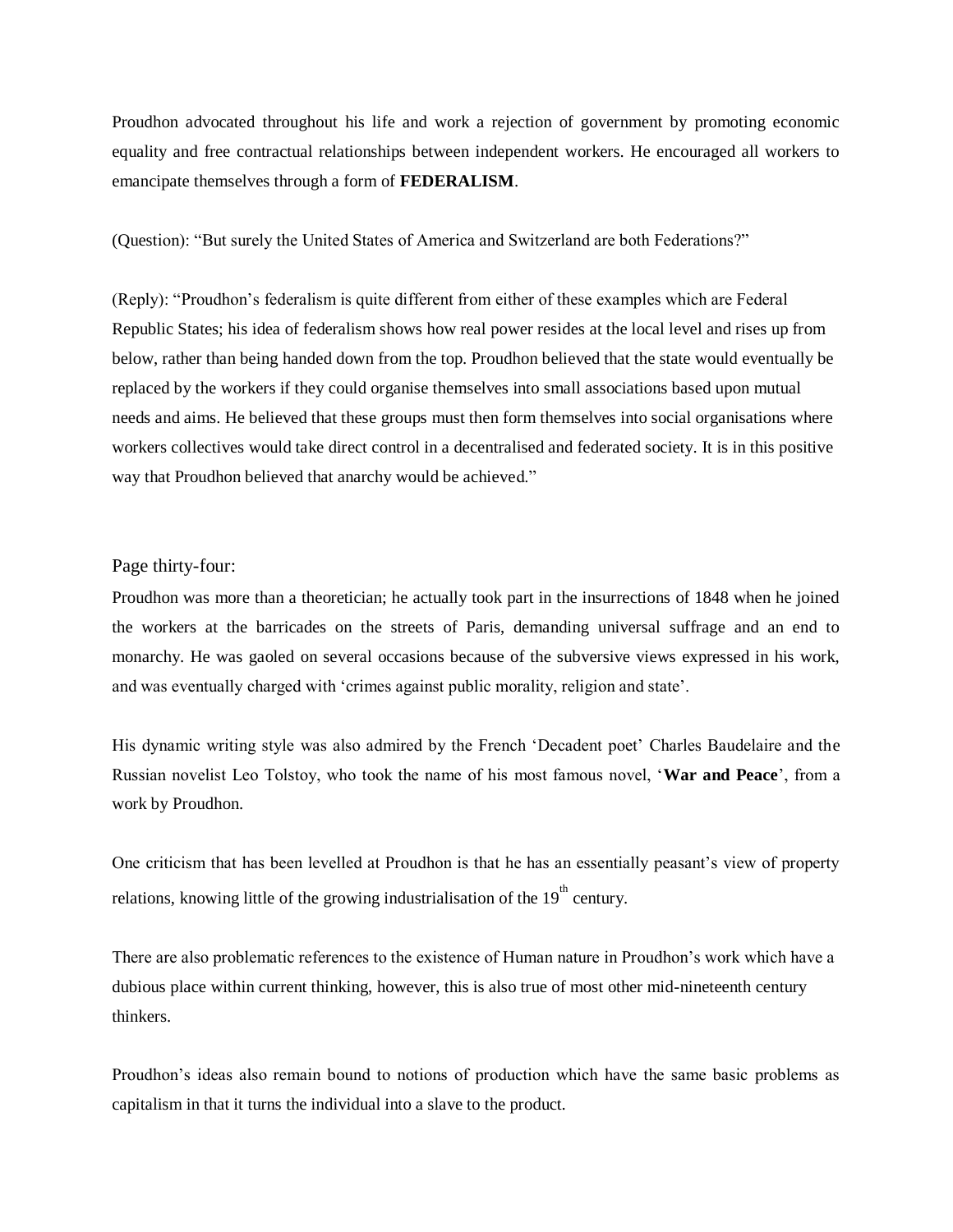Proudhon advocated throughout his life and work a rejection of government by promoting economic equality and free contractual relationships between independent workers. He encouraged all workers to emancipate themselves through a form of **FEDERALISM**.

(Question): "But surely the United States of America and Switzerland are both Federations?"

(Reply): "Proudhon's federalism is quite different from either of these examples which are Federal Republic States; his idea of federalism shows how real power resides at the local level and rises up from below, rather than being handed down from the top. Proudhon believed that the state would eventually be replaced by the workers if they could organise themselves into small associations based upon mutual needs and aims. He believed that these groups must then form themselves into social organisations where workers collectives would take direct control in a decentralised and federated society. It is in this positive way that Proudhon believed that anarchy would be achieved."

#### Page thirty-four:

Proudhon was more than a theoretician; he actually took part in the insurrections of 1848 when he joined the workers at the barricades on the streets of Paris, demanding universal suffrage and an end to monarchy. He was gaoled on several occasions because of the subversive views expressed in his work, and was eventually charged with 'crimes against public morality, religion and state'.

His dynamic writing style was also admired by the French 'Decadent poet' Charles Baudelaire and the Russian novelist Leo Tolstoy, who took the name of his most famous novel, '**War and Peace**', from a work by Proudhon.

One criticism that has been levelled at Proudhon is that he has an essentially peasant's view of property relations, knowing little of the growing industrialisation of the  $19<sup>th</sup>$  century.

There are also problematic references to the existence of Human nature in Proudhon's work which have a dubious place within current thinking, however, this is also true of most other mid-nineteenth century thinkers.

Proudhon's ideas also remain bound to notions of production which have the same basic problems as capitalism in that it turns the individual into a slave to the product.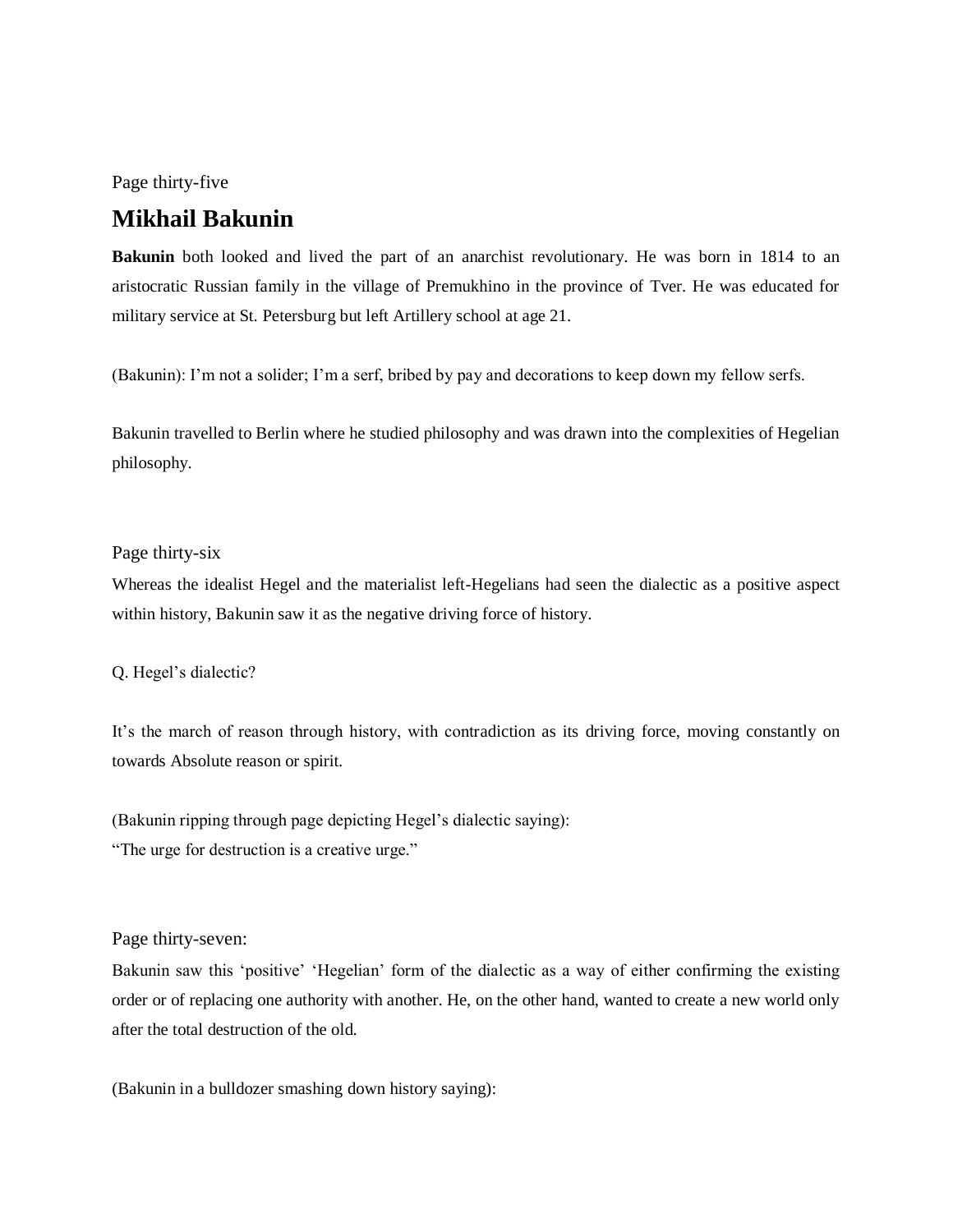Page thirty-five

## **Mikhail Bakunin**

**Bakunin** both looked and lived the part of an anarchist revolutionary. He was born in 1814 to an aristocratic Russian family in the village of Premukhino in the province of Tver. He was educated for military service at St. Petersburg but left Artillery school at age 21.

(Bakunin): I'm not a solider; I'm a serf, bribed by pay and decorations to keep down my fellow serfs.

Bakunin travelled to Berlin where he studied philosophy and was drawn into the complexities of Hegelian philosophy.

#### Page thirty-six

Whereas the idealist Hegel and the materialist left-Hegelians had seen the dialectic as a positive aspect within history, Bakunin saw it as the negative driving force of history.

Q. Hegel's dialectic?

It's the march of reason through history, with contradiction as its driving force, moving constantly on towards Absolute reason or spirit.

(Bakunin ripping through page depicting Hegel's dialectic saying): "The urge for destruction is a creative urge."

#### Page thirty-seven:

Bakunin saw this 'positive' 'Hegelian' form of the dialectic as a way of either confirming the existing order or of replacing one authority with another. He, on the other hand, wanted to create a new world only after the total destruction of the old.

(Bakunin in a bulldozer smashing down history saying):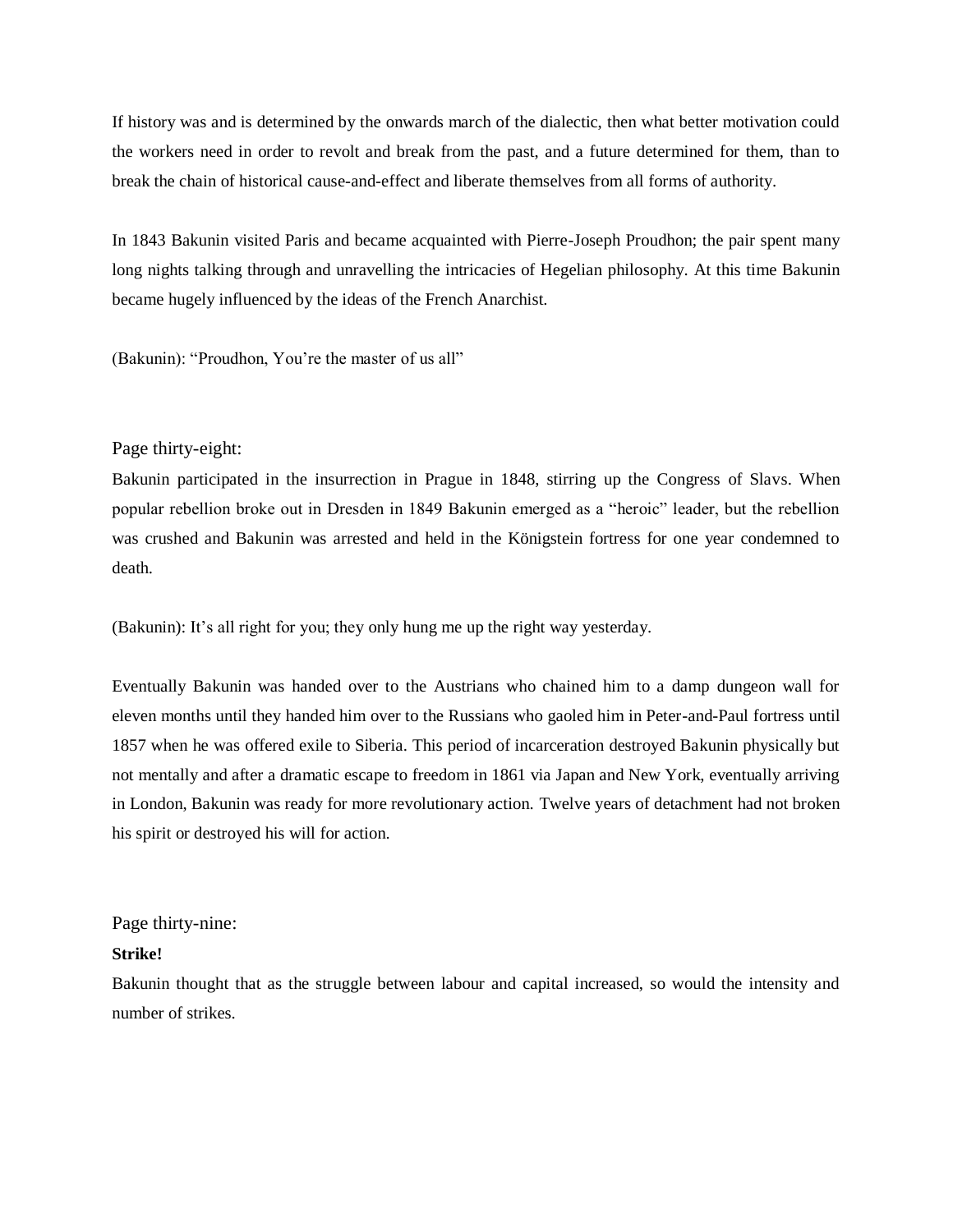If history was and is determined by the onwards march of the dialectic, then what better motivation could the workers need in order to revolt and break from the past, and a future determined for them, than to break the chain of historical cause-and-effect and liberate themselves from all forms of authority.

In 1843 Bakunin visited Paris and became acquainted with Pierre-Joseph Proudhon; the pair spent many long nights talking through and unravelling the intricacies of Hegelian philosophy. At this time Bakunin became hugely influenced by the ideas of the French Anarchist.

(Bakunin): "Proudhon, You're the master of us all"

#### Page thirty-eight:

Bakunin participated in the insurrection in Prague in 1848, stirring up the Congress of Slavs. When popular rebellion broke out in Dresden in 1849 Bakunin emerged as a "heroic" leader, but the rebellion was crushed and Bakunin was arrested and held in the Königstein fortress for one year condemned to death.

(Bakunin): It's all right for you; they only hung me up the right way yesterday.

Eventually Bakunin was handed over to the Austrians who chained him to a damp dungeon wall for eleven months until they handed him over to the Russians who gaoled him in Peter-and-Paul fortress until 1857 when he was offered exile to Siberia. This period of incarceration destroyed Bakunin physically but not mentally and after a dramatic escape to freedom in 1861 via Japan and New York, eventually arriving in London, Bakunin was ready for more revolutionary action. Twelve years of detachment had not broken his spirit or destroyed his will for action.

Page thirty-nine:

#### **Strike!**

Bakunin thought that as the struggle between labour and capital increased, so would the intensity and number of strikes.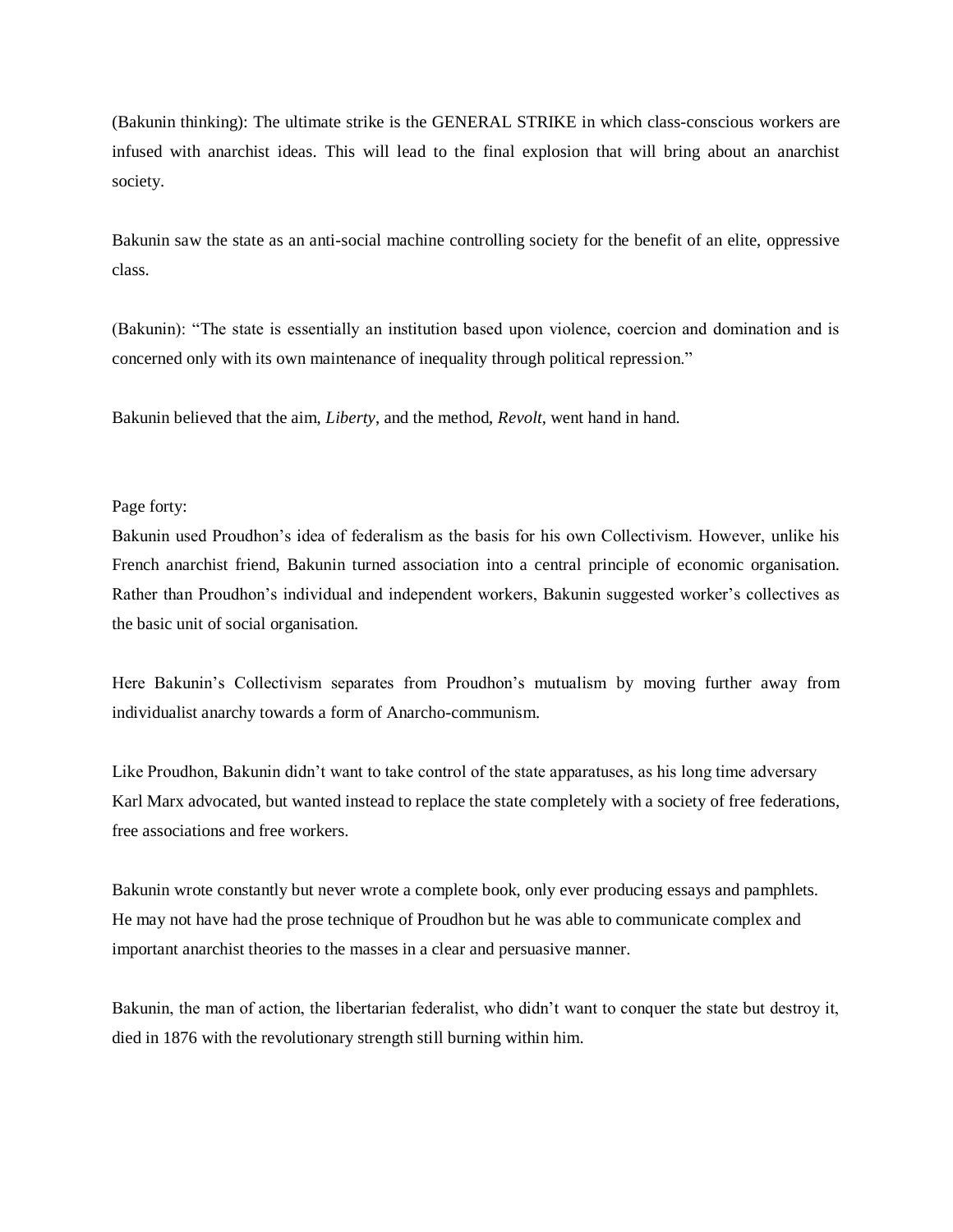(Bakunin thinking): The ultimate strike is the GENERAL STRIKE in which class-conscious workers are infused with anarchist ideas. This will lead to the final explosion that will bring about an anarchist society.

Bakunin saw the state as an anti-social machine controlling society for the benefit of an elite, oppressive class.

(Bakunin): "The state is essentially an institution based upon violence, coercion and domination and is concerned only with its own maintenance of inequality through political repression."

Bakunin believed that the aim, *Liberty*, and the method, *Revolt*, went hand in hand.

#### Page forty:

Bakunin used Proudhon's idea of federalism as the basis for his own Collectivism. However, unlike his French anarchist friend, Bakunin turned association into a central principle of economic organisation. Rather than Proudhon's individual and independent workers, Bakunin suggested worker's collectives as the basic unit of social organisation.

Here Bakunin's Collectivism separates from Proudhon's mutualism by moving further away from individualist anarchy towards a form of Anarcho-communism.

Like Proudhon, Bakunin didn't want to take control of the state apparatuses, as his long time adversary Karl Marx advocated, but wanted instead to replace the state completely with a society of free federations, free associations and free workers.

Bakunin wrote constantly but never wrote a complete book, only ever producing essays and pamphlets. He may not have had the prose technique of Proudhon but he was able to communicate complex and important anarchist theories to the masses in a clear and persuasive manner.

Bakunin, the man of action, the libertarian federalist, who didn't want to conquer the state but destroy it, died in 1876 with the revolutionary strength still burning within him.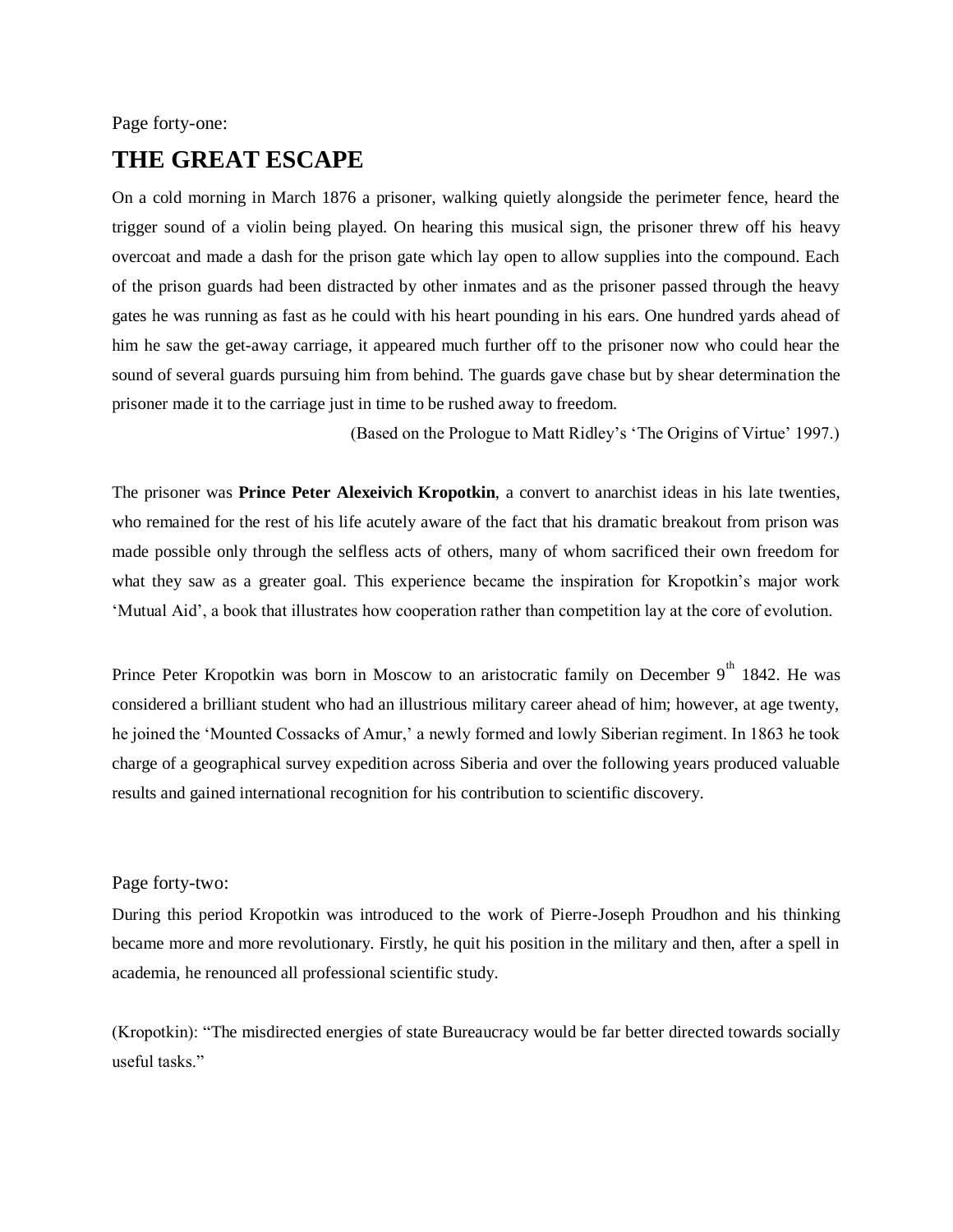#### Page forty-one:

## **THE GREAT ESCAPE**

On a cold morning in March 1876 a prisoner, walking quietly alongside the perimeter fence, heard the trigger sound of a violin being played. On hearing this musical sign, the prisoner threw off his heavy overcoat and made a dash for the prison gate which lay open to allow supplies into the compound. Each of the prison guards had been distracted by other inmates and as the prisoner passed through the heavy gates he was running as fast as he could with his heart pounding in his ears. One hundred yards ahead of him he saw the get-away carriage, it appeared much further off to the prisoner now who could hear the sound of several guards pursuing him from behind. The guards gave chase but by shear determination the prisoner made it to the carriage just in time to be rushed away to freedom.

(Based on the Prologue to Matt Ridley's 'The Origins of Virtue' 1997.)

The prisoner was **Prince Peter Alexeivich Kropotkin**, a convert to anarchist ideas in his late twenties, who remained for the rest of his life acutely aware of the fact that his dramatic breakout from prison was made possible only through the selfless acts of others, many of whom sacrificed their own freedom for what they saw as a greater goal. This experience became the inspiration for Kropotkin's major work 'Mutual Aid', a book that illustrates how cooperation rather than competition lay at the core of evolution.

Prince Peter Kropotkin was born in Moscow to an aristocratic family on December  $9^{th}$  1842. He was considered a brilliant student who had an illustrious military career ahead of him; however, at age twenty, he joined the 'Mounted Cossacks of Amur,' a newly formed and lowly Siberian regiment. In 1863 he took charge of a geographical survey expedition across Siberia and over the following years produced valuable results and gained international recognition for his contribution to scientific discovery.

#### Page forty-two:

During this period Kropotkin was introduced to the work of Pierre-Joseph Proudhon and his thinking became more and more revolutionary. Firstly, he quit his position in the military and then, after a spell in academia, he renounced all professional scientific study.

(Kropotkin): "The misdirected energies of state Bureaucracy would be far better directed towards socially useful tasks."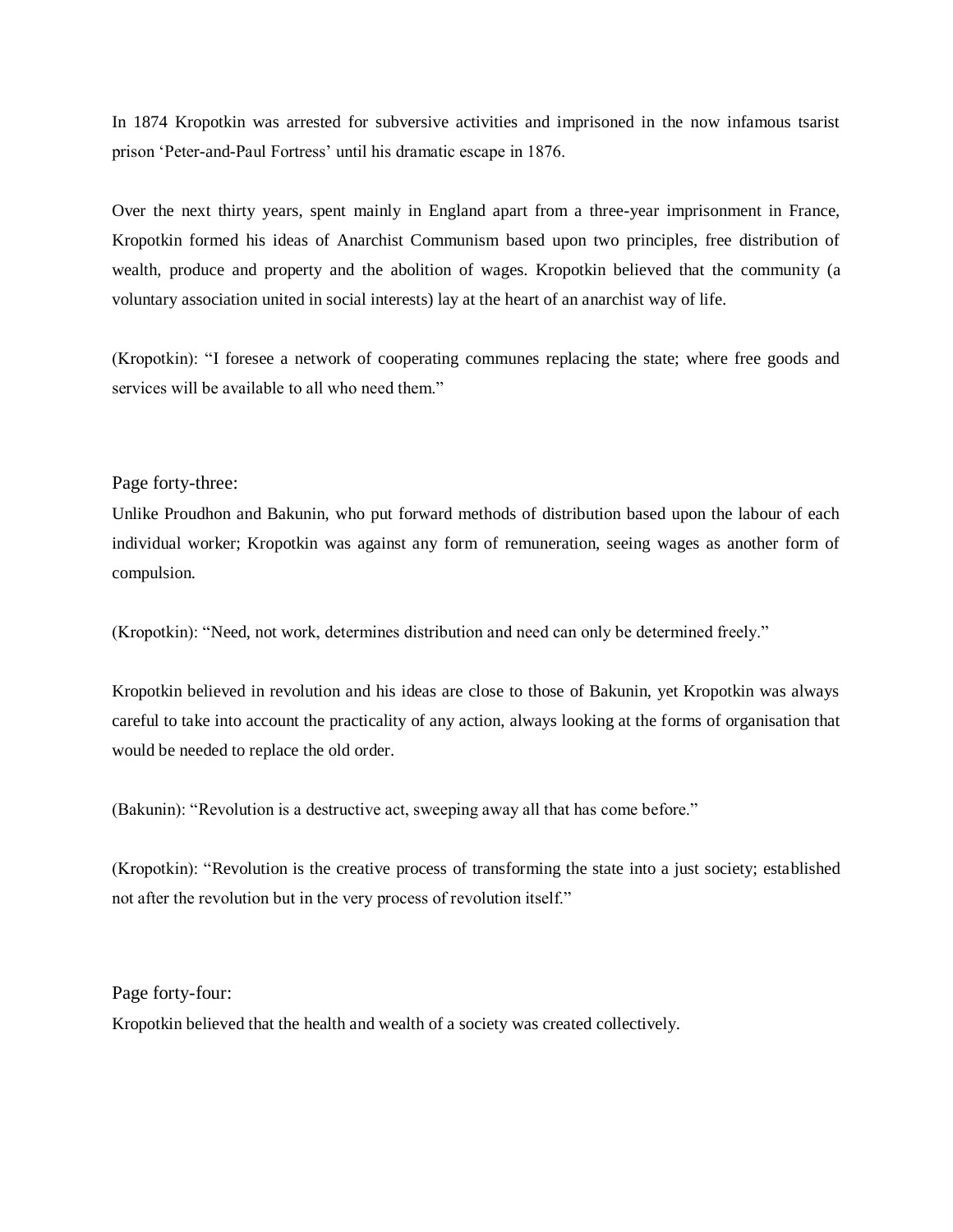In 1874 Kropotkin was arrested for subversive activities and imprisoned in the now infamous tsarist prison 'Peter-and-Paul Fortress' until his dramatic escape in 1876.

Over the next thirty years, spent mainly in England apart from a three-year imprisonment in France, Kropotkin formed his ideas of Anarchist Communism based upon two principles, free distribution of wealth, produce and property and the abolition of wages. Kropotkin believed that the community (a voluntary association united in social interests) lay at the heart of an anarchist way of life.

(Kropotkin): "I foresee a network of cooperating communes replacing the state; where free goods and services will be available to all who need them."

#### Page forty-three:

Unlike Proudhon and Bakunin, who put forward methods of distribution based upon the labour of each individual worker; Kropotkin was against any form of remuneration, seeing wages as another form of compulsion.

(Kropotkin): "Need, not work, determines distribution and need can only be determined freely."

Kropotkin believed in revolution and his ideas are close to those of Bakunin, yet Kropotkin was always careful to take into account the practicality of any action, always looking at the forms of organisation that would be needed to replace the old order.

(Bakunin): "Revolution is a destructive act, sweeping away all that has come before."

(Kropotkin): "Revolution is the creative process of transforming the state into a just society; established not after the revolution but in the very process of revolution itself."

Page forty-four:

Kropotkin believed that the health and wealth of a society was created collectively.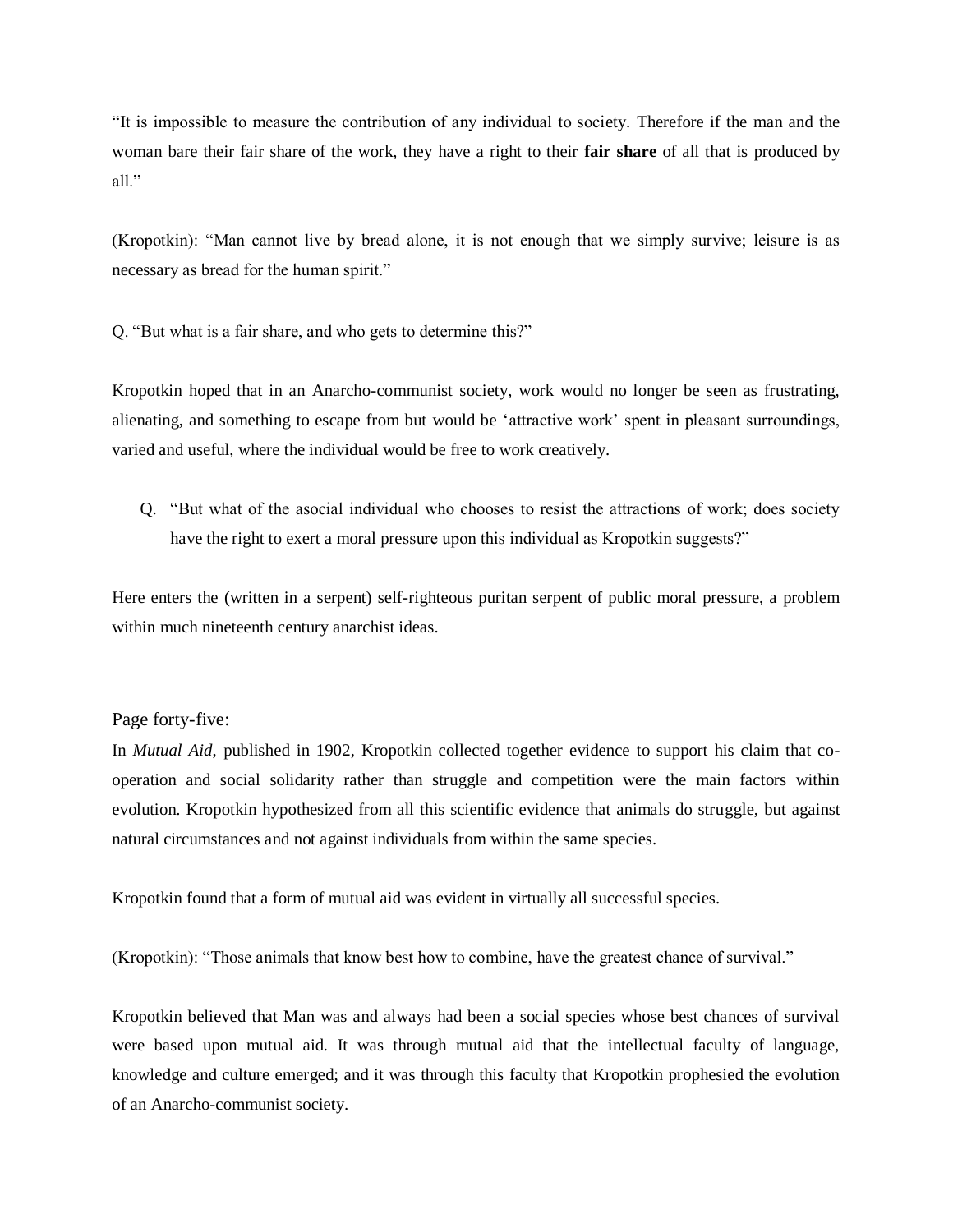"It is impossible to measure the contribution of any individual to society. Therefore if the man and the woman bare their fair share of the work, they have a right to their **fair share** of all that is produced by all."

(Kropotkin): "Man cannot live by bread alone, it is not enough that we simply survive; leisure is as necessary as bread for the human spirit."

Q. "But what is a fair share, and who gets to determine this?"

Kropotkin hoped that in an Anarcho-communist society, work would no longer be seen as frustrating, alienating, and something to escape from but would be 'attractive work' spent in pleasant surroundings, varied and useful, where the individual would be free to work creatively.

Q. "But what of the asocial individual who chooses to resist the attractions of work; does society have the right to exert a moral pressure upon this individual as Kropotkin suggests?"

Here enters the (written in a serpent) self-righteous puritan serpent of public moral pressure, a problem within much nineteenth century anarchist ideas.

Page forty-five:

In *Mutual Aid*, published in 1902, Kropotkin collected together evidence to support his claim that cooperation and social solidarity rather than struggle and competition were the main factors within evolution. Kropotkin hypothesized from all this scientific evidence that animals do struggle, but against natural circumstances and not against individuals from within the same species.

Kropotkin found that a form of mutual aid was evident in virtually all successful species.

(Kropotkin): "Those animals that know best how to combine, have the greatest chance of survival."

Kropotkin believed that Man was and always had been a social species whose best chances of survival were based upon mutual aid. It was through mutual aid that the intellectual faculty of language, knowledge and culture emerged; and it was through this faculty that Kropotkin prophesied the evolution of an Anarcho-communist society.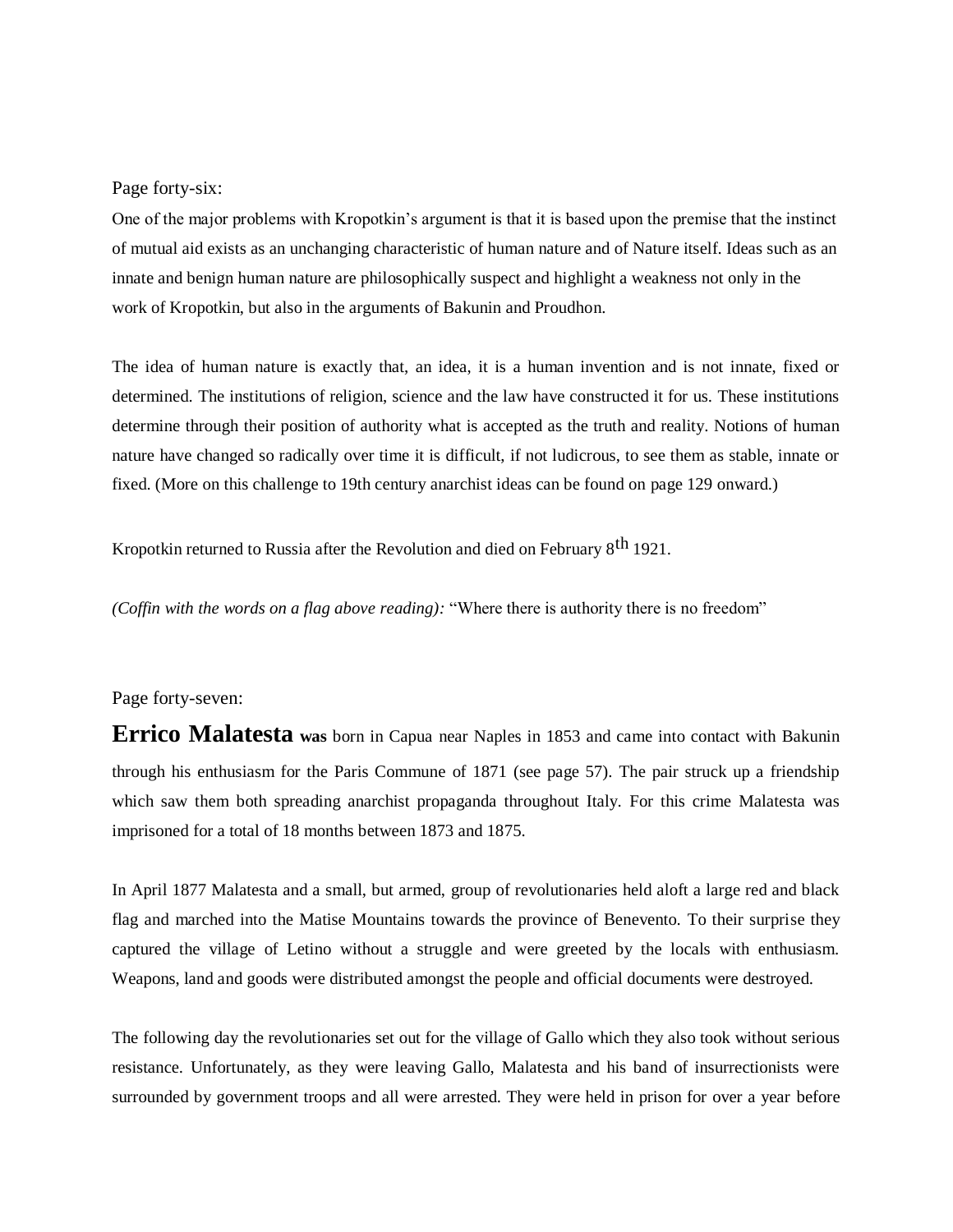Page forty-six:

One of the major problems with Kropotkin's argument is that it is based upon the premise that the instinct of mutual aid exists as an unchanging characteristic of human nature and of Nature itself. Ideas such as an innate and benign human nature are philosophically suspect and highlight a weakness not only in the work of Kropotkin, but also in the arguments of Bakunin and Proudhon.

The idea of human nature is exactly that, an idea, it is a human invention and is not innate, fixed or determined. The institutions of religion, science and the law have constructed it for us. These institutions determine through their position of authority what is accepted as the truth and reality. Notions of human nature have changed so radically over time it is difficult, if not ludicrous, to see them as stable, innate or fixed. (More on this challenge to 19th century anarchist ideas can be found on page 129 onward.)

Kropotkin returned to Russia after the Revolution and died on February 8<sup>th</sup> 1921.

*(Coffin with the words on a flag above reading):* "Where there is authority there is no freedom"

#### Page forty-seven:

**Errico Malatesta was** born in Capua near Naples in 1853 and came into contact with Bakunin through his enthusiasm for the Paris Commune of 1871 (see page 57). The pair struck up a friendship which saw them both spreading anarchist propaganda throughout Italy. For this crime Malatesta was imprisoned for a total of 18 months between 1873 and 1875.

In April 1877 Malatesta and a small, but armed, group of revolutionaries held aloft a large red and black flag and marched into the Matise Mountains towards the province of Benevento. To their surprise they captured the village of Letino without a struggle and were greeted by the locals with enthusiasm. Weapons, land and goods were distributed amongst the people and official documents were destroyed.

The following day the revolutionaries set out for the village of Gallo which they also took without serious resistance. Unfortunately, as they were leaving Gallo, Malatesta and his band of insurrectionists were surrounded by government troops and all were arrested. They were held in prison for over a year before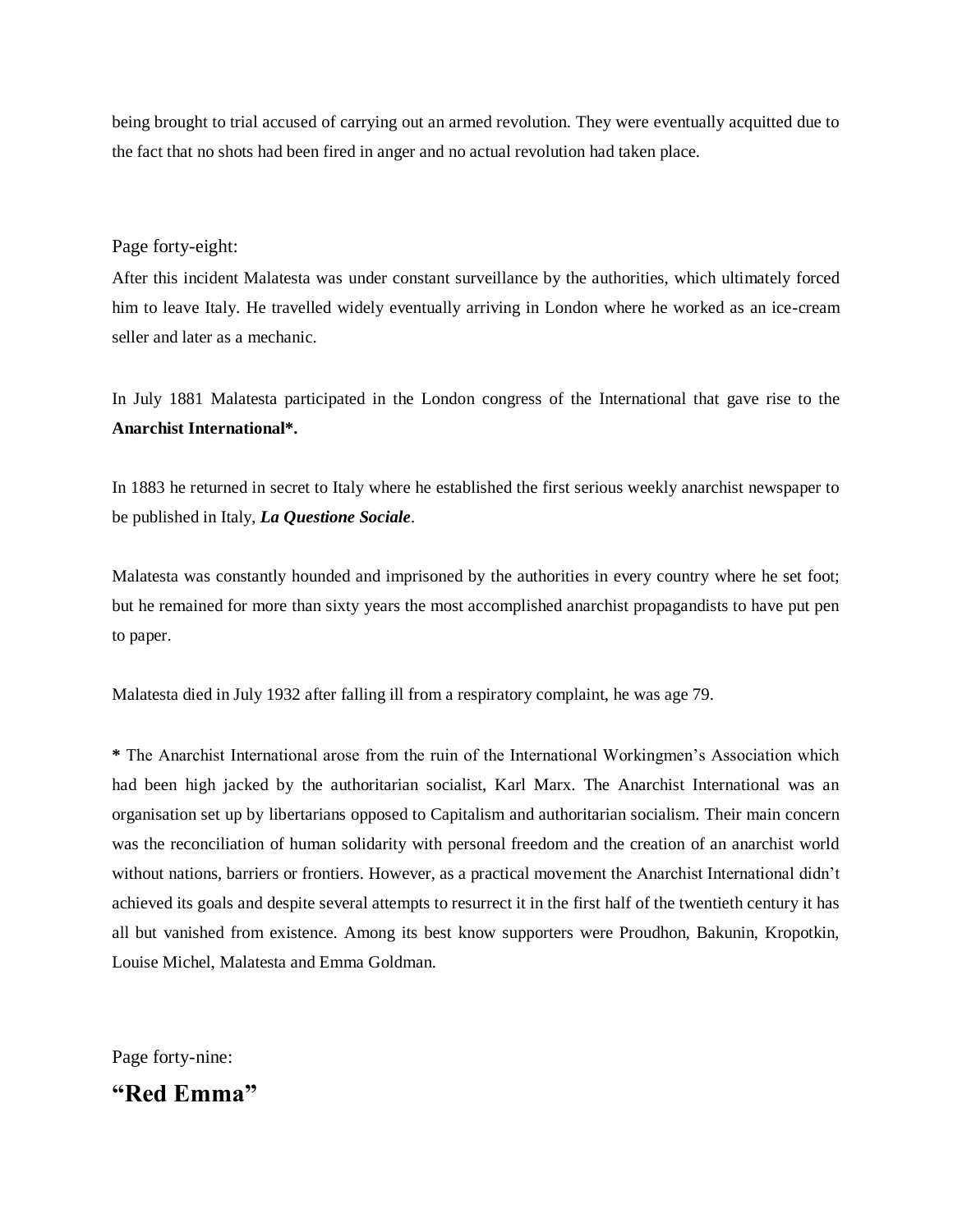being brought to trial accused of carrying out an armed revolution. They were eventually acquitted due to the fact that no shots had been fired in anger and no actual revolution had taken place.

#### Page forty-eight:

After this incident Malatesta was under constant surveillance by the authorities, which ultimately forced him to leave Italy. He travelled widely eventually arriving in London where he worked as an ice-cream seller and later as a mechanic.

In July 1881 Malatesta participated in the London congress of the International that gave rise to the **Anarchist International\*.**

In 1883 he returned in secret to Italy where he established the first serious weekly anarchist newspaper to be published in Italy, *La Questione Sociale*.

Malatesta was constantly hounded and imprisoned by the authorities in every country where he set foot; but he remained for more than sixty years the most accomplished anarchist propagandists to have put pen to paper.

Malatesta died in July 1932 after falling ill from a respiratory complaint, he was age 79.

**\*** The Anarchist International arose from the ruin of the International Workingmen's Association which had been high jacked by the authoritarian socialist, Karl Marx. The Anarchist International was an organisation set up by libertarians opposed to Capitalism and authoritarian socialism. Their main concern was the reconciliation of human solidarity with personal freedom and the creation of an anarchist world without nations, barriers or frontiers. However, as a practical movement the Anarchist International didn't achieved its goals and despite several attempts to resurrect it in the first half of the twentieth century it has all but vanished from existence. Among its best know supporters were Proudhon, Bakunin, Kropotkin, Louise Michel, Malatesta and Emma Goldman.

Page forty-nine:

**"Red Emma"**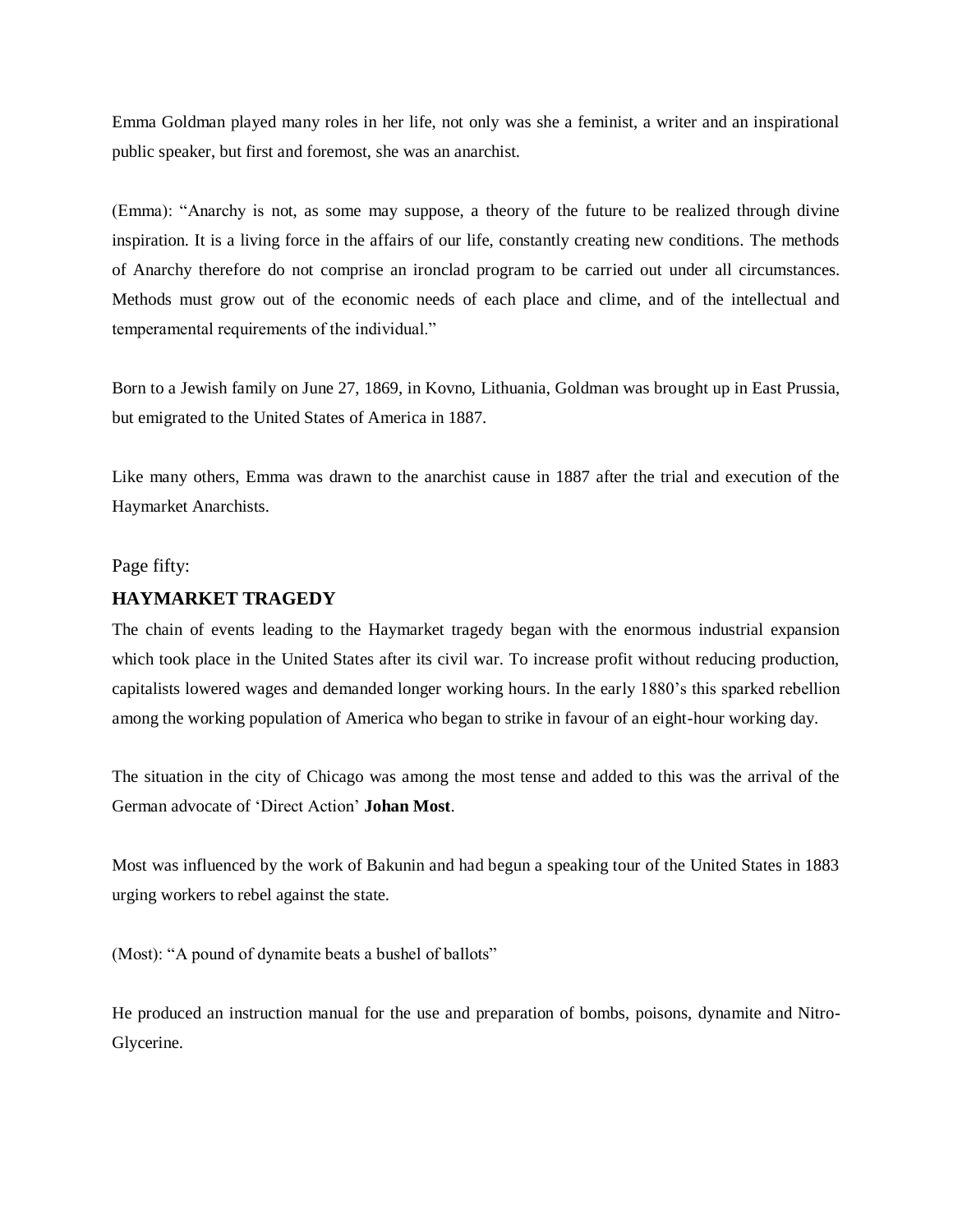Emma Goldman played many roles in her life, not only was she a feminist, a writer and an inspirational public speaker, but first and foremost, she was an anarchist.

(Emma): "Anarchy is not, as some may suppose, a theory of the future to be realized through divine inspiration. It is a living force in the affairs of our life, constantly creating new conditions. The methods of Anarchy therefore do not comprise an ironclad program to be carried out under all circumstances. Methods must grow out of the economic needs of each place and clime, and of the intellectual and temperamental requirements of the individual."

Born to a Jewish family on June 27, 1869, in Kovno, Lithuania, Goldman was brought up in East Prussia, but emigrated to the United States of America in 1887.

Like many others, Emma was drawn to the anarchist cause in 1887 after the trial and execution of the Haymarket Anarchists.

#### Page fifty:

#### **HAYMARKET TRAGEDY**

The chain of events leading to the Haymarket tragedy began with the enormous industrial expansion which took place in the United States after its civil war. To increase profit without reducing production, capitalists lowered wages and demanded longer working hours. In the early 1880's this sparked rebellion among the working population of America who began to strike in favour of an eight-hour working day.

The situation in the city of Chicago was among the most tense and added to this was the arrival of the German advocate of 'Direct Action' **Johan Most**.

Most was influenced by the work of Bakunin and had begun a speaking tour of the United States in 1883 urging workers to rebel against the state.

(Most): "A pound of dynamite beats a bushel of ballots"

He produced an instruction manual for the use and preparation of bombs, poisons, dynamite and Nitro-Glycerine.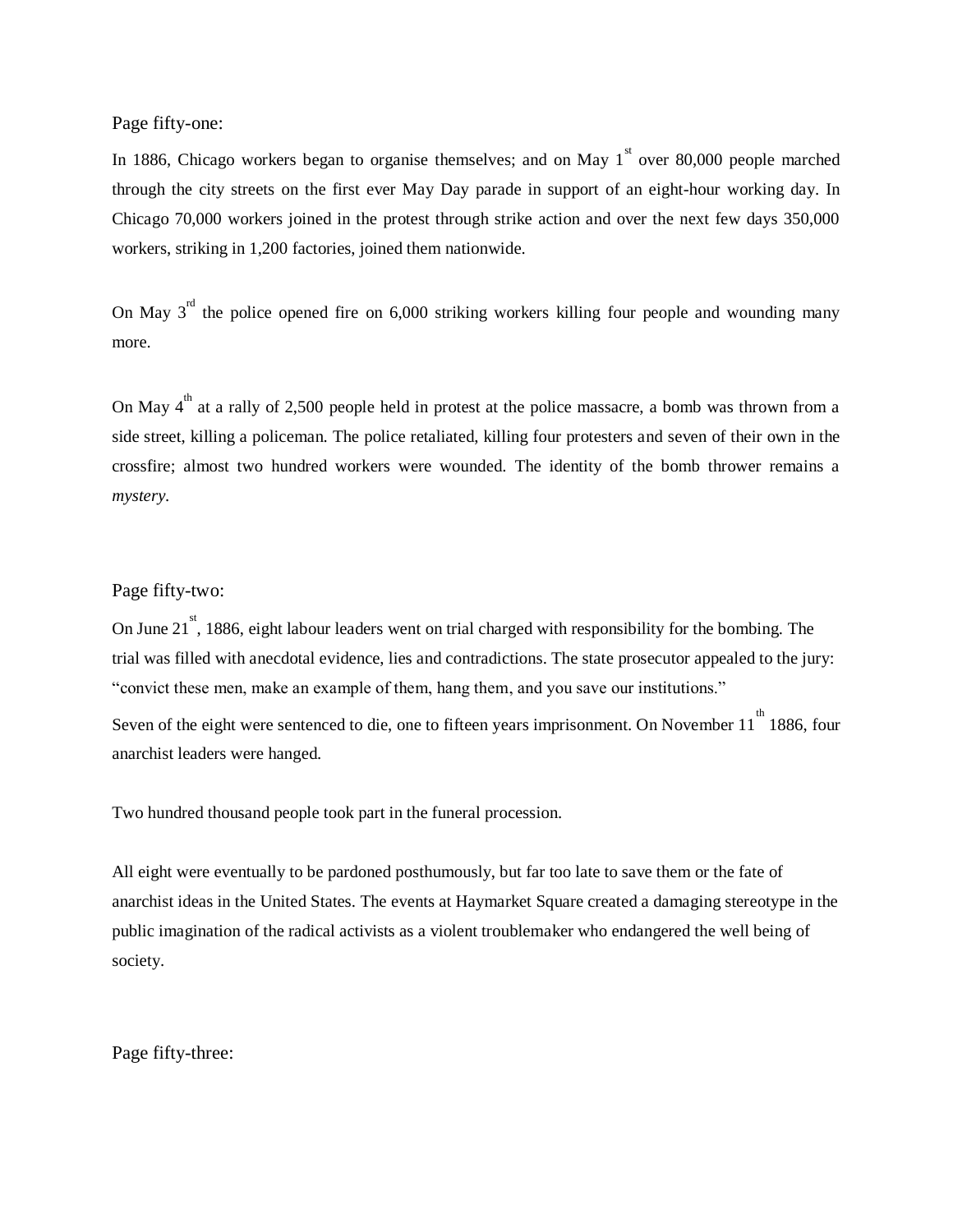Page fifty-one:

In 1886, Chicago workers began to organise themselves; and on May  $1<sup>st</sup>$  over 80,000 people marched through the city streets on the first ever May Day parade in support of an eight-hour working day. In Chicago 70,000 workers joined in the protest through strike action and over the next few days 350,000 workers, striking in 1,200 factories, joined them nationwide.

On May  $3^{rd}$  the police opened fire on 6,000 striking workers killing four people and wounding many more.

On May  $4^{\text{th}}$  at a rally of 2,500 people held in protest at the police massacre, a bomb was thrown from a side street, killing a policeman. The police retaliated, killing four protesters and seven of their own in the crossfire; almost two hundred workers were wounded. The identity of the bomb thrower remains a *mystery.*

#### Page fifty-two:

On June 21<sup>st</sup>, 1886, eight labour leaders went on trial charged with responsibility for the bombing. The trial was filled with anecdotal evidence, lies and contradictions. The state prosecutor appealed to the jury: "convict these men, make an example of them, hang them, and you save our institutions."

Seven of the eight were sentenced to die, one to fifteen years imprisonment. On November 11<sup>th</sup> 1886, four anarchist leaders were hanged.

Two hundred thousand people took part in the funeral procession.

All eight were eventually to be pardoned posthumously, but far too late to save them or the fate of anarchist ideas in the United States. The events at Haymarket Square created a damaging stereotype in the public imagination of the radical activists as a violent troublemaker who endangered the well being of society.

Page fifty-three: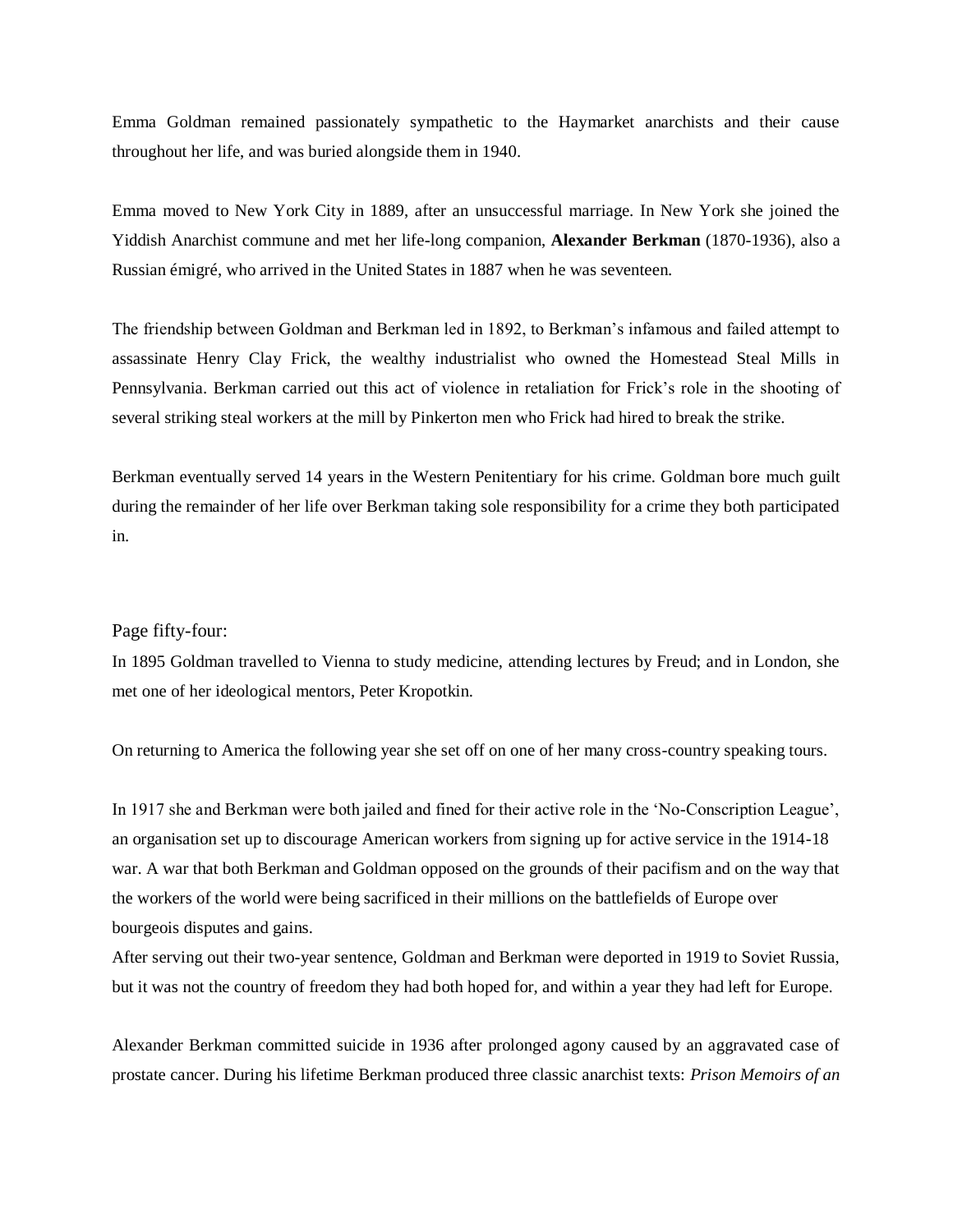Emma Goldman remained passionately sympathetic to the Haymarket anarchists and their cause throughout her life, and was buried alongside them in 1940.

Emma moved to New York City in 1889, after an unsuccessful marriage. In New York she joined the Yiddish Anarchist commune and met her life-long companion, **Alexander Berkman** (1870-1936), also a Russian émigré, who arrived in the United States in 1887 when he was seventeen.

The friendship between Goldman and Berkman led in 1892, to Berkman's infamous and failed attempt to assassinate Henry Clay Frick, the wealthy industrialist who owned the Homestead Steal Mills in Pennsylvania. Berkman carried out this act of violence in retaliation for Frick's role in the shooting of several striking steal workers at the mill by Pinkerton men who Frick had hired to break the strike.

Berkman eventually served 14 years in the Western Penitentiary for his crime. Goldman bore much guilt during the remainder of her life over Berkman taking sole responsibility for a crime they both participated in.

#### Page fifty-four:

In 1895 Goldman travelled to Vienna to study medicine, attending lectures by Freud; and in London, she met one of her ideological mentors, Peter Kropotkin.

On returning to America the following year she set off on one of her many cross-country speaking tours.

In 1917 she and Berkman were both jailed and fined for their active role in the 'No-Conscription League', an organisation set up to discourage American workers from signing up for active service in the 1914-18 war. A war that both Berkman and Goldman opposed on the grounds of their pacifism and on the way that the workers of the world were being sacrificed in their millions on the battlefields of Europe over bourgeois disputes and gains.

After serving out their two-year sentence, Goldman and Berkman were deported in 1919 to Soviet Russia, but it was not the country of freedom they had both hoped for, and within a year they had left for Europe.

Alexander Berkman committed suicide in 1936 after prolonged agony caused by an aggravated case of prostate cancer. During his lifetime Berkman produced three classic anarchist texts: *Prison Memoirs of an*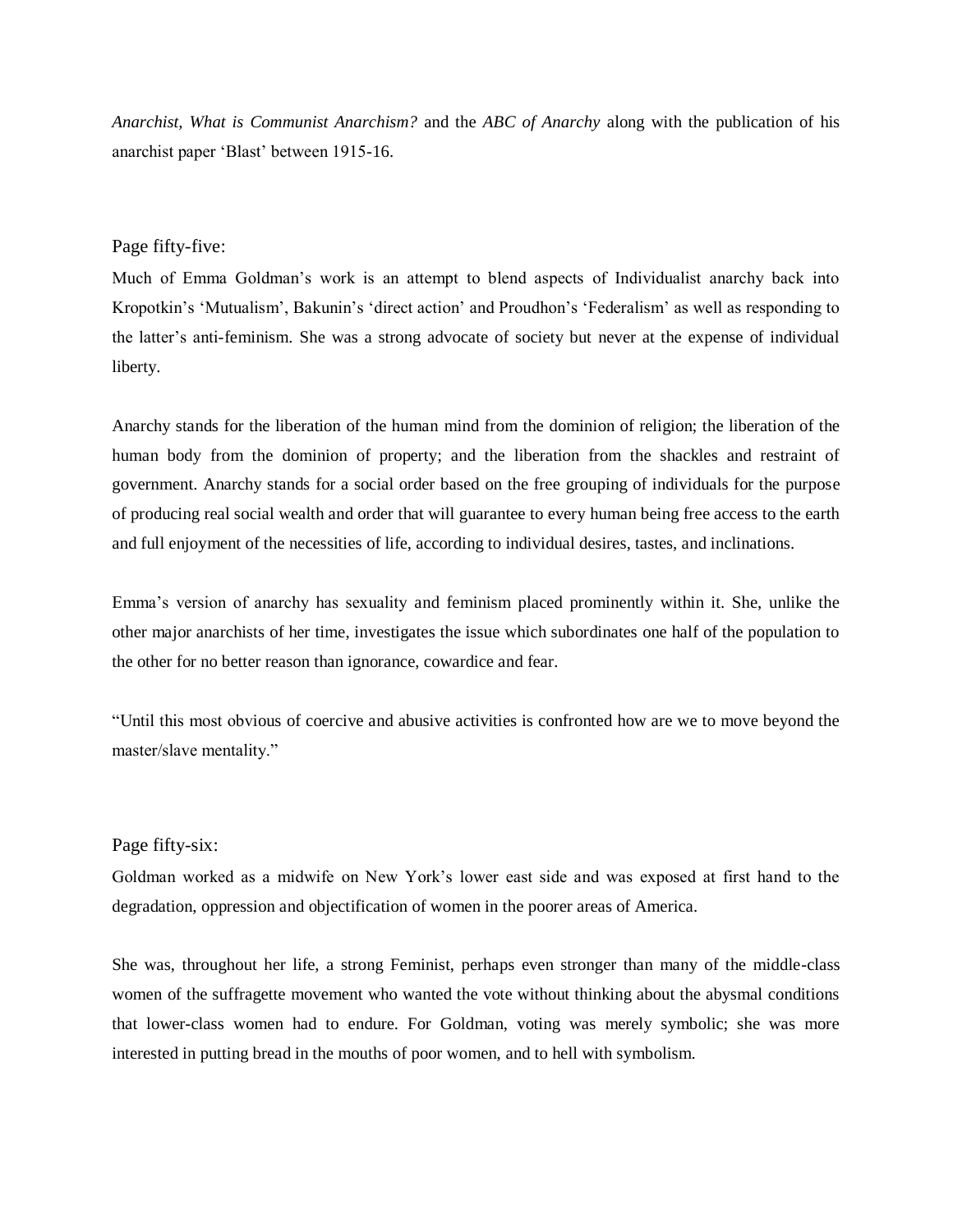*Anarchist, What is Communist Anarchism?* and the *ABC of Anarchy* along with the publication of his anarchist paper 'Blast' between 1915-16.

#### Page fifty-five:

Much of Emma Goldman's work is an attempt to blend aspects of Individualist anarchy back into Kropotkin's 'Mutualism', Bakunin's 'direct action' and Proudhon's 'Federalism' as well as responding to the latter's anti-feminism. She was a strong advocate of society but never at the expense of individual liberty.

Anarchy stands for the liberation of the human mind from the dominion of religion; the liberation of the human body from the dominion of property; and the liberation from the shackles and restraint of government. Anarchy stands for a social order based on the free grouping of individuals for the purpose of producing real social wealth and order that will guarantee to every human being free access to the earth and full enjoyment of the necessities of life, according to individual desires, tastes, and inclinations.

Emma's version of anarchy has sexuality and feminism placed prominently within it. She, unlike the other major anarchists of her time, investigates the issue which subordinates one half of the population to the other for no better reason than ignorance, cowardice and fear.

"Until this most obvious of coercive and abusive activities is confronted how are we to move beyond the master/slave mentality."

#### Page fifty-six:

Goldman worked as a midwife on New York's lower east side and was exposed at first hand to the degradation, oppression and objectification of women in the poorer areas of America.

She was, throughout her life, a strong Feminist, perhaps even stronger than many of the middle-class women of the suffragette movement who wanted the vote without thinking about the abysmal conditions that lower-class women had to endure. For Goldman, voting was merely symbolic; she was more interested in putting bread in the mouths of poor women, and to hell with symbolism.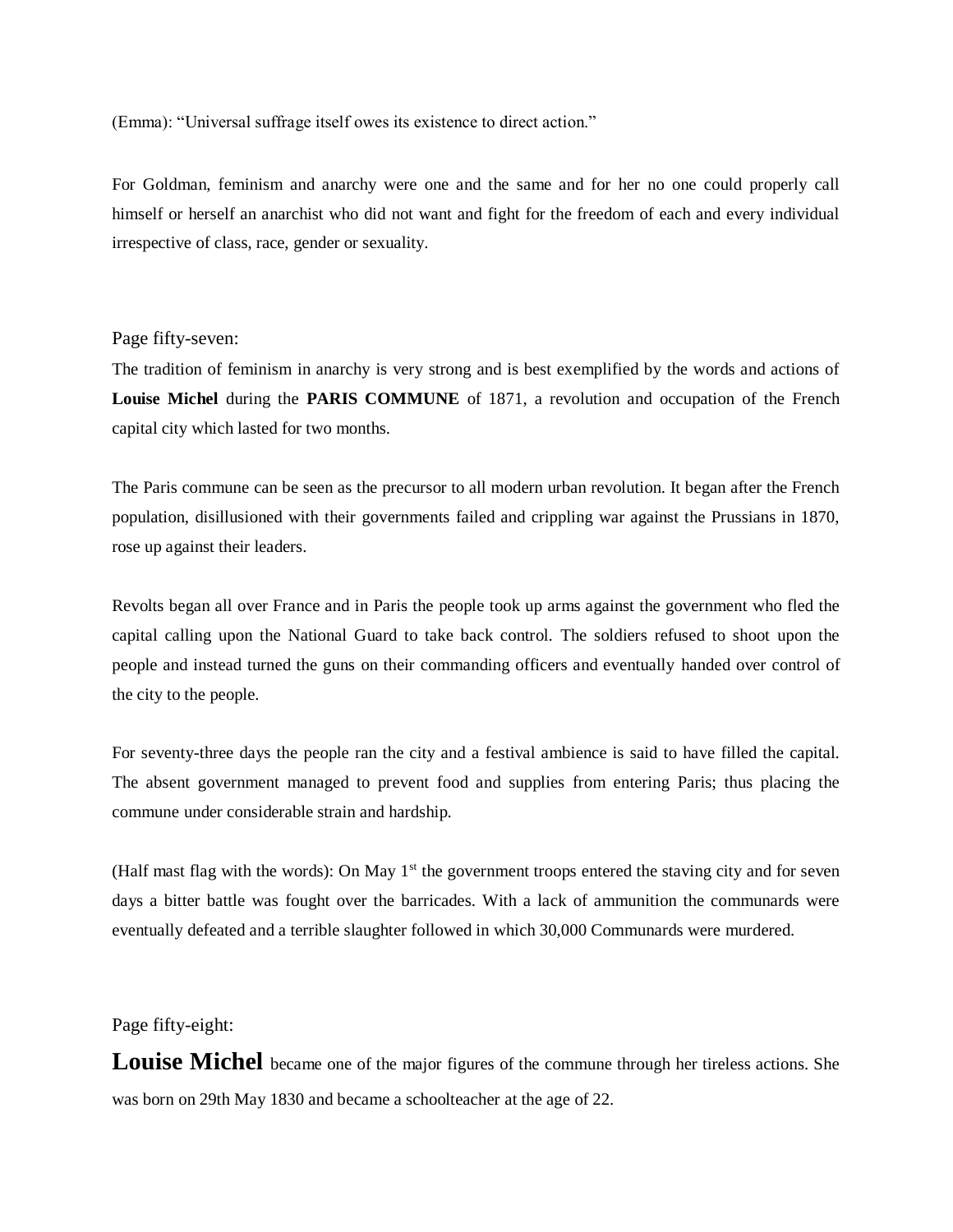(Emma): "Universal suffrage itself owes its existence to direct action."

For Goldman, feminism and anarchy were one and the same and for her no one could properly call himself or herself an anarchist who did not want and fight for the freedom of each and every individual irrespective of class, race, gender or sexuality.

#### Page fifty-seven:

The tradition of feminism in anarchy is very strong and is best exemplified by the words and actions of **Louise Michel** during the **PARIS COMMUNE** of 1871, a revolution and occupation of the French capital city which lasted for two months.

The Paris commune can be seen as the precursor to all modern urban revolution. It began after the French population, disillusioned with their governments failed and crippling war against the Prussians in 1870, rose up against their leaders.

Revolts began all over France and in Paris the people took up arms against the government who fled the capital calling upon the National Guard to take back control. The soldiers refused to shoot upon the people and instead turned the guns on their commanding officers and eventually handed over control of the city to the people.

For seventy-three days the people ran the city and a festival ambience is said to have filled the capital. The absent government managed to prevent food and supplies from entering Paris; thus placing the commune under considerable strain and hardship.

(Half mast flag with the words): On May  $1<sup>st</sup>$  the government troops entered the staving city and for seven days a bitter battle was fought over the barricades. With a lack of ammunition the communards were eventually defeated and a terrible slaughter followed in which 30,000 Communards were murdered.

#### Page fifty-eight:

**Louise Michel** became one of the major figures of the commune through her tireless actions. She was born on 29th May 1830 and became a schoolteacher at the age of 22.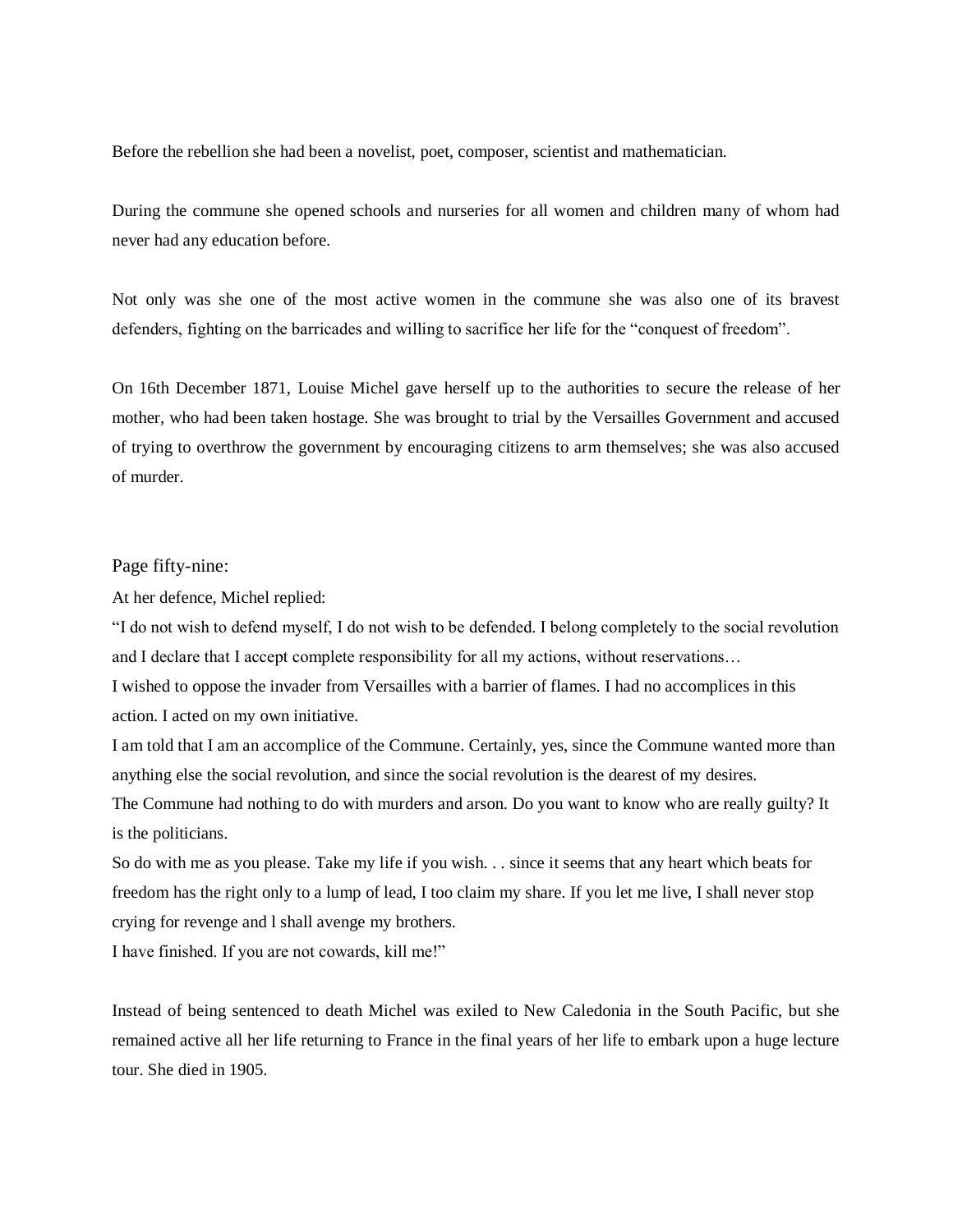Before the rebellion she had been a novelist, poet, composer, scientist and mathematician.

During the commune she opened schools and nurseries for all women and children many of whom had never had any education before.

Not only was she one of the most active women in the commune she was also one of its bravest defenders, fighting on the barricades and willing to sacrifice her life for the "conquest of freedom".

On 16th December 1871, Louise Michel gave herself up to the authorities to secure the release of her mother, who had been taken hostage. She was brought to trial by the Versailles Government and accused of trying to overthrow the government by encouraging citizens to arm themselves; she was also accused of murder.

#### Page fifty-nine:

At her defence, Michel replied:

"I do not wish to defend myself, I do not wish to be defended. I belong completely to the social revolution and I declare that I accept complete responsibility for all my actions, without reservations…

I wished to oppose the invader from Versailles with a barrier of flames. I had no accomplices in this action. I acted on my own initiative.

I am told that I am an accomplice of the Commune. Certainly, yes, since the Commune wanted more than anything else the social revolution, and since the social revolution is the dearest of my desires.

The Commune had nothing to do with murders and arson. Do you want to know who are really guilty? It is the politicians.

So do with me as you please. Take my life if you wish. . . since it seems that any heart which beats for freedom has the right only to a lump of lead, I too claim my share. If you let me live, I shall never stop crying for revenge and l shall avenge my brothers.

I have finished. If you are not cowards, kill me!"

Instead of being sentenced to death Michel was exiled to New Caledonia in the South Pacific, but she remained active all her life returning to France in the final years of her life to embark upon a huge lecture tour. She died in 1905.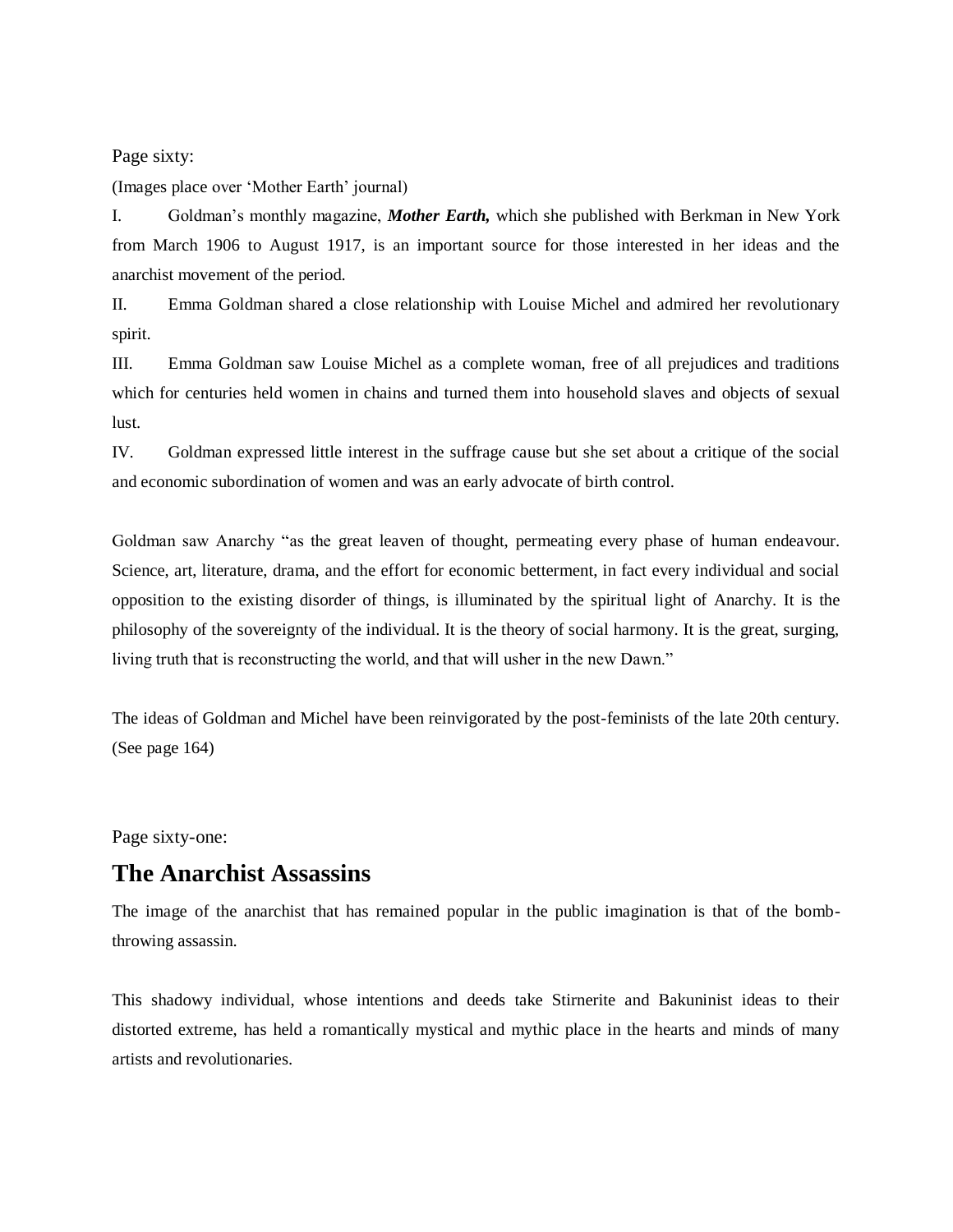Page sixty:

(Images place over 'Mother Earth' journal)

I. Goldman's monthly magazine, *Mother Earth,* which she published with Berkman in New York from March 1906 to August 1917, is an important source for those interested in her ideas and the anarchist movement of the period.

II. Emma Goldman shared a close relationship with Louise Michel and admired her revolutionary spirit.

III. Emma Goldman saw Louise Michel as a complete woman, free of all prejudices and traditions which for centuries held women in chains and turned them into household slaves and objects of sexual lust.

IV. Goldman expressed little interest in the suffrage cause but she set about a critique of the social and economic subordination of women and was an early advocate of birth control.

Goldman saw Anarchy "as the great leaven of thought, permeating every phase of human endeavour. Science, art, literature, drama, and the effort for economic betterment, in fact every individual and social opposition to the existing disorder of things, is illuminated by the spiritual light of Anarchy. It is the philosophy of the sovereignty of the individual. It is the theory of social harmony. It is the great, surging, living truth that is reconstructing the world, and that will usher in the new Dawn."

The ideas of Goldman and Michel have been reinvigorated by the post-feminists of the late 20th century. (See page 164)

Page sixty-one:

### **The Anarchist Assassins**

The image of the anarchist that has remained popular in the public imagination is that of the bombthrowing assassin.

This shadowy individual, whose intentions and deeds take Stirnerite and Bakuninist ideas to their distorted extreme, has held a romantically mystical and mythic place in the hearts and minds of many artists and revolutionaries.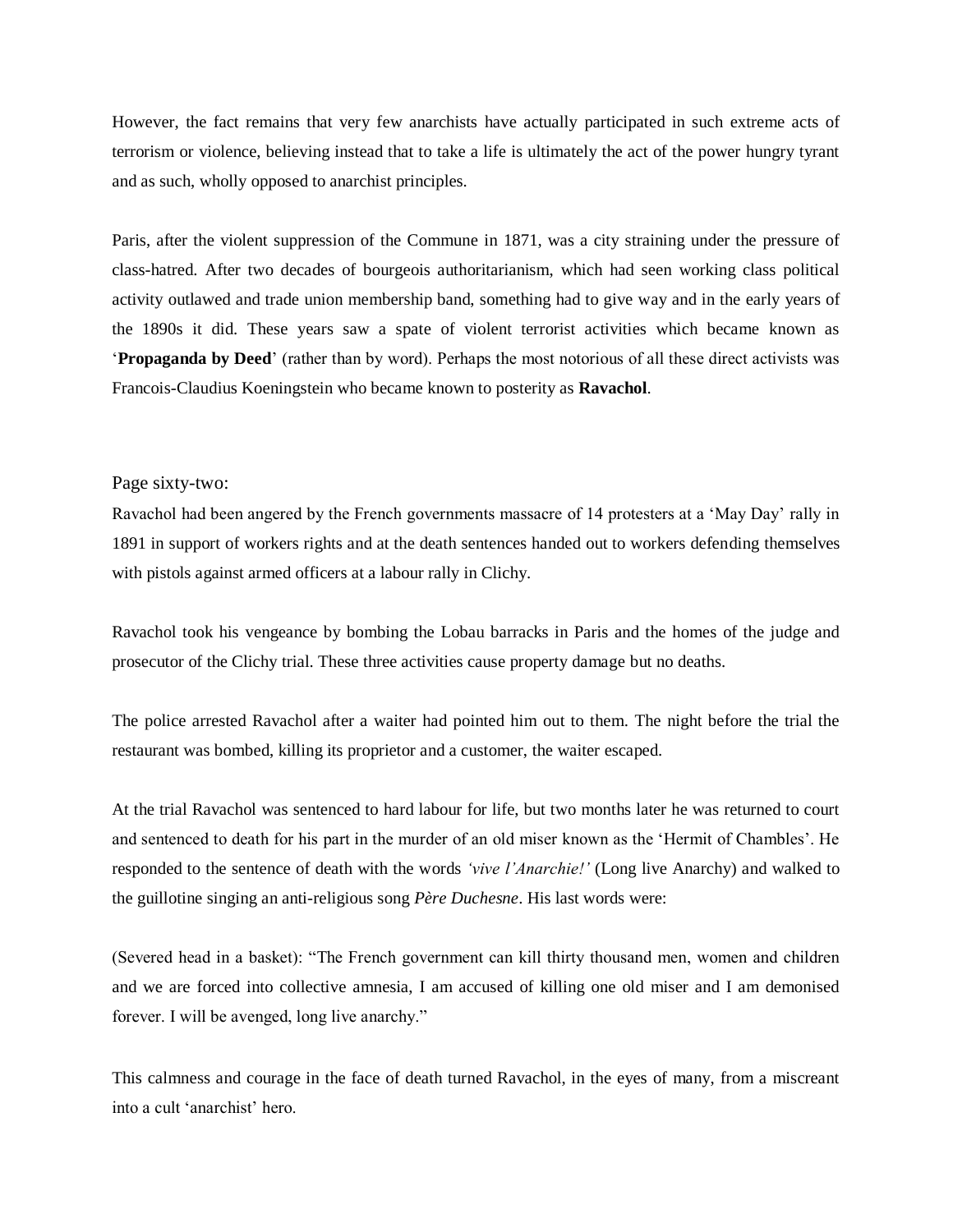However, the fact remains that very few anarchists have actually participated in such extreme acts of terrorism or violence, believing instead that to take a life is ultimately the act of the power hungry tyrant and as such, wholly opposed to anarchist principles.

Paris, after the violent suppression of the Commune in 1871, was a city straining under the pressure of class-hatred. After two decades of bourgeois authoritarianism, which had seen working class political activity outlawed and trade union membership band, something had to give way and in the early years of the 1890s it did. These years saw a spate of violent terrorist activities which became known as '**Propaganda by Deed**' (rather than by word). Perhaps the most notorious of all these direct activists was Francois-Claudius Koeningstein who became known to posterity as **Ravachol**.

#### Page sixty-two:

Ravachol had been angered by the French governments massacre of 14 protesters at a 'May Day' rally in 1891 in support of workers rights and at the death sentences handed out to workers defending themselves with pistols against armed officers at a labour rally in Clichy.

Ravachol took his vengeance by bombing the Lobau barracks in Paris and the homes of the judge and prosecutor of the Clichy trial. These three activities cause property damage but no deaths.

The police arrested Ravachol after a waiter had pointed him out to them. The night before the trial the restaurant was bombed, killing its proprietor and a customer, the waiter escaped.

At the trial Ravachol was sentenced to hard labour for life, but two months later he was returned to court and sentenced to death for his part in the murder of an old miser known as the 'Hermit of Chambles'. He responded to the sentence of death with the words *'vive l'Anarchie!'* (Long live Anarchy) and walked to the guillotine singing an anti-religious song *Père Duchesne*. His last words were:

(Severed head in a basket): "The French government can kill thirty thousand men, women and children and we are forced into collective amnesia, I am accused of killing one old miser and I am demonised forever. I will be avenged, long live anarchy."

This calmness and courage in the face of death turned Ravachol, in the eyes of many, from a miscreant into a cult 'anarchist' hero.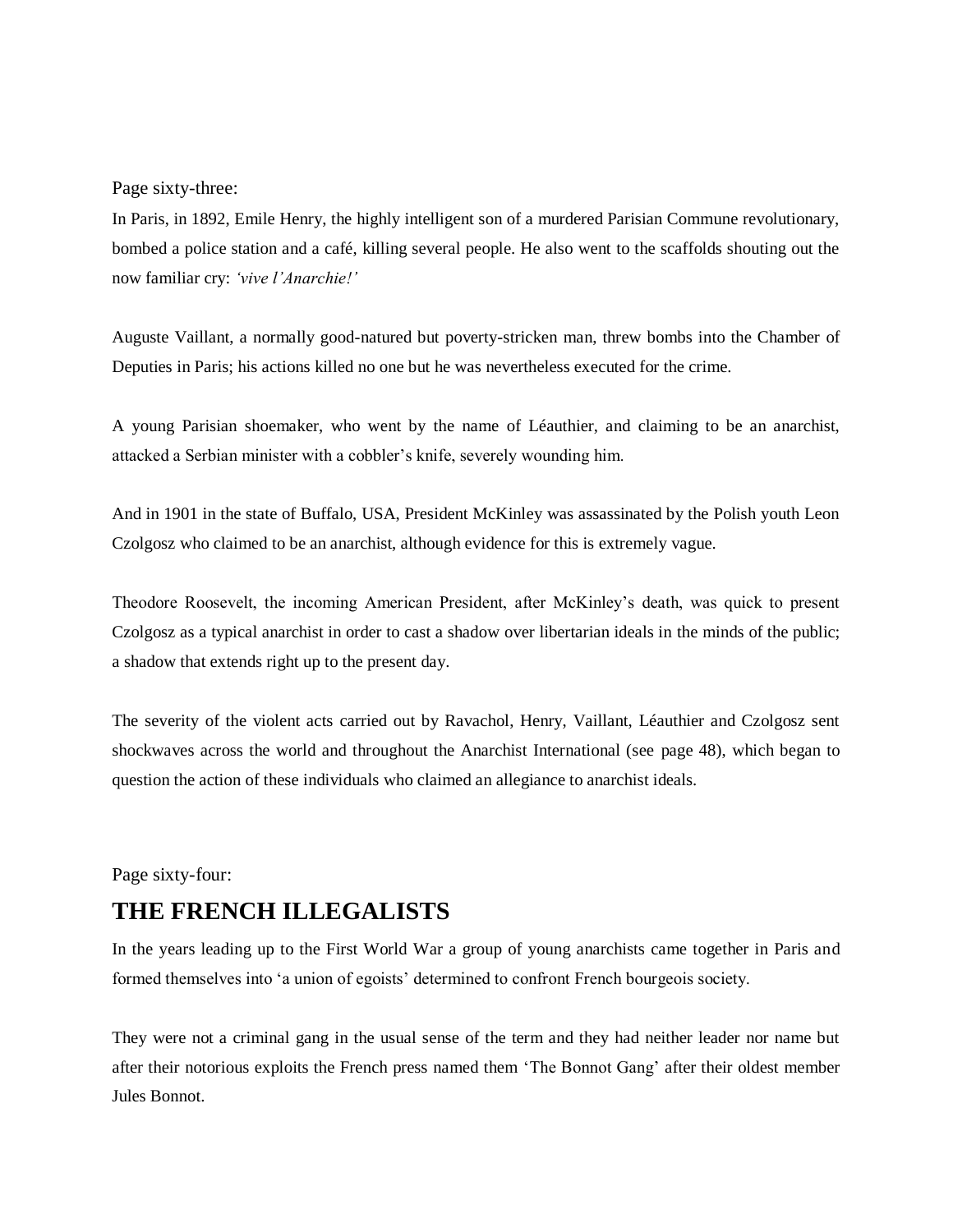Page sixty-three:

In Paris, in 1892, Emile Henry, the highly intelligent son of a murdered Parisian Commune revolutionary, bombed a police station and a café, killing several people. He also went to the scaffolds shouting out the now familiar cry: *'vive l'Anarchie!'*

Auguste Vaillant, a normally good-natured but poverty-stricken man, threw bombs into the Chamber of Deputies in Paris; his actions killed no one but he was nevertheless executed for the crime.

A young Parisian shoemaker, who went by the name of Léauthier, and claiming to be an anarchist, attacked a Serbian minister with a cobbler's knife, severely wounding him.

And in 1901 in the state of Buffalo, USA, President McKinley was assassinated by the Polish youth Leon Czolgosz who claimed to be an anarchist, although evidence for this is extremely vague.

Theodore Roosevelt, the incoming American President, after McKinley's death, was quick to present Czolgosz as a typical anarchist in order to cast a shadow over libertarian ideals in the minds of the public; a shadow that extends right up to the present day.

The severity of the violent acts carried out by Ravachol, Henry, Vaillant, Léauthier and Czolgosz sent shockwaves across the world and throughout the Anarchist International (see page 48), which began to question the action of these individuals who claimed an allegiance to anarchist ideals.

Page sixty-four:

# **THE FRENCH ILLEGALISTS**

In the years leading up to the First World War a group of young anarchists came together in Paris and formed themselves into 'a union of egoists' determined to confront French bourgeois society.

They were not a criminal gang in the usual sense of the term and they had neither leader nor name but after their notorious exploits the French press named them 'The Bonnot Gang' after their oldest member Jules Bonnot.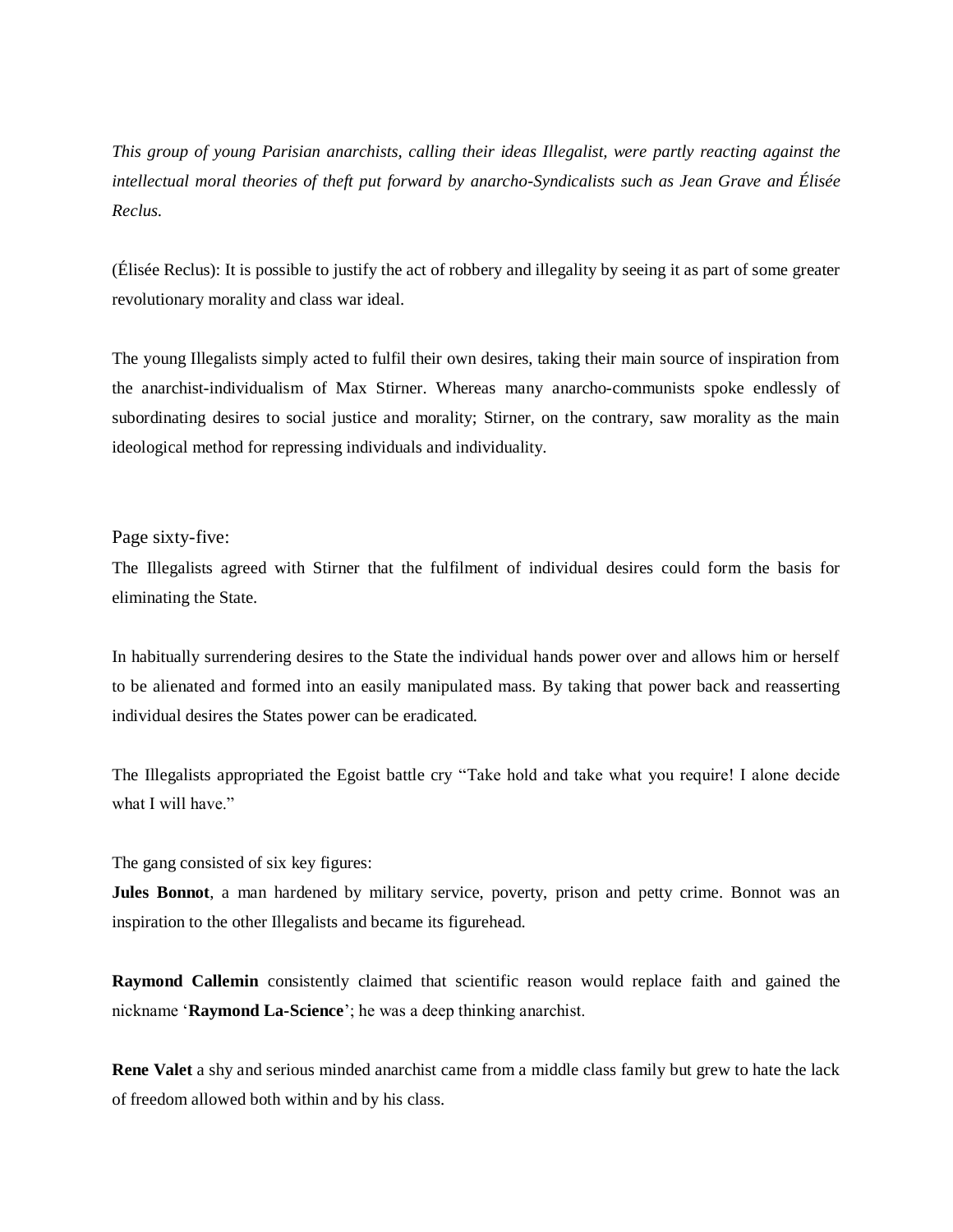*This group of young Parisian anarchists, calling their ideas Illegalist, were partly reacting against the intellectual moral theories of theft put forward by anarcho-Syndicalists such as Jean Grave and Élisée Reclus.*

(Élisée Reclus): It is possible to justify the act of robbery and illegality by seeing it as part of some greater revolutionary morality and class war ideal.

The young Illegalists simply acted to fulfil their own desires, taking their main source of inspiration from the anarchist-individualism of Max Stirner. Whereas many anarcho-communists spoke endlessly of subordinating desires to social justice and morality; Stirner, on the contrary, saw morality as the main ideological method for repressing individuals and individuality.

Page sixty-five:

The Illegalists agreed with Stirner that the fulfilment of individual desires could form the basis for eliminating the State.

In habitually surrendering desires to the State the individual hands power over and allows him or herself to be alienated and formed into an easily manipulated mass. By taking that power back and reasserting individual desires the States power can be eradicated.

The Illegalists appropriated the Egoist battle cry "Take hold and take what you require! I alone decide what I will have."

The gang consisted of six key figures:

**Jules Bonnot**, a man hardened by military service, poverty, prison and petty crime. Bonnot was an inspiration to the other Illegalists and became its figurehead.

**Raymond Callemin** consistently claimed that scientific reason would replace faith and gained the nickname '**Raymond La-Science**'; he was a deep thinking anarchist.

**Rene Valet** a shy and serious minded anarchist came from a middle class family but grew to hate the lack of freedom allowed both within and by his class.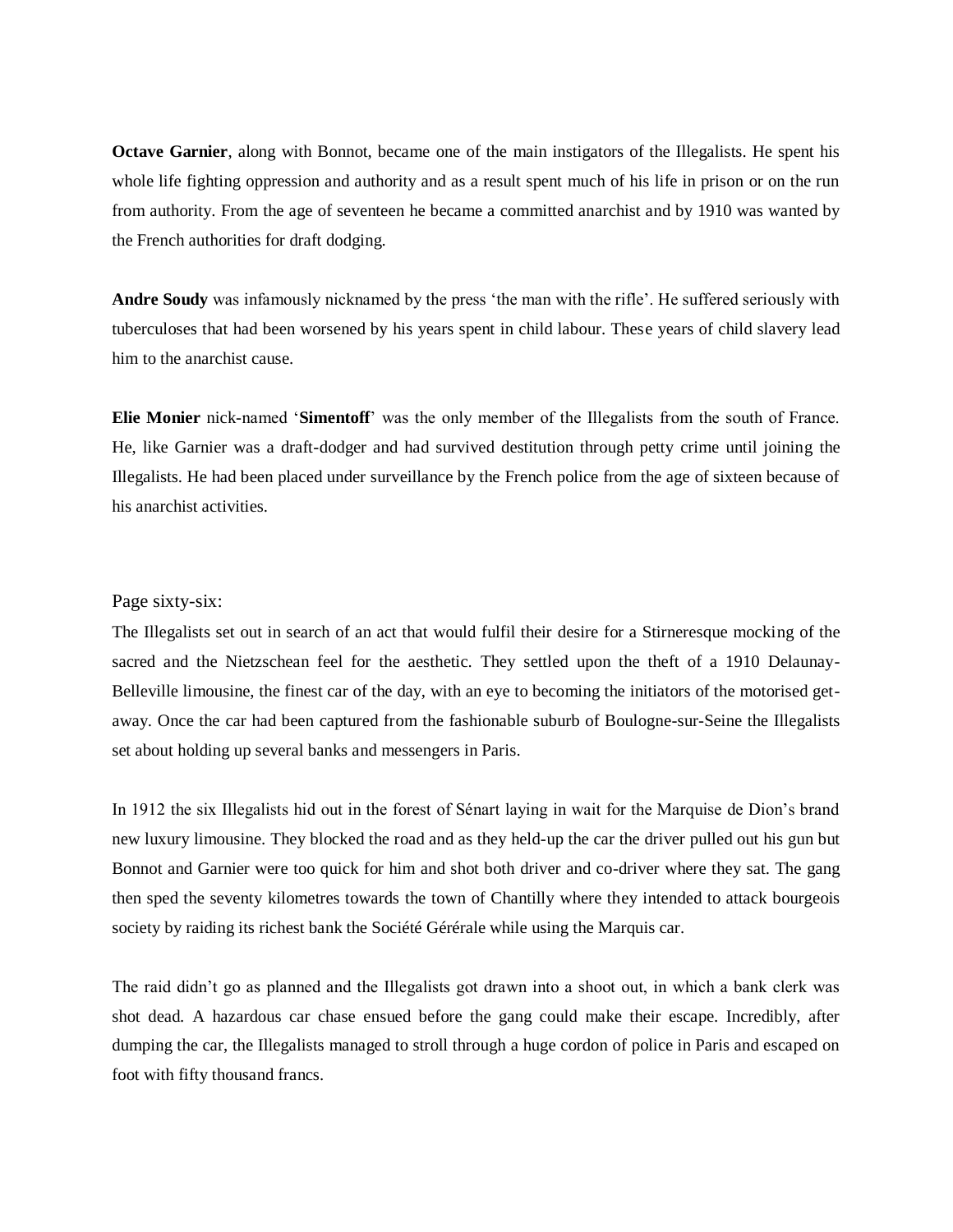**Octave Garnier**, along with Bonnot, became one of the main instigators of the Illegalists. He spent his whole life fighting oppression and authority and as a result spent much of his life in prison or on the run from authority. From the age of seventeen he became a committed anarchist and by 1910 was wanted by the French authorities for draft dodging.

**Andre Soudy** was infamously nicknamed by the press 'the man with the rifle'. He suffered seriously with tuberculoses that had been worsened by his years spent in child labour. These years of child slavery lead him to the anarchist cause.

**Elie Monier** nick-named '**Simentoff**' was the only member of the Illegalists from the south of France. He, like Garnier was a draft-dodger and had survived destitution through petty crime until joining the Illegalists. He had been placed under surveillance by the French police from the age of sixteen because of his anarchist activities.

#### Page sixty-six:

The Illegalists set out in search of an act that would fulfil their desire for a Stirneresque mocking of the sacred and the Nietzschean feel for the aesthetic. They settled upon the theft of a 1910 Delaunay-Belleville limousine, the finest car of the day, with an eye to becoming the initiators of the motorised getaway. Once the car had been captured from the fashionable suburb of Boulogne-sur-Seine the Illegalists set about holding up several banks and messengers in Paris.

In 1912 the six Illegalists hid out in the forest of Sénart laying in wait for the Marquise de Dion's brand new luxury limousine. They blocked the road and as they held-up the car the driver pulled out his gun but Bonnot and Garnier were too quick for him and shot both driver and co-driver where they sat. The gang then sped the seventy kilometres towards the town of Chantilly where they intended to attack bourgeois society by raiding its richest bank the Société Gérérale while using the Marquis car.

The raid didn't go as planned and the Illegalists got drawn into a shoot out, in which a bank clerk was shot dead. A hazardous car chase ensued before the gang could make their escape. Incredibly, after dumping the car, the Illegalists managed to stroll through a huge cordon of police in Paris and escaped on foot with fifty thousand francs.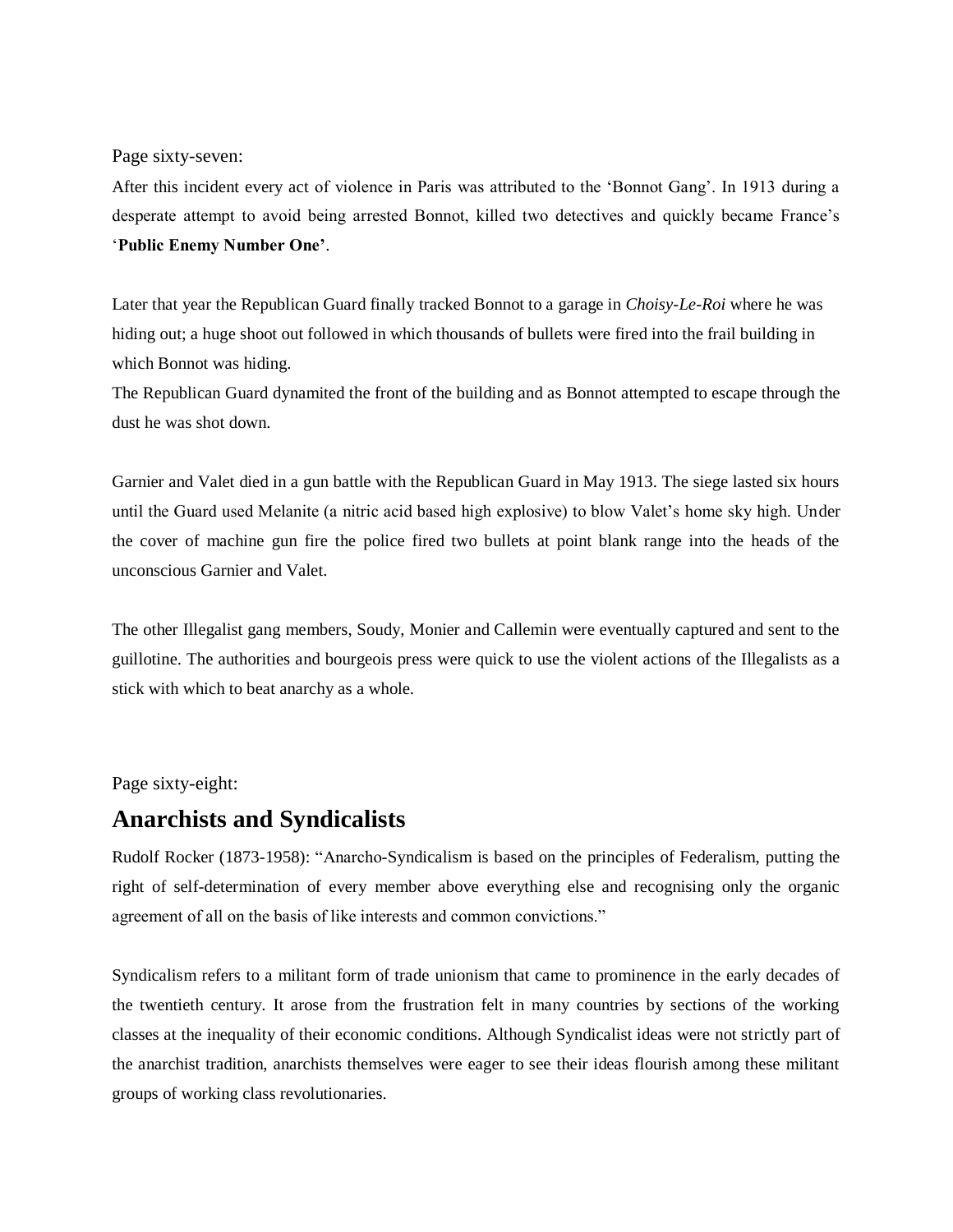Page sixty-seven:

After this incident every act of violence in Paris was attributed to the 'Bonnot Gang'. In 1913 during a desperate attempt to avoid being arrested Bonnot, killed two detectives and quickly became France's '**Public Enemy Number One'**.

Later that year the Republican Guard finally tracked Bonnot to a garage in *Choisy-Le-Roi* where he was hiding out; a huge shoot out followed in which thousands of bullets were fired into the frail building in which Bonnot was hiding.

The Republican Guard dynamited the front of the building and as Bonnot attempted to escape through the dust he was shot down.

Garnier and Valet died in a gun battle with the Republican Guard in May 1913. The siege lasted six hours until the Guard used Melanite (a nitric acid based high explosive) to blow Valet's home sky high. Under the cover of machine gun fire the police fired two bullets at point blank range into the heads of the unconscious Garnier and Valet.

The other Illegalist gang members, Soudy, Monier and Callemin were eventually captured and sent to the guillotine. The authorities and bourgeois press were quick to use the violent actions of the Illegalists as a stick with which to beat anarchy as a whole.

Page sixty-eight:

## **Anarchists and Syndicalists**

Rudolf Rocker (1873-1958): "Anarcho-Syndicalism is based on the principles of Federalism, putting the right of self-determination of every member above everything else and recognising only the organic agreement of all on the basis of like interests and common convictions."

Syndicalism refers to a militant form of trade unionism that came to prominence in the early decades of the twentieth century. It arose from the frustration felt in many countries by sections of the working classes at the inequality of their economic conditions. Although Syndicalist ideas were not strictly part of the anarchist tradition, anarchists themselves were eager to see their ideas flourish among these militant groups of working class revolutionaries.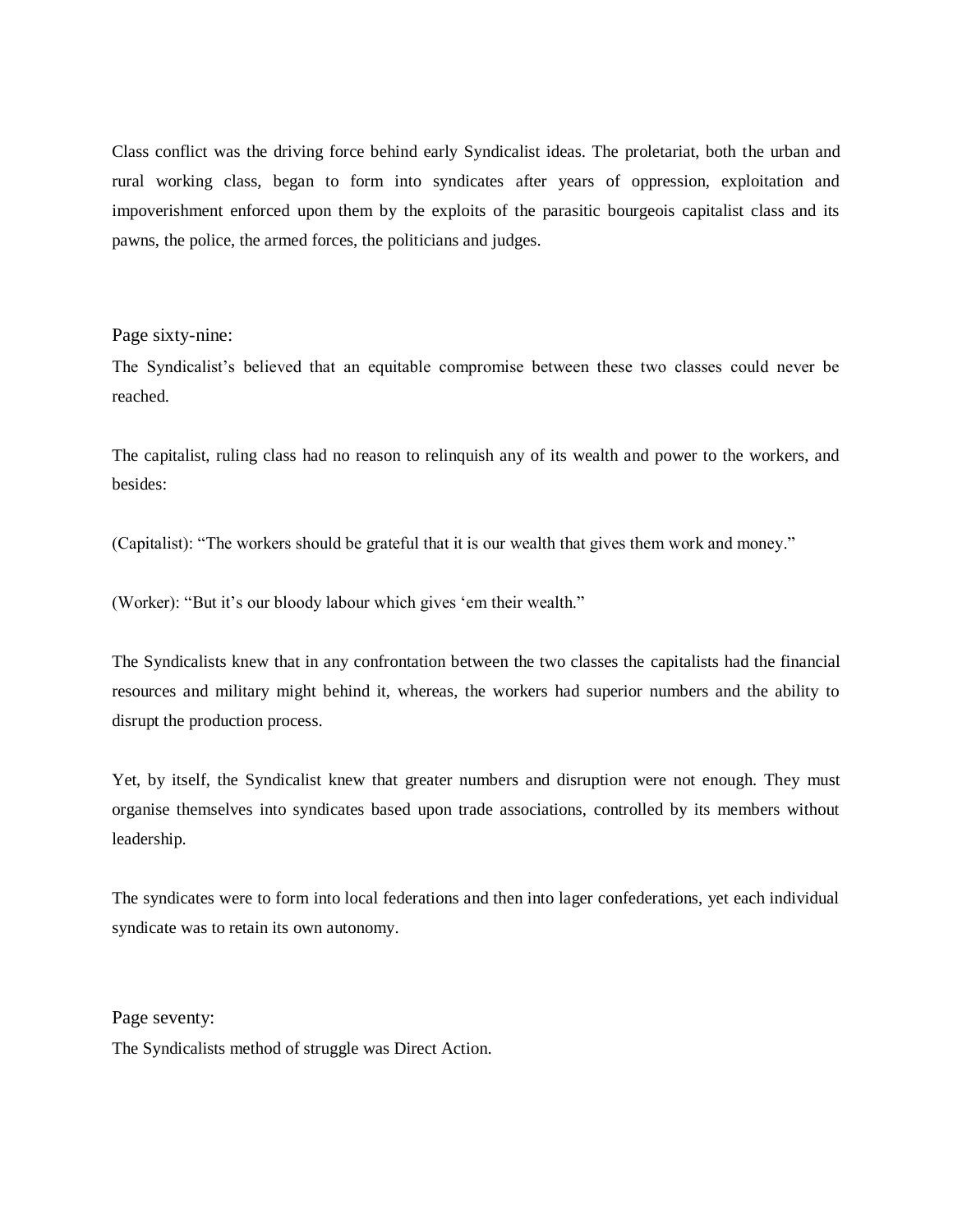Class conflict was the driving force behind early Syndicalist ideas. The proletariat, both the urban and rural working class, began to form into syndicates after years of oppression, exploitation and impoverishment enforced upon them by the exploits of the parasitic bourgeois capitalist class and its pawns, the police, the armed forces, the politicians and judges.

#### Page sixty-nine:

The Syndicalist's believed that an equitable compromise between these two classes could never be reached.

The capitalist, ruling class had no reason to relinquish any of its wealth and power to the workers, and besides:

(Capitalist): "The workers should be grateful that it is our wealth that gives them work and money."

(Worker): "But it's our bloody labour which gives 'em their wealth."

The Syndicalists knew that in any confrontation between the two classes the capitalists had the financial resources and military might behind it, whereas, the workers had superior numbers and the ability to disrupt the production process.

Yet, by itself, the Syndicalist knew that greater numbers and disruption were not enough. They must organise themselves into syndicates based upon trade associations, controlled by its members without leadership.

The syndicates were to form into local federations and then into lager confederations, yet each individual syndicate was to retain its own autonomy.

Page seventy:

The Syndicalists method of struggle was Direct Action.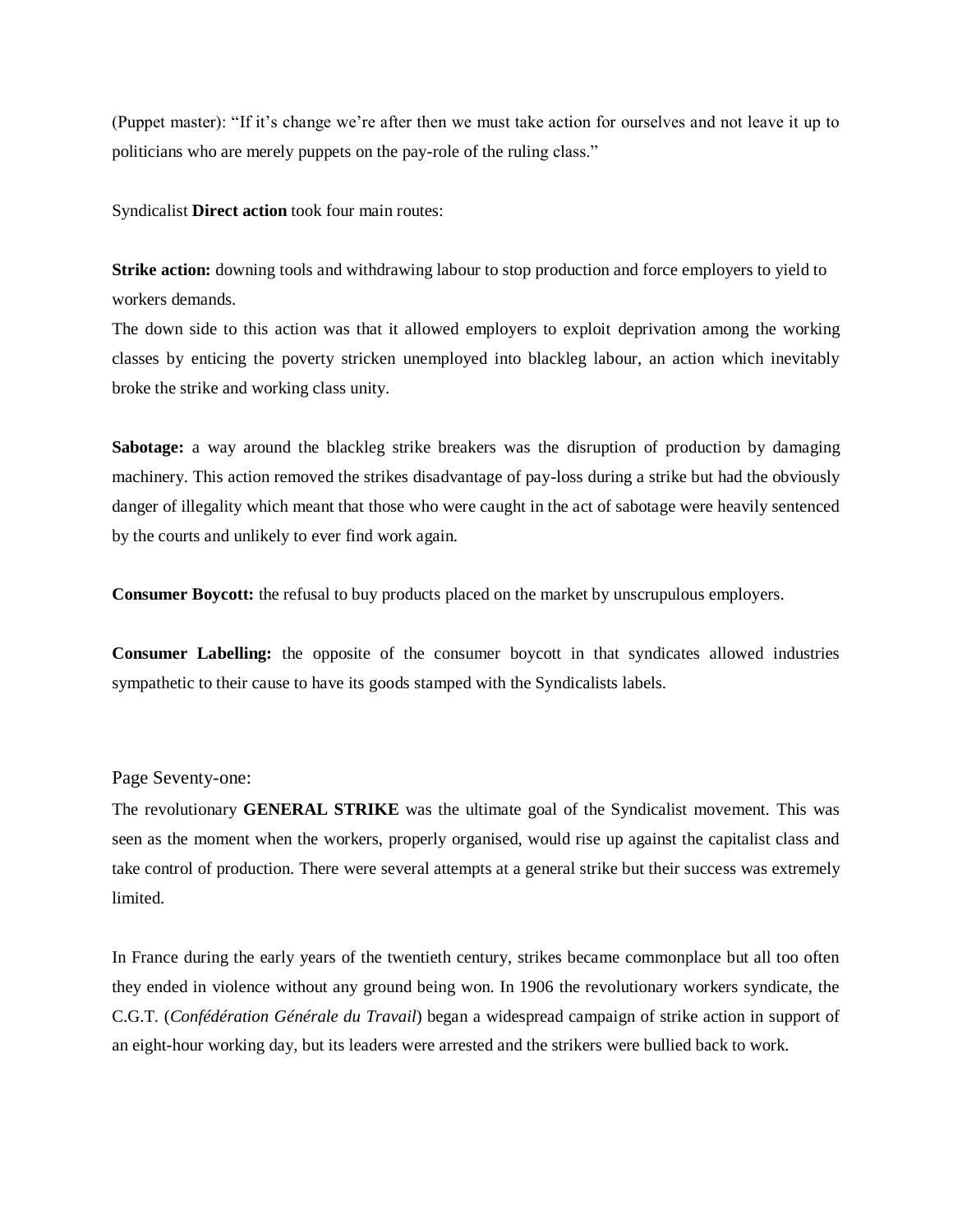(Puppet master): "If it's change we're after then we must take action for ourselves and not leave it up to politicians who are merely puppets on the pay-role of the ruling class."

Syndicalist **Direct action** took four main routes:

**Strike action:** downing tools and withdrawing labour to stop production and force employers to yield to workers demands.

The down side to this action was that it allowed employers to exploit deprivation among the working classes by enticing the poverty stricken unemployed into blackleg labour, an action which inevitably broke the strike and working class unity.

**Sabotage:** a way around the blackleg strike breakers was the disruption of production by damaging machinery. This action removed the strikes disadvantage of pay-loss during a strike but had the obviously danger of illegality which meant that those who were caught in the act of sabotage were heavily sentenced by the courts and unlikely to ever find work again.

**Consumer Boycott:** the refusal to buy products placed on the market by unscrupulous employers.

**Consumer Labelling:** the opposite of the consumer boycott in that syndicates allowed industries sympathetic to their cause to have its goods stamped with the Syndicalists labels.

#### Page Seventy-one:

The revolutionary **GENERAL STRIKE** was the ultimate goal of the Syndicalist movement. This was seen as the moment when the workers, properly organised, would rise up against the capitalist class and take control of production. There were several attempts at a general strike but their success was extremely limited.

In France during the early years of the twentieth century, strikes became commonplace but all too often they ended in violence without any ground being won. In 1906 the revolutionary workers syndicate, the C.G.T. (*Confédération Générale du Travail*) began a widespread campaign of strike action in support of an eight-hour working day, but its leaders were arrested and the strikers were bullied back to work.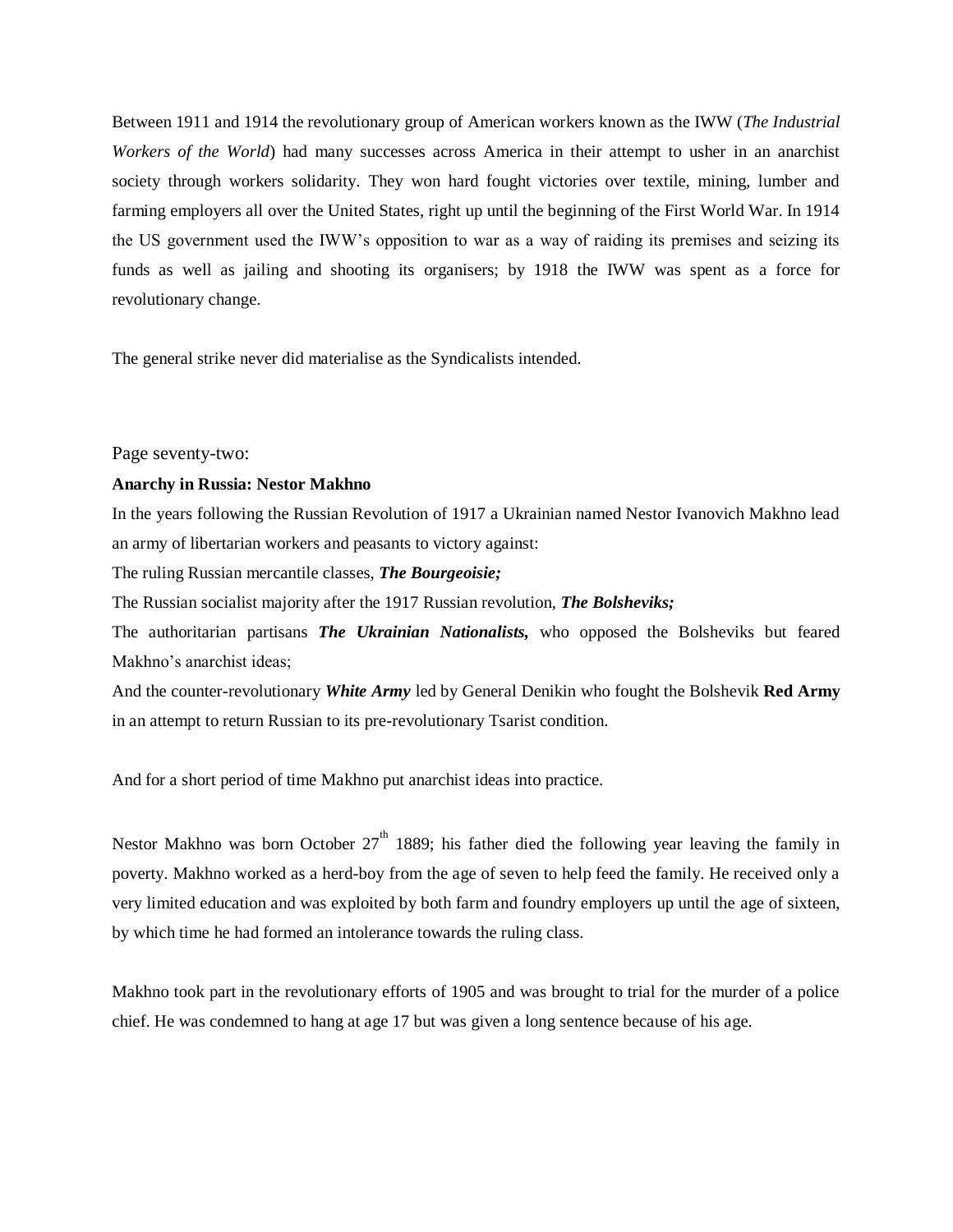Between 1911 and 1914 the revolutionary group of American workers known as the IWW (*The Industrial Workers of the World*) had many successes across America in their attempt to usher in an anarchist society through workers solidarity. They won hard fought victories over textile, mining, lumber and farming employers all over the United States, right up until the beginning of the First World War. In 1914 the US government used the IWW's opposition to war as a way of raiding its premises and seizing its funds as well as jailing and shooting its organisers; by 1918 the IWW was spent as a force for revolutionary change.

The general strike never did materialise as the Syndicalists intended.

#### Page seventy-two:

#### **Anarchy in Russia: Nestor Makhno**

In the years following the Russian Revolution of 1917 a Ukrainian named Nestor Ivanovich Makhno lead an army of libertarian workers and peasants to victory against:

The ruling Russian mercantile classes, *The Bourgeoisie;* 

The Russian socialist majority after the 1917 Russian revolution, *The Bolsheviks;* 

The authoritarian partisans *The Ukrainian Nationalists,* who opposed the Bolsheviks but feared Makhno's anarchist ideas;

And the counter-revolutionary *White Army* led by General Denikin who fought the Bolshevik **Red Army** in an attempt to return Russian to its pre-revolutionary Tsarist condition.

And for a short period of time Makhno put anarchist ideas into practice.

Nestor Makhno was born October  $27<sup>th</sup>$  1889; his father died the following year leaving the family in poverty. Makhno worked as a herd-boy from the age of seven to help feed the family. He received only a very limited education and was exploited by both farm and foundry employers up until the age of sixteen, by which time he had formed an intolerance towards the ruling class.

Makhno took part in the revolutionary efforts of 1905 and was brought to trial for the murder of a police chief. He was condemned to hang at age 17 but was given a long sentence because of his age.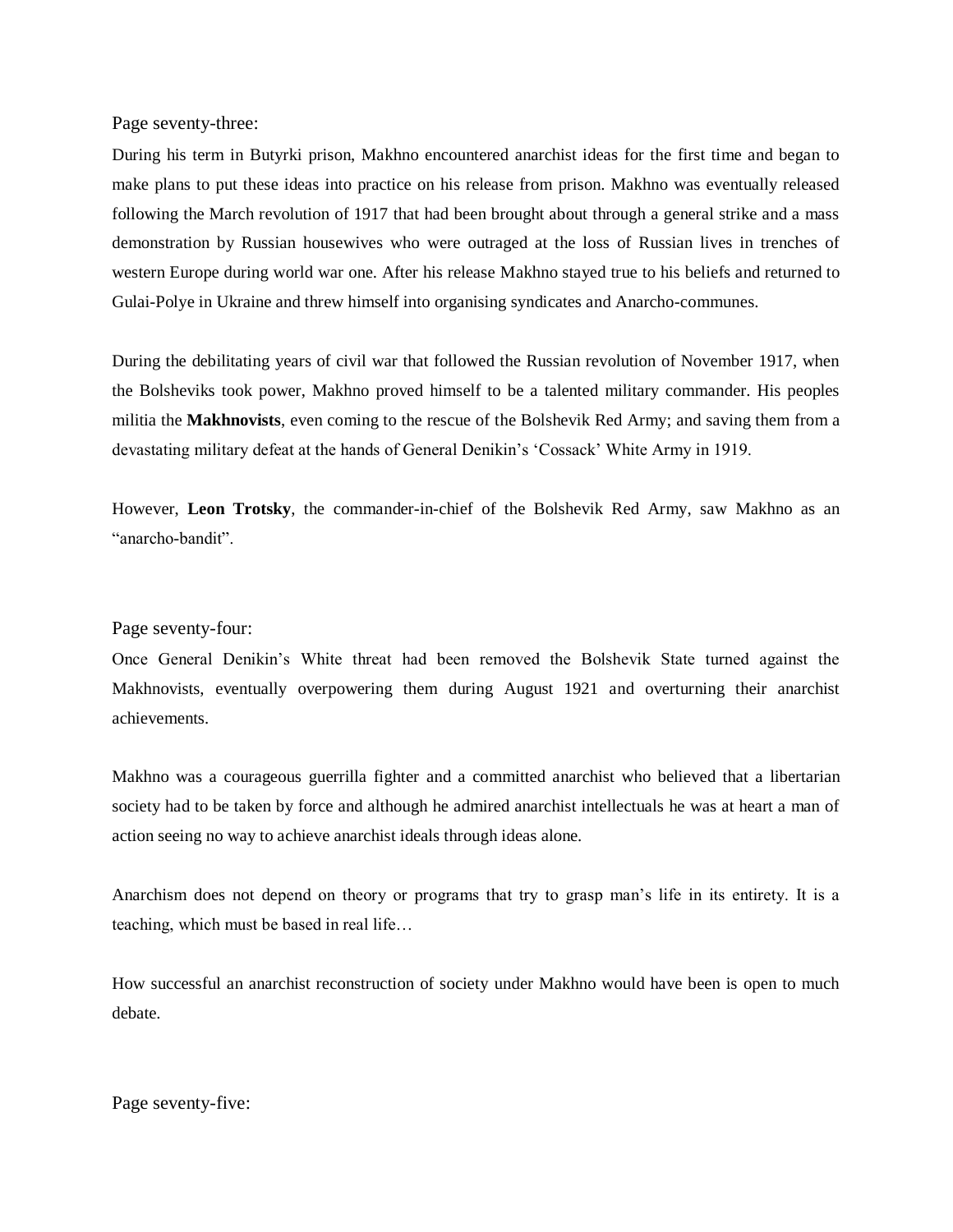#### Page seventy-three:

During his term in Butyrki prison, Makhno encountered anarchist ideas for the first time and began to make plans to put these ideas into practice on his release from prison. Makhno was eventually released following the March revolution of 1917 that had been brought about through a general strike and a mass demonstration by Russian housewives who were outraged at the loss of Russian lives in trenches of western Europe during world war one. After his release Makhno stayed true to his beliefs and returned to Gulai-Polye in Ukraine and threw himself into organising syndicates and Anarcho-communes.

During the debilitating years of civil war that followed the Russian revolution of November 1917, when the Bolsheviks took power, Makhno proved himself to be a talented military commander. His peoples militia the **Makhnovists**, even coming to the rescue of the Bolshevik Red Army; and saving them from a devastating military defeat at the hands of General Denikin's 'Cossack' White Army in 1919.

However, **Leon Trotsky**, the commander-in-chief of the Bolshevik Red Army, saw Makhno as an "anarcho-bandit".

#### Page seventy-four:

Once General Denikin's White threat had been removed the Bolshevik State turned against the Makhnovists, eventually overpowering them during August 1921 and overturning their anarchist achievements.

Makhno was a courageous guerrilla fighter and a committed anarchist who believed that a libertarian society had to be taken by force and although he admired anarchist intellectuals he was at heart a man of action seeing no way to achieve anarchist ideals through ideas alone.

Anarchism does not depend on theory or programs that try to grasp man's life in its entirety. It is a teaching, which must be based in real life…

How successful an anarchist reconstruction of society under Makhno would have been is open to much debate.

Page seventy-five: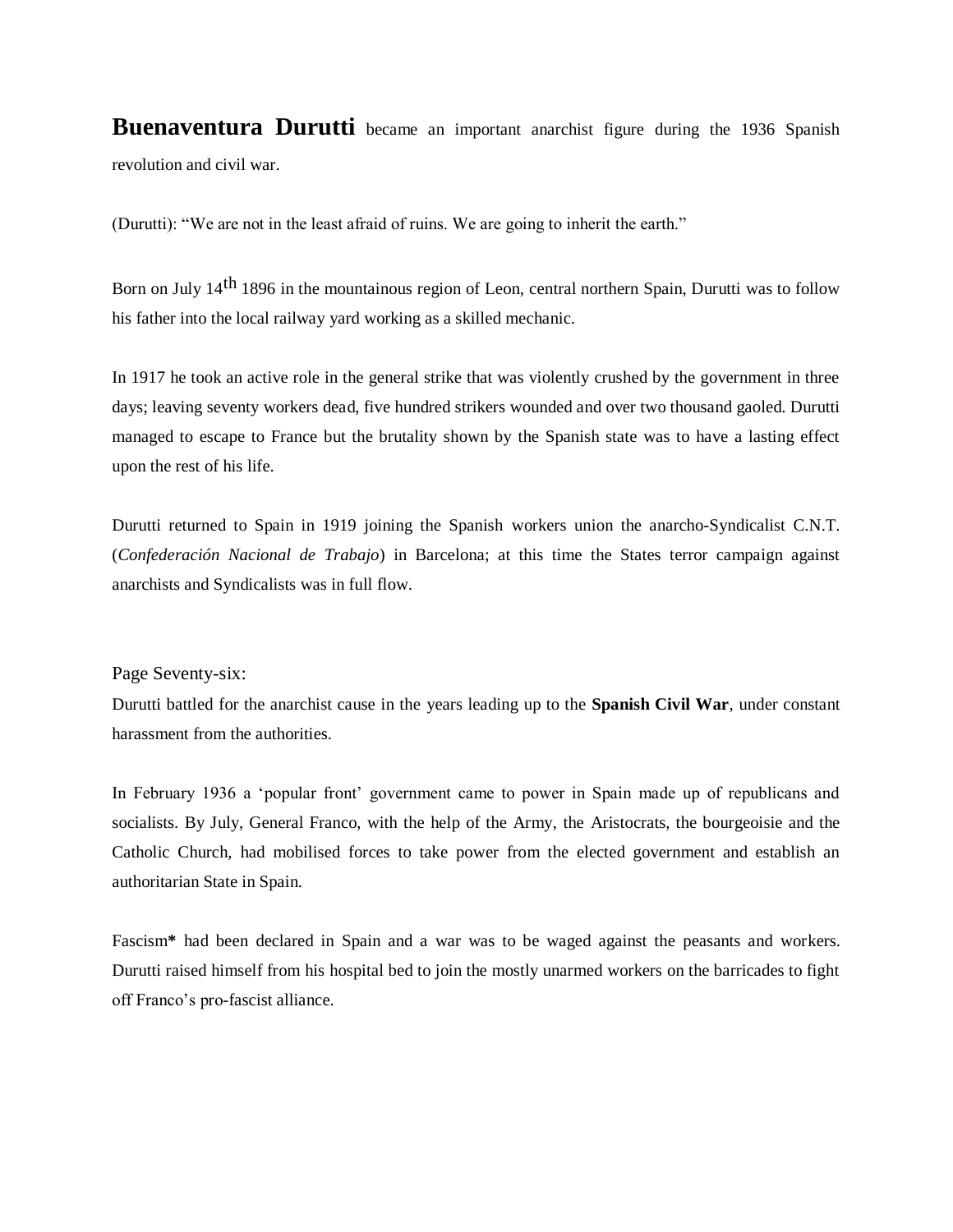**Buenaventura Durutti** became an important anarchist figure during the 1936 Spanish revolution and civil war.

(Durutti): "We are not in the least afraid of ruins. We are going to inherit the earth."

Born on July 14<sup>th</sup> 1896 in the mountainous region of Leon, central northern Spain, Durutti was to follow his father into the local railway yard working as a skilled mechanic.

In 1917 he took an active role in the general strike that was violently crushed by the government in three days; leaving seventy workers dead, five hundred strikers wounded and over two thousand gaoled. Durutti managed to escape to France but the brutality shown by the Spanish state was to have a lasting effect upon the rest of his life.

Durutti returned to Spain in 1919 joining the Spanish workers union the anarcho-Syndicalist C.N.T. (*Confederación Nacional de Trabajo*) in Barcelona; at this time the States terror campaign against anarchists and Syndicalists was in full flow.

Page Seventy-six:

Durutti battled for the anarchist cause in the years leading up to the **Spanish Civil War**, under constant harassment from the authorities.

In February 1936 a 'popular front' government came to power in Spain made up of republicans and socialists. By July, General Franco, with the help of the Army, the Aristocrats, the bourgeoisie and the Catholic Church, had mobilised forces to take power from the elected government and establish an authoritarian State in Spain.

Fascism**\*** had been declared in Spain and a war was to be waged against the peasants and workers. Durutti raised himself from his hospital bed to join the mostly unarmed workers on the barricades to fight off Franco's pro-fascist alliance.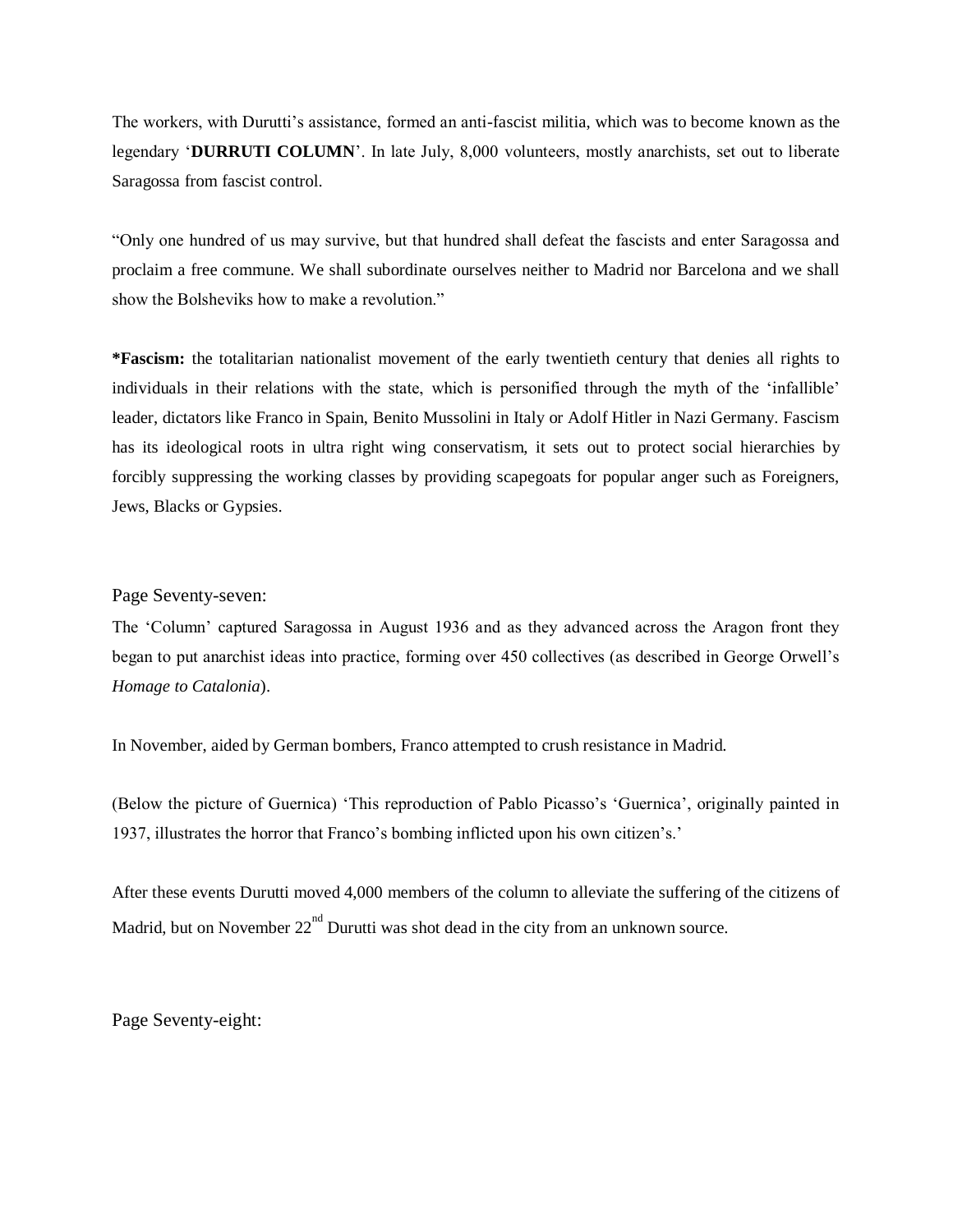The workers, with Durutti's assistance, formed an anti-fascist militia, which was to become known as the legendary '**DURRUTI COLUMN**'. In late July, 8,000 volunteers, mostly anarchists, set out to liberate Saragossa from fascist control.

"Only one hundred of us may survive, but that hundred shall defeat the fascists and enter Saragossa and proclaim a free commune. We shall subordinate ourselves neither to Madrid nor Barcelona and we shall show the Bolsheviks how to make a revolution."

**\*Fascism:** the totalitarian nationalist movement of the early twentieth century that denies all rights to individuals in their relations with the state, which is personified through the myth of the 'infallible' leader, dictators like Franco in Spain, Benito Mussolini in Italy or Adolf Hitler in Nazi Germany. Fascism has its ideological roots in ultra right wing conservatism, it sets out to protect social hierarchies by forcibly suppressing the working classes by providing scapegoats for popular anger such as Foreigners, Jews, Blacks or Gypsies.

Page Seventy-seven:

The 'Column' captured Saragossa in August 1936 and as they advanced across the Aragon front they began to put anarchist ideas into practice, forming over 450 collectives (as described in George Orwell's *Homage to Catalonia*).

In November, aided by German bombers, Franco attempted to crush resistance in Madrid.

(Below the picture of Guernica) 'This reproduction of Pablo Picasso's 'Guernica', originally painted in 1937, illustrates the horror that Franco's bombing inflicted upon his own citizen's.'

After these events Durutti moved 4,000 members of the column to alleviate the suffering of the citizens of Madrid, but on November  $22^{nd}$  Durutti was shot dead in the city from an unknown source.

Page Seventy-eight: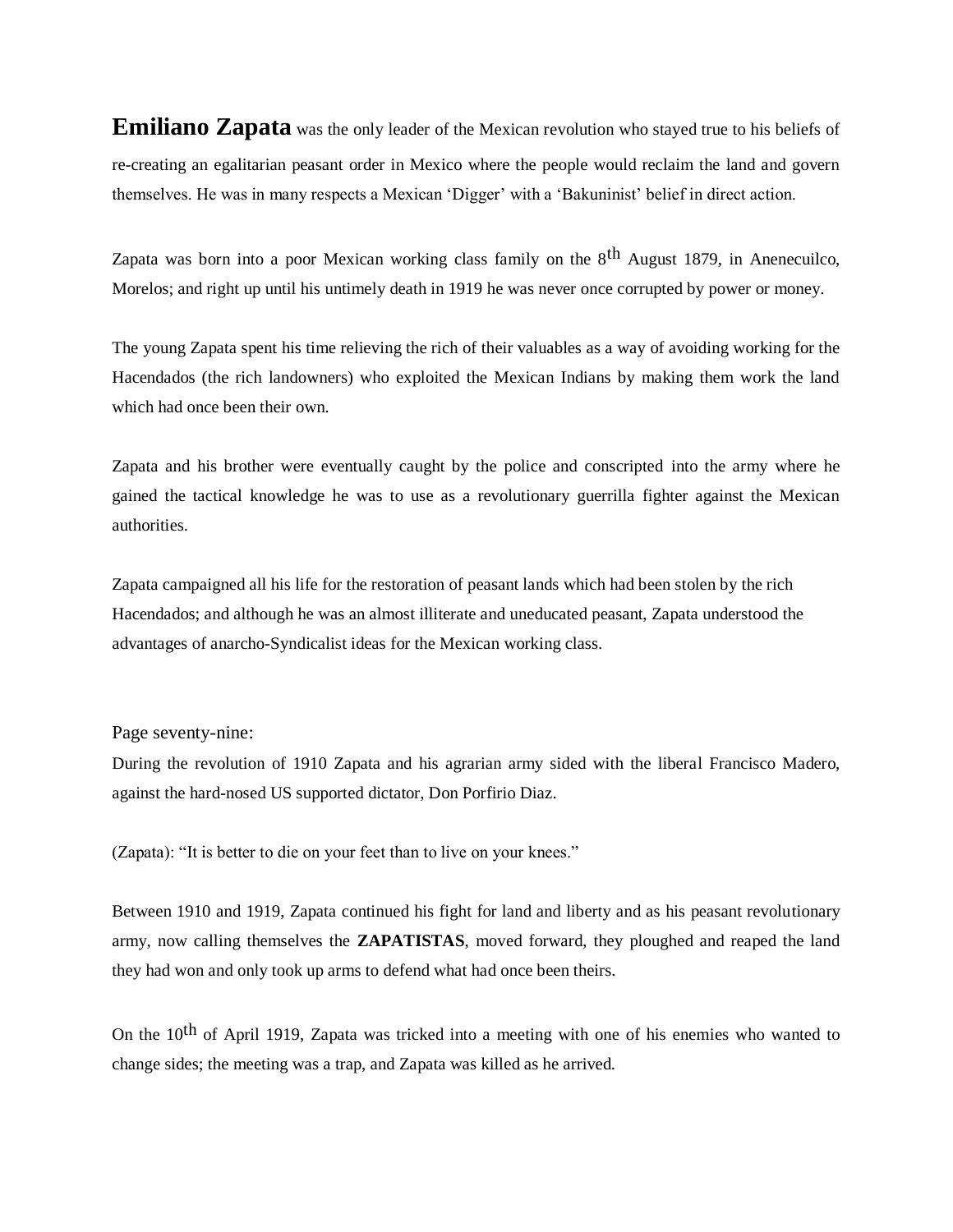**Emiliano Zapata** was the only leader of the Mexican revolution who stayed true to his beliefs of re-creating an egalitarian peasant order in Mexico where the people would reclaim the land and govern themselves. He was in many respects a Mexican 'Digger' with a 'Bakuninist' belief in direct action.

Zapata was born into a poor Mexican working class family on the 8<sup>th</sup> August 1879, in Anenecuilco, Morelos; and right up until his untimely death in 1919 he was never once corrupted by power or money.

The young Zapata spent his time relieving the rich of their valuables as a way of avoiding working for the Hacendados (the rich landowners) who exploited the Mexican Indians by making them work the land which had once been their own.

Zapata and his brother were eventually caught by the police and conscripted into the army where he gained the tactical knowledge he was to use as a revolutionary guerrilla fighter against the Mexican authorities.

Zapata campaigned all his life for the restoration of peasant lands which had been stolen by the rich Hacendados; and although he was an almost illiterate and uneducated peasant, Zapata understood the advantages of anarcho-Syndicalist ideas for the Mexican working class.

#### Page seventy-nine:

During the revolution of 1910 Zapata and his agrarian army sided with the liberal Francisco Madero, against the hard-nosed US supported dictator, Don Porfirio Diaz.

(Zapata): "It is better to die on your feet than to live on your knees."

Between 1910 and 1919, Zapata continued his fight for land and liberty and as his peasant revolutionary army, now calling themselves the **ZAPATISTAS**, moved forward, they ploughed and reaped the land they had won and only took up arms to defend what had once been theirs.

On the 10th of April 1919, Zapata was tricked into a meeting with one of his enemies who wanted to change sides; the meeting was a trap, and Zapata was killed as he arrived.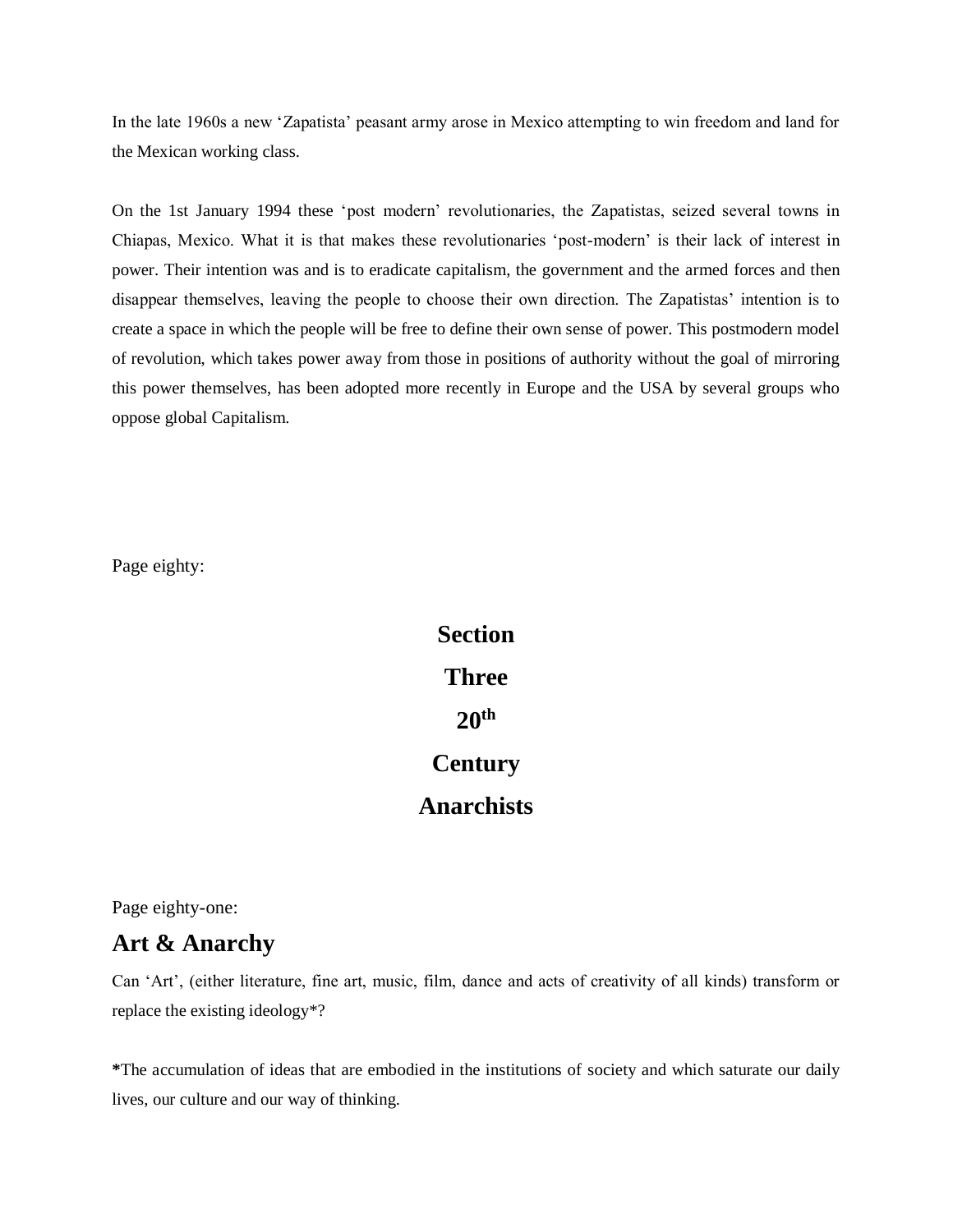In the late 1960s a new 'Zapatista' peasant army arose in Mexico attempting to win freedom and land for the Mexican working class.

On the 1st January 1994 these 'post modern' revolutionaries, the Zapatistas, seized several towns in Chiapas, Mexico. What it is that makes these revolutionaries 'post-modern' is their lack of interest in power. Their intention was and is to eradicate capitalism, the government and the armed forces and then disappear themselves, leaving the people to choose their own direction. The Zapatistas' intention is to create a space in which the people will be free to define their own sense of power. This postmodern model of revolution, which takes power away from those in positions of authority without the goal of mirroring this power themselves, has been adopted more recently in Europe and the USA by several groups who oppose global Capitalism.

Page eighty:

**Section Three 20th Century Anarchists**

Page eighty-one:

# **Art & Anarchy**

Can 'Art', (either literature, fine art, music, film, dance and acts of creativity of all kinds) transform or replace the existing ideology\*?

**\***The accumulation of ideas that are embodied in the institutions of society and which saturate our daily lives, our culture and our way of thinking.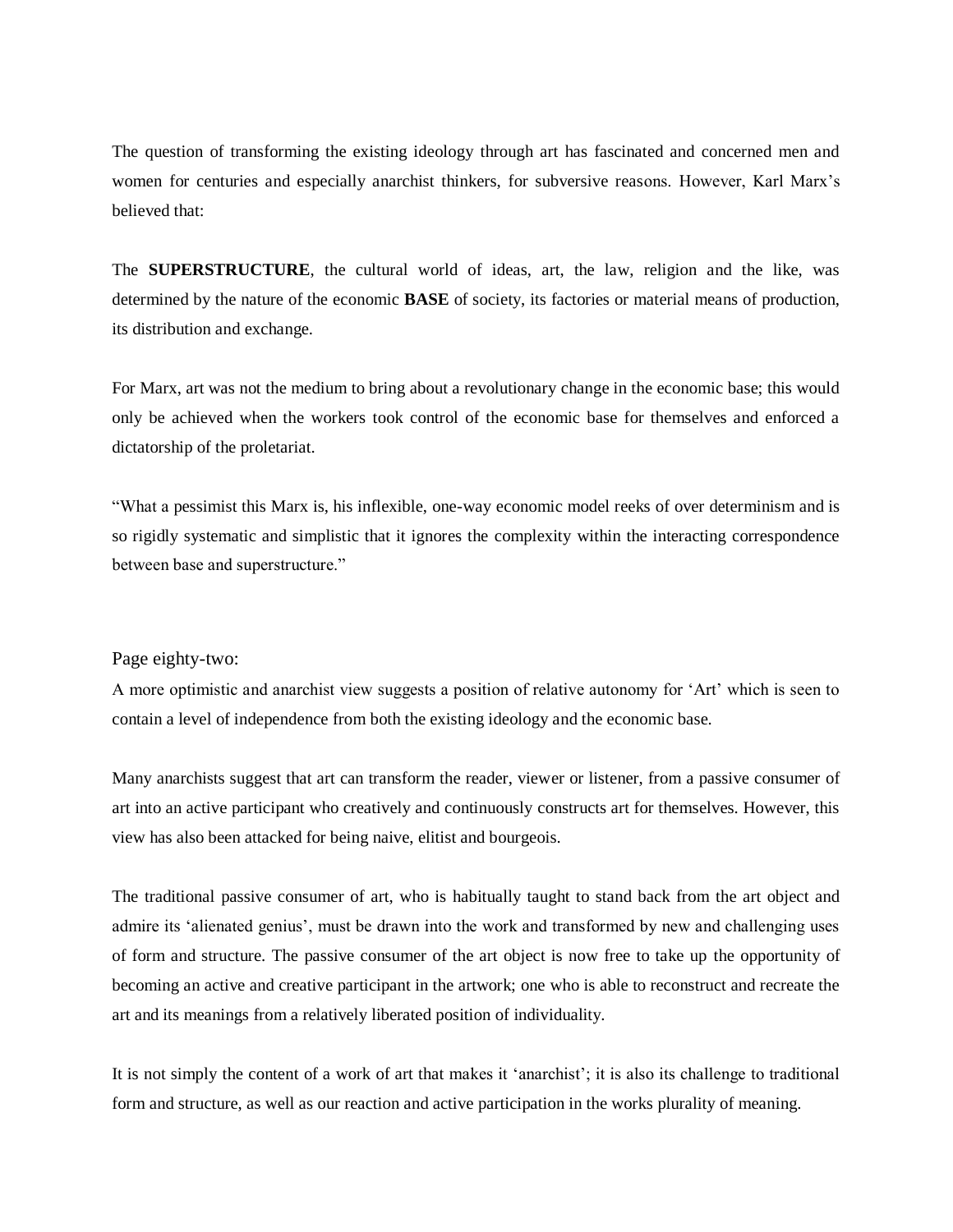The question of transforming the existing ideology through art has fascinated and concerned men and women for centuries and especially anarchist thinkers, for subversive reasons. However, Karl Marx's believed that:

The **SUPERSTRUCTURE**, the cultural world of ideas, art, the law, religion and the like, was determined by the nature of the economic **BASE** of society, its factories or material means of production, its distribution and exchange.

For Marx, art was not the medium to bring about a revolutionary change in the economic base; this would only be achieved when the workers took control of the economic base for themselves and enforced a dictatorship of the proletariat.

"What a pessimist this Marx is, his inflexible, one-way economic model reeks of over determinism and is so rigidly systematic and simplistic that it ignores the complexity within the interacting correspondence between base and superstructure."

#### Page eighty-two:

A more optimistic and anarchist view suggests a position of relative autonomy for 'Art' which is seen to contain a level of independence from both the existing ideology and the economic base.

Many anarchists suggest that art can transform the reader, viewer or listener, from a passive consumer of art into an active participant who creatively and continuously constructs art for themselves. However, this view has also been attacked for being naive, elitist and bourgeois.

The traditional passive consumer of art, who is habitually taught to stand back from the art object and admire its 'alienated genius', must be drawn into the work and transformed by new and challenging uses of form and structure. The passive consumer of the art object is now free to take up the opportunity of becoming an active and creative participant in the artwork; one who is able to reconstruct and recreate the art and its meanings from a relatively liberated position of individuality.

It is not simply the content of a work of art that makes it 'anarchist'; it is also its challenge to traditional form and structure, as well as our reaction and active participation in the works plurality of meaning.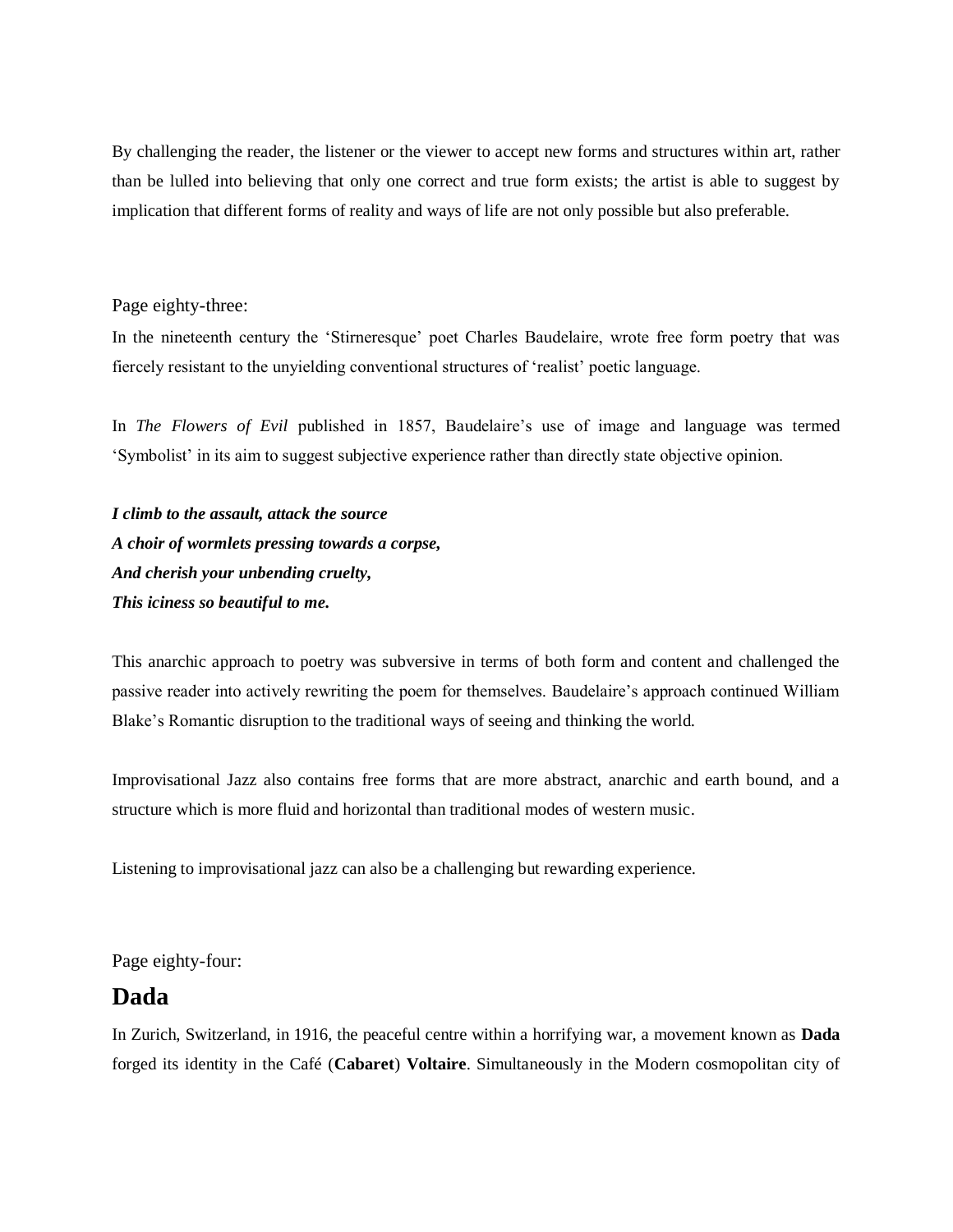By challenging the reader, the listener or the viewer to accept new forms and structures within art, rather than be lulled into believing that only one correct and true form exists; the artist is able to suggest by implication that different forms of reality and ways of life are not only possible but also preferable.

#### Page eighty-three:

In the nineteenth century the 'Stirneresque' poet Charles Baudelaire, wrote free form poetry that was fiercely resistant to the unyielding conventional structures of 'realist' poetic language.

In *The Flowers of Evil* published in 1857, Baudelaire's use of image and language was termed 'Symbolist' in its aim to suggest subjective experience rather than directly state objective opinion.

*I climb to the assault, attack the source A choir of wormlets pressing towards a corpse, And cherish your unbending cruelty, This iciness so beautiful to me.*

This anarchic approach to poetry was subversive in terms of both form and content and challenged the passive reader into actively rewriting the poem for themselves. Baudelaire's approach continued William Blake's Romantic disruption to the traditional ways of seeing and thinking the world.

Improvisational Jazz also contains free forms that are more abstract, anarchic and earth bound, and a structure which is more fluid and horizontal than traditional modes of western music.

Listening to improvisational jazz can also be a challenging but rewarding experience.

Page eighty-four:

### **Dada**

In Zurich, Switzerland, in 1916, the peaceful centre within a horrifying war, a movement known as **Dada** forged its identity in the Café (**Cabaret**) **Voltaire**. Simultaneously in the Modern cosmopolitan city of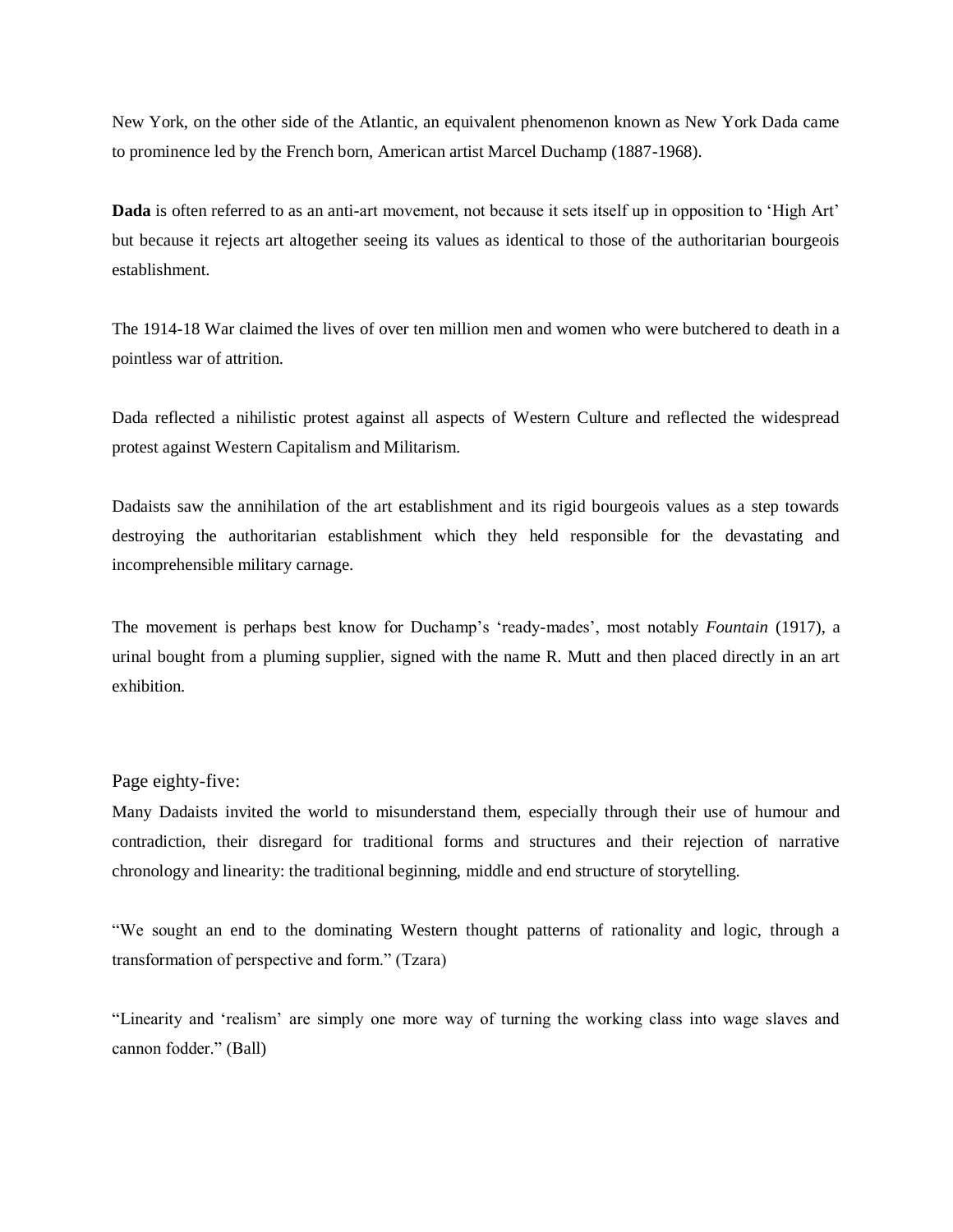New York, on the other side of the Atlantic, an equivalent phenomenon known as New York Dada came to prominence led by the French born, American artist Marcel Duchamp (1887-1968).

**Dada** is often referred to as an anti-art movement, not because it sets itself up in opposition to 'High Art' but because it rejects art altogether seeing its values as identical to those of the authoritarian bourgeois establishment.

The 1914-18 War claimed the lives of over ten million men and women who were butchered to death in a pointless war of attrition.

Dada reflected a nihilistic protest against all aspects of Western Culture and reflected the widespread protest against Western Capitalism and Militarism.

Dadaists saw the annihilation of the art establishment and its rigid bourgeois values as a step towards destroying the authoritarian establishment which they held responsible for the devastating and incomprehensible military carnage.

The movement is perhaps best know for Duchamp's 'ready-mades', most notably *Fountain* (1917), a urinal bought from a pluming supplier, signed with the name R. Mutt and then placed directly in an art exhibition.

#### Page eighty-five:

Many Dadaists invited the world to misunderstand them, especially through their use of humour and contradiction, their disregard for traditional forms and structures and their rejection of narrative chronology and linearity: the traditional beginning, middle and end structure of storytelling.

"We sought an end to the dominating Western thought patterns of rationality and logic, through a transformation of perspective and form." (Tzara)

"Linearity and 'realism' are simply one more way of turning the working class into wage slaves and cannon fodder." (Ball)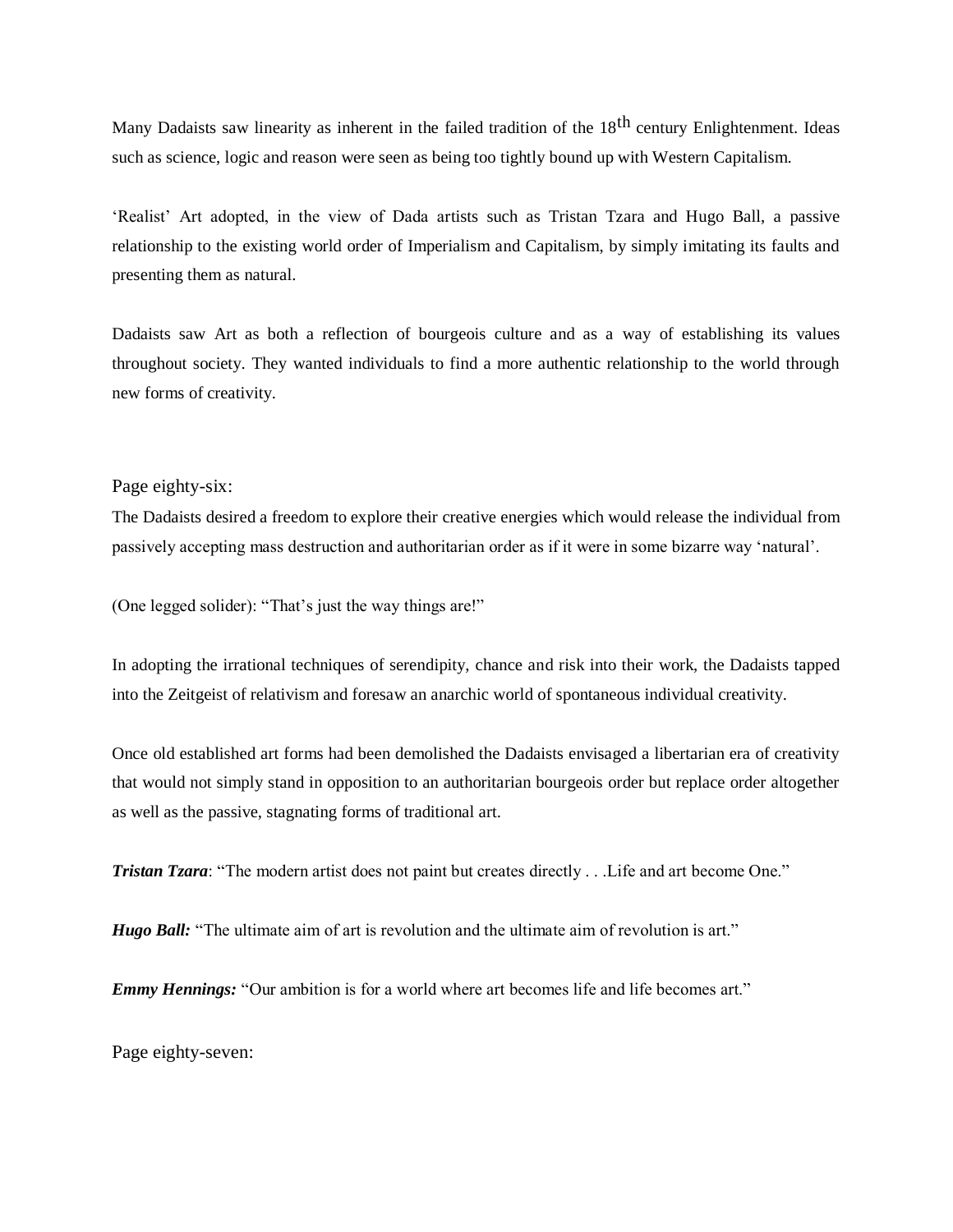Many Dadaists saw linearity as inherent in the failed tradition of the 18<sup>th</sup> century Enlightenment. Ideas such as science, logic and reason were seen as being too tightly bound up with Western Capitalism.

'Realist' Art adopted, in the view of Dada artists such as Tristan Tzara and Hugo Ball, a passive relationship to the existing world order of Imperialism and Capitalism, by simply imitating its faults and presenting them as natural.

Dadaists saw Art as both a reflection of bourgeois culture and as a way of establishing its values throughout society. They wanted individuals to find a more authentic relationship to the world through new forms of creativity.

#### Page eighty-six:

The Dadaists desired a freedom to explore their creative energies which would release the individual from passively accepting mass destruction and authoritarian order as if it were in some bizarre way 'natural'.

(One legged solider): "That's just the way things are!"

In adopting the irrational techniques of serendipity, chance and risk into their work, the Dadaists tapped into the Zeitgeist of relativism and foresaw an anarchic world of spontaneous individual creativity.

Once old established art forms had been demolished the Dadaists envisaged a libertarian era of creativity that would not simply stand in opposition to an authoritarian bourgeois order but replace order altogether as well as the passive, stagnating forms of traditional art.

*Tristan Tzara*: "The modern artist does not paint but creates directly . . . Life and art become One."

*Hugo Ball:* "The ultimate aim of art is revolution and the ultimate aim of revolution is art."

*Emmy Hennings:* "Our ambition is for a world where art becomes life and life becomes art."

Page eighty-seven: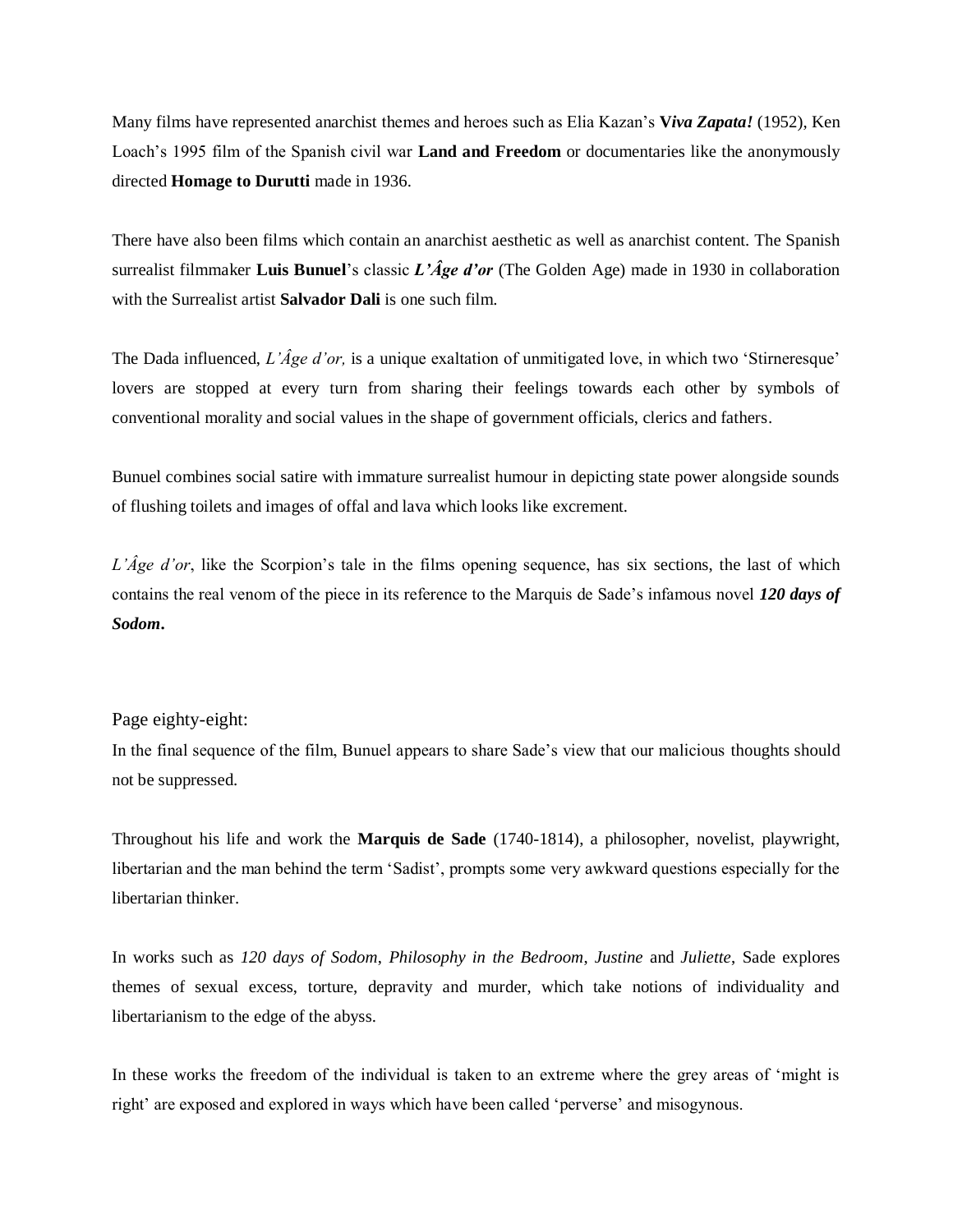Many films have represented anarchist themes and heroes such as Elia Kazan's **V***iva Zapata!* (1952), Ken Loach's 1995 film of the Spanish civil war **Land and Freedom** or documentaries like the anonymously directed **Homage to Durutti** made in 1936.

There have also been films which contain an anarchist aesthetic as well as anarchist content. The Spanish surrealist filmmaker **Luis Bunuel**'s classic *L'Âge d'or* (The Golden Age) made in 1930 in collaboration with the Surrealist artist **Salvador Dali** is one such film.

The Dada influenced, *L'Âge d'or*, is a unique exaltation of unmitigated love, in which two 'Stirneresque' lovers are stopped at every turn from sharing their feelings towards each other by symbols of conventional morality and social values in the shape of government officials, clerics and fathers.

Bunuel combines social satire with immature surrealist humour in depicting state power alongside sounds of flushing toilets and images of offal and lava which looks like excrement.

*L'Âge d'or*, like the Scorpion's tale in the films opening sequence, has six sections, the last of which contains the real venom of the piece in its reference to the Marquis de Sade's infamous novel *120 days of Sodom***.**

#### Page eighty-eight:

In the final sequence of the film, Bunuel appears to share Sade's view that our malicious thoughts should not be suppressed.

Throughout his life and work the **Marquis de Sade** (1740-1814), a philosopher, novelist, playwright, libertarian and the man behind the term 'Sadist', prompts some very awkward questions especially for the libertarian thinker.

In works such as *120 days of Sodom*, *Philosophy in the Bedroom*, *Justine* and *Juliette*, Sade explores themes of sexual excess, torture, depravity and murder, which take notions of individuality and libertarianism to the edge of the abyss.

In these works the freedom of the individual is taken to an extreme where the grey areas of 'might is right' are exposed and explored in ways which have been called 'perverse' and misogynous.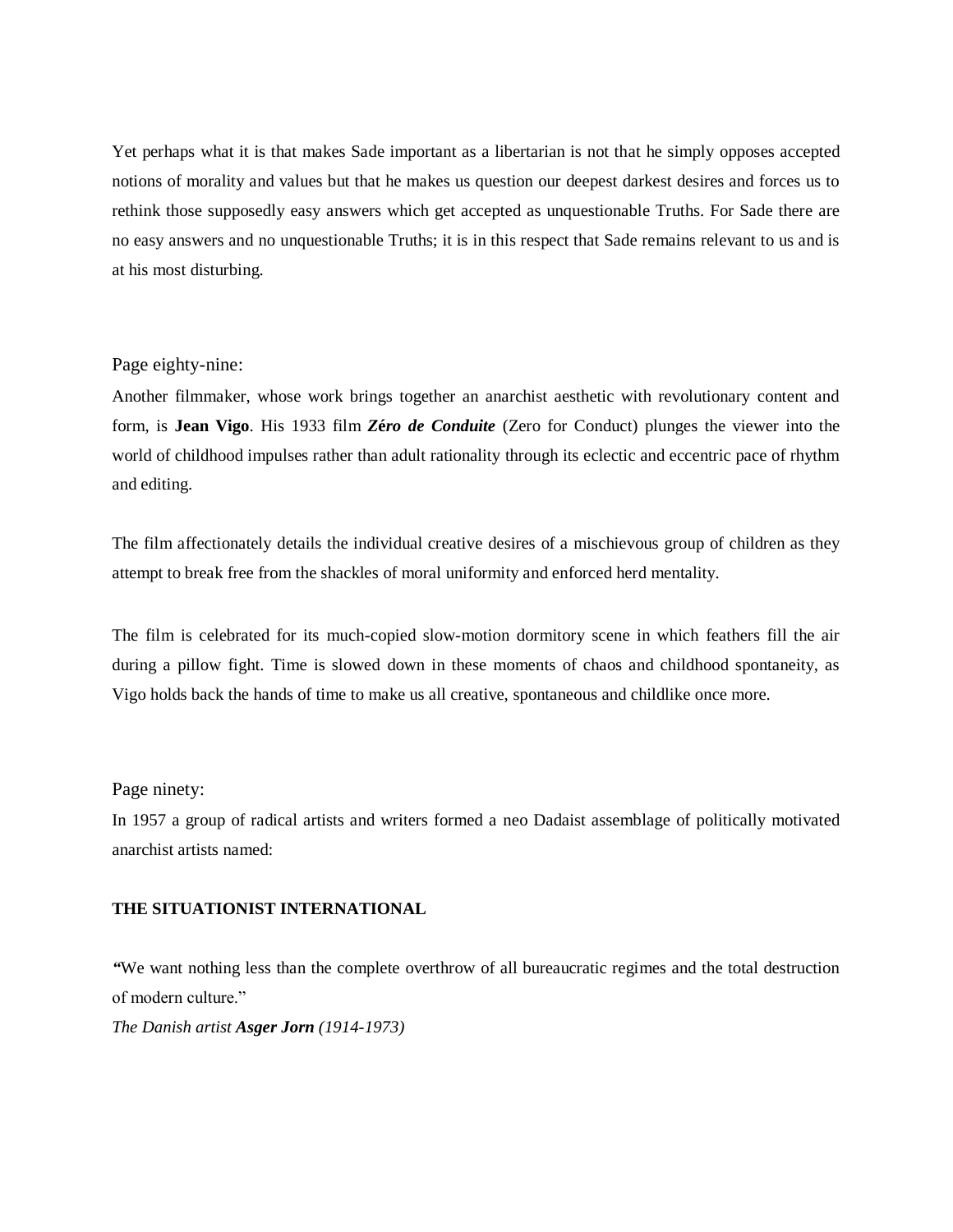Yet perhaps what it is that makes Sade important as a libertarian is not that he simply opposes accepted notions of morality and values but that he makes us question our deepest darkest desires and forces us to rethink those supposedly easy answers which get accepted as unquestionable Truths. For Sade there are no easy answers and no unquestionable Truths; it is in this respect that Sade remains relevant to us and is at his most disturbing.

#### Page eighty-nine:

Another filmmaker, whose work brings together an anarchist aesthetic with revolutionary content and form, is **Jean Vigo**. His 1933 film *Z***é***ro de Conduite* (Zero for Conduct) plunges the viewer into the world of childhood impulses rather than adult rationality through its eclectic and eccentric pace of rhythm and editing.

The film affectionately details the individual creative desires of a mischievous group of children as they attempt to break free from the shackles of moral uniformity and enforced herd mentality.

The film is celebrated for its much-copied slow-motion dormitory scene in which feathers fill the air during a pillow fight. Time is slowed down in these moments of chaos and childhood spontaneity, as Vigo holds back the hands of time to make us all creative, spontaneous and childlike once more.

#### Page ninety:

In 1957 a group of radical artists and writers formed a neo Dadaist assemblage of politically motivated anarchist artists named:

#### **THE SITUATIONIST INTERNATIONAL**

*"*We want nothing less than the complete overthrow of all bureaucratic regimes and the total destruction of modern culture." *The Danish artist Asger Jorn (1914-1973)*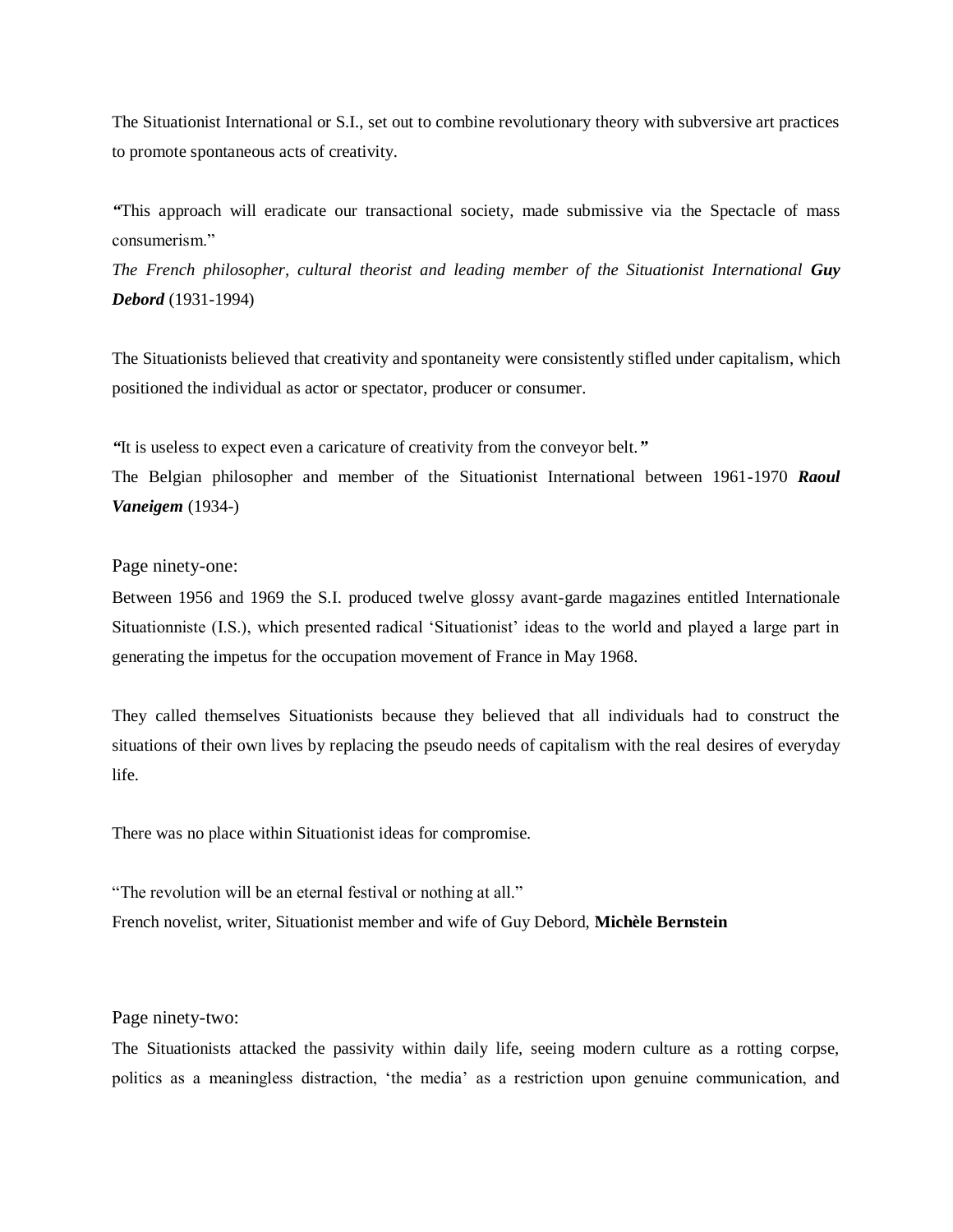The Situationist International or S.I., set out to combine revolutionary theory with subversive art practices to promote spontaneous acts of creativity.

*"*This approach will eradicate our transactional society, made submissive via the Spectacle of mass consumerism."

*The French philosopher, cultural theorist and leading member of the Situationist International Guy Debord* (1931-1994)

The Situationists believed that creativity and spontaneity were consistently stifled under capitalism, which positioned the individual as actor or spectator, producer or consumer.

*"*It is useless to expect even a caricature of creativity from the conveyor belt.*"*

The Belgian philosopher and member of the Situationist International between 1961-1970 *Raoul Vaneigem* (1934-)

Page ninety-one:

Between 1956 and 1969 the S.I. produced twelve glossy avant-garde magazines entitled Internationale Situationniste (I.S.), which presented radical 'Situationist' ideas to the world and played a large part in generating the impetus for the occupation movement of France in May 1968.

They called themselves Situationists because they believed that all individuals had to construct the situations of their own lives by replacing the pseudo needs of capitalism with the real desires of everyday life.

There was no place within Situationist ideas for compromise.

"The revolution will be an eternal festival or nothing at all." French novelist, writer, Situationist member and wife of Guy Debord, **Michèle Bernstein**

Page ninety-two:

The Situationists attacked the passivity within daily life, seeing modern culture as a rotting corpse, politics as a meaningless distraction, 'the media' as a restriction upon genuine communication, and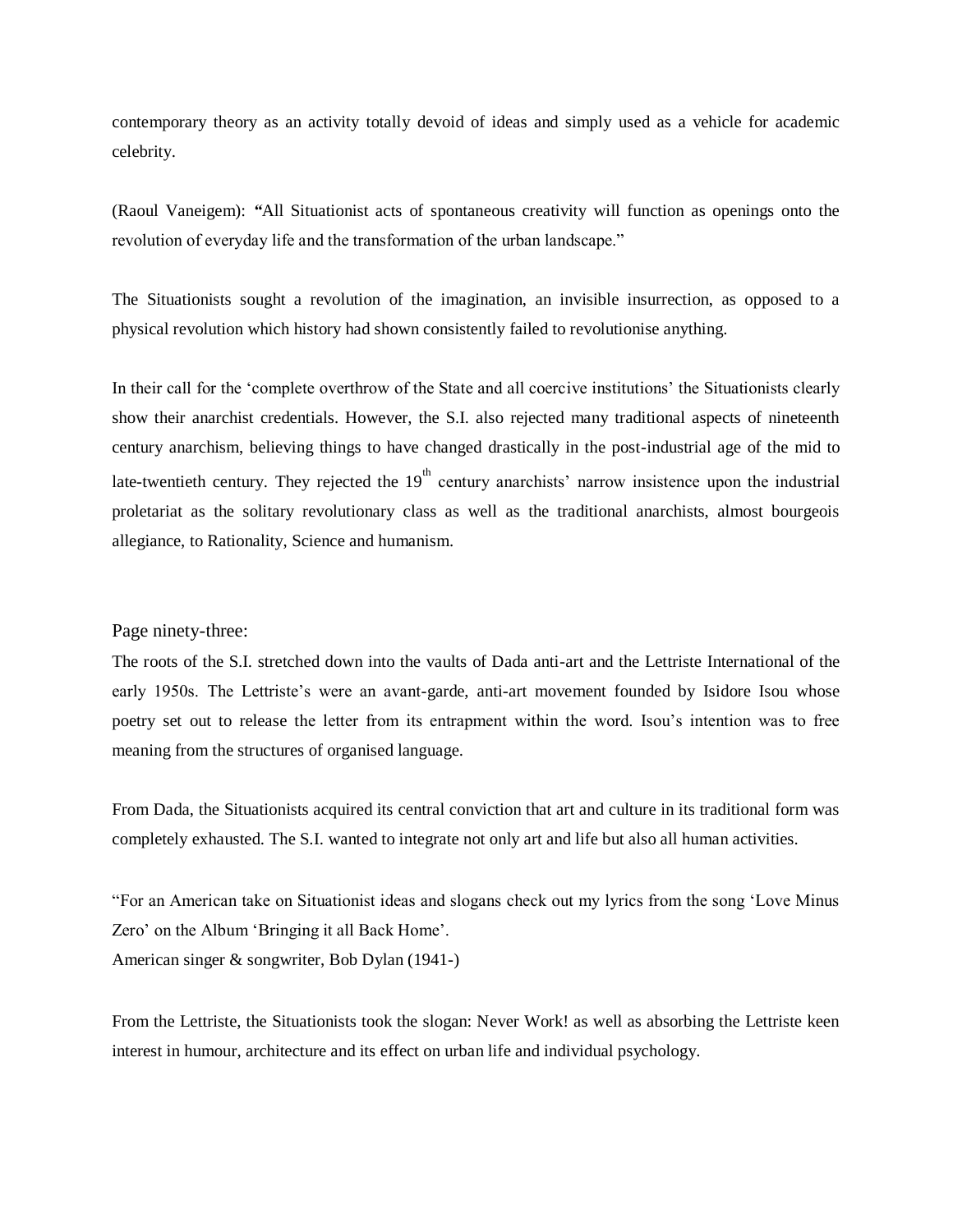contemporary theory as an activity totally devoid of ideas and simply used as a vehicle for academic celebrity.

(Raoul Vaneigem): *"*All Situationist acts of spontaneous creativity will function as openings onto the revolution of everyday life and the transformation of the urban landscape."

The Situationists sought a revolution of the imagination, an invisible insurrection, as opposed to a physical revolution which history had shown consistently failed to revolutionise anything.

In their call for the 'complete overthrow of the State and all coercive institutions' the Situationists clearly show their anarchist credentials. However, the S.I. also rejected many traditional aspects of nineteenth century anarchism, believing things to have changed drastically in the post-industrial age of the mid to late-twentieth century. They rejected the  $19<sup>th</sup>$  century anarchists' narrow insistence upon the industrial proletariat as the solitary revolutionary class as well as the traditional anarchists, almost bourgeois allegiance, to Rationality, Science and humanism.

#### Page ninety-three:

The roots of the S.I. stretched down into the vaults of Dada anti-art and the Lettriste International of the early 1950s. The Lettriste's were an avant-garde, anti-art movement founded by Isidore Isou whose poetry set out to release the letter from its entrapment within the word. Isou's intention was to free meaning from the structures of organised language.

From Dada, the Situationists acquired its central conviction that art and culture in its traditional form was completely exhausted. The S.I. wanted to integrate not only art and life but also all human activities.

"For an American take on Situationist ideas and slogans check out my lyrics from the song 'Love Minus Zero' on the Album 'Bringing it all Back Home'. American singer & songwriter, Bob Dylan (1941-)

From the Lettriste, the Situationists took the slogan: Never Work! as well as absorbing the Lettriste keen interest in humour, architecture and its effect on urban life and individual psychology.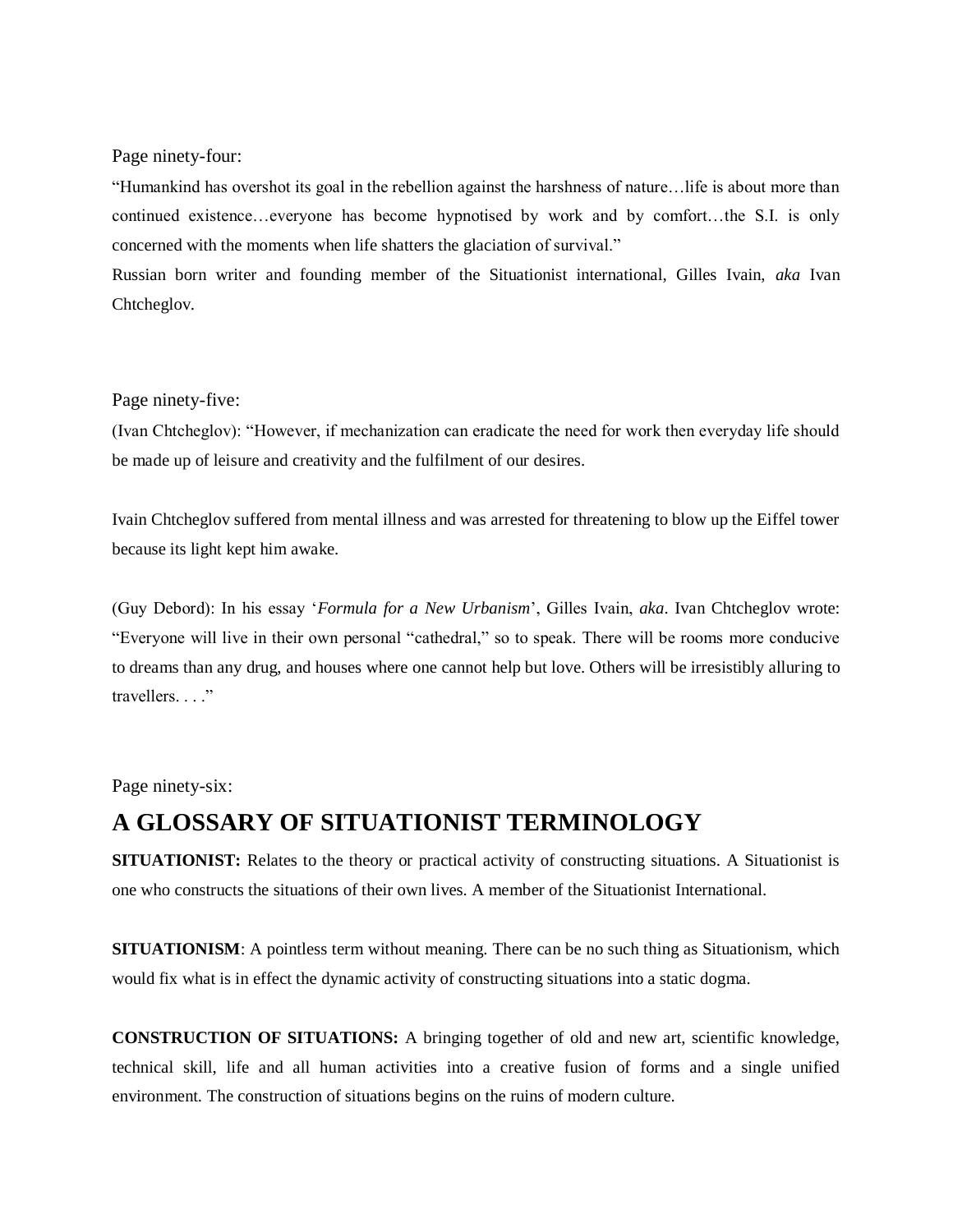Page ninety-four:

"Humankind has overshot its goal in the rebellion against the harshness of nature…life is about more than continued existence…everyone has become hypnotised by work and by comfort…the S.I. is only concerned with the moments when life shatters the glaciation of survival."

Russian born writer and founding member of the Situationist international, Gilles Ivain, *aka* Ivan Chtcheglov.

#### Page ninety-five:

(Ivan Chtcheglov): "However, if mechanization can eradicate the need for work then everyday life should be made up of leisure and creativity and the fulfilment of our desires.

Ivain Chtcheglov suffered from mental illness and was arrested for threatening to blow up the Eiffel tower because its light kept him awake.

(Guy Debord): In his essay '*Formula for a New Urbanism*', Gilles Ivain, *aka*. Ivan Chtcheglov wrote: "Everyone will live in their own personal "cathedral," so to speak. There will be rooms more conducive to dreams than any drug, and houses where one cannot help but love. Others will be irresistibly alluring to travellers..."

Page ninety-six:

# **A GLOSSARY OF SITUATIONIST TERMINOLOGY**

**SITUATIONIST:** Relates to the theory or practical activity of constructing situations. A Situationist is one who constructs the situations of their own lives. A member of the Situationist International.

**SITUATIONISM:** A pointless term without meaning. There can be no such thing as Situationism, which would fix what is in effect the dynamic activity of constructing situations into a static dogma.

**CONSTRUCTION OF SITUATIONS:** A bringing together of old and new art, scientific knowledge, technical skill, life and all human activities into a creative fusion of forms and a single unified environment. The construction of situations begins on the ruins of modern culture.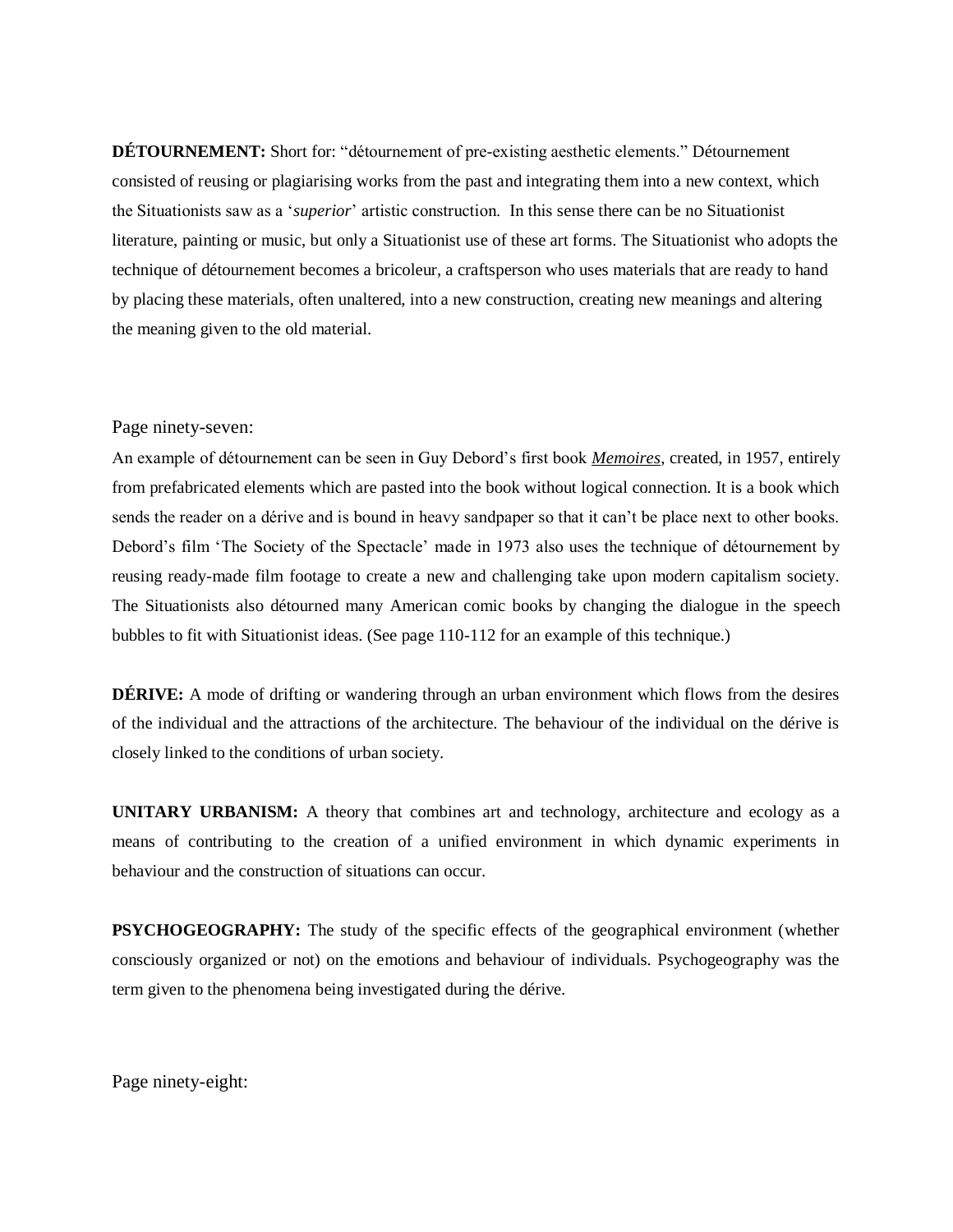**DÉTOURNEMENT:** Short for: "détournement of pre-existing aesthetic elements." Détournement consisted of reusing or plagiarising works from the past and integrating them into a new context, which the Situationists saw as a '*superior*' artistic construction. In this sense there can be no Situationist literature, painting or music, but only a Situationist use of these art forms. The Situationist who adopts the technique of détournement becomes a bricoleur, a craftsperson who uses materials that are ready to hand by placing these materials, often unaltered, into a new construction, creating new meanings and altering the meaning given to the old material.

#### Page ninety-seven:

An example of détournement can be seen in Guy Debord's first book *Memoires*, created, in 1957, entirely from prefabricated elements which are pasted into the book without logical connection. It is a book which sends the reader on a dérive and is bound in heavy sandpaper so that it can't be place next to other books. Debord's film 'The Society of the Spectacle' made in 1973 also uses the technique of détournement by reusing ready-made film footage to create a new and challenging take upon modern capitalism society. The Situationists also détourned many American comic books by changing the dialogue in the speech bubbles to fit with Situationist ideas. (See page 110-112 for an example of this technique.)

**DÉRIVE:** A mode of drifting or wandering through an urban environment which flows from the desires of the individual and the attractions of the architecture. The behaviour of the individual on the dérive is closely linked to the conditions of urban society.

**UNITARY URBANISM:** A theory that combines art and technology, architecture and ecology as a means of contributing to the creation of a unified environment in which dynamic experiments in behaviour and the construction of situations can occur.

**PSYCHOGEOGRAPHY:** The study of the specific effects of the geographical environment (whether consciously organized or not) on the emotions and behaviour of individuals. Psychogeography was the term given to the phenomena being investigated during the dérive.

Page ninety-eight: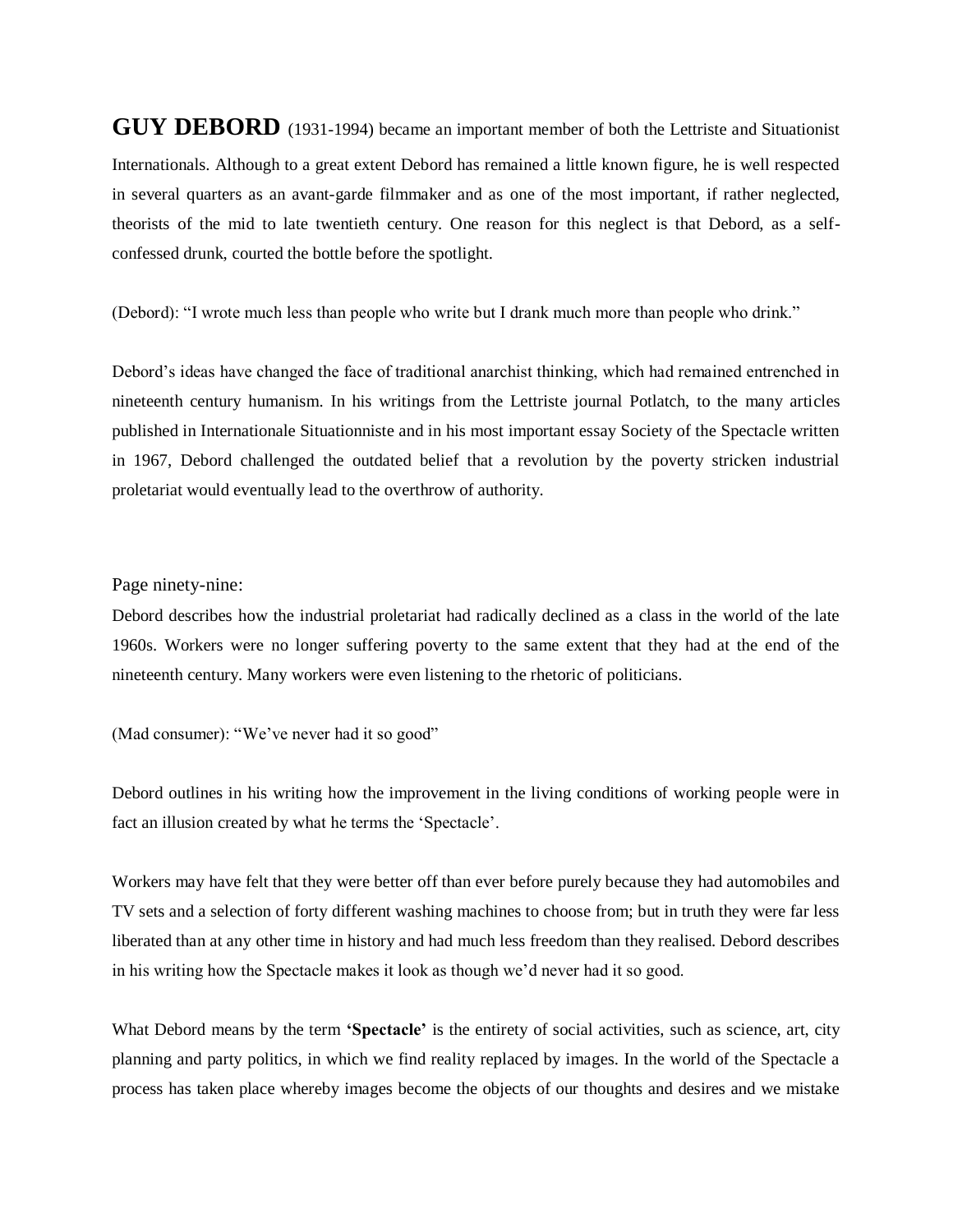**GUY DEBORD** (1931-1994) became an important member of both the Lettriste and Situationist Internationals. Although to a great extent Debord has remained a little known figure, he is well respected in several quarters as an avant-garde filmmaker and as one of the most important, if rather neglected, theorists of the mid to late twentieth century. One reason for this neglect is that Debord, as a selfconfessed drunk, courted the bottle before the spotlight.

(Debord): "I wrote much less than people who write but I drank much more than people who drink."

Debord's ideas have changed the face of traditional anarchist thinking, which had remained entrenched in nineteenth century humanism. In his writings from the Lettriste journal Potlatch, to the many articles published in Internationale Situationniste and in his most important essay Society of the Spectacle written in 1967, Debord challenged the outdated belief that a revolution by the poverty stricken industrial proletariat would eventually lead to the overthrow of authority.

#### Page ninety-nine:

Debord describes how the industrial proletariat had radically declined as a class in the world of the late 1960s. Workers were no longer suffering poverty to the same extent that they had at the end of the nineteenth century. Many workers were even listening to the rhetoric of politicians.

(Mad consumer): "We've never had it so good"

Debord outlines in his writing how the improvement in the living conditions of working people were in fact an illusion created by what he terms the 'Spectacle'.

Workers may have felt that they were better off than ever before purely because they had automobiles and TV sets and a selection of forty different washing machines to choose from; but in truth they were far less liberated than at any other time in history and had much less freedom than they realised. Debord describes in his writing how the Spectacle makes it look as though we'd never had it so good.

What Debord means by the term **'Spectacle'** is the entirety of social activities, such as science, art, city planning and party politics, in which we find reality replaced by images. In the world of the Spectacle a process has taken place whereby images become the objects of our thoughts and desires and we mistake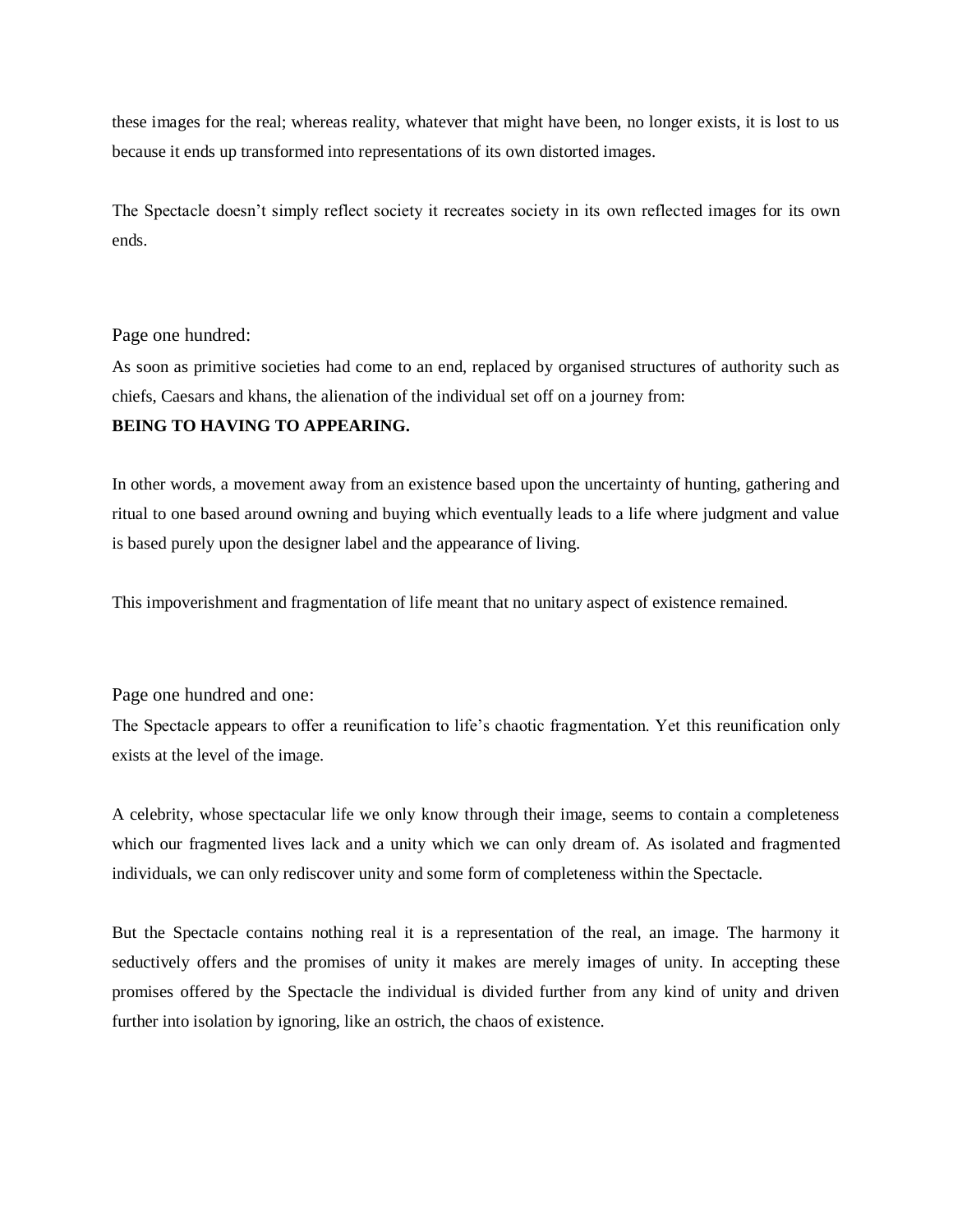these images for the real; whereas reality, whatever that might have been, no longer exists, it is lost to us because it ends up transformed into representations of its own distorted images.

The Spectacle doesn't simply reflect society it recreates society in its own reflected images for its own ends.

Page one hundred:

As soon as primitive societies had come to an end, replaced by organised structures of authority such as chiefs, Caesars and khans, the alienation of the individual set off on a journey from:

#### **BEING TO HAVING TO APPEARING.**

In other words, a movement away from an existence based upon the uncertainty of hunting, gathering and ritual to one based around owning and buying which eventually leads to a life where judgment and value is based purely upon the designer label and the appearance of living.

This impoverishment and fragmentation of life meant that no unitary aspect of existence remained.

Page one hundred and one:

The Spectacle appears to offer a reunification to life's chaotic fragmentation. Yet this reunification only exists at the level of the image.

A celebrity, whose spectacular life we only know through their image, seems to contain a completeness which our fragmented lives lack and a unity which we can only dream of. As isolated and fragmented individuals, we can only rediscover unity and some form of completeness within the Spectacle.

But the Spectacle contains nothing real it is a representation of the real, an image. The harmony it seductively offers and the promises of unity it makes are merely images of unity. In accepting these promises offered by the Spectacle the individual is divided further from any kind of unity and driven further into isolation by ignoring, like an ostrich, the chaos of existence.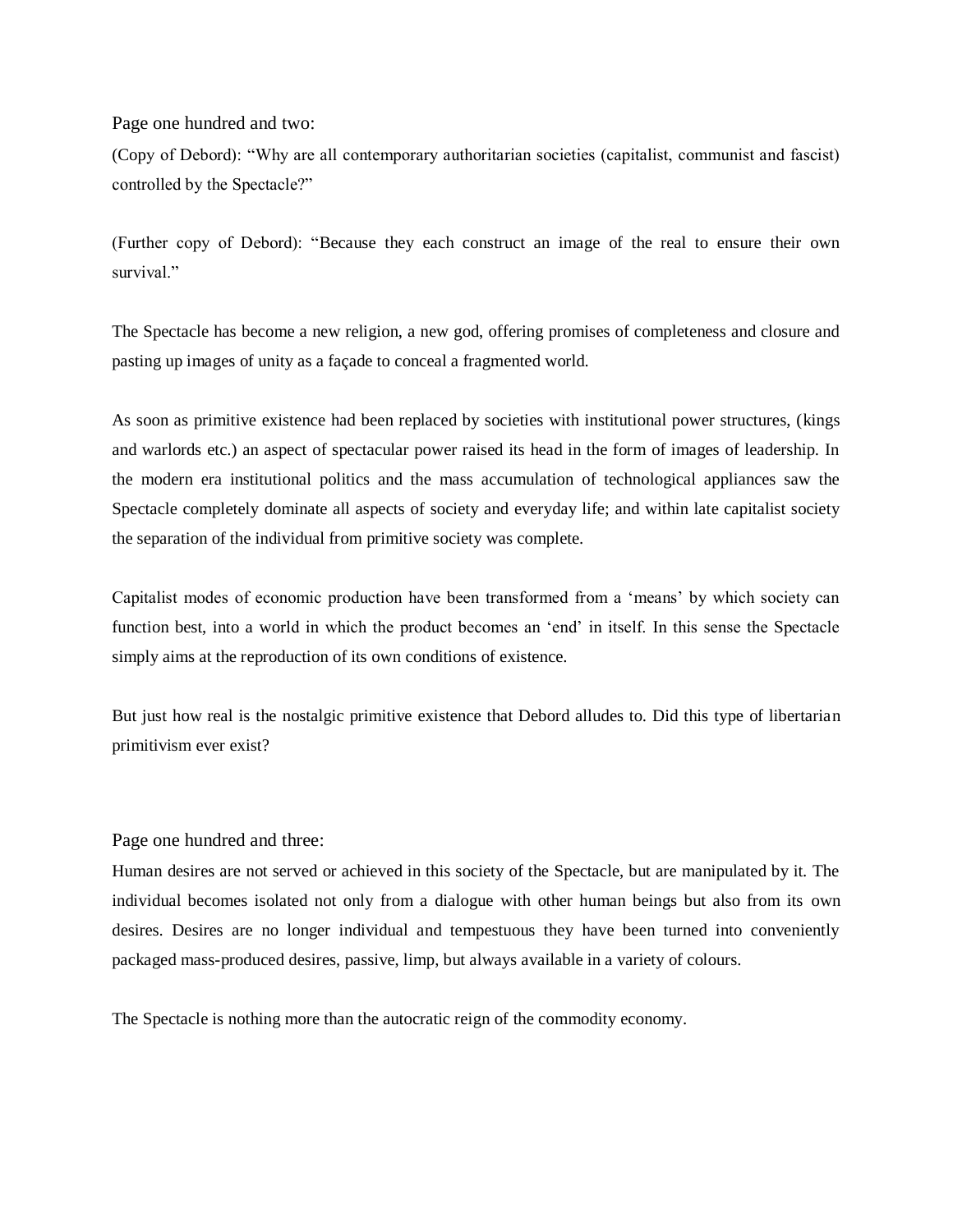#### Page one hundred and two:

(Copy of Debord): "Why are all contemporary authoritarian societies (capitalist, communist and fascist) controlled by the Spectacle?"

(Further copy of Debord): "Because they each construct an image of the real to ensure their own survival."

The Spectacle has become a new religion, a new god, offering promises of completeness and closure and pasting up images of unity as a façade to conceal a fragmented world.

As soon as primitive existence had been replaced by societies with institutional power structures, (kings and warlords etc.) an aspect of spectacular power raised its head in the form of images of leadership. In the modern era institutional politics and the mass accumulation of technological appliances saw the Spectacle completely dominate all aspects of society and everyday life; and within late capitalist society the separation of the individual from primitive society was complete.

Capitalist modes of economic production have been transformed from a 'means' by which society can function best, into a world in which the product becomes an 'end' in itself. In this sense the Spectacle simply aims at the reproduction of its own conditions of existence.

But just how real is the nostalgic primitive existence that Debord alludes to. Did this type of libertarian primitivism ever exist?

#### Page one hundred and three:

Human desires are not served or achieved in this society of the Spectacle, but are manipulated by it. The individual becomes isolated not only from a dialogue with other human beings but also from its own desires. Desires are no longer individual and tempestuous they have been turned into conveniently packaged mass-produced desires, passive, limp, but always available in a variety of colours.

The Spectacle is nothing more than the autocratic reign of the commodity economy.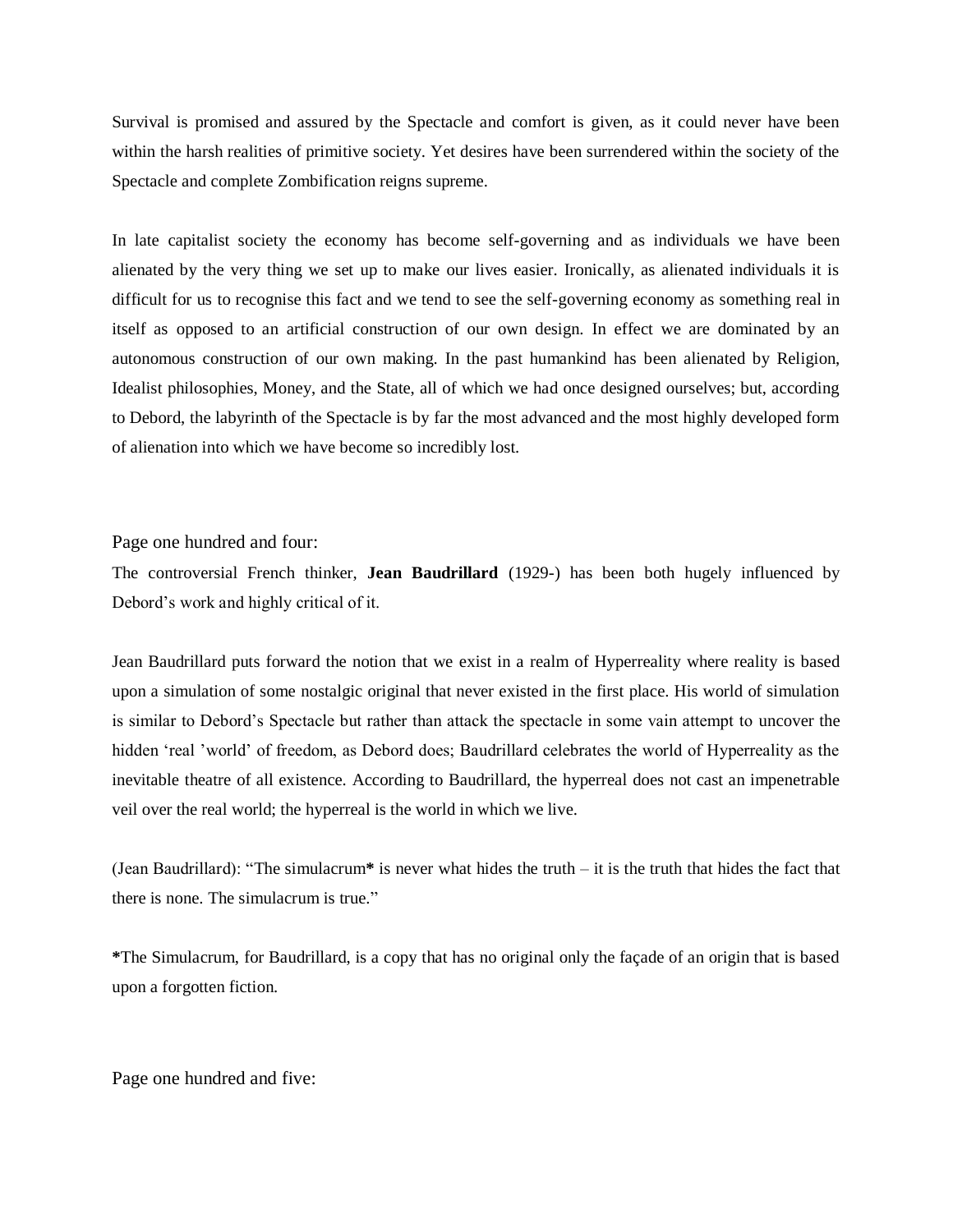Survival is promised and assured by the Spectacle and comfort is given, as it could never have been within the harsh realities of primitive society. Yet desires have been surrendered within the society of the Spectacle and complete Zombification reigns supreme.

In late capitalist society the economy has become self-governing and as individuals we have been alienated by the very thing we set up to make our lives easier. Ironically, as alienated individuals it is difficult for us to recognise this fact and we tend to see the self-governing economy as something real in itself as opposed to an artificial construction of our own design. In effect we are dominated by an autonomous construction of our own making. In the past humankind has been alienated by Religion, Idealist philosophies, Money, and the State, all of which we had once designed ourselves; but, according to Debord, the labyrinth of the Spectacle is by far the most advanced and the most highly developed form of alienation into which we have become so incredibly lost.

Page one hundred and four:

The controversial French thinker, **Jean Baudrillard** (1929-) has been both hugely influenced by Debord's work and highly critical of it.

Jean Baudrillard puts forward the notion that we exist in a realm of Hyperreality where reality is based upon a simulation of some nostalgic original that never existed in the first place. His world of simulation is similar to Debord's Spectacle but rather than attack the spectacle in some vain attempt to uncover the hidden 'real 'world' of freedom, as Debord does; Baudrillard celebrates the world of Hyperreality as the inevitable theatre of all existence. According to Baudrillard, the hyperreal does not cast an impenetrable veil over the real world; the hyperreal is the world in which we live.

(Jean Baudrillard): "The simulacrum**\*** is never what hides the truth – it is the truth that hides the fact that there is none. The simulacrum is true."

**\***The Simulacrum, for Baudrillard, is a copy that has no original only the façade of an origin that is based upon a forgotten fiction.

Page one hundred and five: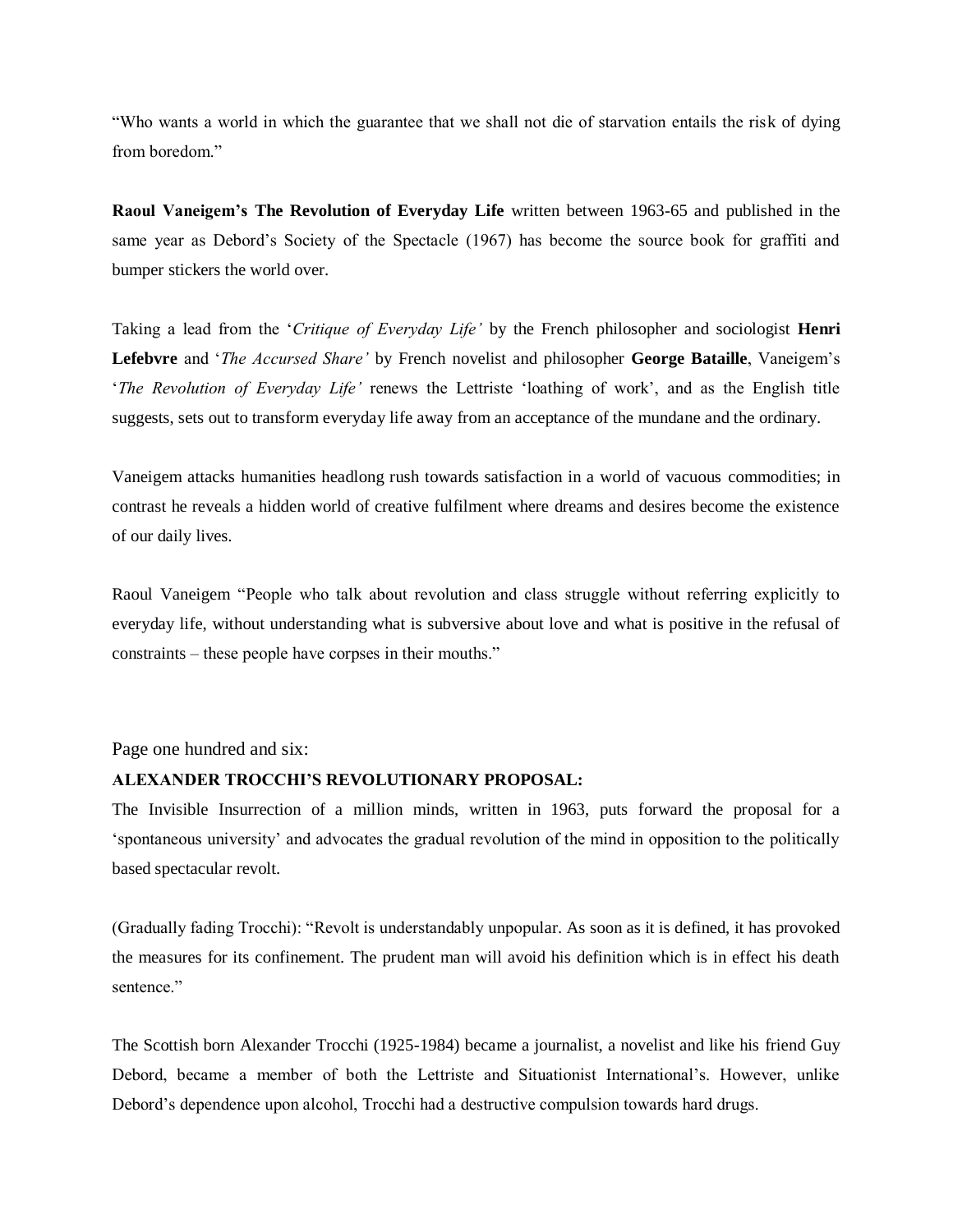"Who wants a world in which the guarantee that we shall not die of starvation entails the risk of dying from boredom."

**Raoul Vaneigem's The Revolution of Everyday Life** written between 1963-65 and published in the same year as Debord's Society of the Spectacle (1967) has become the source book for graffiti and bumper stickers the world over.

Taking a lead from the '*Critique of Everyday Life'* by the French philosopher and sociologist **Henri Lefebvre** and '*The Accursed Share'* by French novelist and philosopher **George Bataille**, Vaneigem's '*The Revolution of Everyday Life'* renews the Lettriste 'loathing of work', and as the English title suggests, sets out to transform everyday life away from an acceptance of the mundane and the ordinary.

Vaneigem attacks humanities headlong rush towards satisfaction in a world of vacuous commodities; in contrast he reveals a hidden world of creative fulfilment where dreams and desires become the existence of our daily lives.

Raoul Vaneigem "People who talk about revolution and class struggle without referring explicitly to everyday life, without understanding what is subversive about love and what is positive in the refusal of constraints – these people have corpses in their mouths."

Page one hundred and six:

#### **ALEXANDER TROCCHI'S REVOLUTIONARY PROPOSAL:**

The Invisible Insurrection of a million minds, written in 1963, puts forward the proposal for a 'spontaneous university' and advocates the gradual revolution of the mind in opposition to the politically based spectacular revolt.

(Gradually fading Trocchi): "Revolt is understandably unpopular. As soon as it is defined, it has provoked the measures for its confinement. The prudent man will avoid his definition which is in effect his death sentence."

The Scottish born Alexander Trocchi (1925-1984) became a journalist, a novelist and like his friend Guy Debord, became a member of both the Lettriste and Situationist International's. However, unlike Debord's dependence upon alcohol, Trocchi had a destructive compulsion towards hard drugs.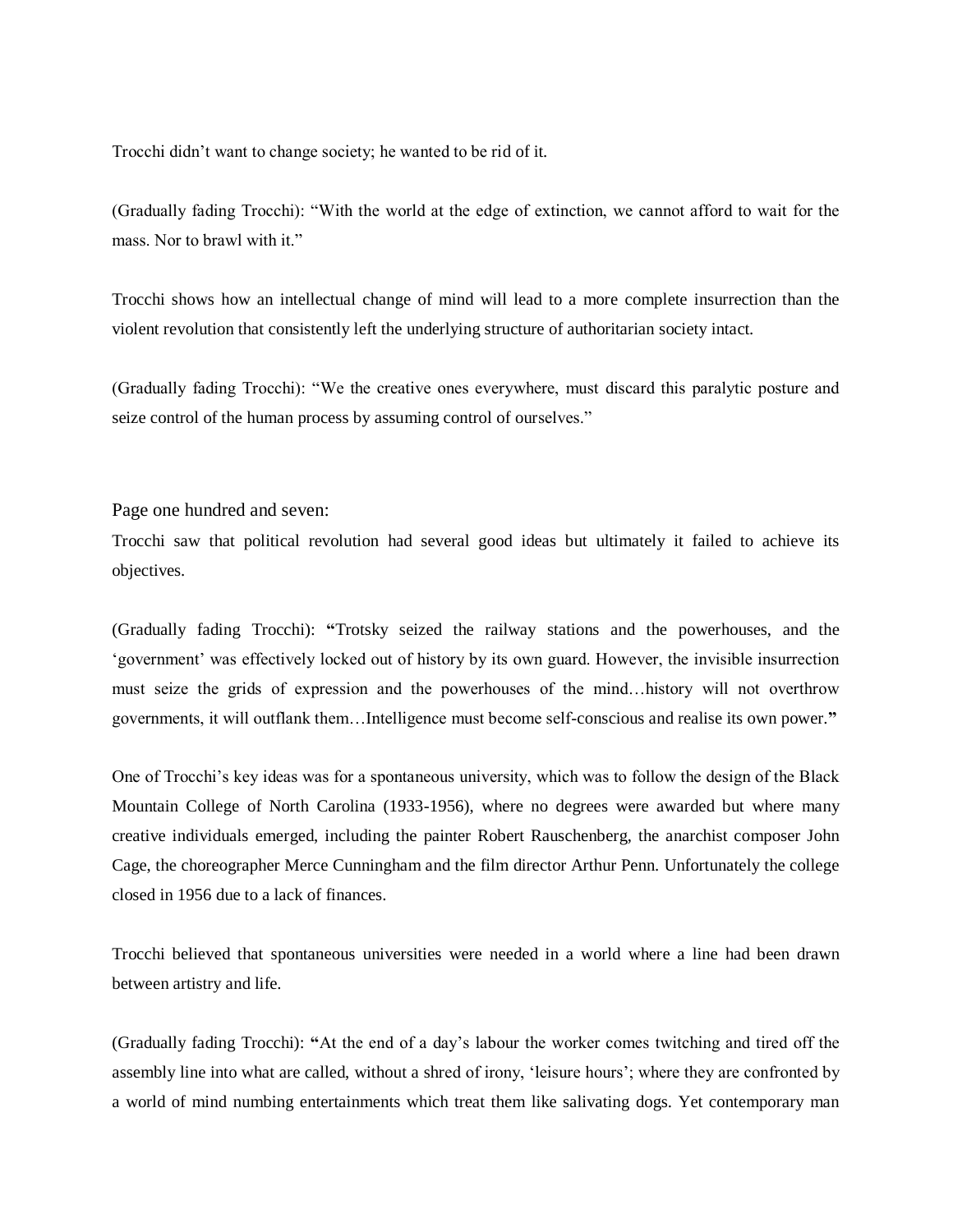Trocchi didn't want to change society; he wanted to be rid of it.

(Gradually fading Trocchi): "With the world at the edge of extinction, we cannot afford to wait for the mass. Nor to brawl with it."

Trocchi shows how an intellectual change of mind will lead to a more complete insurrection than the violent revolution that consistently left the underlying structure of authoritarian society intact.

(Gradually fading Trocchi): "We the creative ones everywhere, must discard this paralytic posture and seize control of the human process by assuming control of ourselves."

Page one hundred and seven:

Trocchi saw that political revolution had several good ideas but ultimately it failed to achieve its objectives.

(Gradually fading Trocchi): **"**Trotsky seized the railway stations and the powerhouses, and the 'government' was effectively locked out of history by its own guard. However, the invisible insurrection must seize the grids of expression and the powerhouses of the mind…history will not overthrow governments, it will outflank them…Intelligence must become self-conscious and realise its own power.**"**

One of Trocchi's key ideas was for a spontaneous university, which was to follow the design of the Black Mountain College of North Carolina (1933-1956), where no degrees were awarded but where many creative individuals emerged, including the painter Robert Rauschenberg, the anarchist composer John Cage, the choreographer Merce Cunningham and the film director Arthur Penn. Unfortunately the college closed in 1956 due to a lack of finances.

Trocchi believed that spontaneous universities were needed in a world where a line had been drawn between artistry and life.

(Gradually fading Trocchi): **"**At the end of a day's labour the worker comes twitching and tired off the assembly line into what are called, without a shred of irony, 'leisure hours'; where they are confronted by a world of mind numbing entertainments which treat them like salivating dogs. Yet contemporary man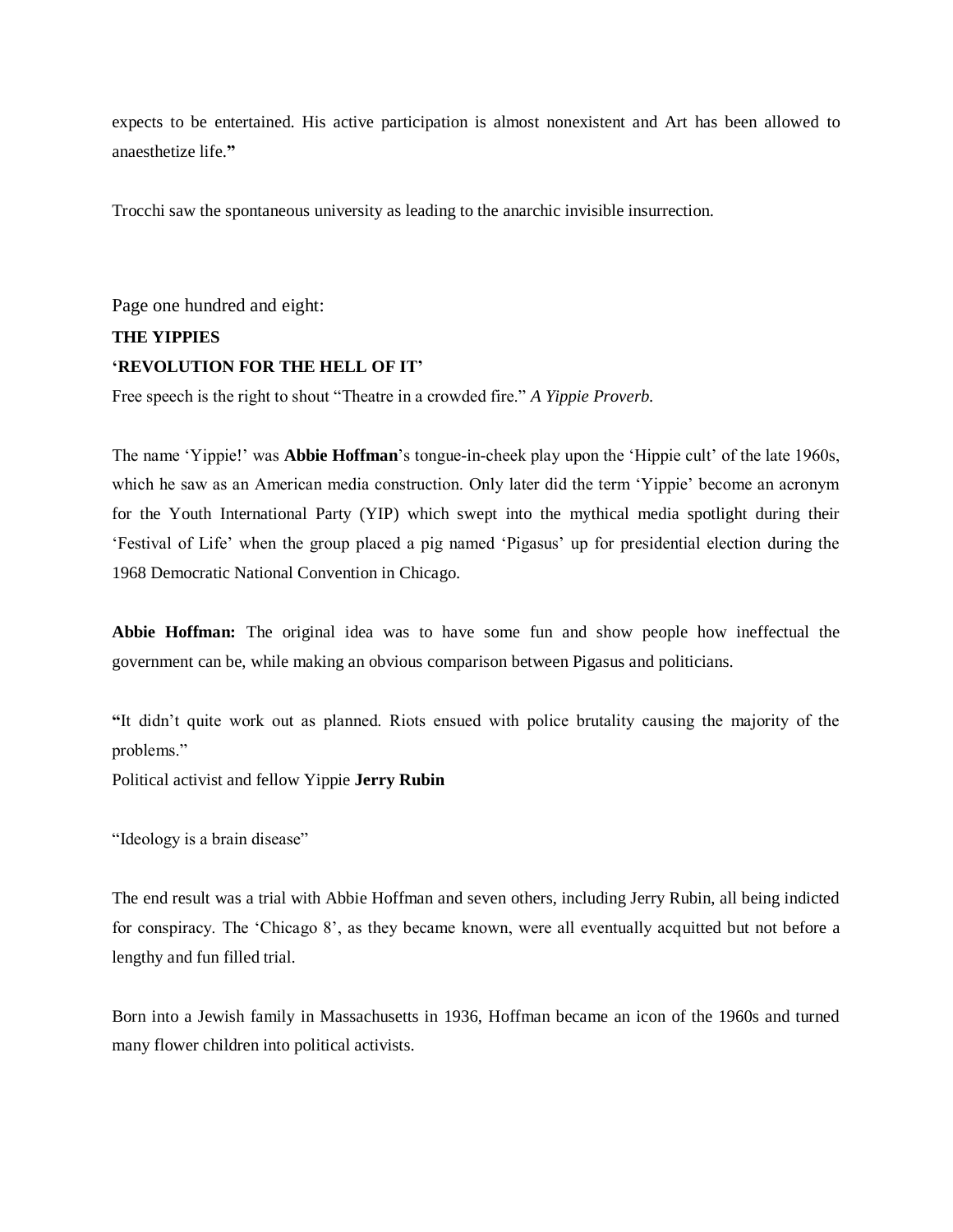expects to be entertained. His active participation is almost nonexistent and Art has been allowed to anaesthetize life.**"**

Trocchi saw the spontaneous university as leading to the anarchic invisible insurrection.

Page one hundred and eight:

## **THE YIPPIES 'REVOLUTION FOR THE HELL OF IT'**

Free speech is the right to shout "Theatre in a crowded fire." *A Yippie Proverb.*

The name 'Yippie!' was **Abbie Hoffman**'s tongue-in-cheek play upon the 'Hippie cult' of the late 1960s, which he saw as an American media construction. Only later did the term 'Yippie' become an acronym for the Youth International Party (YIP) which swept into the mythical media spotlight during their 'Festival of Life' when the group placed a pig named 'Pigasus' up for presidential election during the 1968 Democratic National Convention in Chicago.

**Abbie Hoffman:** The original idea was to have some fun and show people how ineffectual the government can be, while making an obvious comparison between Pigasus and politicians.

**"**It didn't quite work out as planned. Riots ensued with police brutality causing the majority of the problems."

Political activist and fellow Yippie **Jerry Rubin**

"Ideology is a brain disease"

The end result was a trial with Abbie Hoffman and seven others, including Jerry Rubin, all being indicted for conspiracy. The 'Chicago 8', as they became known, were all eventually acquitted but not before a lengthy and fun filled trial.

Born into a Jewish family in Massachusetts in 1936, Hoffman became an icon of the 1960s and turned many flower children into political activists.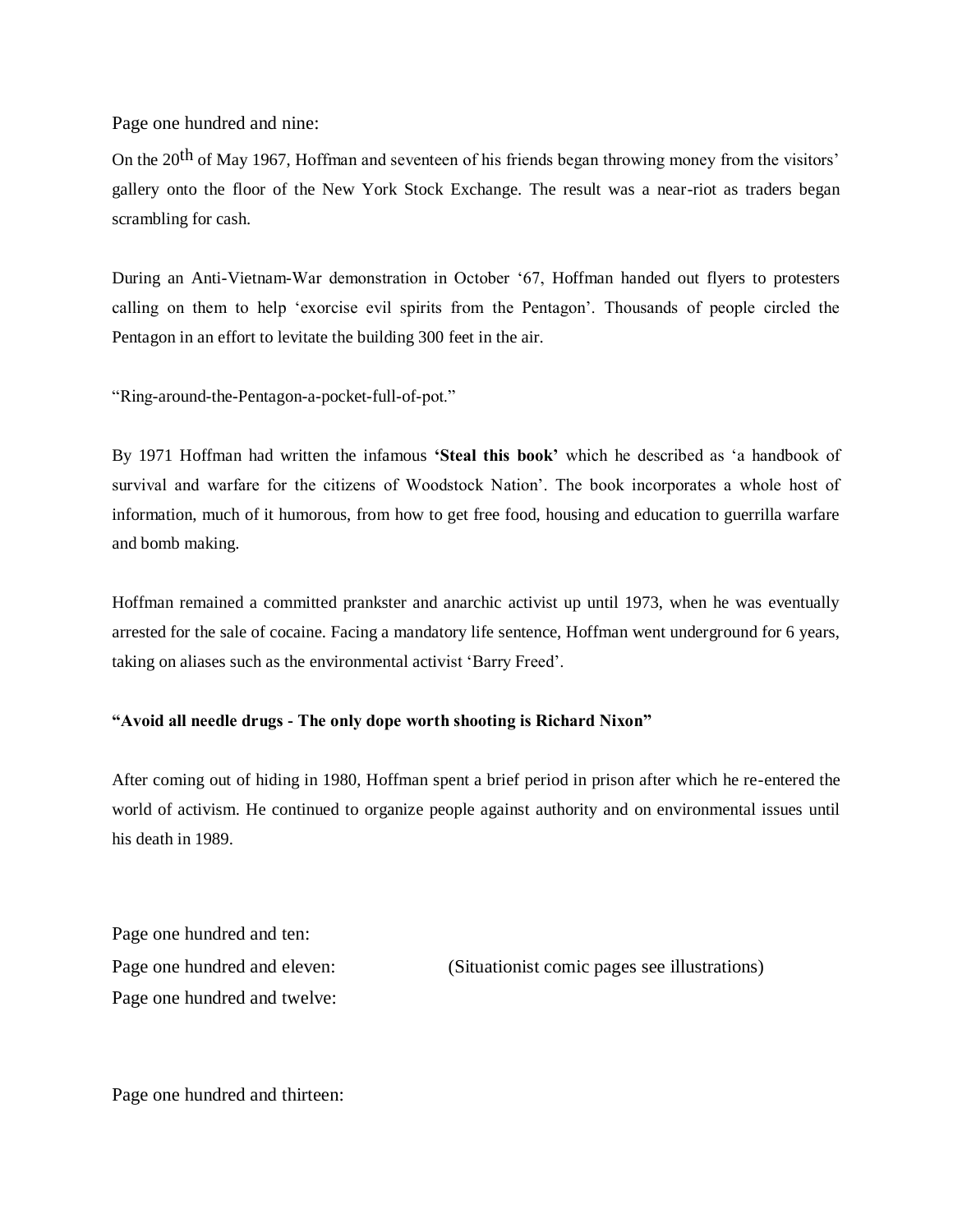Page one hundred and nine:

On the 20<sup>th</sup> of May 1967, Hoffman and seventeen of his friends began throwing money from the visitors' gallery onto the floor of the New York Stock Exchange. The result was a near-riot as traders began scrambling for cash.

During an Anti-Vietnam-War demonstration in October '67, Hoffman handed out flyers to protesters calling on them to help 'exorcise evil spirits from the Pentagon'. Thousands of people circled the Pentagon in an effort to levitate the building 300 feet in the air.

"Ring-around-the-Pentagon-a-pocket-full-of-pot."

By 1971 Hoffman had written the infamous **'Steal this book'** which he described as 'a handbook of survival and warfare for the citizens of Woodstock Nation'. The book incorporates a whole host of information, much of it humorous, from how to get free food, housing and education to guerrilla warfare and bomb making.

Hoffman remained a committed prankster and anarchic activist up until 1973, when he was eventually arrested for the sale of cocaine. Facing a mandatory life sentence, Hoffman went underground for 6 years, taking on aliases such as the environmental activist 'Barry Freed'.

#### **"Avoid all needle drugs - The only dope worth shooting is Richard Nixon"**

After coming out of hiding in 1980, Hoffman spent a brief period in prison after which he re-entered the world of activism. He continued to organize people against authority and on environmental issues until his death in 1989.

Page one hundred and ten: Page one hundred and twelve:

Page one hundred and eleven: (Situationist comic pages see illustrations)

Page one hundred and thirteen: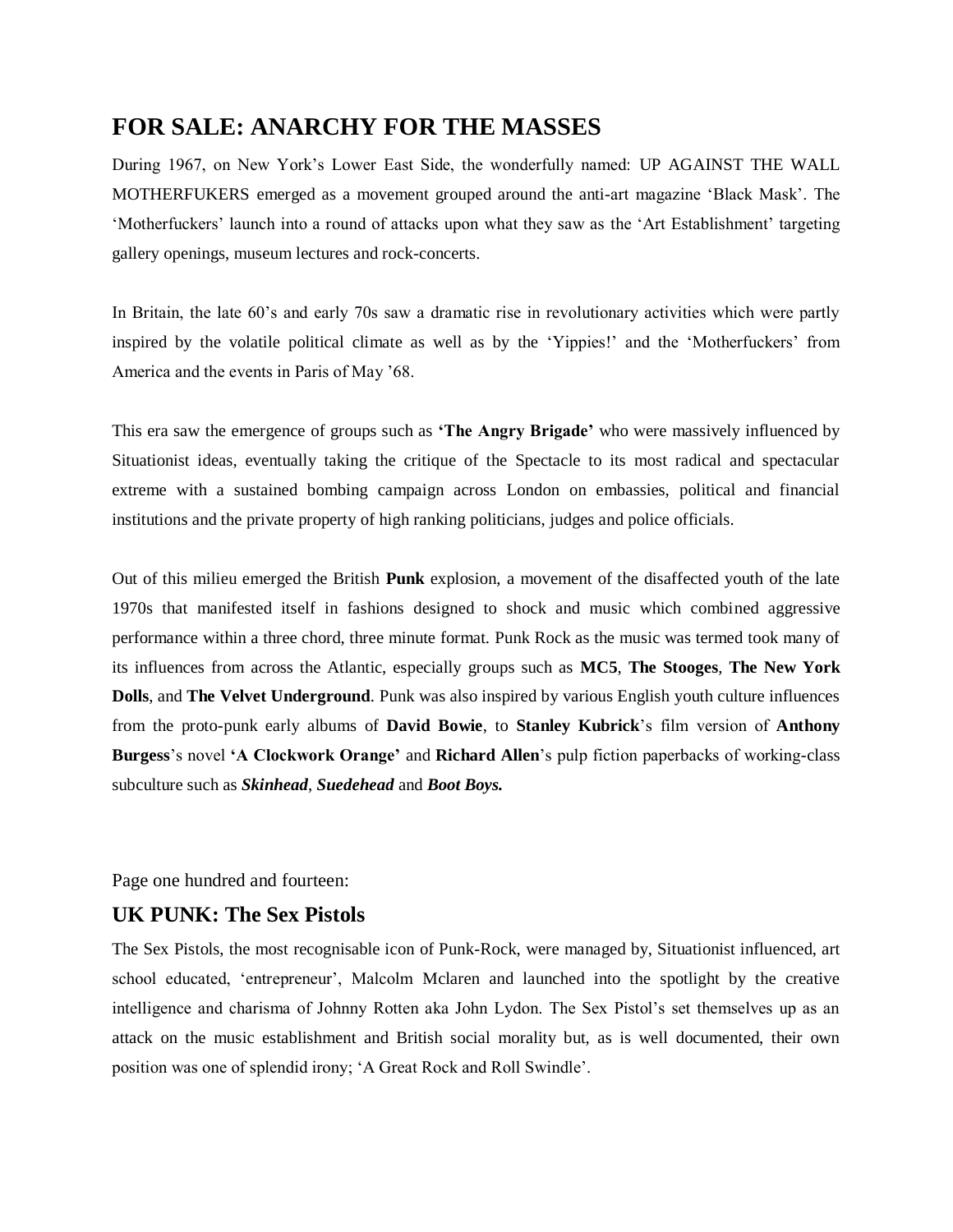# **FOR SALE: ANARCHY FOR THE MASSES**

During 1967, on New York's Lower East Side, the wonderfully named: UP AGAINST THE WALL MOTHERFUKERS emerged as a movement grouped around the anti-art magazine 'Black Mask'. The 'Motherfuckers' launch into a round of attacks upon what they saw as the 'Art Establishment' targeting gallery openings, museum lectures and rock-concerts.

In Britain, the late 60's and early 70s saw a dramatic rise in revolutionary activities which were partly inspired by the volatile political climate as well as by the 'Yippies!' and the 'Motherfuckers' from America and the events in Paris of May '68.

This era saw the emergence of groups such as **'The Angry Brigade'** who were massively influenced by Situationist ideas, eventually taking the critique of the Spectacle to its most radical and spectacular extreme with a sustained bombing campaign across London on embassies, political and financial institutions and the private property of high ranking politicians, judges and police officials.

Out of this milieu emerged the British **Punk** explosion, a movement of the disaffected youth of the late 1970s that manifested itself in fashions designed to shock and music which combined aggressive performance within a three chord, three minute format. Punk Rock as the music was termed took many of its influences from across the Atlantic, especially groups such as **MC5**, **The Stooges**, **The New York Dolls**, and **The Velvet Underground**. Punk was also inspired by various English youth culture influences from the proto-punk early albums of **David Bowie**, to **Stanley Kubrick**'s film version of **Anthony Burgess**'s novel **'A Clockwork Orange'** and **Richard Allen**'s pulp fiction paperbacks of working-class subculture such as *Skinhead*, *Suedehead* and *Boot Boys.*

Page one hundred and fourteen:

### **UK PUNK: The Sex Pistols**

The Sex Pistols, the most recognisable icon of Punk-Rock, were managed by, Situationist influenced, art school educated, 'entrepreneur', Malcolm Mclaren and launched into the spotlight by the creative intelligence and charisma of Johnny Rotten aka John Lydon. The Sex Pistol's set themselves up as an attack on the music establishment and British social morality but, as is well documented, their own position was one of splendid irony; 'A Great Rock and Roll Swindle'.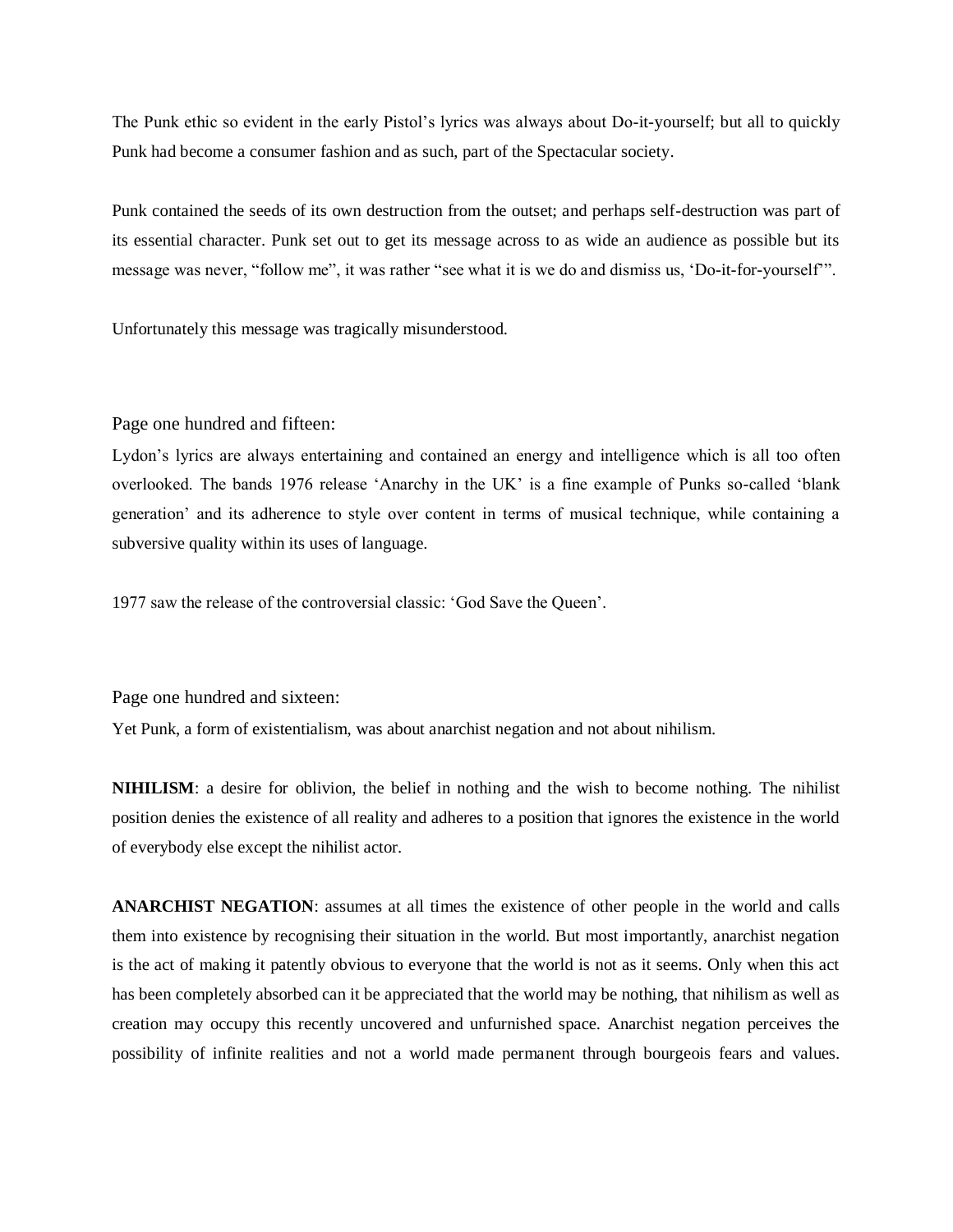The Punk ethic so evident in the early Pistol's lyrics was always about Do-it-yourself; but all to quickly Punk had become a consumer fashion and as such, part of the Spectacular society.

Punk contained the seeds of its own destruction from the outset; and perhaps self-destruction was part of its essential character. Punk set out to get its message across to as wide an audience as possible but its message was never, "follow me", it was rather "see what it is we do and dismiss us, 'Do-it-for-yourself'".

Unfortunately this message was tragically misunderstood.

#### Page one hundred and fifteen:

Lydon's lyrics are always entertaining and contained an energy and intelligence which is all too often overlooked. The bands 1976 release 'Anarchy in the UK' is a fine example of Punks so-called 'blank generation' and its adherence to style over content in terms of musical technique, while containing a subversive quality within its uses of language.

1977 saw the release of the controversial classic: 'God Save the Queen'.

Page one hundred and sixteen:

Yet Punk, a form of existentialism, was about anarchist negation and not about nihilism.

**NIHILISM**: a desire for oblivion, the belief in nothing and the wish to become nothing. The nihilist position denies the existence of all reality and adheres to a position that ignores the existence in the world of everybody else except the nihilist actor.

**ANARCHIST NEGATION**: assumes at all times the existence of other people in the world and calls them into existence by recognising their situation in the world. But most importantly, anarchist negation is the act of making it patently obvious to everyone that the world is not as it seems. Only when this act has been completely absorbed can it be appreciated that the world may be nothing, that nihilism as well as creation may occupy this recently uncovered and unfurnished space. Anarchist negation perceives the possibility of infinite realities and not a world made permanent through bourgeois fears and values.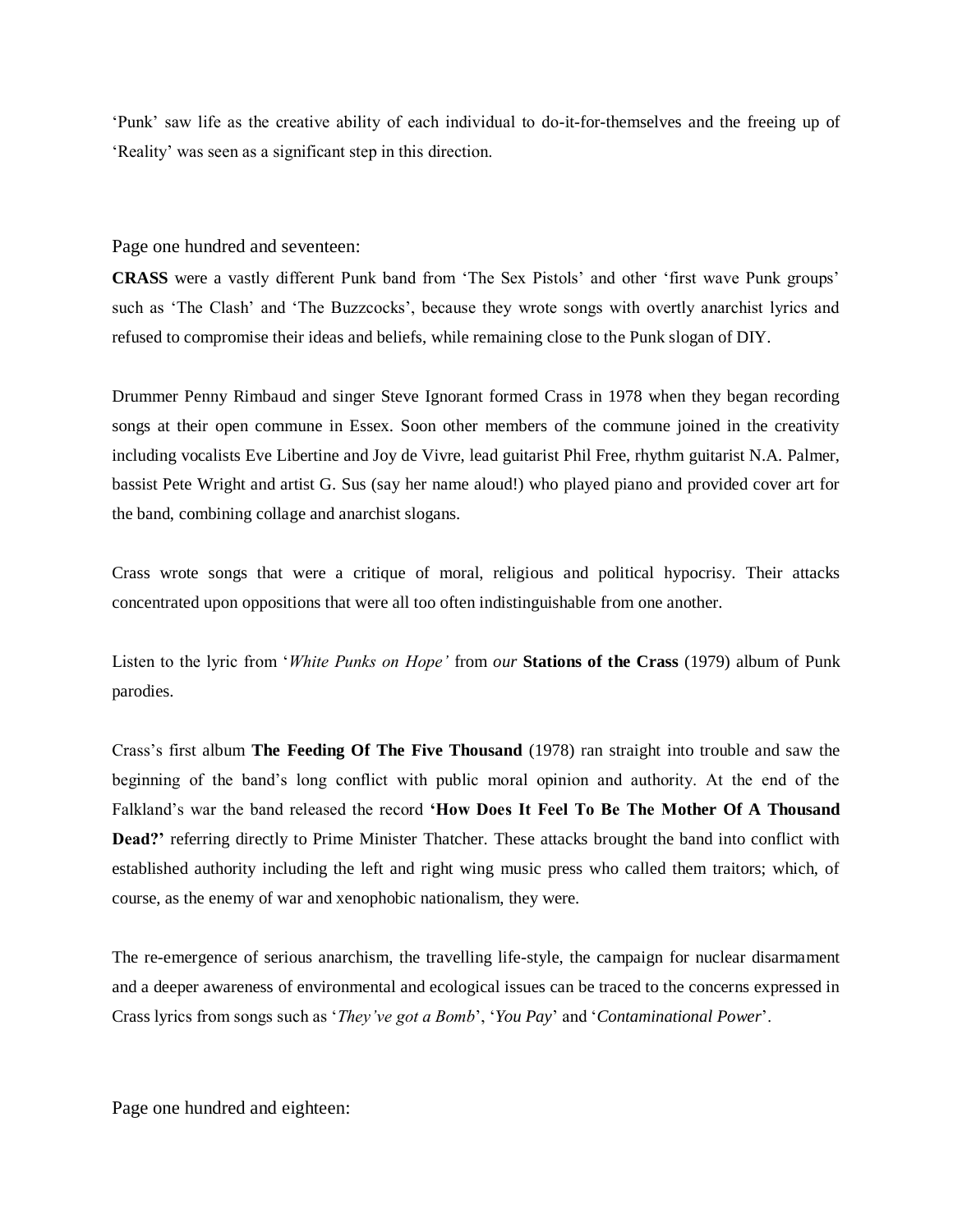'Punk' saw life as the creative ability of each individual to do-it-for-themselves and the freeing up of 'Reality' was seen as a significant step in this direction.

Page one hundred and seventeen:

**CRASS** were a vastly different Punk band from 'The Sex Pistols' and other 'first wave Punk groups' such as 'The Clash' and 'The Buzzcocks', because they wrote songs with overtly anarchist lyrics and refused to compromise their ideas and beliefs, while remaining close to the Punk slogan of DIY.

Drummer Penny Rimbaud and singer Steve Ignorant formed Crass in 1978 when they began recording songs at their open commune in Essex. Soon other members of the commune joined in the creativity including vocalists Eve Libertine and Joy de Vivre, lead guitarist Phil Free, rhythm guitarist N.A. Palmer, bassist Pete Wright and artist G. Sus (say her name aloud!) who played piano and provided cover art for the band, combining collage and anarchist slogans.

Crass wrote songs that were a critique of moral, religious and political hypocrisy. Their attacks concentrated upon oppositions that were all too often indistinguishable from one another.

Listen to the lyric from '*White Punks on Hope'* from *our* **Stations of the Crass** (1979) album of Punk parodies.

Crass's first album **The Feeding Of The Five Thousand** (1978) ran straight into trouble and saw the beginning of the band's long conflict with public moral opinion and authority. At the end of the Falkland's war the band released the record **'How Does It Feel To Be The Mother Of A Thousand Dead?'** referring directly to Prime Minister Thatcher. These attacks brought the band into conflict with established authority including the left and right wing music press who called them traitors; which, of course, as the enemy of war and xenophobic nationalism, they were.

The re-emergence of serious anarchism, the travelling life-style, the campaign for nuclear disarmament and a deeper awareness of environmental and ecological issues can be traced to the concerns expressed in Crass lyrics from songs such as '*They've got a Bomb*', '*You Pay*' and '*Contaminational Power*'.

Page one hundred and eighteen: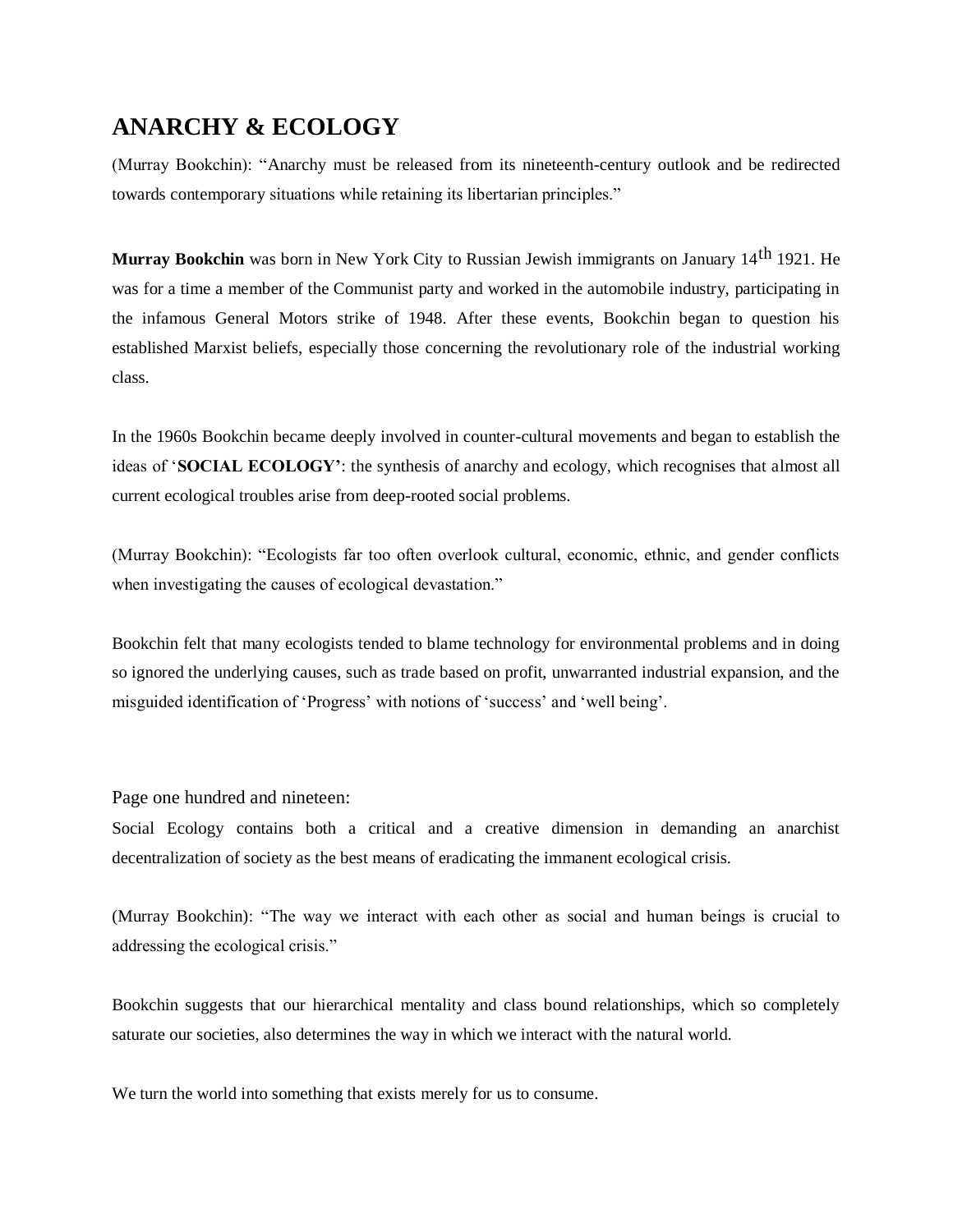# **ANARCHY & ECOLOGY**

(Murray Bookchin): "Anarchy must be released from its nineteenth-century outlook and be redirected towards contemporary situations while retaining its libertarian principles."

**Murray Bookchin** was born in New York City to Russian Jewish immigrants on January 14th 1921. He was for a time a member of the Communist party and worked in the automobile industry, participating in the infamous General Motors strike of 1948. After these events, Bookchin began to question his established Marxist beliefs, especially those concerning the revolutionary role of the industrial working class.

In the 1960s Bookchin became deeply involved in counter-cultural movements and began to establish the ideas of '**SOCIAL ECOLOGY'**: the synthesis of anarchy and ecology, which recognises that almost all current ecological troubles arise from deep-rooted social problems.

(Murray Bookchin): "Ecologists far too often overlook cultural, economic, ethnic, and gender conflicts when investigating the causes of ecological devastation."

Bookchin felt that many ecologists tended to blame technology for environmental problems and in doing so ignored the underlying causes, such as trade based on profit, unwarranted industrial expansion, and the misguided identification of 'Progress' with notions of 'success' and 'well being'.

Page one hundred and nineteen:

Social Ecology contains both a critical and a creative dimension in demanding an anarchist decentralization of society as the best means of eradicating the immanent ecological crisis.

(Murray Bookchin): "The way we interact with each other as social and human beings is crucial to addressing the ecological crisis."

Bookchin suggests that our hierarchical mentality and class bound relationships, which so completely saturate our societies, also determines the way in which we interact with the natural world.

We turn the world into something that exists merely for us to consume.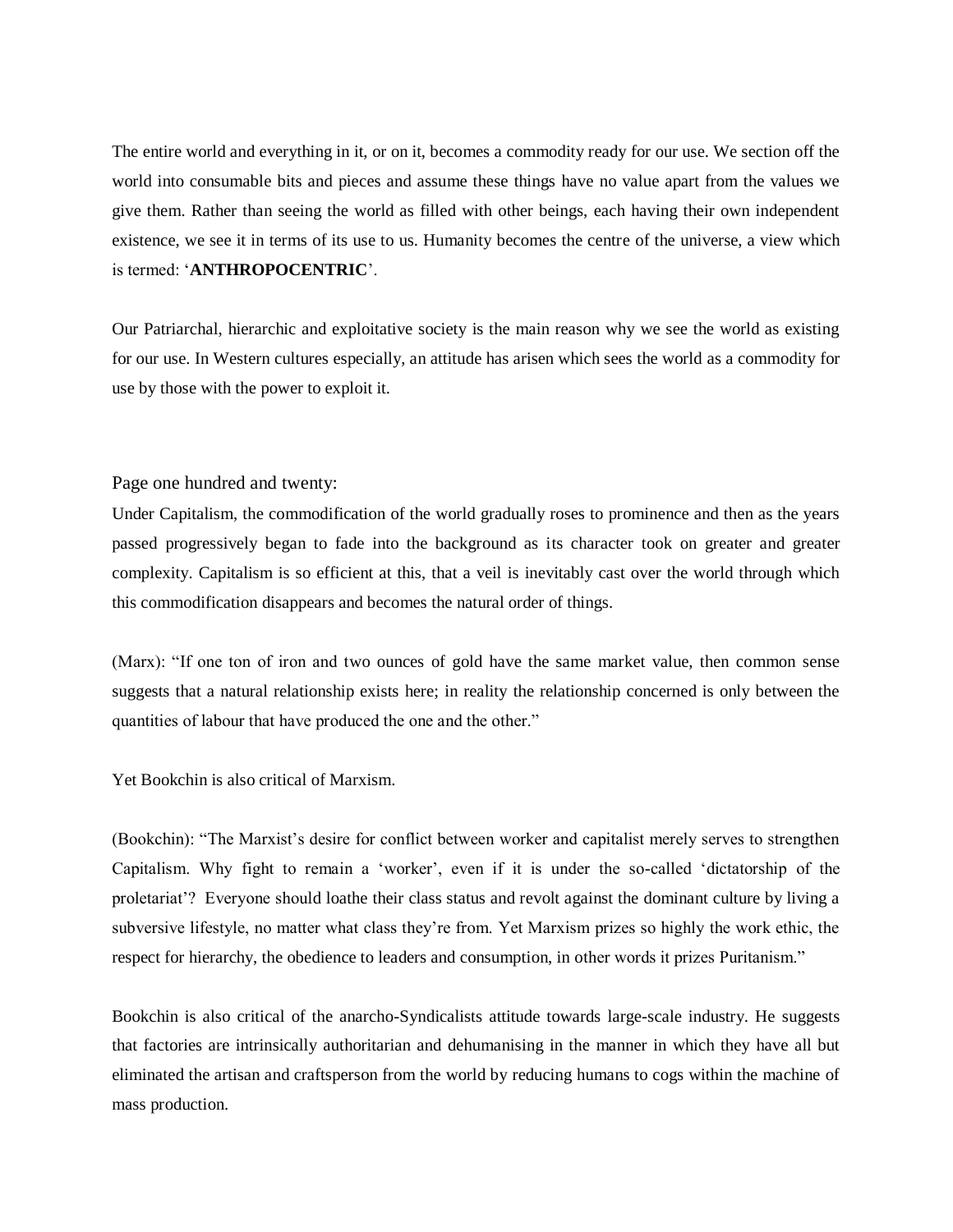The entire world and everything in it, or on it, becomes a commodity ready for our use. We section off the world into consumable bits and pieces and assume these things have no value apart from the values we give them. Rather than seeing the world as filled with other beings, each having their own independent existence, we see it in terms of its use to us. Humanity becomes the centre of the universe, a view which is termed: '**ANTHROPOCENTRIC**'.

Our Patriarchal, hierarchic and exploitative society is the main reason why we see the world as existing for our use. In Western cultures especially, an attitude has arisen which sees the world as a commodity for use by those with the power to exploit it.

#### Page one hundred and twenty:

Under Capitalism, the commodification of the world gradually roses to prominence and then as the years passed progressively began to fade into the background as its character took on greater and greater complexity. Capitalism is so efficient at this, that a veil is inevitably cast over the world through which this commodification disappears and becomes the natural order of things.

(Marx): "If one ton of iron and two ounces of gold have the same market value, then common sense suggests that a natural relationship exists here; in reality the relationship concerned is only between the quantities of labour that have produced the one and the other."

Yet Bookchin is also critical of Marxism.

(Bookchin): "The Marxist's desire for conflict between worker and capitalist merely serves to strengthen Capitalism. Why fight to remain a 'worker', even if it is under the so-called 'dictatorship of the proletariat'? Everyone should loathe their class status and revolt against the dominant culture by living a subversive lifestyle, no matter what class they're from. Yet Marxism prizes so highly the work ethic, the respect for hierarchy, the obedience to leaders and consumption, in other words it prizes Puritanism."

Bookchin is also critical of the anarcho-Syndicalists attitude towards large-scale industry. He suggests that factories are intrinsically authoritarian and dehumanising in the manner in which they have all but eliminated the artisan and craftsperson from the world by reducing humans to cogs within the machine of mass production.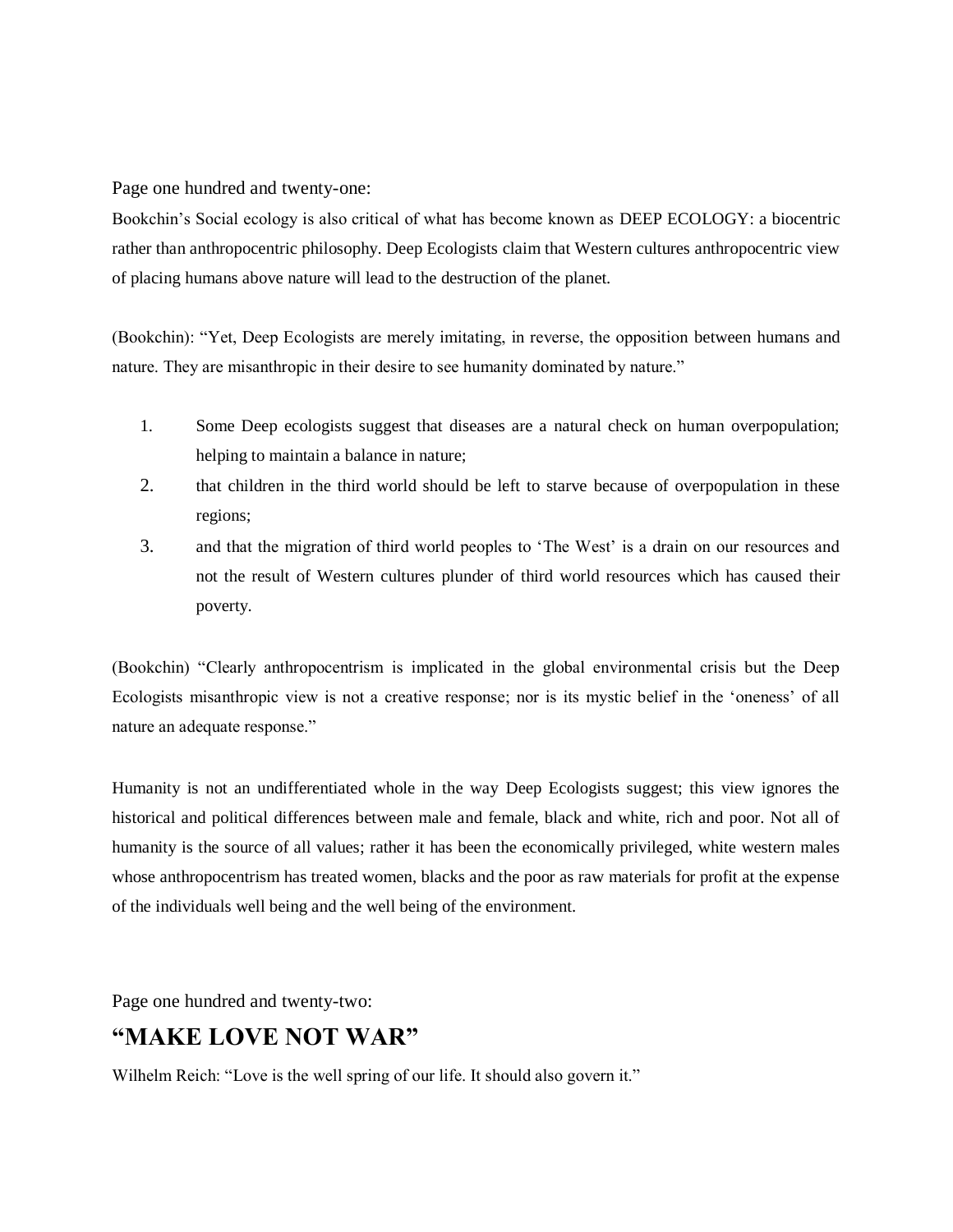Page one hundred and twenty-one:

Bookchin's Social ecology is also critical of what has become known as DEEP ECOLOGY: a biocentric rather than anthropocentric philosophy. Deep Ecologists claim that Western cultures anthropocentric view of placing humans above nature will lead to the destruction of the planet.

(Bookchin): "Yet, Deep Ecologists are merely imitating, in reverse, the opposition between humans and nature. They are misanthropic in their desire to see humanity dominated by nature."

- 1. Some Deep ecologists suggest that diseases are a natural check on human overpopulation; helping to maintain a balance in nature;
- 2. that children in the third world should be left to starve because of overpopulation in these regions;
- 3. and that the migration of third world peoples to 'The West' is a drain on our resources and not the result of Western cultures plunder of third world resources which has caused their poverty.

(Bookchin) "Clearly anthropocentrism is implicated in the global environmental crisis but the Deep Ecologists misanthropic view is not a creative response; nor is its mystic belief in the 'oneness' of all nature an adequate response."

Humanity is not an undifferentiated whole in the way Deep Ecologists suggest; this view ignores the historical and political differences between male and female, black and white, rich and poor. Not all of humanity is the source of all values; rather it has been the economically privileged, white western males whose anthropocentrism has treated women, blacks and the poor as raw materials for profit at the expense of the individuals well being and the well being of the environment.

Page one hundred and twenty-two:

## **"MAKE LOVE NOT WAR"**

Wilhelm Reich: "Love is the well spring of our life. It should also govern it."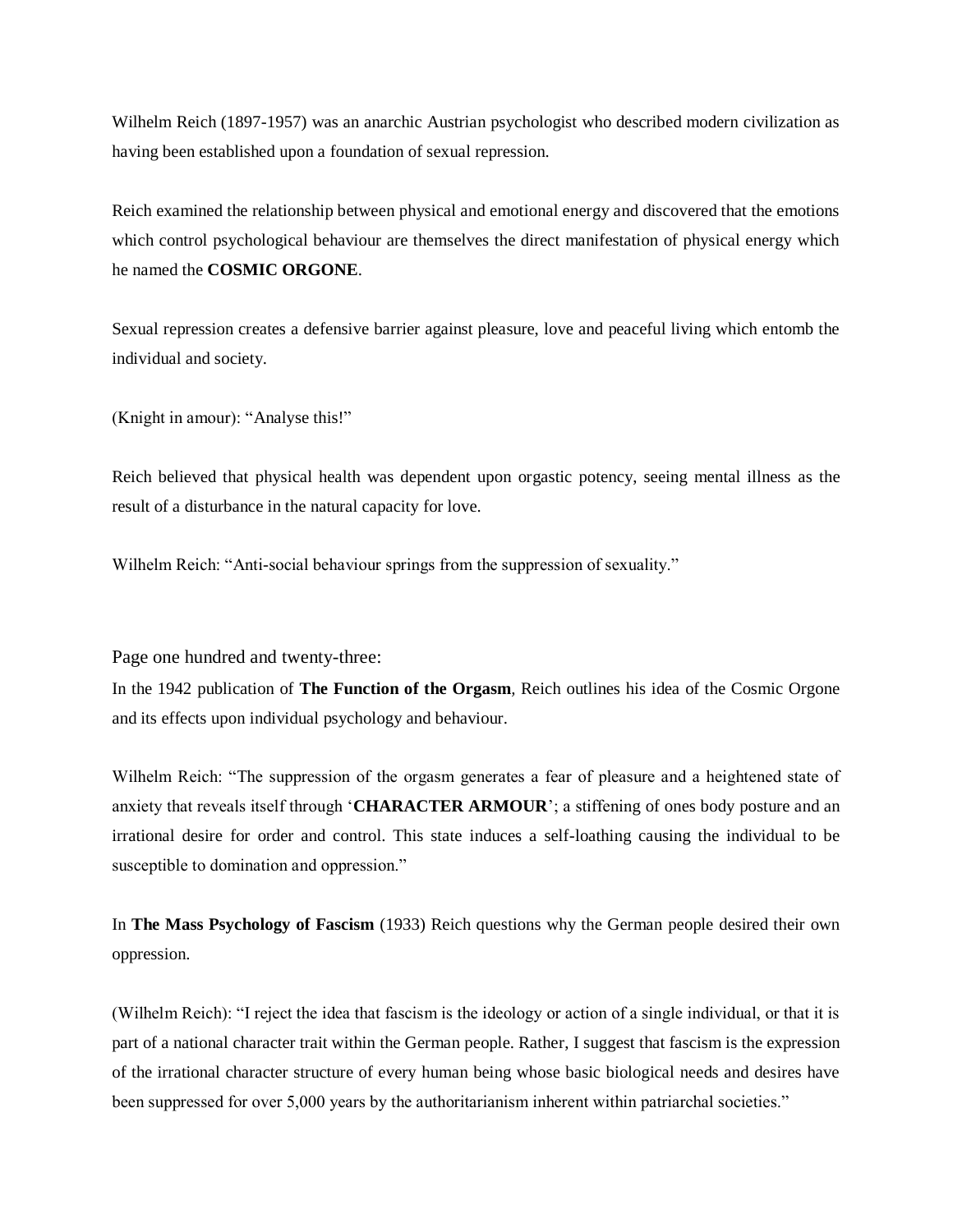Wilhelm Reich (1897-1957) was an anarchic Austrian psychologist who described modern civilization as having been established upon a foundation of sexual repression.

Reich examined the relationship between physical and emotional energy and discovered that the emotions which control psychological behaviour are themselves the direct manifestation of physical energy which he named the **COSMIC ORGONE**.

Sexual repression creates a defensive barrier against pleasure, love and peaceful living which entomb the individual and society.

(Knight in amour): "Analyse this!"

Reich believed that physical health was dependent upon orgastic potency, seeing mental illness as the result of a disturbance in the natural capacity for love.

Wilhelm Reich: "Anti-social behaviour springs from the suppression of sexuality."

Page one hundred and twenty-three:

In the 1942 publication of **The Function of the Orgasm***,* Reich outlines his idea of the Cosmic Orgone and its effects upon individual psychology and behaviour.

Wilhelm Reich: "The suppression of the orgasm generates a fear of pleasure and a heightened state of anxiety that reveals itself through '**CHARACTER ARMOUR**'; a stiffening of ones body posture and an irrational desire for order and control. This state induces a self-loathing causing the individual to be susceptible to domination and oppression."

In **The Mass Psychology of Fascism** (1933) Reich questions why the German people desired their own oppression.

(Wilhelm Reich): "I reject the idea that fascism is the ideology or action of a single individual, or that it is part of a national character trait within the German people. Rather, I suggest that fascism is the expression of the irrational character structure of every human being whose basic biological needs and desires have been suppressed for over 5,000 years by the authoritarianism inherent within patriarchal societies."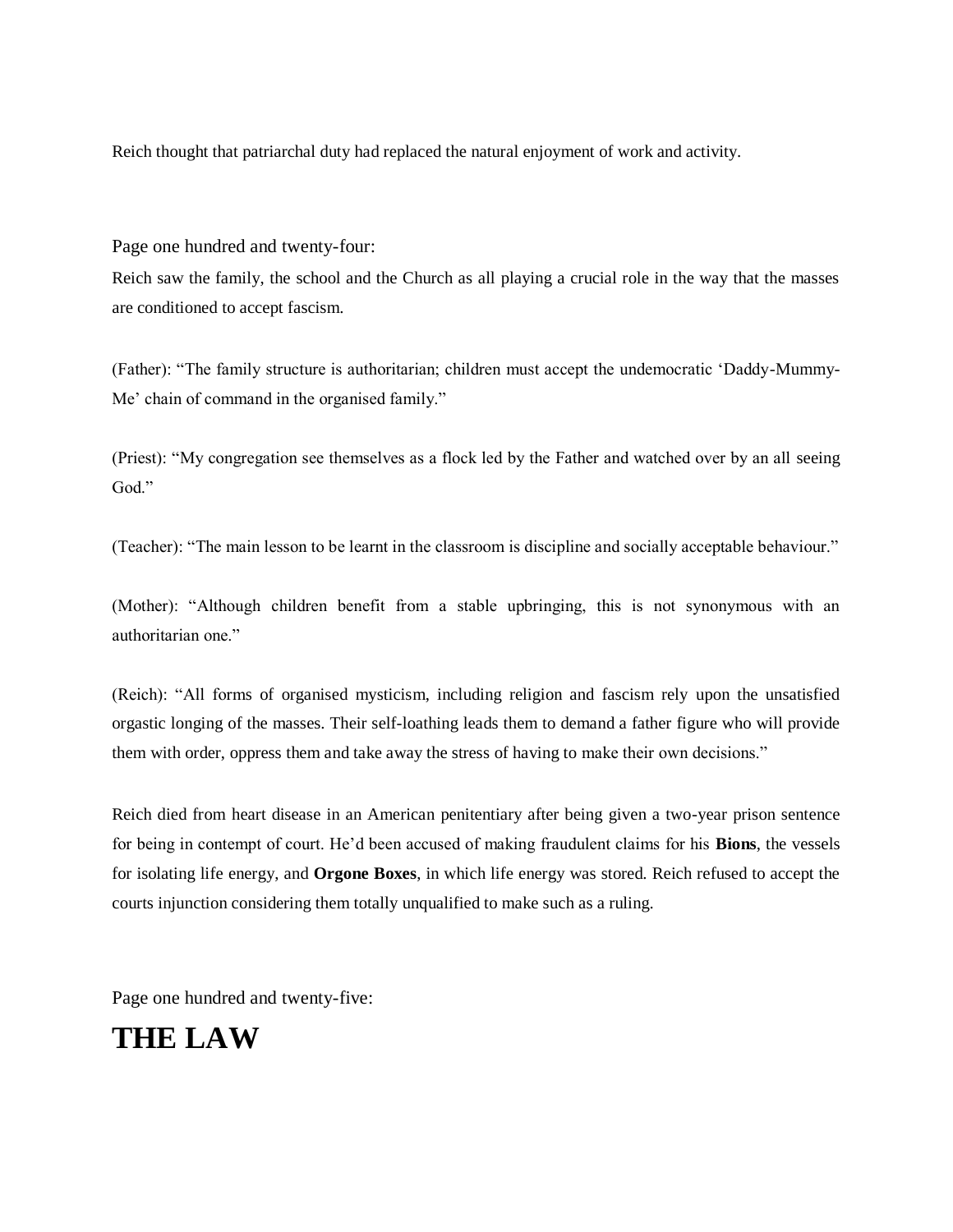Reich thought that patriarchal duty had replaced the natural enjoyment of work and activity.

Page one hundred and twenty-four:

Reich saw the family, the school and the Church as all playing a crucial role in the way that the masses are conditioned to accept fascism.

(Father): "The family structure is authoritarian; children must accept the undemocratic 'Daddy-Mummy-Me' chain of command in the organised family."

(Priest): "My congregation see themselves as a flock led by the Father and watched over by an all seeing God."

(Teacher): "The main lesson to be learnt in the classroom is discipline and socially acceptable behaviour."

(Mother): "Although children benefit from a stable upbringing, this is not synonymous with an authoritarian one."

(Reich): "All forms of organised mysticism, including religion and fascism rely upon the unsatisfied orgastic longing of the masses. Their self-loathing leads them to demand a father figure who will provide them with order, oppress them and take away the stress of having to make their own decisions."

Reich died from heart disease in an American penitentiary after being given a two-year prison sentence for being in contempt of court. He'd been accused of making fraudulent claims for his **Bions**, the vessels for isolating life energy, and **Orgone Boxes**, in which life energy was stored. Reich refused to accept the courts injunction considering them totally unqualified to make such as a ruling.

Page one hundred and twenty-five:

# **THE LAW**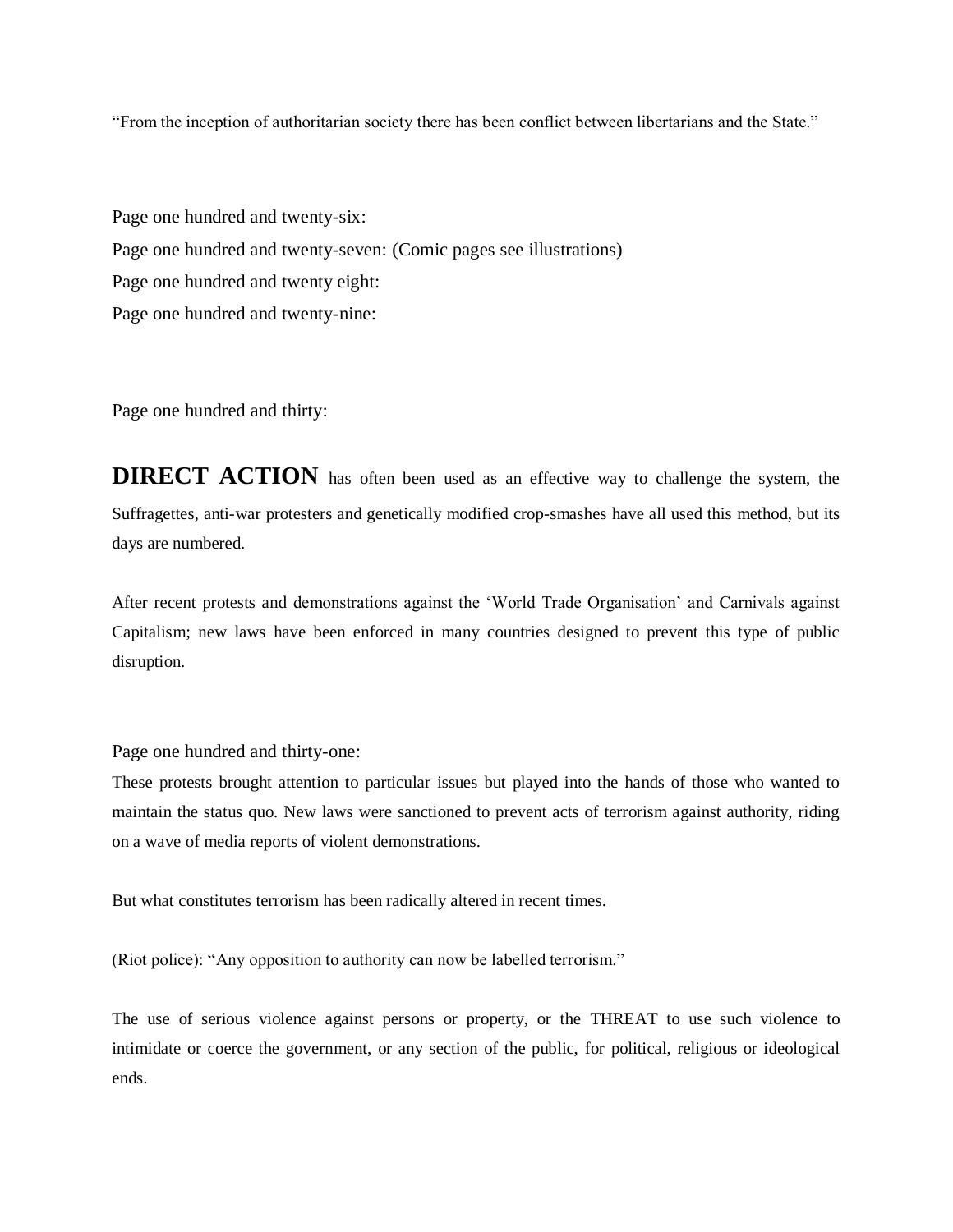"From the inception of authoritarian society there has been conflict between libertarians and the State."

Page one hundred and twenty-six: Page one hundred and twenty-seven: (Comic pages see illustrations) Page one hundred and twenty eight: Page one hundred and twenty-nine:

Page one hundred and thirty:

**DIRECT ACTION** has often been used as an effective way to challenge the system, the Suffragettes, anti-war protesters and genetically modified crop-smashes have all used this method, but its days are numbered.

After recent protests and demonstrations against the 'World Trade Organisation' and Carnivals against Capitalism; new laws have been enforced in many countries designed to prevent this type of public disruption.

Page one hundred and thirty-one:

These protests brought attention to particular issues but played into the hands of those who wanted to maintain the status quo. New laws were sanctioned to prevent acts of terrorism against authority, riding on a wave of media reports of violent demonstrations.

But what constitutes terrorism has been radically altered in recent times.

(Riot police): "Any opposition to authority can now be labelled terrorism."

The use of serious violence against persons or property, or the THREAT to use such violence to intimidate or coerce the government, or any section of the public, for political, religious or ideological ends.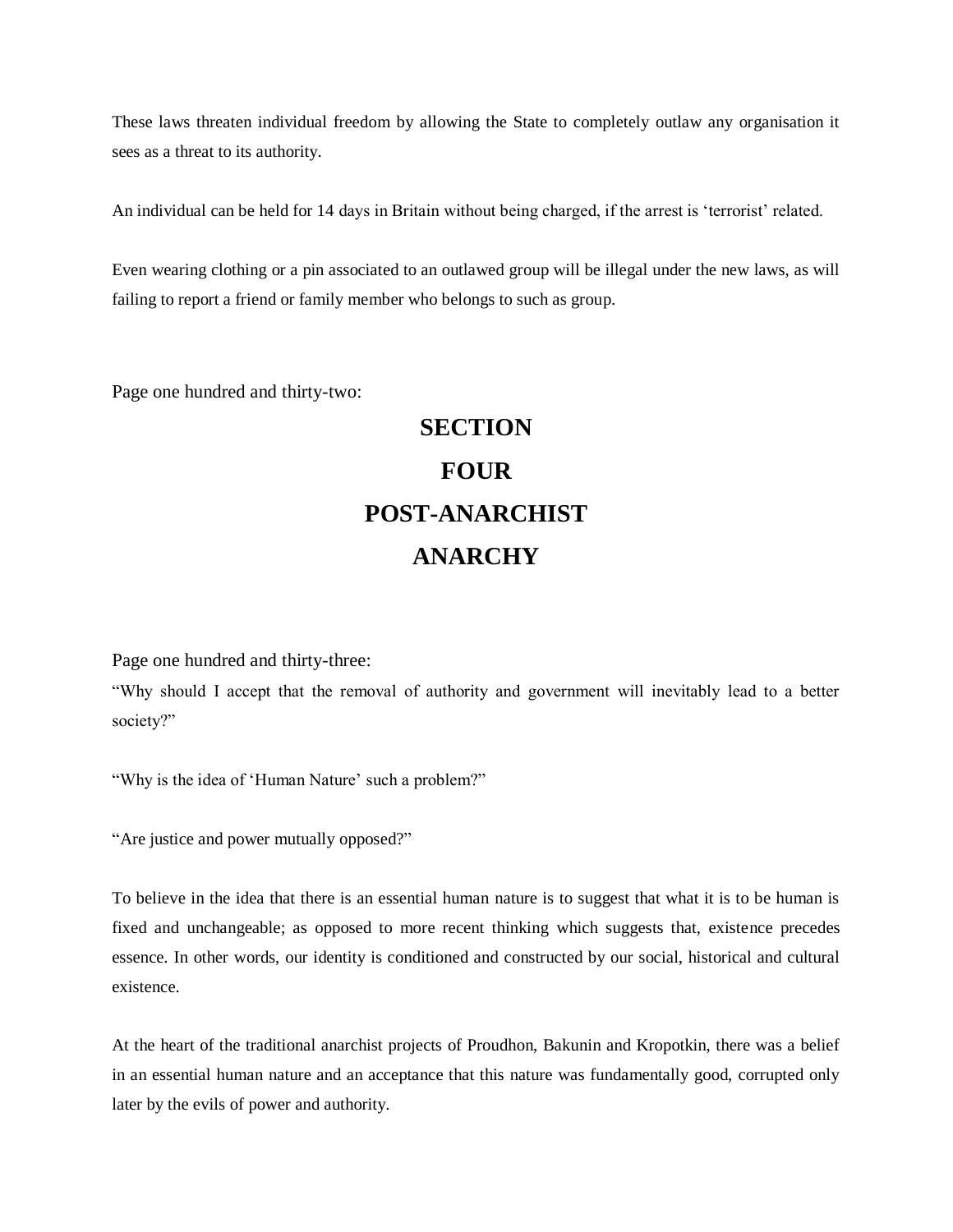These laws threaten individual freedom by allowing the State to completely outlaw any organisation it sees as a threat to its authority.

An individual can be held for 14 days in Britain without being charged, if the arrest is 'terrorist' related.

Even wearing clothing or a pin associated to an outlawed group will be illegal under the new laws, as will failing to report a friend or family member who belongs to such as group.

Page one hundred and thirty-two:

# **SECTION FOUR POST-ANARCHIST ANARCHY**

Page one hundred and thirty-three:

"Why should I accept that the removal of authority and government will inevitably lead to a better society?"

"Why is the idea of 'Human Nature' such a problem?"

"Are justice and power mutually opposed?"

To believe in the idea that there is an essential human nature is to suggest that what it is to be human is fixed and unchangeable; as opposed to more recent thinking which suggests that, existence precedes essence. In other words, our identity is conditioned and constructed by our social, historical and cultural existence.

At the heart of the traditional anarchist projects of Proudhon, Bakunin and Kropotkin, there was a belief in an essential human nature and an acceptance that this nature was fundamentally good, corrupted only later by the evils of power and authority.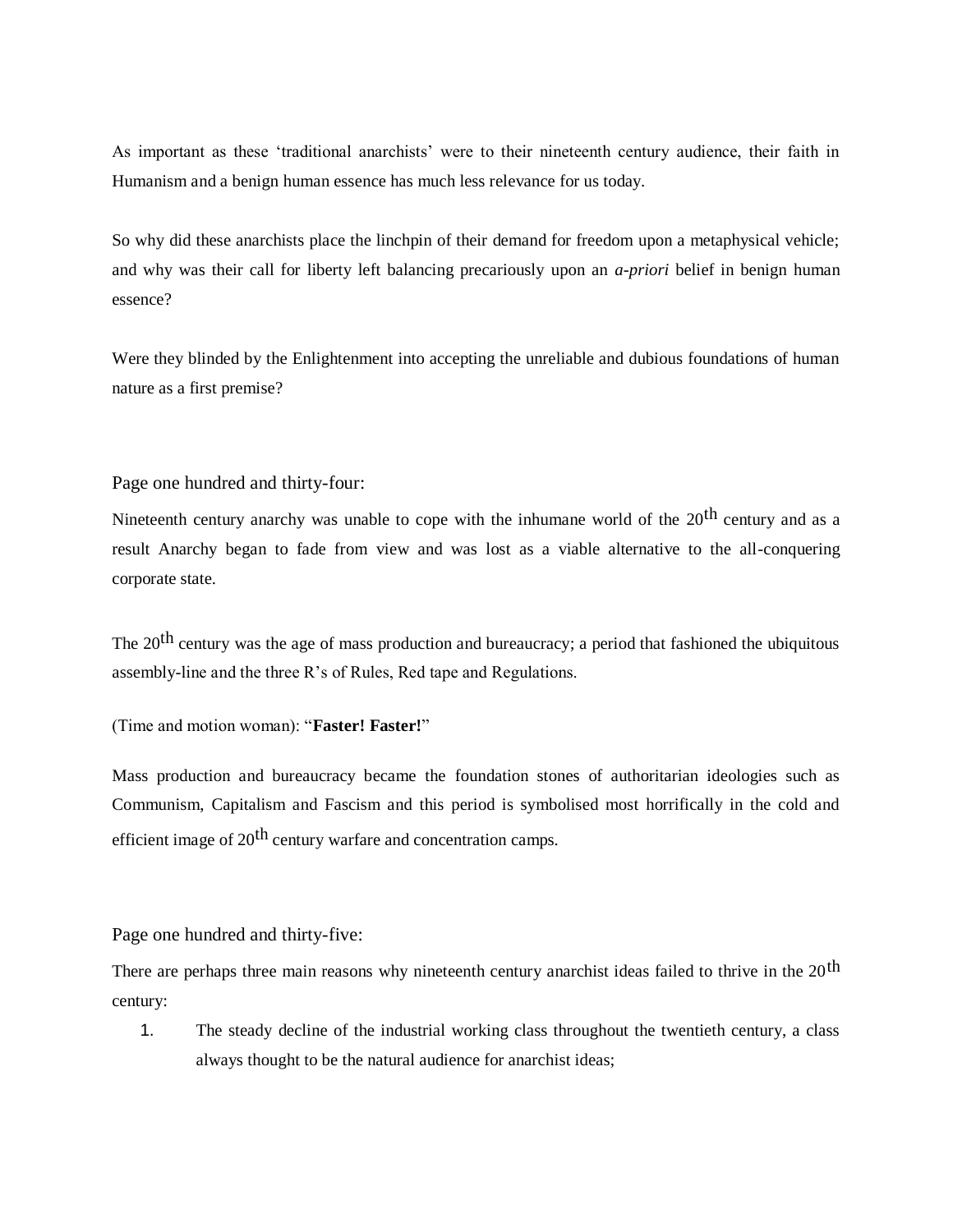As important as these 'traditional anarchists' were to their nineteenth century audience, their faith in Humanism and a benign human essence has much less relevance for us today.

So why did these anarchists place the linchpin of their demand for freedom upon a metaphysical vehicle; and why was their call for liberty left balancing precariously upon an *a-priori* belief in benign human essence?

Were they blinded by the Enlightenment into accepting the unreliable and dubious foundations of human nature as a first premise?

Page one hundred and thirty-four:

Nineteenth century anarchy was unable to cope with the inhumane world of the 20<sup>th</sup> century and as a result Anarchy began to fade from view and was lost as a viable alternative to the all-conquering corporate state.

The 20<sup>th</sup> century was the age of mass production and bureaucracy; a period that fashioned the ubiquitous assembly-line and the three R's of Rules, Red tape and Regulations.

(Time and motion woman): "**Faster! Faster!**"

Mass production and bureaucracy became the foundation stones of authoritarian ideologies such as Communism, Capitalism and Fascism and this period is symbolised most horrifically in the cold and efficient image of 20<sup>th</sup> century warfare and concentration camps.

Page one hundred and thirty-five:

There are perhaps three main reasons why nineteenth century anarchist ideas failed to thrive in the 20<sup>th</sup> century:

1. The steady decline of the industrial working class throughout the twentieth century, a class always thought to be the natural audience for anarchist ideas;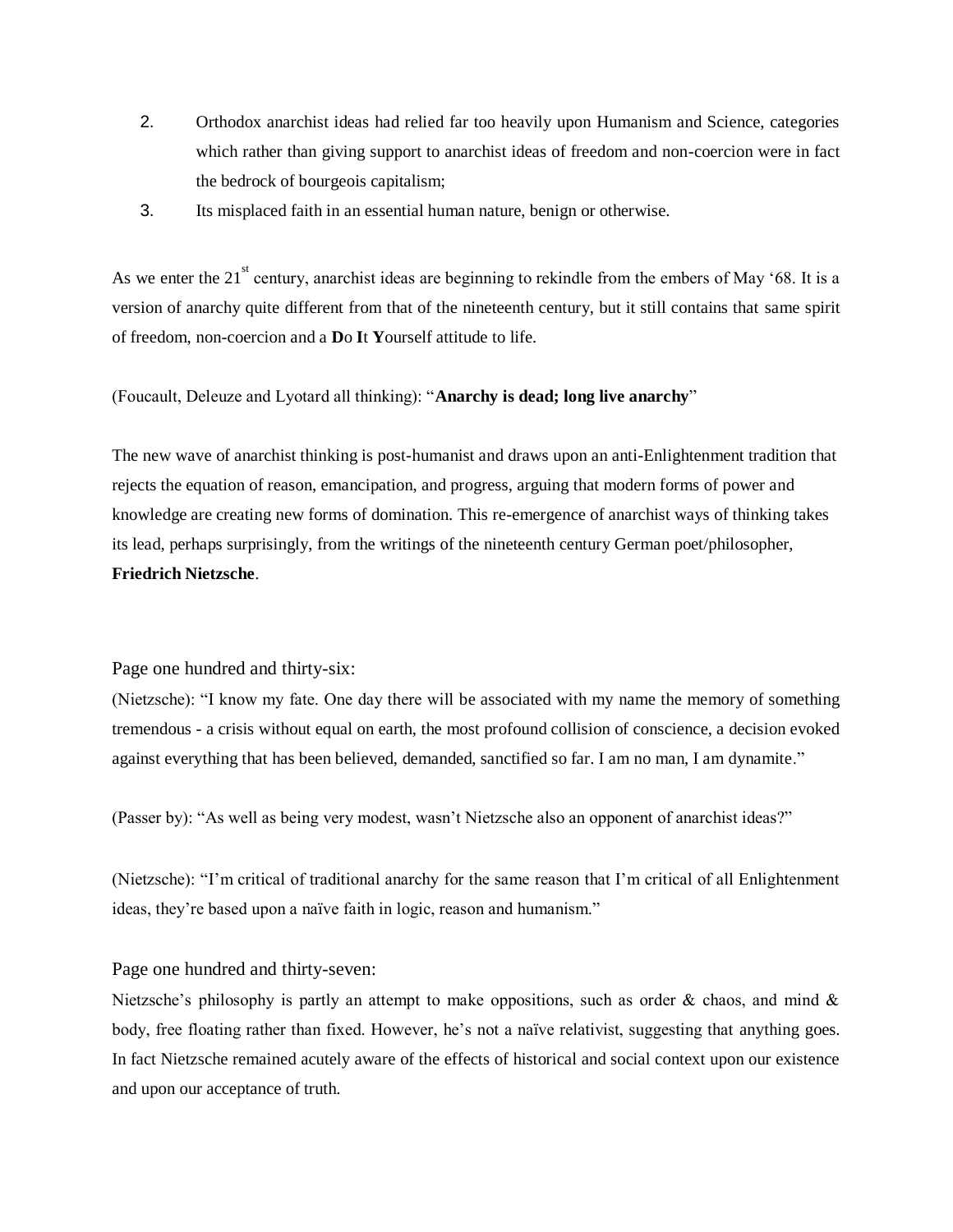- 2. Orthodox anarchist ideas had relied far too heavily upon Humanism and Science, categories which rather than giving support to anarchist ideas of freedom and non-coercion were in fact the bedrock of bourgeois capitalism;
- 3. Its misplaced faith in an essential human nature, benign or otherwise.

As we enter the 21<sup>st</sup> century, anarchist ideas are beginning to rekindle from the embers of May '68. It is a version of anarchy quite different from that of the nineteenth century, but it still contains that same spirit of freedom, non-coercion and a **D**o **I**t **Y**ourself attitude to life.

(Foucault, Deleuze and Lyotard all thinking): "**Anarchy is dead; long live anarchy**"

The new wave of anarchist thinking is post-humanist and draws upon an anti-Enlightenment tradition that rejects the equation of reason, emancipation, and progress, arguing that modern forms of power and knowledge are creating new forms of domination. This re-emergence of anarchist ways of thinking takes its lead, perhaps surprisingly, from the writings of the nineteenth century German poet/philosopher, **Friedrich Nietzsche**.

Page one hundred and thirty-six:

(Nietzsche): "I know my fate. One day there will be associated with my name the memory of something tremendous - a crisis without equal on earth, the most profound collision of conscience, a decision evoked against everything that has been believed, demanded, sanctified so far. I am no man, I am dynamite."

(Passer by): "As well as being very modest, wasn't Nietzsche also an opponent of anarchist ideas?"

(Nietzsche): "I'm critical of traditional anarchy for the same reason that I'm critical of all Enlightenment ideas, they're based upon a naïve faith in logic, reason and humanism."

Page one hundred and thirty-seven:

Nietzsche's philosophy is partly an attempt to make oppositions, such as order  $\&$  chaos, and mind  $\&$ body, free floating rather than fixed. However, he's not a naïve relativist, suggesting that anything goes. In fact Nietzsche remained acutely aware of the effects of historical and social context upon our existence and upon our acceptance of truth.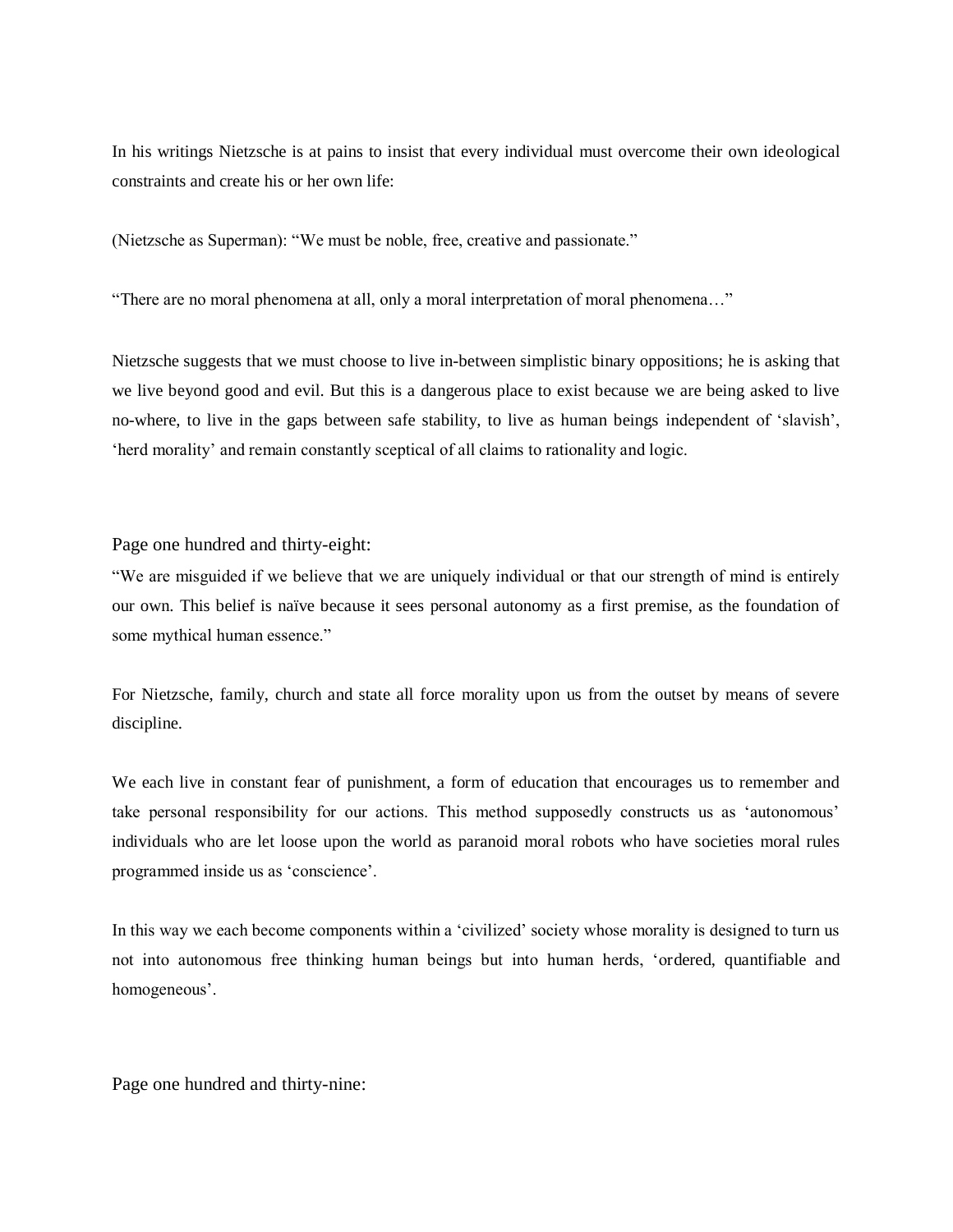In his writings Nietzsche is at pains to insist that every individual must overcome their own ideological constraints and create his or her own life:

(Nietzsche as Superman): "We must be noble, free, creative and passionate."

"There are no moral phenomena at all, only a moral interpretation of moral phenomena…"

Nietzsche suggests that we must choose to live in-between simplistic binary oppositions; he is asking that we live beyond good and evil. But this is a dangerous place to exist because we are being asked to live no-where, to live in the gaps between safe stability, to live as human beings independent of 'slavish', 'herd morality' and remain constantly sceptical of all claims to rationality and logic.

Page one hundred and thirty-eight:

"We are misguided if we believe that we are uniquely individual or that our strength of mind is entirely our own. This belief is naïve because it sees personal autonomy as a first premise, as the foundation of some mythical human essence."

For Nietzsche, family, church and state all force morality upon us from the outset by means of severe discipline.

We each live in constant fear of punishment, a form of education that encourages us to remember and take personal responsibility for our actions. This method supposedly constructs us as 'autonomous' individuals who are let loose upon the world as paranoid moral robots who have societies moral rules programmed inside us as 'conscience'.

In this way we each become components within a 'civilized' society whose morality is designed to turn us not into autonomous free thinking human beings but into human herds, 'ordered, quantifiable and homogeneous'.

Page one hundred and thirty-nine: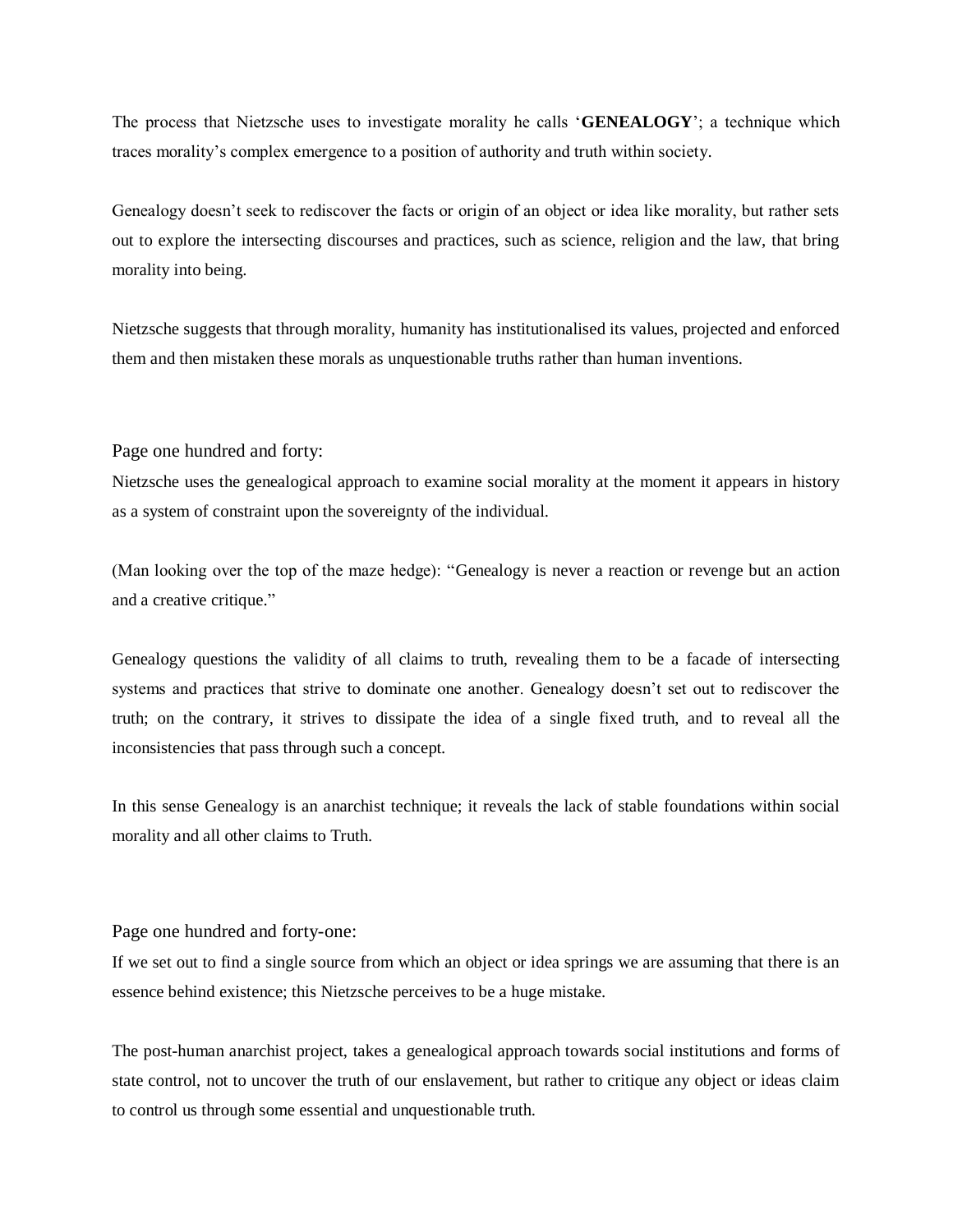The process that Nietzsche uses to investigate morality he calls '**GENEALOGY**'; a technique which traces morality's complex emergence to a position of authority and truth within society.

Genealogy doesn't seek to rediscover the facts or origin of an object or idea like morality, but rather sets out to explore the intersecting discourses and practices, such as science, religion and the law, that bring morality into being.

Nietzsche suggests that through morality, humanity has institutionalised its values, projected and enforced them and then mistaken these morals as unquestionable truths rather than human inventions.

Page one hundred and forty:

Nietzsche uses the genealogical approach to examine social morality at the moment it appears in history as a system of constraint upon the sovereignty of the individual.

(Man looking over the top of the maze hedge): "Genealogy is never a reaction or revenge but an action and a creative critique."

Genealogy questions the validity of all claims to truth, revealing them to be a facade of intersecting systems and practices that strive to dominate one another. Genealogy doesn't set out to rediscover the truth; on the contrary, it strives to dissipate the idea of a single fixed truth, and to reveal all the inconsistencies that pass through such a concept.

In this sense Genealogy is an anarchist technique; it reveals the lack of stable foundations within social morality and all other claims to Truth.

#### Page one hundred and forty-one:

If we set out to find a single source from which an object or idea springs we are assuming that there is an essence behind existence; this Nietzsche perceives to be a huge mistake.

The post-human anarchist project, takes a genealogical approach towards social institutions and forms of state control, not to uncover the truth of our enslavement, but rather to critique any object or ideas claim to control us through some essential and unquestionable truth.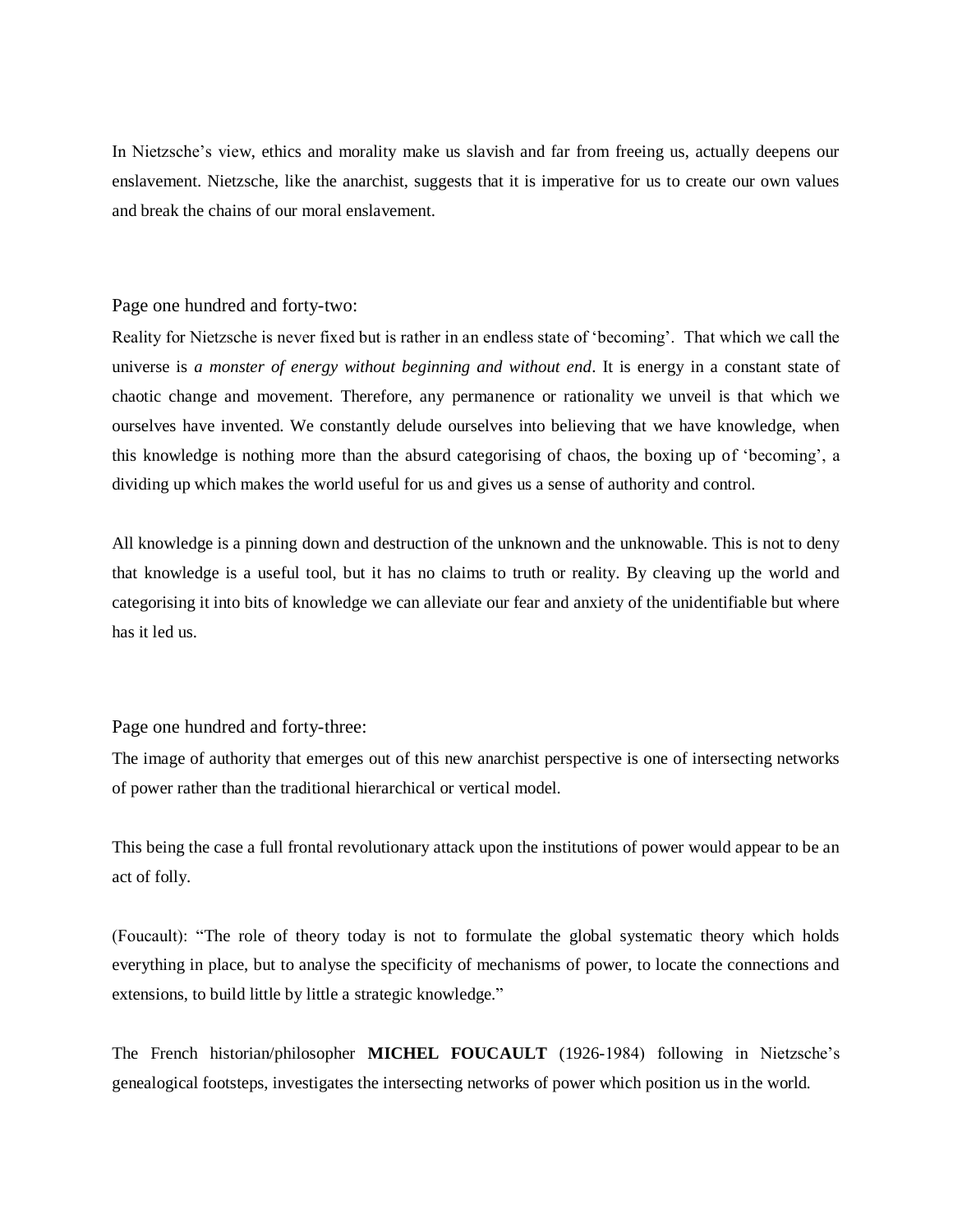In Nietzsche's view, ethics and morality make us slavish and far from freeing us, actually deepens our enslavement. Nietzsche, like the anarchist, suggests that it is imperative for us to create our own values and break the chains of our moral enslavement.

#### Page one hundred and forty-two:

Reality for Nietzsche is never fixed but is rather in an endless state of 'becoming'. That which we call the universe is *a monster of energy without beginning and without end*. It is energy in a constant state of chaotic change and movement. Therefore, any permanence or rationality we unveil is that which we ourselves have invented. We constantly delude ourselves into believing that we have knowledge, when this knowledge is nothing more than the absurd categorising of chaos, the boxing up of 'becoming', a dividing up which makes the world useful for us and gives us a sense of authority and control.

All knowledge is a pinning down and destruction of the unknown and the unknowable. This is not to deny that knowledge is a useful tool, but it has no claims to truth or reality. By cleaving up the world and categorising it into bits of knowledge we can alleviate our fear and anxiety of the unidentifiable but where has it led us.

#### Page one hundred and forty-three:

The image of authority that emerges out of this new anarchist perspective is one of intersecting networks of power rather than the traditional hierarchical or vertical model.

This being the case a full frontal revolutionary attack upon the institutions of power would appear to be an act of folly.

(Foucault): "The role of theory today is not to formulate the global systematic theory which holds everything in place, but to analyse the specificity of mechanisms of power, to locate the connections and extensions, to build little by little a strategic knowledge."

The French historian/philosopher **MICHEL FOUCAULT** (1926-1984) following in Nietzsche's genealogical footsteps, investigates the intersecting networks of power which position us in the world.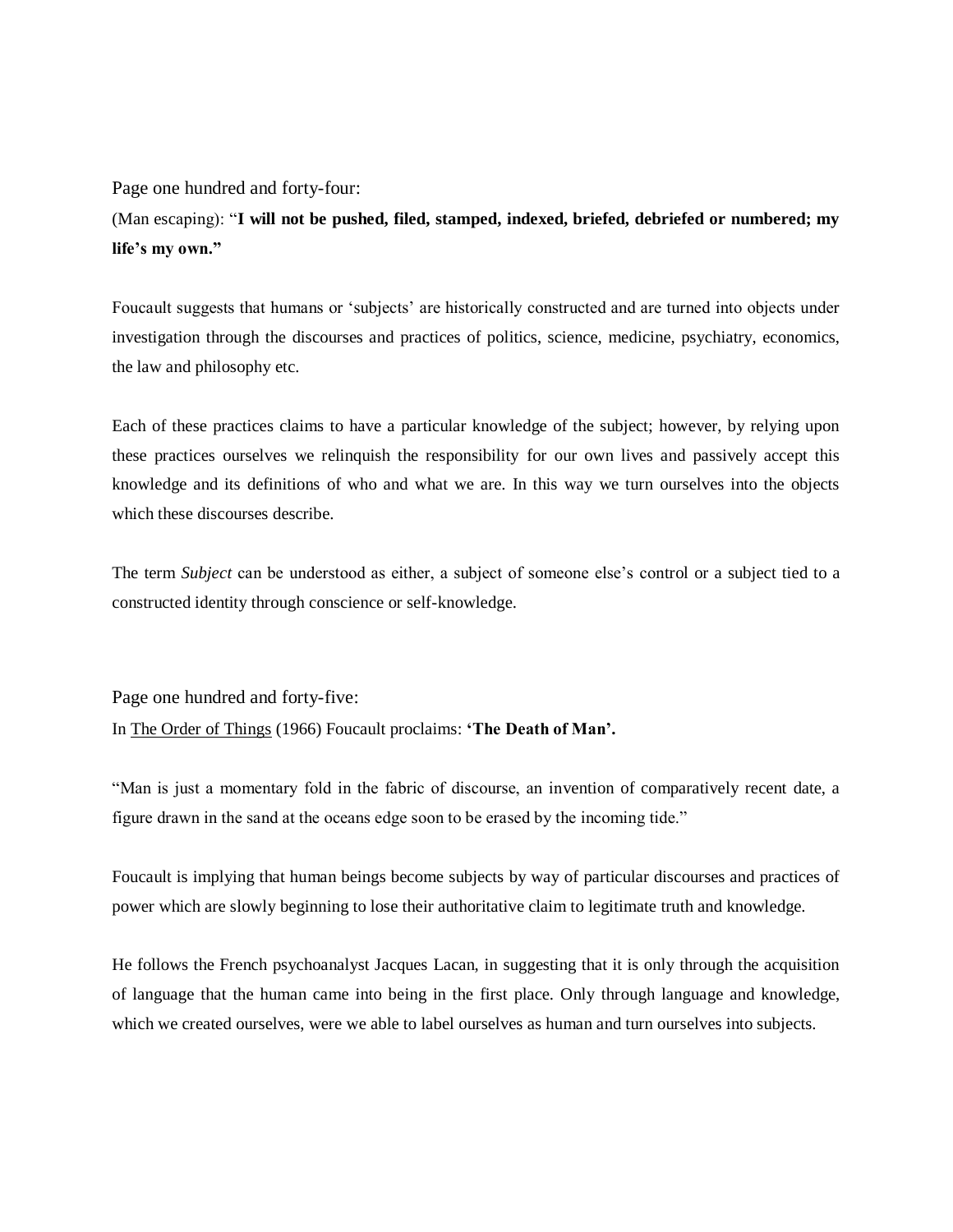Page one hundred and forty-four:

(Man escaping): "**I will not be pushed, filed, stamped, indexed, briefed, debriefed or numbered; my life's my own."**

Foucault suggests that humans or 'subjects' are historically constructed and are turned into objects under investigation through the discourses and practices of politics, science, medicine, psychiatry, economics, the law and philosophy etc.

Each of these practices claims to have a particular knowledge of the subject; however, by relying upon these practices ourselves we relinquish the responsibility for our own lives and passively accept this knowledge and its definitions of who and what we are. In this way we turn ourselves into the objects which these discourses describe.

The term *Subject* can be understood as either, a subject of someone else's control or a subject tied to a constructed identity through conscience or self-knowledge.

Page one hundred and forty-five:

In The Order of Things (1966) Foucault proclaims: **'The Death of Man'.**

"Man is just a momentary fold in the fabric of discourse, an invention of comparatively recent date, a figure drawn in the sand at the oceans edge soon to be erased by the incoming tide."

Foucault is implying that human beings become subjects by way of particular discourses and practices of power which are slowly beginning to lose their authoritative claim to legitimate truth and knowledge.

He follows the French psychoanalyst Jacques Lacan, in suggesting that it is only through the acquisition of language that the human came into being in the first place. Only through language and knowledge, which we created ourselves, were we able to label ourselves as human and turn ourselves into subjects.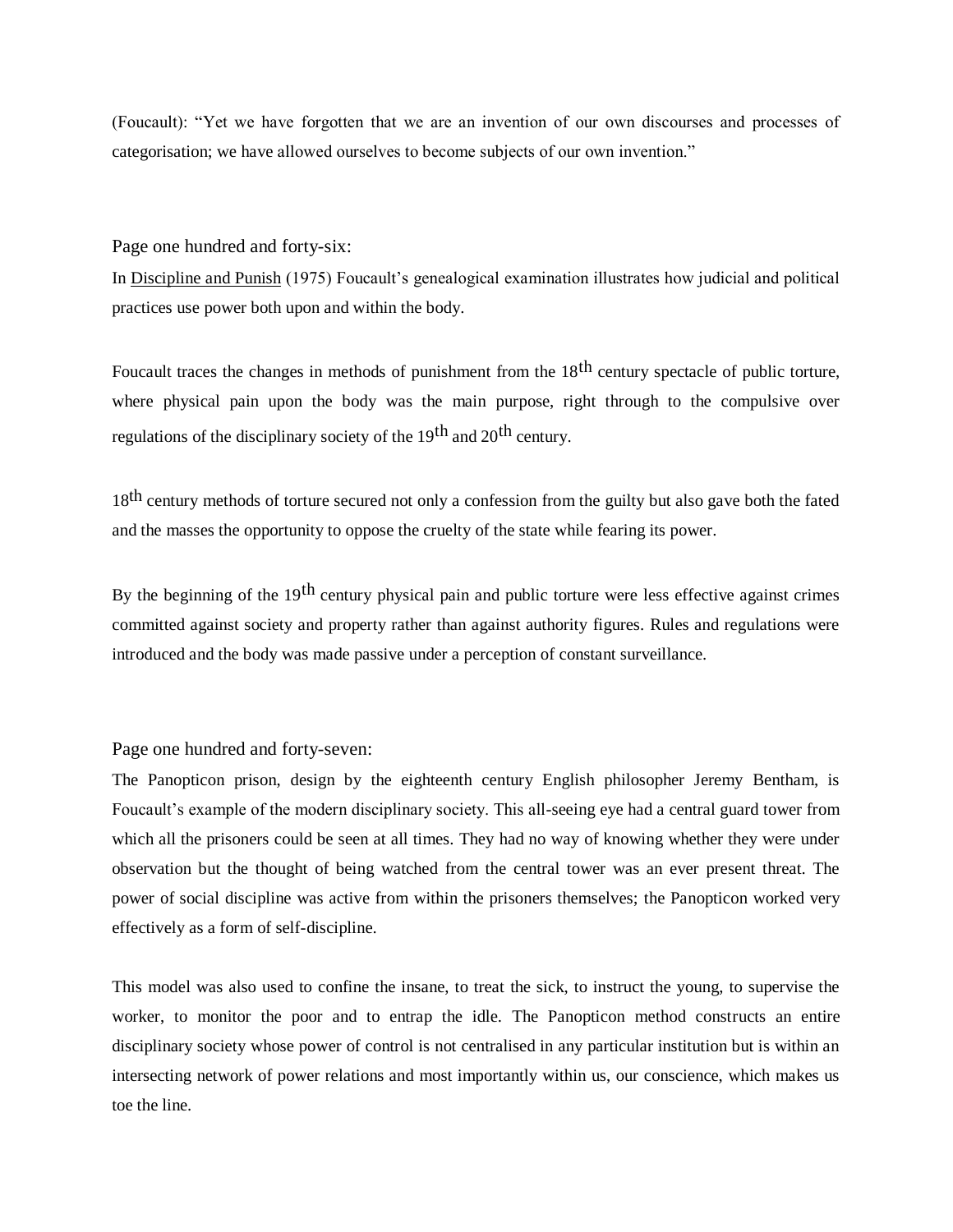(Foucault): "Yet we have forgotten that we are an invention of our own discourses and processes of categorisation; we have allowed ourselves to become subjects of our own invention."

Page one hundred and forty-six:

In Discipline and Punish (1975) Foucault's genealogical examination illustrates how judicial and political practices use power both upon and within the body.

Foucault traces the changes in methods of punishment from the 18<sup>th</sup> century spectacle of public torture, where physical pain upon the body was the main purpose, right through to the compulsive over regulations of the disciplinary society of the 19th and 20th century.

18<sup>th</sup> century methods of torture secured not only a confession from the guilty but also gave both the fated and the masses the opportunity to oppose the cruelty of the state while fearing its power.

By the beginning of the  $19<sup>th</sup>$  century physical pain and public torture were less effective against crimes committed against society and property rather than against authority figures. Rules and regulations were introduced and the body was made passive under a perception of constant surveillance.

Page one hundred and forty-seven:

The Panopticon prison, design by the eighteenth century English philosopher Jeremy Bentham, is Foucault's example of the modern disciplinary society. This all-seeing eye had a central guard tower from which all the prisoners could be seen at all times. They had no way of knowing whether they were under observation but the thought of being watched from the central tower was an ever present threat. The power of social discipline was active from within the prisoners themselves; the Panopticon worked very effectively as a form of self-discipline.

This model was also used to confine the insane, to treat the sick, to instruct the young, to supervise the worker, to monitor the poor and to entrap the idle. The Panopticon method constructs an entire disciplinary society whose power of control is not centralised in any particular institution but is within an intersecting network of power relations and most importantly within us, our conscience, which makes us toe the line.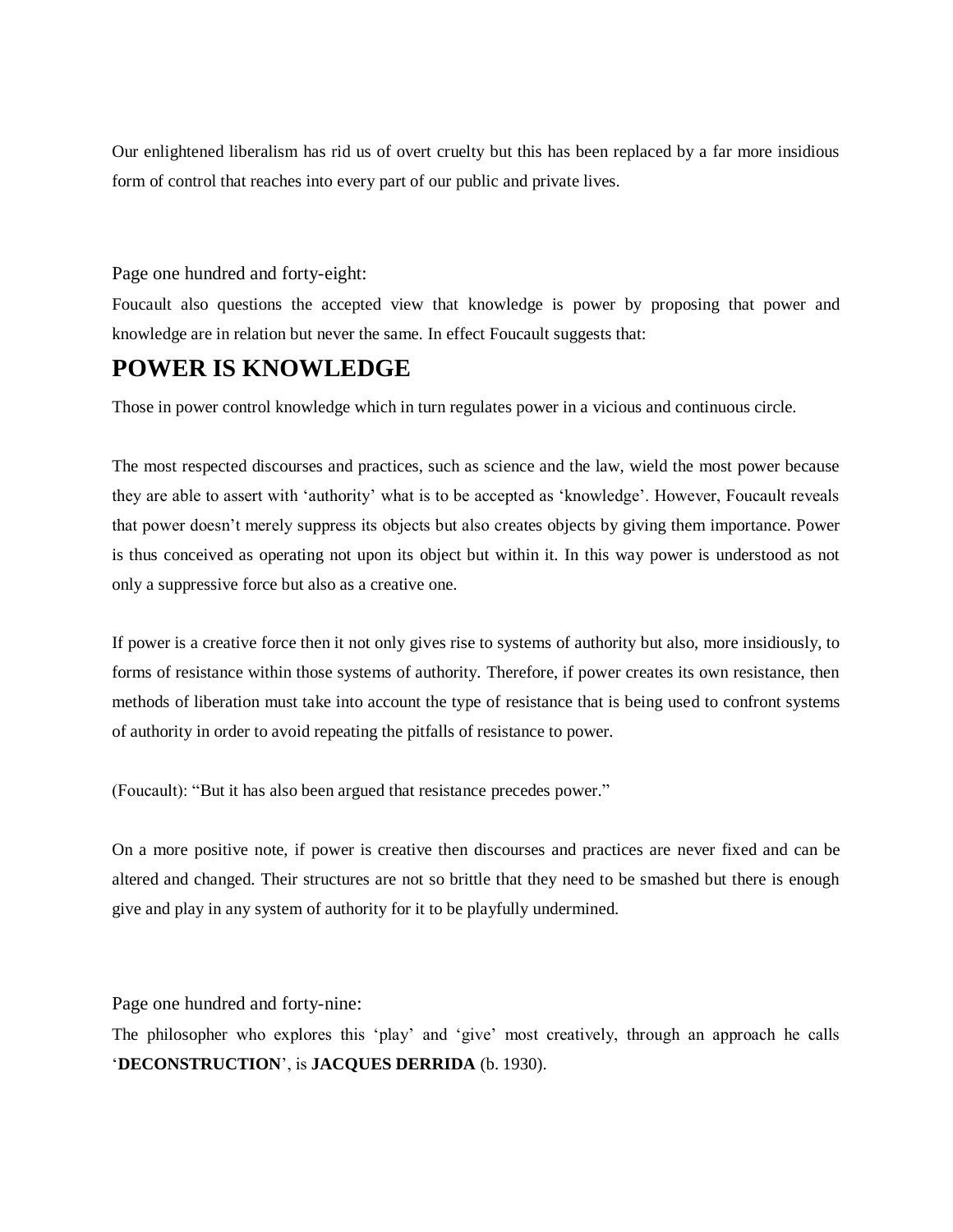Our enlightened liberalism has rid us of overt cruelty but this has been replaced by a far more insidious form of control that reaches into every part of our public and private lives.

#### Page one hundred and forty-eight:

Foucault also questions the accepted view that knowledge is power by proposing that power and knowledge are in relation but never the same. In effect Foucault suggests that:

### **POWER IS KNOWLEDGE**

Those in power control knowledge which in turn regulates power in a vicious and continuous circle.

The most respected discourses and practices, such as science and the law, wield the most power because they are able to assert with 'authority' what is to be accepted as 'knowledge'. However, Foucault reveals that power doesn't merely suppress its objects but also creates objects by giving them importance. Power is thus conceived as operating not upon its object but within it. In this way power is understood as not only a suppressive force but also as a creative one.

If power is a creative force then it not only gives rise to systems of authority but also, more insidiously, to forms of resistance within those systems of authority. Therefore, if power creates its own resistance, then methods of liberation must take into account the type of resistance that is being used to confront systems of authority in order to avoid repeating the pitfalls of resistance to power.

(Foucault): "But it has also been argued that resistance precedes power."

On a more positive note, if power is creative then discourses and practices are never fixed and can be altered and changed. Their structures are not so brittle that they need to be smashed but there is enough give and play in any system of authority for it to be playfully undermined.

Page one hundred and forty-nine:

The philosopher who explores this 'play' and 'give' most creatively, through an approach he calls '**DECONSTRUCTION**', is **JACQUES DERRIDA** (b. 1930).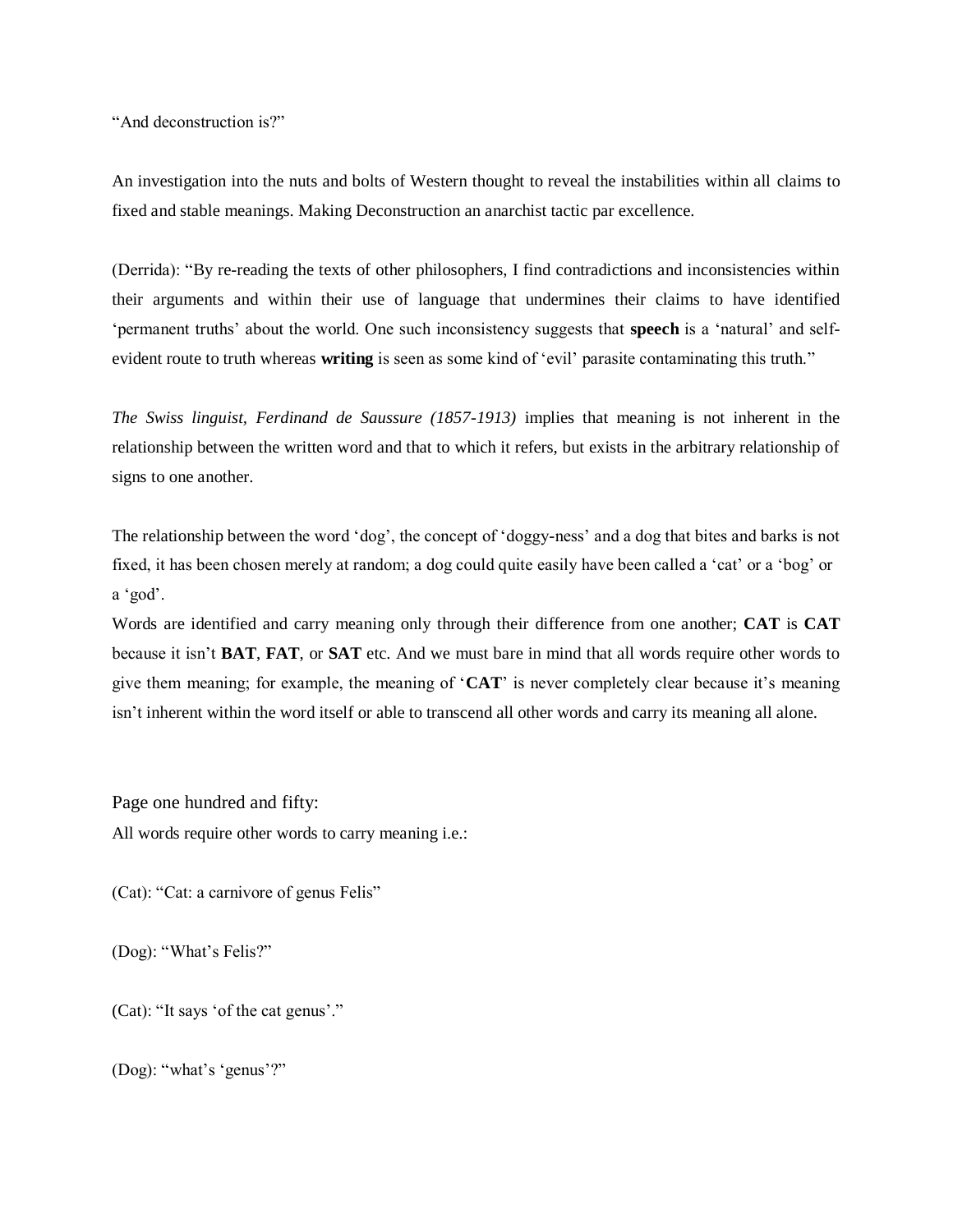"And deconstruction is?"

An investigation into the nuts and bolts of Western thought to reveal the instabilities within all claims to fixed and stable meanings. Making Deconstruction an anarchist tactic par excellence.

(Derrida): "By re-reading the texts of other philosophers, I find contradictions and inconsistencies within their arguments and within their use of language that undermines their claims to have identified 'permanent truths' about the world. One such inconsistency suggests that **speech** is a 'natural' and selfevident route to truth whereas **writing** is seen as some kind of 'evil' parasite contaminating this truth."

*The Swiss linguist, Ferdinand de Saussure (1857-1913)* implies that meaning is not inherent in the relationship between the written word and that to which it refers, but exists in the arbitrary relationship of signs to one another.

The relationship between the word 'dog', the concept of 'doggy-ness' and a dog that bites and barks is not fixed, it has been chosen merely at random; a dog could quite easily have been called a 'cat' or a 'bog' or a 'god'.

Words are identified and carry meaning only through their difference from one another; **CAT** is **CAT** because it isn't **BAT**, **FAT**, or **SAT** etc. And we must bare in mind that all words require other words to give them meaning; for example, the meaning of '**CAT**' is never completely clear because it's meaning isn't inherent within the word itself or able to transcend all other words and carry its meaning all alone.

Page one hundred and fifty:

All words require other words to carry meaning i.e.:

(Cat): "Cat: a carnivore of genus Felis"

(Dog): "What's Felis?"

(Cat): "It says 'of the cat genus'."

(Dog): "what's 'genus'?"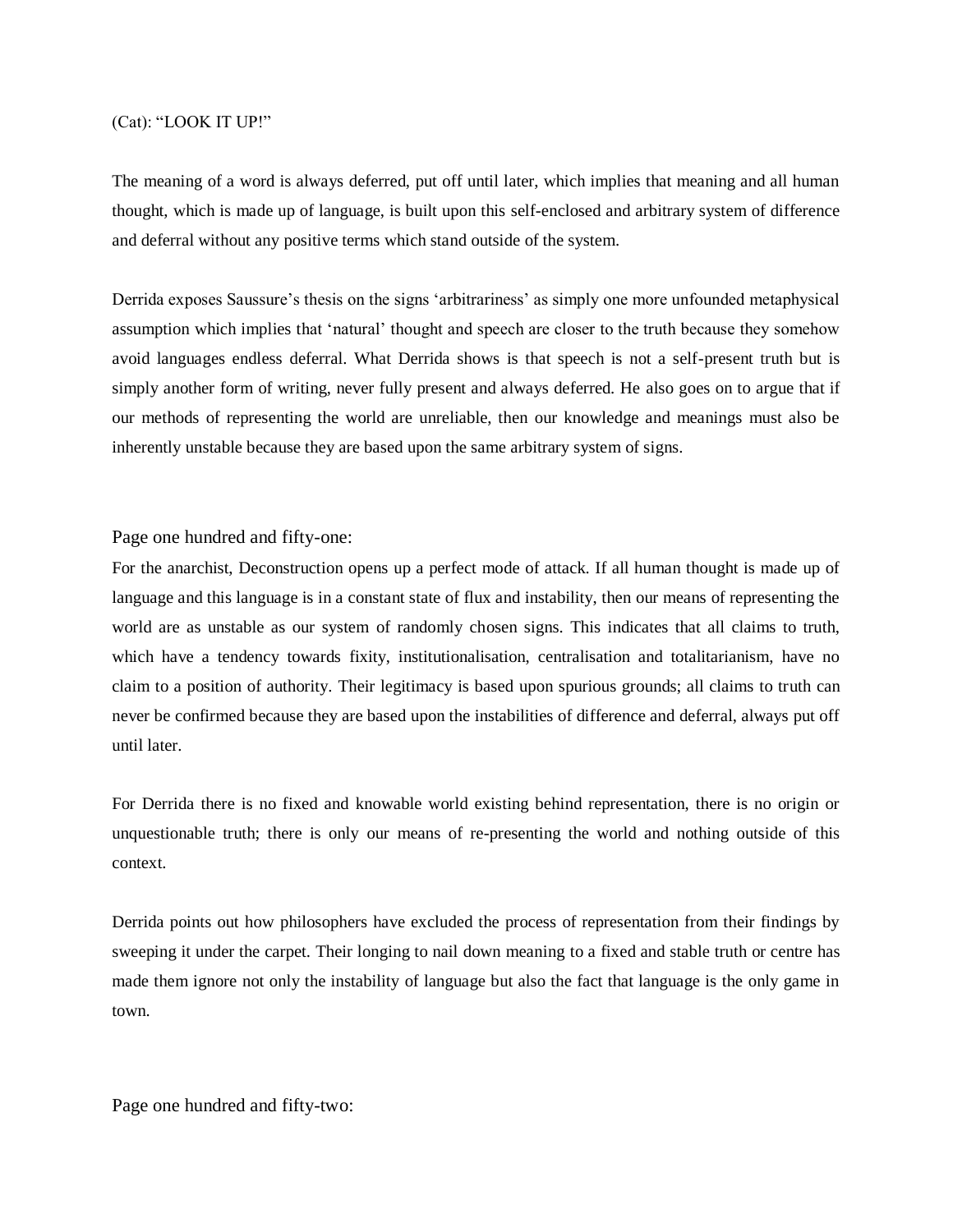#### (Cat): "LOOK IT UP!"

The meaning of a word is always deferred, put off until later, which implies that meaning and all human thought, which is made up of language, is built upon this self-enclosed and arbitrary system of difference and deferral without any positive terms which stand outside of the system.

Derrida exposes Saussure's thesis on the signs 'arbitrariness' as simply one more unfounded metaphysical assumption which implies that 'natural' thought and speech are closer to the truth because they somehow avoid languages endless deferral. What Derrida shows is that speech is not a self-present truth but is simply another form of writing, never fully present and always deferred. He also goes on to argue that if our methods of representing the world are unreliable, then our knowledge and meanings must also be inherently unstable because they are based upon the same arbitrary system of signs.

Page one hundred and fifty-one:

For the anarchist, Deconstruction opens up a perfect mode of attack. If all human thought is made up of language and this language is in a constant state of flux and instability, then our means of representing the world are as unstable as our system of randomly chosen signs. This indicates that all claims to truth, which have a tendency towards fixity, institutionalisation, centralisation and totalitarianism, have no claim to a position of authority. Their legitimacy is based upon spurious grounds; all claims to truth can never be confirmed because they are based upon the instabilities of difference and deferral, always put off until later.

For Derrida there is no fixed and knowable world existing behind representation, there is no origin or unquestionable truth; there is only our means of re-presenting the world and nothing outside of this context.

Derrida points out how philosophers have excluded the process of representation from their findings by sweeping it under the carpet. Their longing to nail down meaning to a fixed and stable truth or centre has made them ignore not only the instability of language but also the fact that language is the only game in town.

Page one hundred and fifty-two: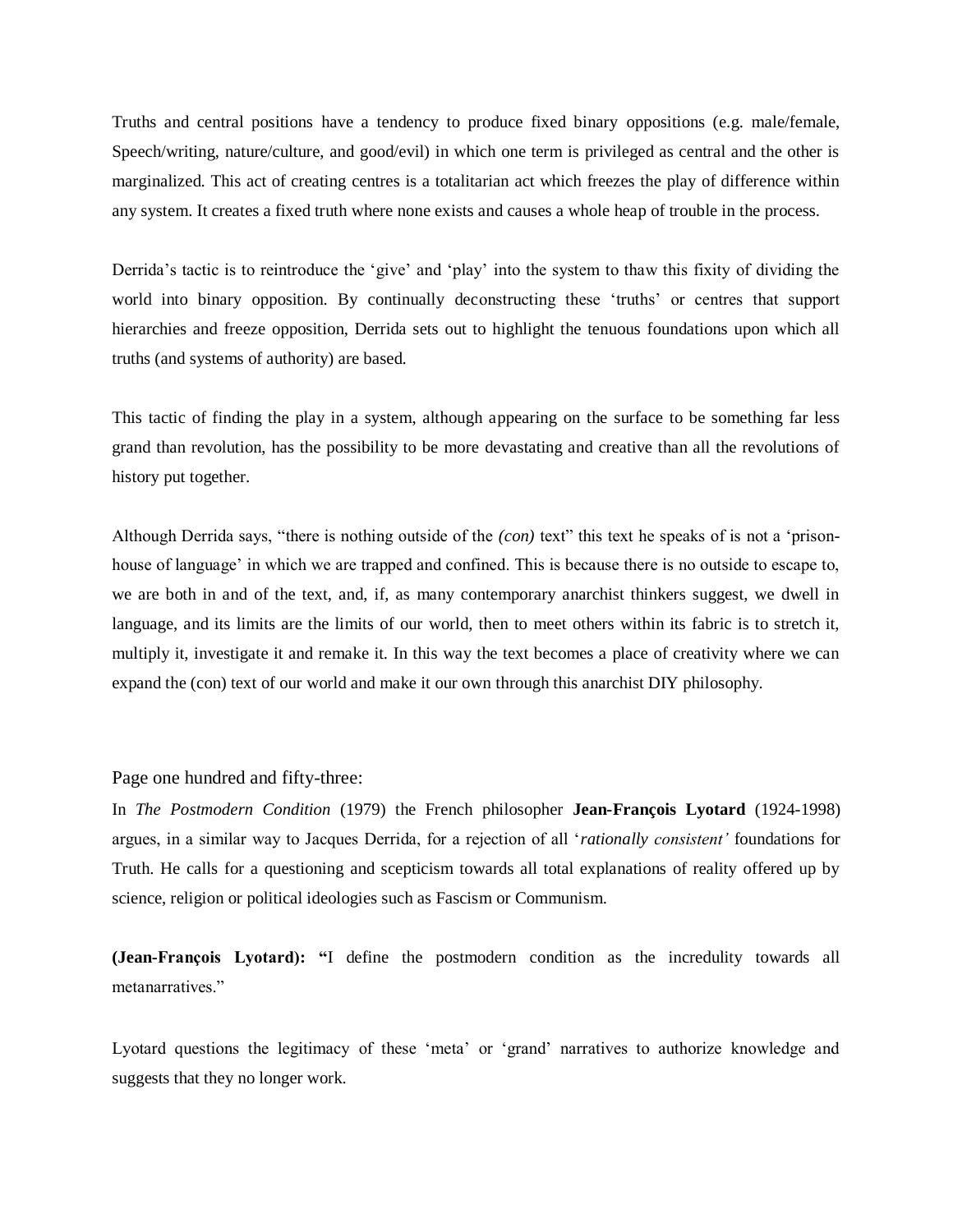Truths and central positions have a tendency to produce fixed binary oppositions (e.g. male/female, Speech/writing, nature/culture, and good/evil) in which one term is privileged as central and the other is marginalized. This act of creating centres is a totalitarian act which freezes the play of difference within any system. It creates a fixed truth where none exists and causes a whole heap of trouble in the process.

Derrida's tactic is to reintroduce the 'give' and 'play' into the system to thaw this fixity of dividing the world into binary opposition. By continually deconstructing these 'truths' or centres that support hierarchies and freeze opposition, Derrida sets out to highlight the tenuous foundations upon which all truths (and systems of authority) are based.

This tactic of finding the play in a system, although appearing on the surface to be something far less grand than revolution, has the possibility to be more devastating and creative than all the revolutions of history put together.

Although Derrida says, "there is nothing outside of the *(con)* text" this text he speaks of is not a 'prisonhouse of language' in which we are trapped and confined. This is because there is no outside to escape to, we are both in and of the text, and, if, as many contemporary anarchist thinkers suggest, we dwell in language, and its limits are the limits of our world, then to meet others within its fabric is to stretch it, multiply it, investigate it and remake it. In this way the text becomes a place of creativity where we can expand the (con) text of our world and make it our own through this anarchist DIY philosophy.

#### Page one hundred and fifty-three:

In *The Postmodern Condition* (1979) the French philosopher **Jean-François Lyotard** (1924-1998) argues, in a similar way to Jacques Derrida, for a rejection of all '*rationally consistent'* foundations for Truth. He calls for a questioning and scepticism towards all total explanations of reality offered up by science, religion or political ideologies such as Fascism or Communism.

**(Jean-François Lyotard): "**I define the postmodern condition as the incredulity towards all metanarratives."

Lyotard questions the legitimacy of these 'meta' or 'grand' narratives to authorize knowledge and suggests that they no longer work.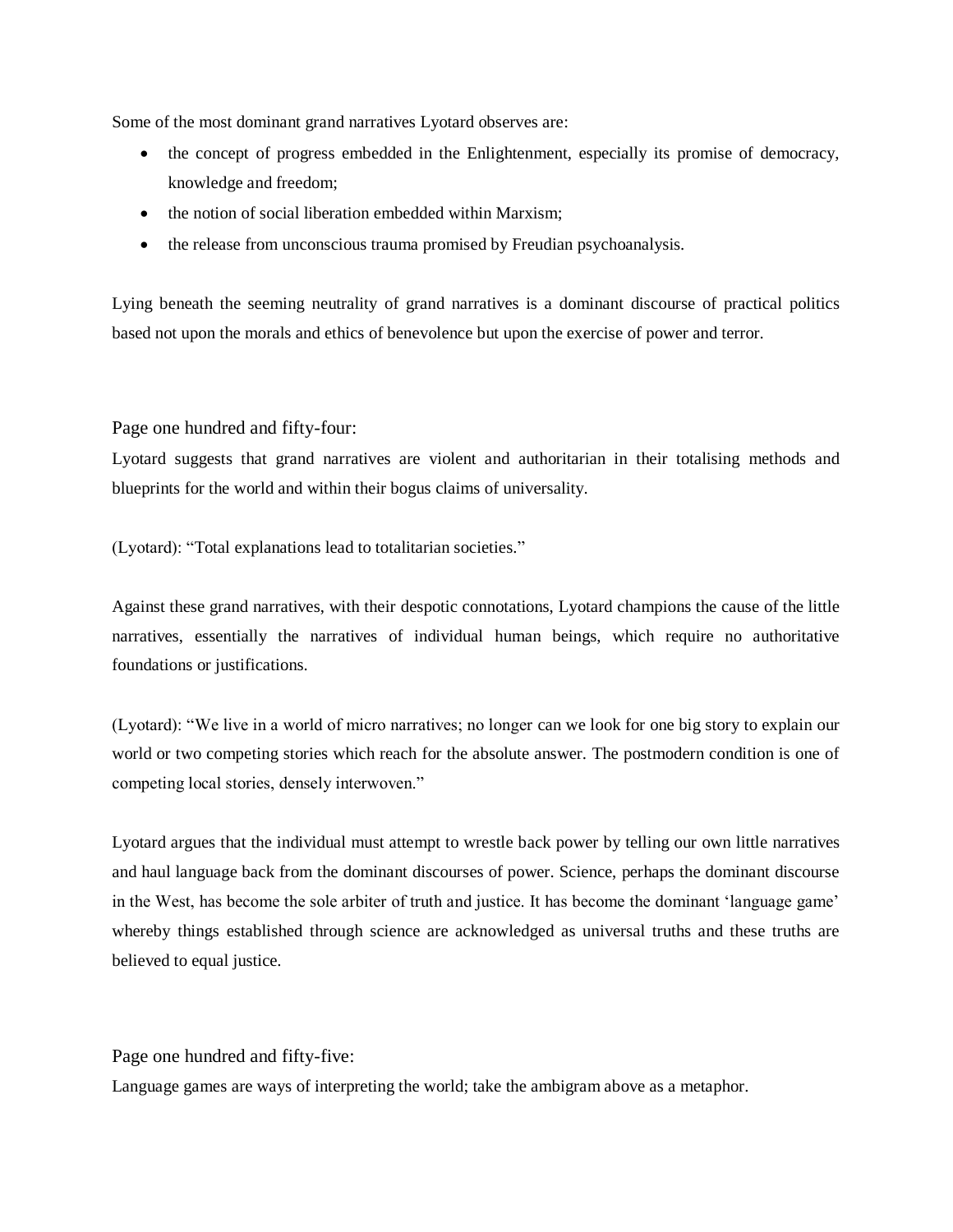Some of the most dominant grand narratives Lyotard observes are:

- the concept of progress embedded in the Enlightenment, especially its promise of democracy, knowledge and freedom;
- the notion of social liberation embedded within Marxism;
- the release from unconscious trauma promised by Freudian psychoanalysis.

Lying beneath the seeming neutrality of grand narratives is a dominant discourse of practical politics based not upon the morals and ethics of benevolence but upon the exercise of power and terror.

Page one hundred and fifty-four:

Lyotard suggests that grand narratives are violent and authoritarian in their totalising methods and blueprints for the world and within their bogus claims of universality.

(Lyotard): "Total explanations lead to totalitarian societies."

Against these grand narratives, with their despotic connotations, Lyotard champions the cause of the little narratives, essentially the narratives of individual human beings, which require no authoritative foundations or justifications.

(Lyotard): "We live in a world of micro narratives; no longer can we look for one big story to explain our world or two competing stories which reach for the absolute answer. The postmodern condition is one of competing local stories, densely interwoven."

Lyotard argues that the individual must attempt to wrestle back power by telling our own little narratives and haul language back from the dominant discourses of power. Science, perhaps the dominant discourse in the West, has become the sole arbiter of truth and justice. It has become the dominant 'language game' whereby things established through science are acknowledged as universal truths and these truths are believed to equal justice.

Page one hundred and fifty-five:

Language games are ways of interpreting the world; take the ambigram above as a metaphor.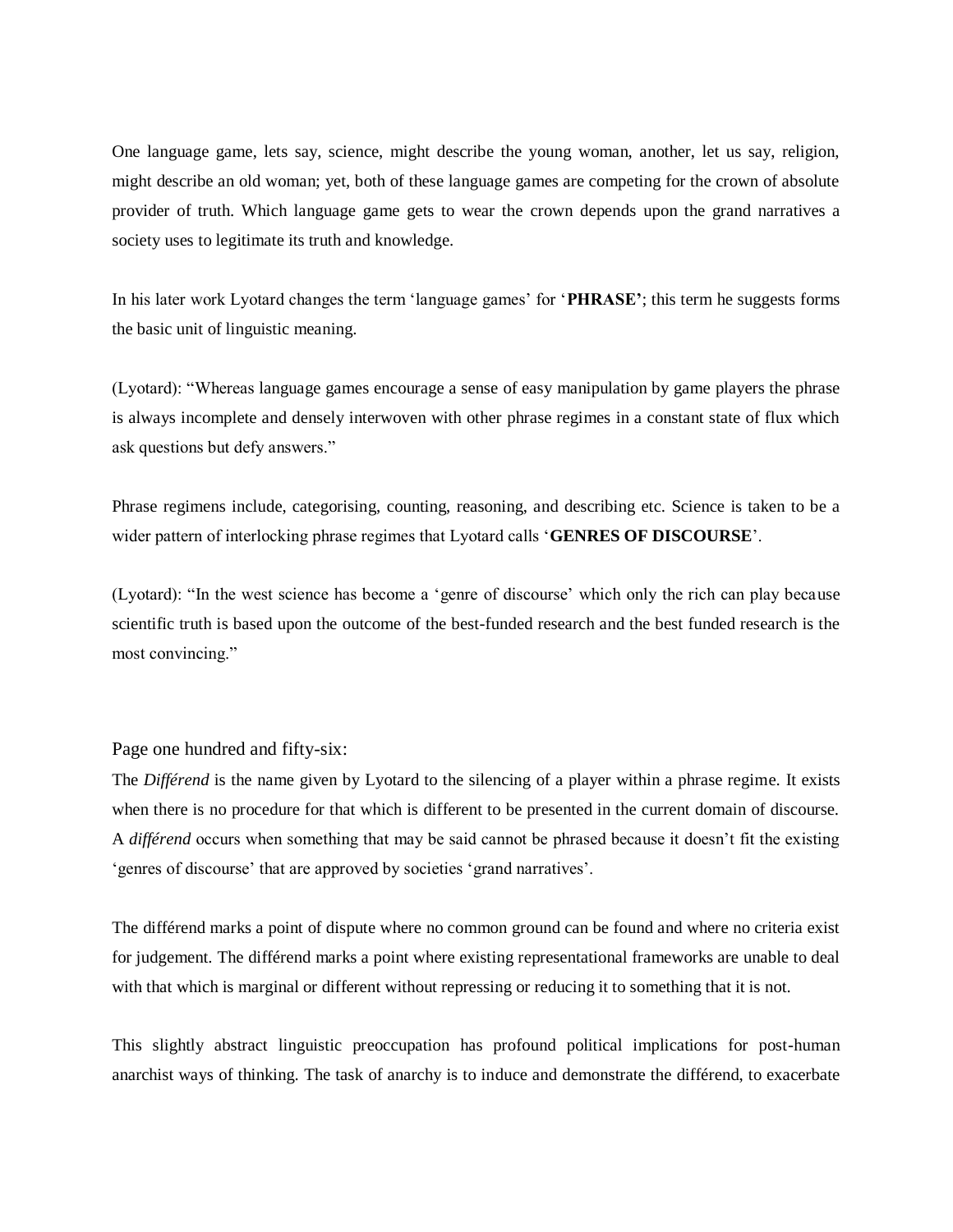One language game, lets say, science, might describe the young woman, another, let us say, religion, might describe an old woman; yet, both of these language games are competing for the crown of absolute provider of truth. Which language game gets to wear the crown depends upon the grand narratives a society uses to legitimate its truth and knowledge.

In his later work Lyotard changes the term 'language games' for '**PHRASE'**; this term he suggests forms the basic unit of linguistic meaning.

(Lyotard): "Whereas language games encourage a sense of easy manipulation by game players the phrase is always incomplete and densely interwoven with other phrase regimes in a constant state of flux which ask questions but defy answers."

Phrase regimens include, categorising, counting, reasoning, and describing etc. Science is taken to be a wider pattern of interlocking phrase regimes that Lyotard calls '**GENRES OF DISCOURSE**'.

(Lyotard): "In the west science has become a 'genre of discourse' which only the rich can play because scientific truth is based upon the outcome of the best-funded research and the best funded research is the most convincing."

#### Page one hundred and fifty-six:

The *Différend* is the name given by Lyotard to the silencing of a player within a phrase regime. It exists when there is no procedure for that which is different to be presented in the current domain of discourse. A *différend* occurs when something that may be said cannot be phrased because it doesn't fit the existing 'genres of discourse' that are approved by societies 'grand narratives'.

The différend marks a point of dispute where no common ground can be found and where no criteria exist for judgement. The différend marks a point where existing representational frameworks are unable to deal with that which is marginal or different without repressing or reducing it to something that it is not.

This slightly abstract linguistic preoccupation has profound political implications for post-human anarchist ways of thinking. The task of anarchy is to induce and demonstrate the différend, to exacerbate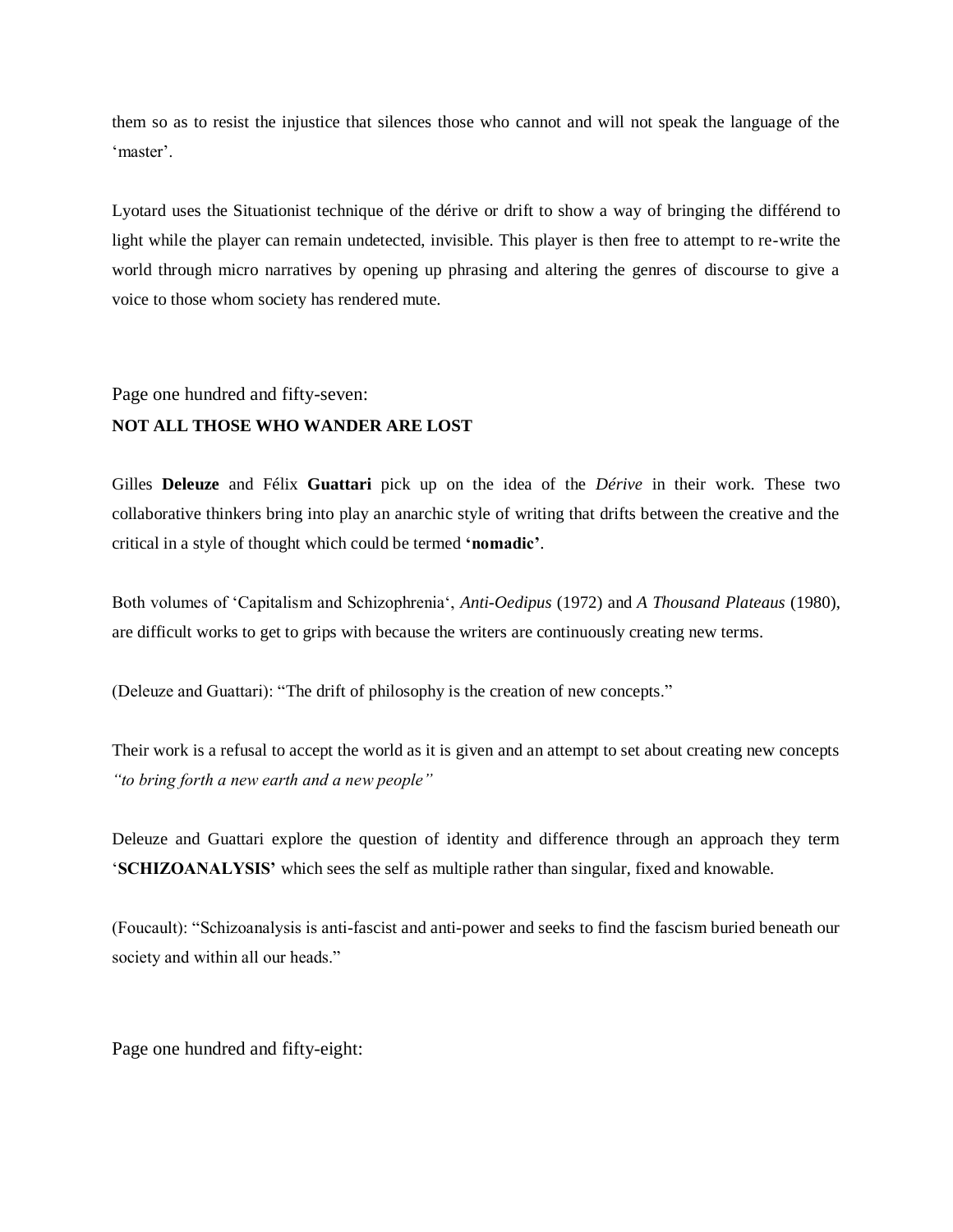them so as to resist the injustice that silences those who cannot and will not speak the language of the 'master'.

Lyotard uses the Situationist technique of the dérive or drift to show a way of bringing the différend to light while the player can remain undetected, invisible. This player is then free to attempt to re-write the world through micro narratives by opening up phrasing and altering the genres of discourse to give a voice to those whom society has rendered mute.

Page one hundred and fifty-seven:

#### **NOT ALL THOSE WHO WANDER ARE LOST**

Gilles **Deleuze** and Félix **Guattari** pick up on the idea of the *Dérive* in their work. These two collaborative thinkers bring into play an anarchic style of writing that drifts between the creative and the critical in a style of thought which could be termed **'nomadic'**.

Both volumes of 'Capitalism and Schizophrenia', *Anti-Oedipus* (1972) and *A Thousand Plateaus* (1980), are difficult works to get to grips with because the writers are continuously creating new terms.

(Deleuze and Guattari): "The drift of philosophy is the creation of new concepts."

Their work is a refusal to accept the world as it is given and an attempt to set about creating new concepts *"to bring forth a new earth and a new people"*

Deleuze and Guattari explore the question of identity and difference through an approach they term '**SCHIZOANALYSIS'** which sees the self as multiple rather than singular, fixed and knowable.

(Foucault): "Schizoanalysis is anti-fascist and anti-power and seeks to find the fascism buried beneath our society and within all our heads."

Page one hundred and fifty-eight: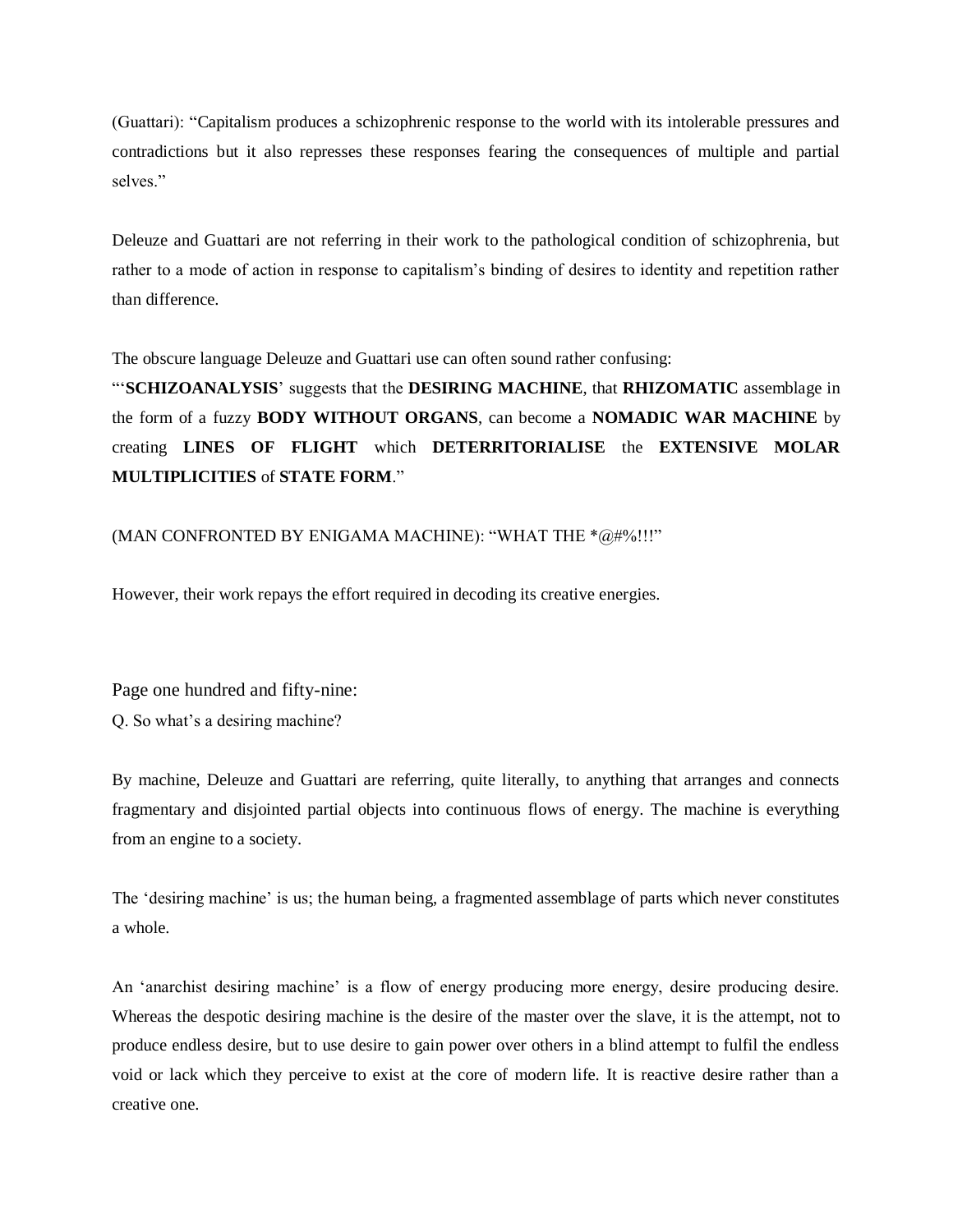(Guattari): "Capitalism produces a schizophrenic response to the world with its intolerable pressures and contradictions but it also represses these responses fearing the consequences of multiple and partial selves."

Deleuze and Guattari are not referring in their work to the pathological condition of schizophrenia, but rather to a mode of action in response to capitalism's binding of desires to identity and repetition rather than difference.

The obscure language Deleuze and Guattari use can often sound rather confusing:

"'**SCHIZOANALYSIS**' suggests that the **DESIRING MACHINE**, that **RHIZOMATIC** assemblage in the form of a fuzzy **BODY WITHOUT ORGANS**, can become a **NOMADIC WAR MACHINE** by creating **LINES OF FLIGHT** which **DETERRITORIALISE** the **EXTENSIVE MOLAR MULTIPLICITIES** of **STATE FORM**."

#### (MAN CONFRONTED BY ENIGAMA MACHINE): "WHAT THE  $\sqrt[n]{a}\#\sqrt[n]{b}$ !!!"

However, their work repays the effort required in decoding its creative energies.

Page one hundred and fifty-nine: Q. So what's a desiring machine?

By machine, Deleuze and Guattari are referring, quite literally, to anything that arranges and connects fragmentary and disjointed partial objects into continuous flows of energy. The machine is everything from an engine to a society.

The 'desiring machine' is us; the human being, a fragmented assemblage of parts which never constitutes a whole.

An 'anarchist desiring machine' is a flow of energy producing more energy, desire producing desire. Whereas the despotic desiring machine is the desire of the master over the slave, it is the attempt, not to produce endless desire, but to use desire to gain power over others in a blind attempt to fulfil the endless void or lack which they perceive to exist at the core of modern life. It is reactive desire rather than a creative one.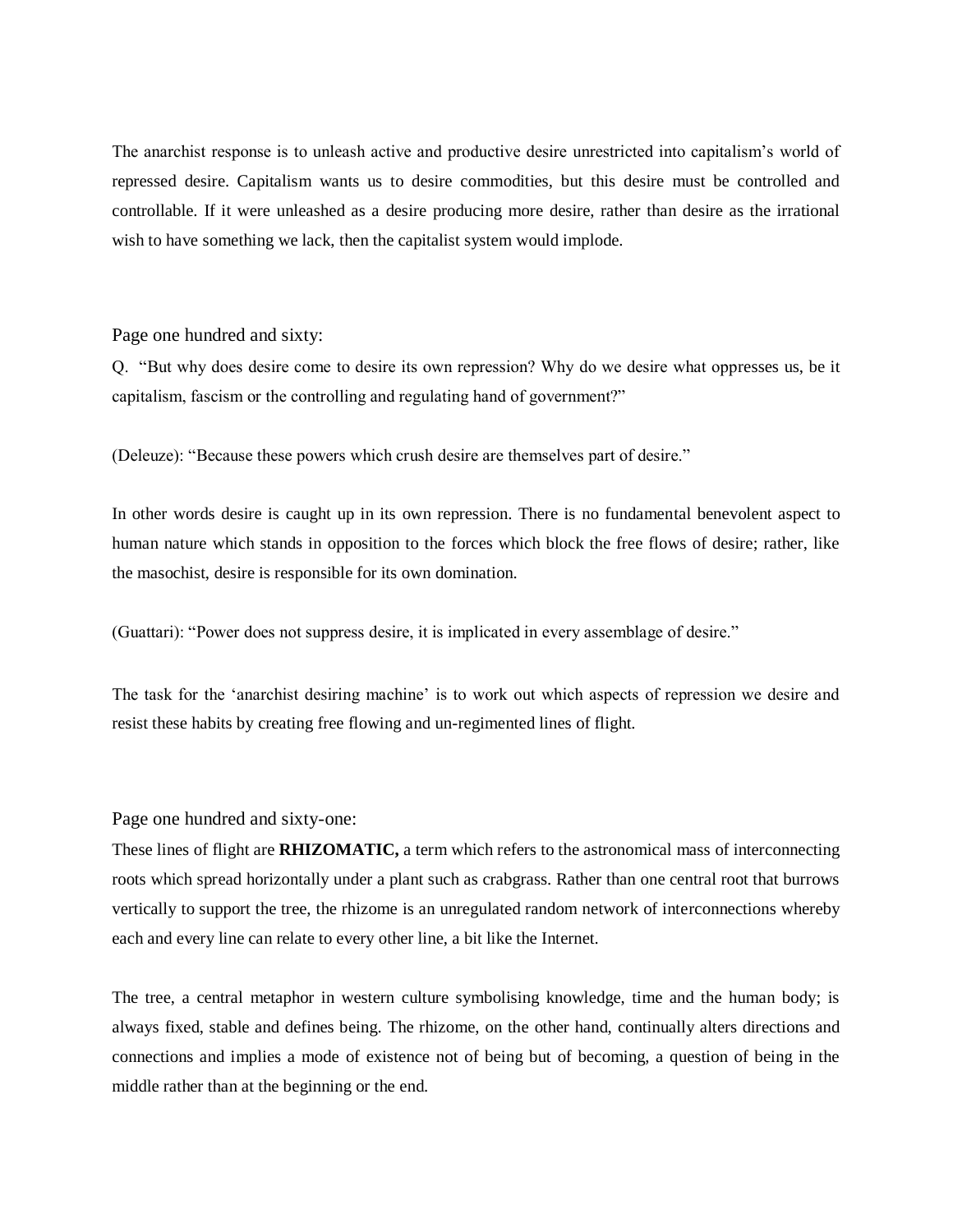The anarchist response is to unleash active and productive desire unrestricted into capitalism's world of repressed desire. Capitalism wants us to desire commodities, but this desire must be controlled and controllable. If it were unleashed as a desire producing more desire, rather than desire as the irrational wish to have something we lack, then the capitalist system would implode.

Page one hundred and sixty:

Q. "But why does desire come to desire its own repression? Why do we desire what oppresses us, be it capitalism, fascism or the controlling and regulating hand of government?"

(Deleuze): "Because these powers which crush desire are themselves part of desire."

In other words desire is caught up in its own repression. There is no fundamental benevolent aspect to human nature which stands in opposition to the forces which block the free flows of desire; rather, like the masochist, desire is responsible for its own domination.

(Guattari): "Power does not suppress desire, it is implicated in every assemblage of desire."

The task for the 'anarchist desiring machine' is to work out which aspects of repression we desire and resist these habits by creating free flowing and un-regimented lines of flight.

Page one hundred and sixty-one:

These lines of flight are **RHIZOMATIC,** a term which refers to the astronomical mass of interconnecting roots which spread horizontally under a plant such as crabgrass. Rather than one central root that burrows vertically to support the tree, the rhizome is an unregulated random network of interconnections whereby each and every line can relate to every other line, a bit like the Internet.

The tree, a central metaphor in western culture symbolising knowledge, time and the human body; is always fixed, stable and defines being. The rhizome, on the other hand, continually alters directions and connections and implies a mode of existence not of being but of becoming, a question of being in the middle rather than at the beginning or the end.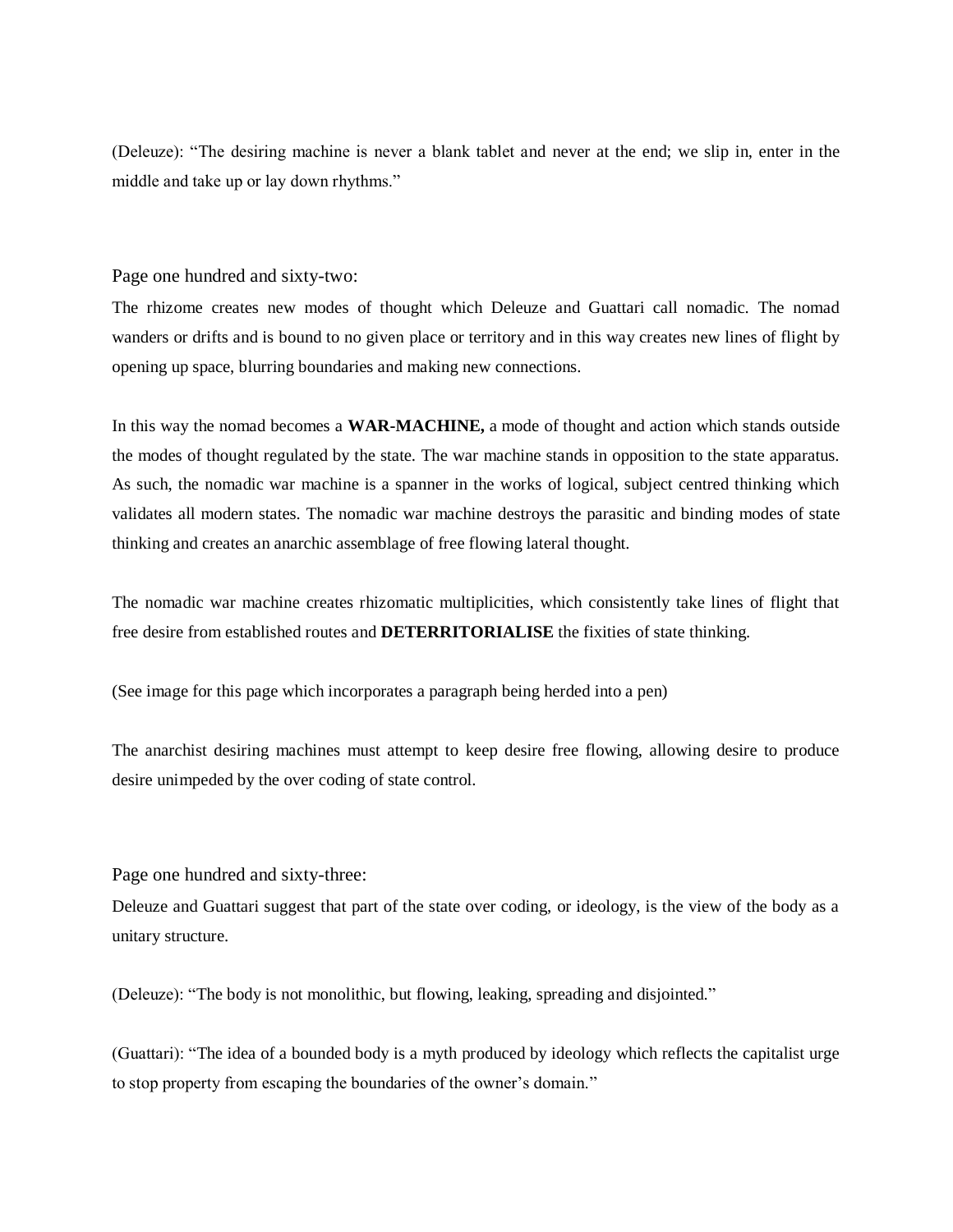(Deleuze): "The desiring machine is never a blank tablet and never at the end; we slip in, enter in the middle and take up or lay down rhythms."

#### Page one hundred and sixty-two:

The rhizome creates new modes of thought which Deleuze and Guattari call nomadic. The nomad wanders or drifts and is bound to no given place or territory and in this way creates new lines of flight by opening up space, blurring boundaries and making new connections.

In this way the nomad becomes a **WAR-MACHINE,** a mode of thought and action which stands outside the modes of thought regulated by the state. The war machine stands in opposition to the state apparatus. As such, the nomadic war machine is a spanner in the works of logical, subject centred thinking which validates all modern states. The nomadic war machine destroys the parasitic and binding modes of state thinking and creates an anarchic assemblage of free flowing lateral thought.

The nomadic war machine creates rhizomatic multiplicities, which consistently take lines of flight that free desire from established routes and **DETERRITORIALISE** the fixities of state thinking.

(See image for this page which incorporates a paragraph being herded into a pen)

The anarchist desiring machines must attempt to keep desire free flowing, allowing desire to produce desire unimpeded by the over coding of state control.

Page one hundred and sixty-three:

Deleuze and Guattari suggest that part of the state over coding, or ideology, is the view of the body as a unitary structure.

(Deleuze): "The body is not monolithic, but flowing, leaking, spreading and disjointed."

(Guattari): "The idea of a bounded body is a myth produced by ideology which reflects the capitalist urge to stop property from escaping the boundaries of the owner's domain."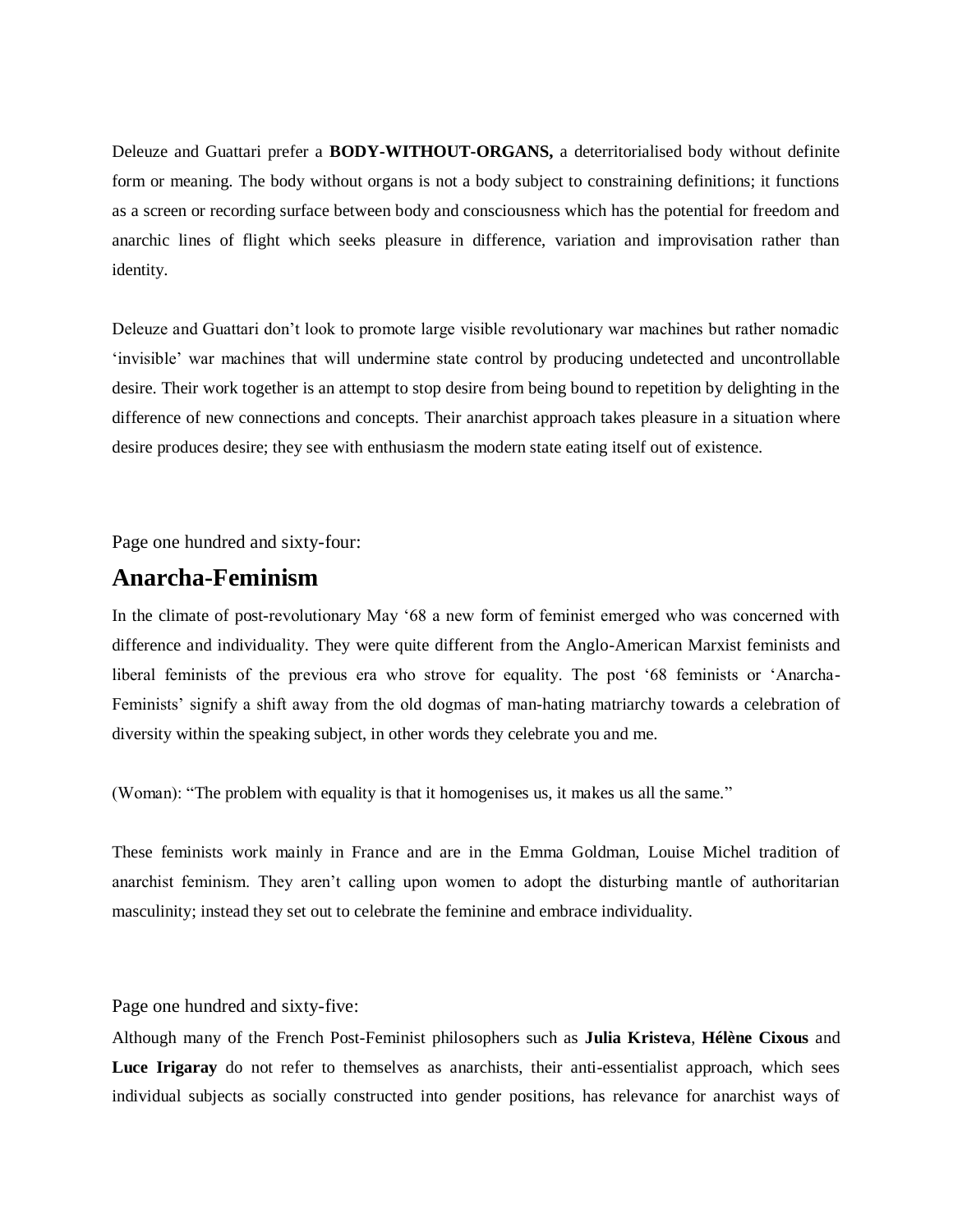Deleuze and Guattari prefer a **BODY-WITHOUT-ORGANS,** a deterritorialised body without definite form or meaning. The body without organs is not a body subject to constraining definitions; it functions as a screen or recording surface between body and consciousness which has the potential for freedom and anarchic lines of flight which seeks pleasure in difference, variation and improvisation rather than identity.

Deleuze and Guattari don't look to promote large visible revolutionary war machines but rather nomadic 'invisible' war machines that will undermine state control by producing undetected and uncontrollable desire. Their work together is an attempt to stop desire from being bound to repetition by delighting in the difference of new connections and concepts. Their anarchist approach takes pleasure in a situation where desire produces desire; they see with enthusiasm the modern state eating itself out of existence.

Page one hundred and sixty-four:

### **Anarcha-Feminism**

In the climate of post-revolutionary May '68 a new form of feminist emerged who was concerned with difference and individuality. They were quite different from the Anglo-American Marxist feminists and liberal feminists of the previous era who strove for equality. The post '68 feminists or 'Anarcha-Feminists' signify a shift away from the old dogmas of man-hating matriarchy towards a celebration of diversity within the speaking subject, in other words they celebrate you and me.

(Woman): "The problem with equality is that it homogenises us, it makes us all the same."

These feminists work mainly in France and are in the Emma Goldman, Louise Michel tradition of anarchist feminism. They aren't calling upon women to adopt the disturbing mantle of authoritarian masculinity; instead they set out to celebrate the feminine and embrace individuality.

Page one hundred and sixty-five:

Although many of the French Post-Feminist philosophers such as **Julia Kristeva**, **Hélène Cixous** and **Luce Irigaray** do not refer to themselves as anarchists, their anti-essentialist approach, which sees individual subjects as socially constructed into gender positions, has relevance for anarchist ways of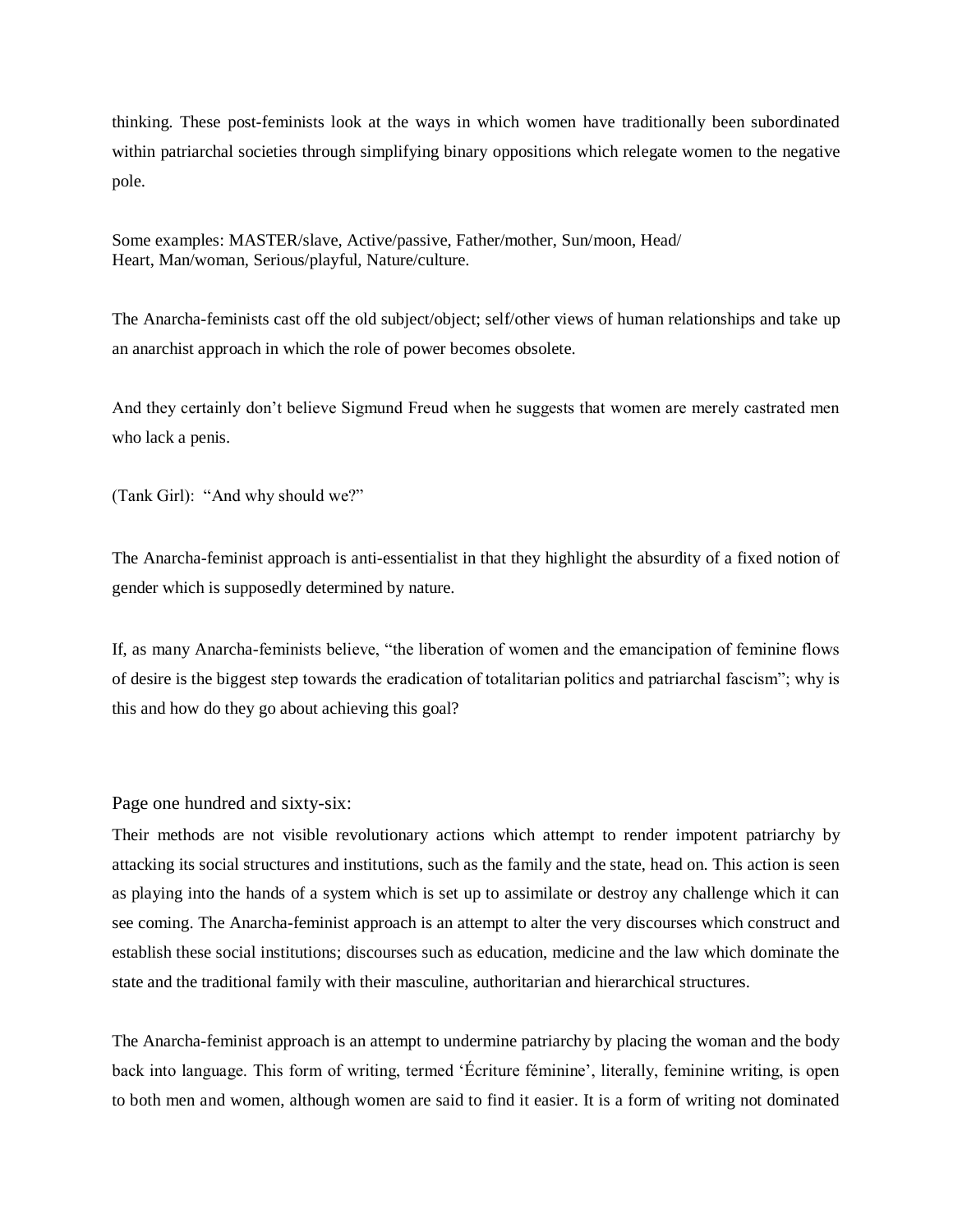thinking. These post-feminists look at the ways in which women have traditionally been subordinated within patriarchal societies through simplifying binary oppositions which relegate women to the negative pole.

Some examples: MASTER/slave, Active/passive, Father/mother, Sun/moon, Head/ Heart, Man/woman, Serious/playful, Nature/culture.

The Anarcha-feminists cast off the old subject/object; self/other views of human relationships and take up an anarchist approach in which the role of power becomes obsolete.

And they certainly don't believe Sigmund Freud when he suggests that women are merely castrated men who lack a penis.

(Tank Girl): "And why should we?"

The Anarcha-feminist approach is anti-essentialist in that they highlight the absurdity of a fixed notion of gender which is supposedly determined by nature.

If, as many Anarcha-feminists believe, "the liberation of women and the emancipation of feminine flows of desire is the biggest step towards the eradication of totalitarian politics and patriarchal fascism"; why is this and how do they go about achieving this goal?

Page one hundred and sixty-six:

Their methods are not visible revolutionary actions which attempt to render impotent patriarchy by attacking its social structures and institutions, such as the family and the state, head on. This action is seen as playing into the hands of a system which is set up to assimilate or destroy any challenge which it can see coming. The Anarcha-feminist approach is an attempt to alter the very discourses which construct and establish these social institutions; discourses such as education, medicine and the law which dominate the state and the traditional family with their masculine, authoritarian and hierarchical structures.

The Anarcha-feminist approach is an attempt to undermine patriarchy by placing the woman and the body back into language. This form of writing, termed 'Écriture féminine', literally, feminine writing, is open to both men and women, although women are said to find it easier. It is a form of writing not dominated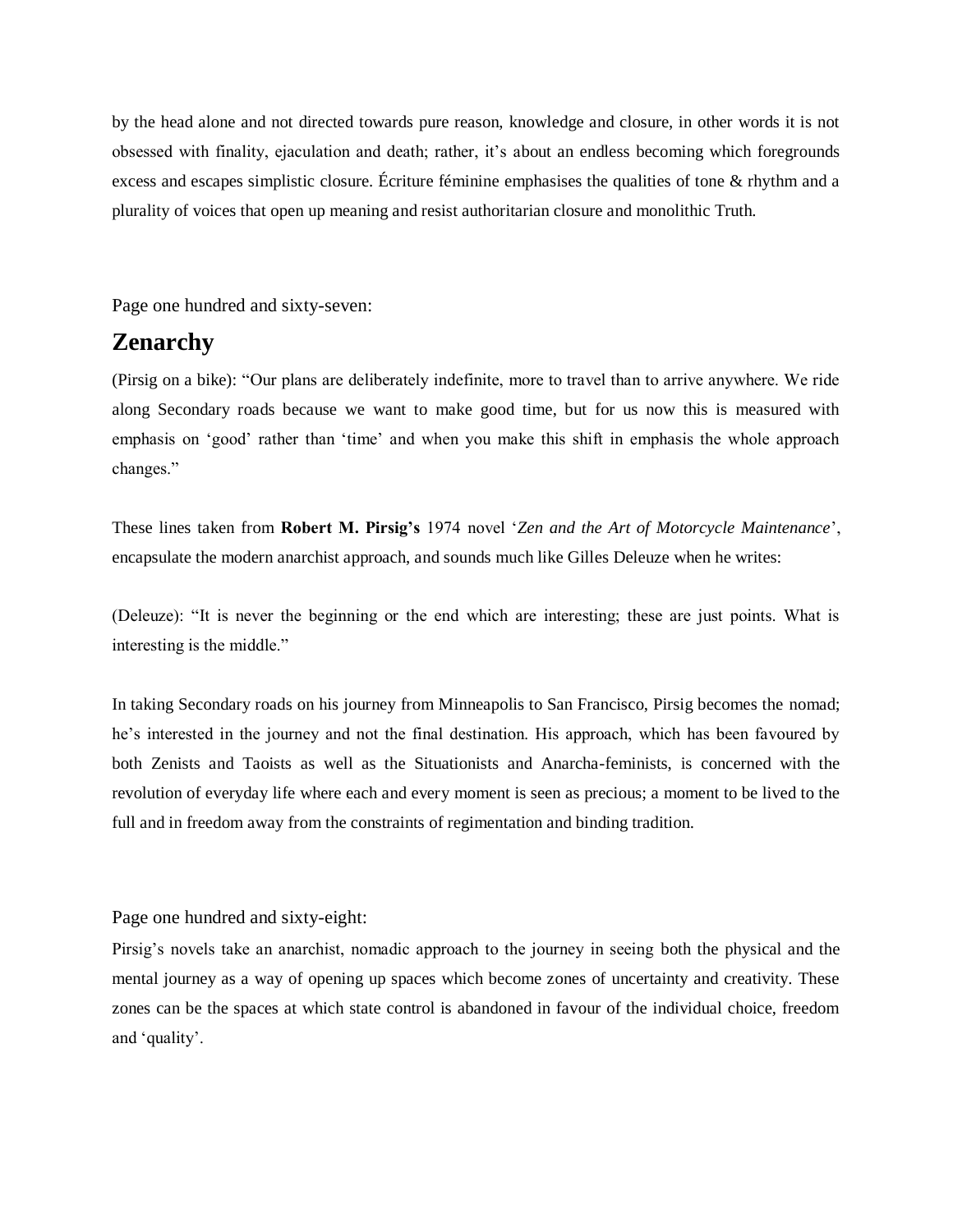by the head alone and not directed towards pure reason, knowledge and closure, in other words it is not obsessed with finality, ejaculation and death; rather, it's about an endless becoming which foregrounds excess and escapes simplistic closure. Écriture féminine emphasises the qualities of tone & rhythm and a plurality of voices that open up meaning and resist authoritarian closure and monolithic Truth.

Page one hundred and sixty-seven:

### **Zenarchy**

(Pirsig on a bike): "Our plans are deliberately indefinite, more to travel than to arrive anywhere. We ride along Secondary roads because we want to make good time, but for us now this is measured with emphasis on 'good' rather than 'time' and when you make this shift in emphasis the whole approach changes."

These lines taken from **Robert M. Pirsig's** 1974 novel '*Zen and the Art of Motorcycle Maintenance*', encapsulate the modern anarchist approach, and sounds much like Gilles Deleuze when he writes:

(Deleuze): "It is never the beginning or the end which are interesting; these are just points. What is interesting is the middle."

In taking Secondary roads on his journey from Minneapolis to San Francisco, Pirsig becomes the nomad; he's interested in the journey and not the final destination. His approach, which has been favoured by both Zenists and Taoists as well as the Situationists and Anarcha-feminists, is concerned with the revolution of everyday life where each and every moment is seen as precious; a moment to be lived to the full and in freedom away from the constraints of regimentation and binding tradition.

Page one hundred and sixty-eight:

Pirsig's novels take an anarchist, nomadic approach to the journey in seeing both the physical and the mental journey as a way of opening up spaces which become zones of uncertainty and creativity. These zones can be the spaces at which state control is abandoned in favour of the individual choice, freedom and 'quality'.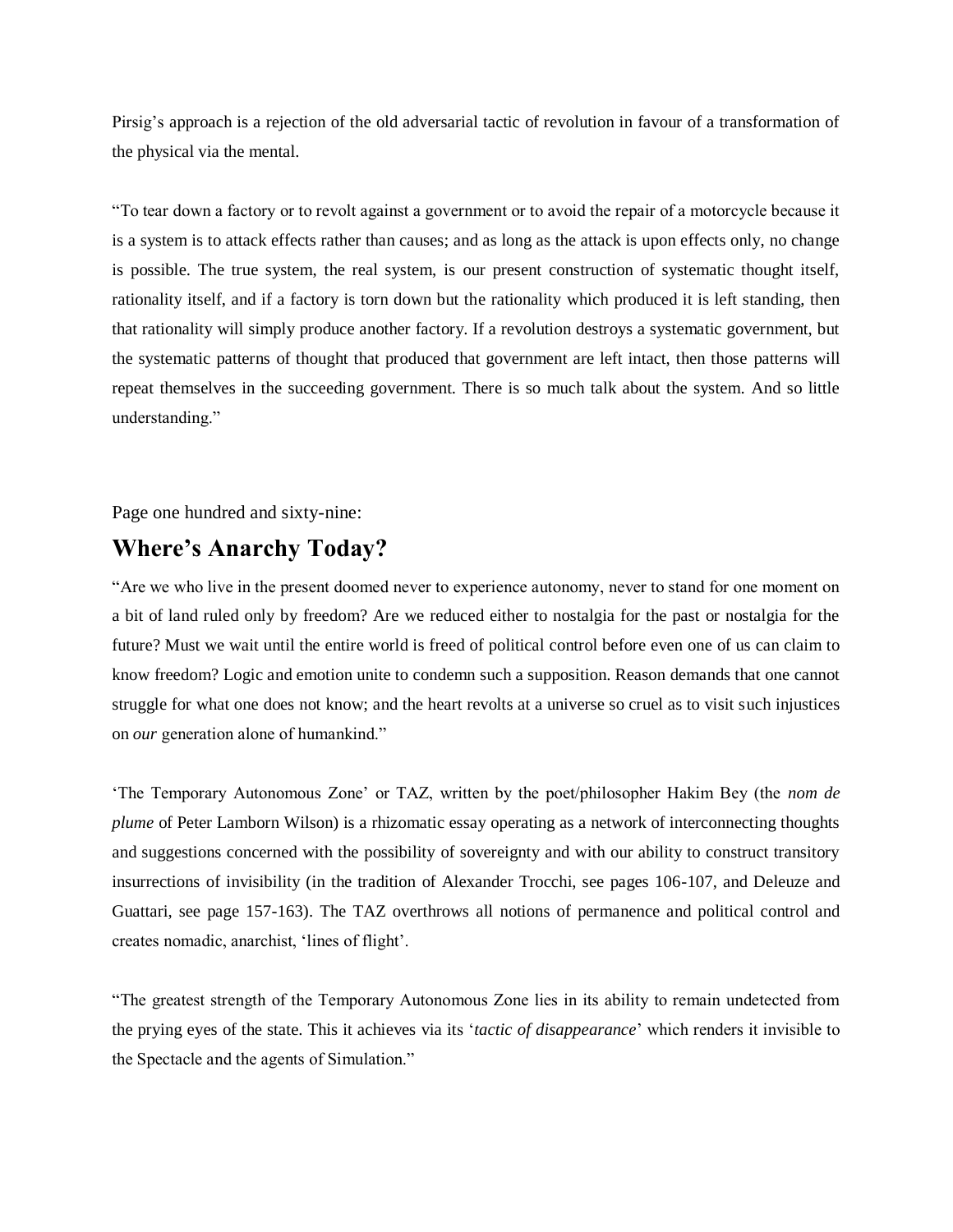Pirsig's approach is a rejection of the old adversarial tactic of revolution in favour of a transformation of the physical via the mental.

"To tear down a factory or to revolt against a government or to avoid the repair of a motorcycle because it is a system is to attack effects rather than causes; and as long as the attack is upon effects only, no change is possible. The true system, the real system, is our present construction of systematic thought itself, rationality itself, and if a factory is torn down but the rationality which produced it is left standing, then that rationality will simply produce another factory. If a revolution destroys a systematic government, but the systematic patterns of thought that produced that government are left intact, then those patterns will repeat themselves in the succeeding government. There is so much talk about the system. And so little understanding."

Page one hundred and sixty-nine:

### **Where's Anarchy Today?**

"Are we who live in the present doomed never to experience autonomy, never to stand for one moment on a bit of land ruled only by freedom? Are we reduced either to nostalgia for the past or nostalgia for the future? Must we wait until the entire world is freed of political control before even one of us can claim to know freedom? Logic and emotion unite to condemn such a supposition. Reason demands that one cannot struggle for what one does not know; and the heart revolts at a universe so cruel as to visit such injustices on *our* generation alone of humankind."

'The Temporary Autonomous Zone' or TAZ, written by the poet/philosopher Hakim Bey (the *nom de plume* of Peter Lamborn Wilson) is a rhizomatic essay operating as a network of interconnecting thoughts and suggestions concerned with the possibility of sovereignty and with our ability to construct transitory insurrections of invisibility (in the tradition of Alexander Trocchi, see pages 106-107, and Deleuze and Guattari, see page 157-163). The TAZ overthrows all notions of permanence and political control and creates nomadic, anarchist, 'lines of flight'.

"The greatest strength of the Temporary Autonomous Zone lies in its ability to remain undetected from the prying eyes of the state. This it achieves via its '*tactic of disappearance*' which renders it invisible to the Spectacle and the agents of Simulation."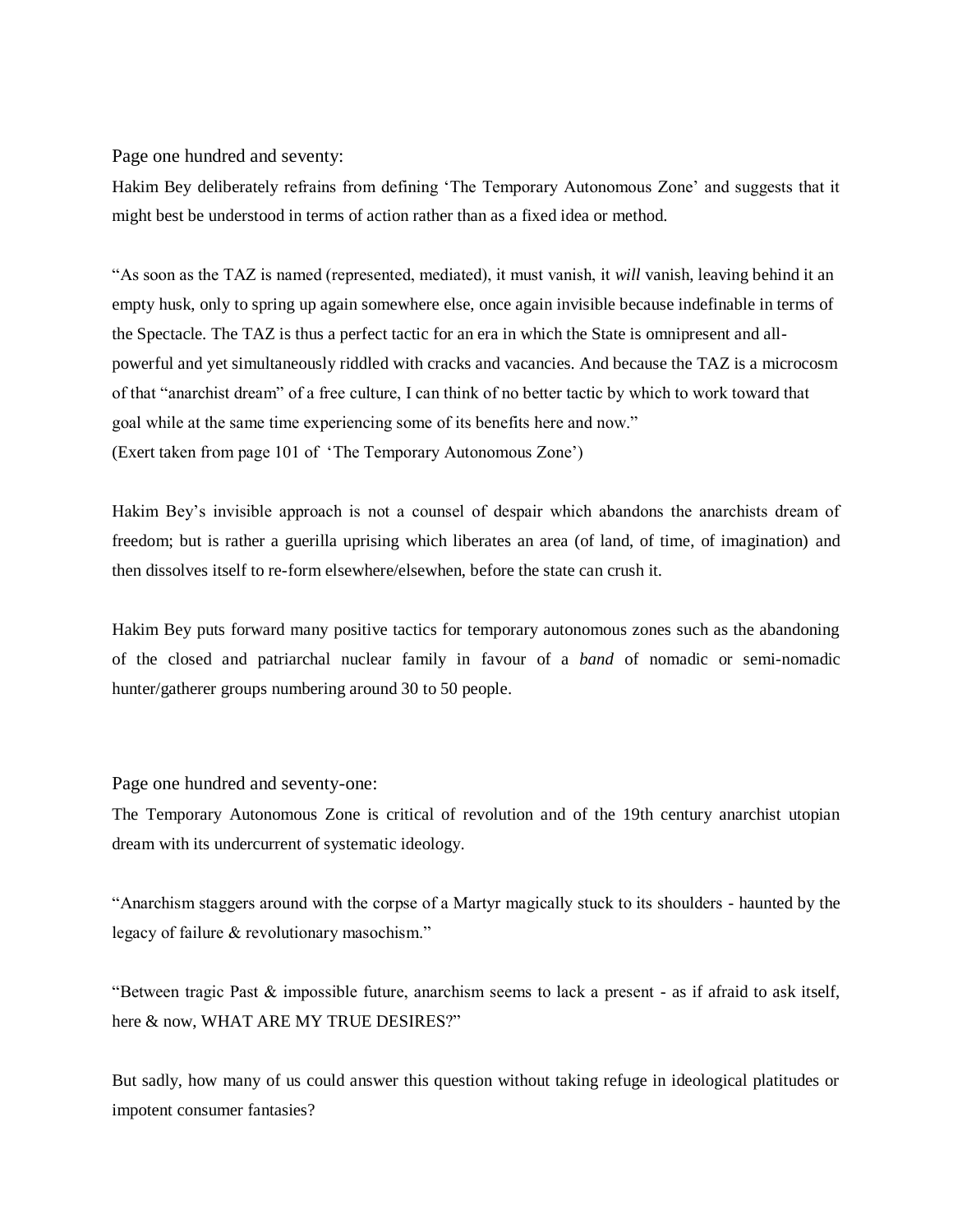Page one hundred and seventy:

Hakim Bey deliberately refrains from defining 'The Temporary Autonomous Zone' and suggests that it might best be understood in terms of action rather than as a fixed idea or method.

"As soon as the TAZ is named (represented, mediated), it must vanish, it *will* vanish, leaving behind it an empty husk, only to spring up again somewhere else, once again invisible because indefinable in terms of the Spectacle. The TAZ is thus a perfect tactic for an era in which the State is omnipresent and allpowerful and yet simultaneously riddled with cracks and vacancies. And because the TAZ is a microcosm of that "anarchist dream" of a free culture, I can think of no better tactic by which to work toward that goal while at the same time experiencing some of its benefits here and now." (Exert taken from page 101 of 'The Temporary Autonomous Zone')

Hakim Bey's invisible approach is not a counsel of despair which abandons the anarchists dream of freedom; but is rather a guerilla uprising which liberates an area (of land, of time, of imagination) and then dissolves itself to re-form elsewhere/elsewhen, before the state can crush it.

Hakim Bey puts forward many positive tactics for temporary autonomous zones such as the abandoning of the closed and patriarchal nuclear family in favour of a *band* of nomadic or semi-nomadic hunter/gatherer groups numbering around 30 to 50 people.

Page one hundred and seventy-one:

The Temporary Autonomous Zone is critical of revolution and of the 19th century anarchist utopian dream with its undercurrent of systematic ideology.

"Anarchism staggers around with the corpse of a Martyr magically stuck to its shoulders - haunted by the legacy of failure & revolutionary masochism."

"Between tragic Past & impossible future, anarchism seems to lack a present - as if afraid to ask itself, here & now, WHAT ARE MY TRUE DESIRES?"

But sadly, how many of us could answer this question without taking refuge in ideological platitudes or impotent consumer fantasies?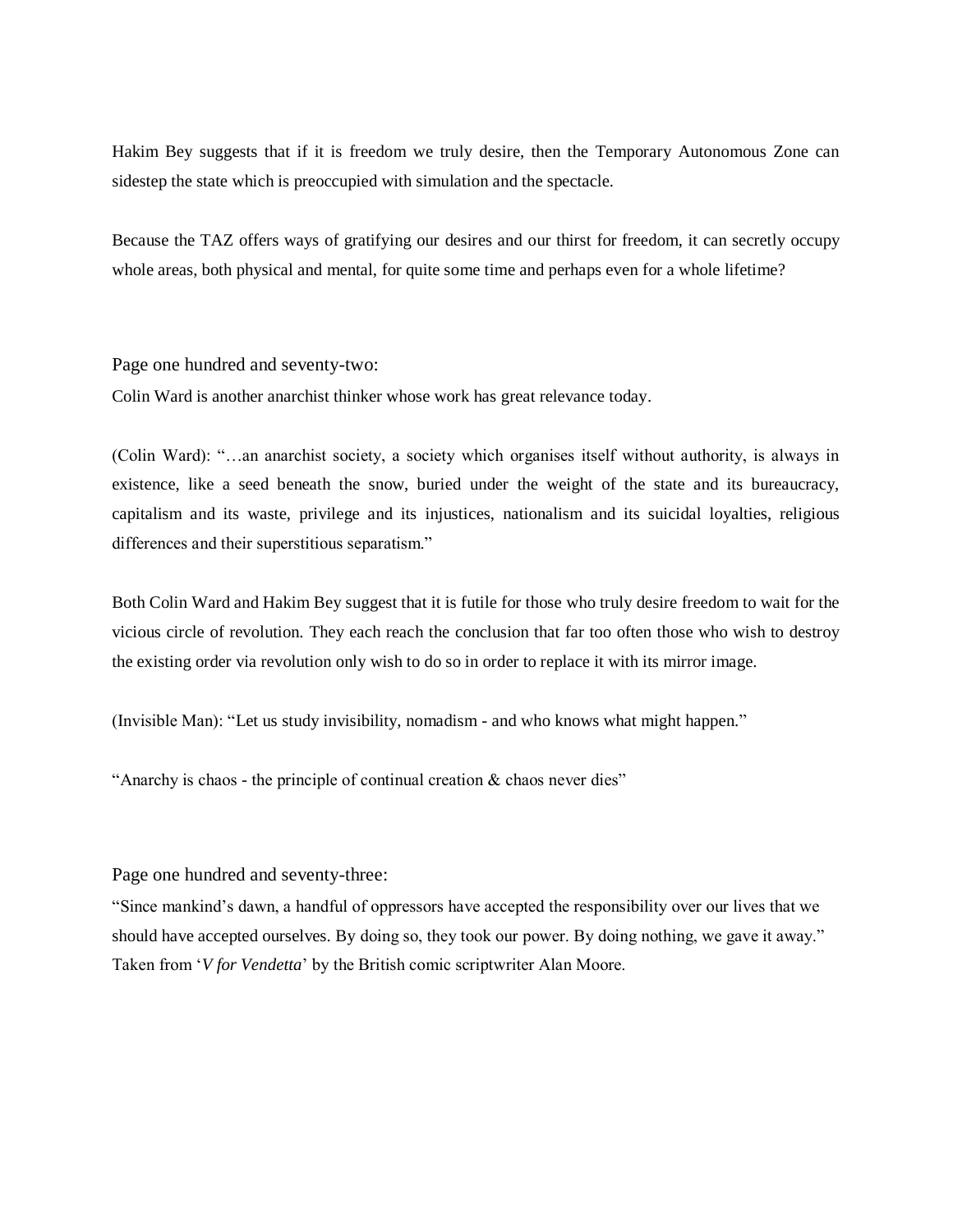Hakim Bey suggests that if it is freedom we truly desire, then the Temporary Autonomous Zone can sidestep the state which is preoccupied with simulation and the spectacle.

Because the TAZ offers ways of gratifying our desires and our thirst for freedom, it can secretly occupy whole areas, both physical and mental, for quite some time and perhaps even for a whole lifetime?

Page one hundred and seventy-two:

Colin Ward is another anarchist thinker whose work has great relevance today.

(Colin Ward): "…an anarchist society, a society which organises itself without authority, is always in existence, like a seed beneath the snow, buried under the weight of the state and its bureaucracy, capitalism and its waste, privilege and its injustices, nationalism and its suicidal loyalties, religious differences and their superstitious separatism."

Both Colin Ward and Hakim Bey suggest that it is futile for those who truly desire freedom to wait for the vicious circle of revolution. They each reach the conclusion that far too often those who wish to destroy the existing order via revolution only wish to do so in order to replace it with its mirror image.

(Invisible Man): "Let us study invisibility, nomadism - and who knows what might happen."

"Anarchy is chaos - the principle of continual creation & chaos never dies"

Page one hundred and seventy-three:

"Since mankind's dawn, a handful of oppressors have accepted the responsibility over our lives that we should have accepted ourselves. By doing so, they took our power. By doing nothing, we gave it away." Taken from '*V for Vendetta*' by the British comic scriptwriter Alan Moore.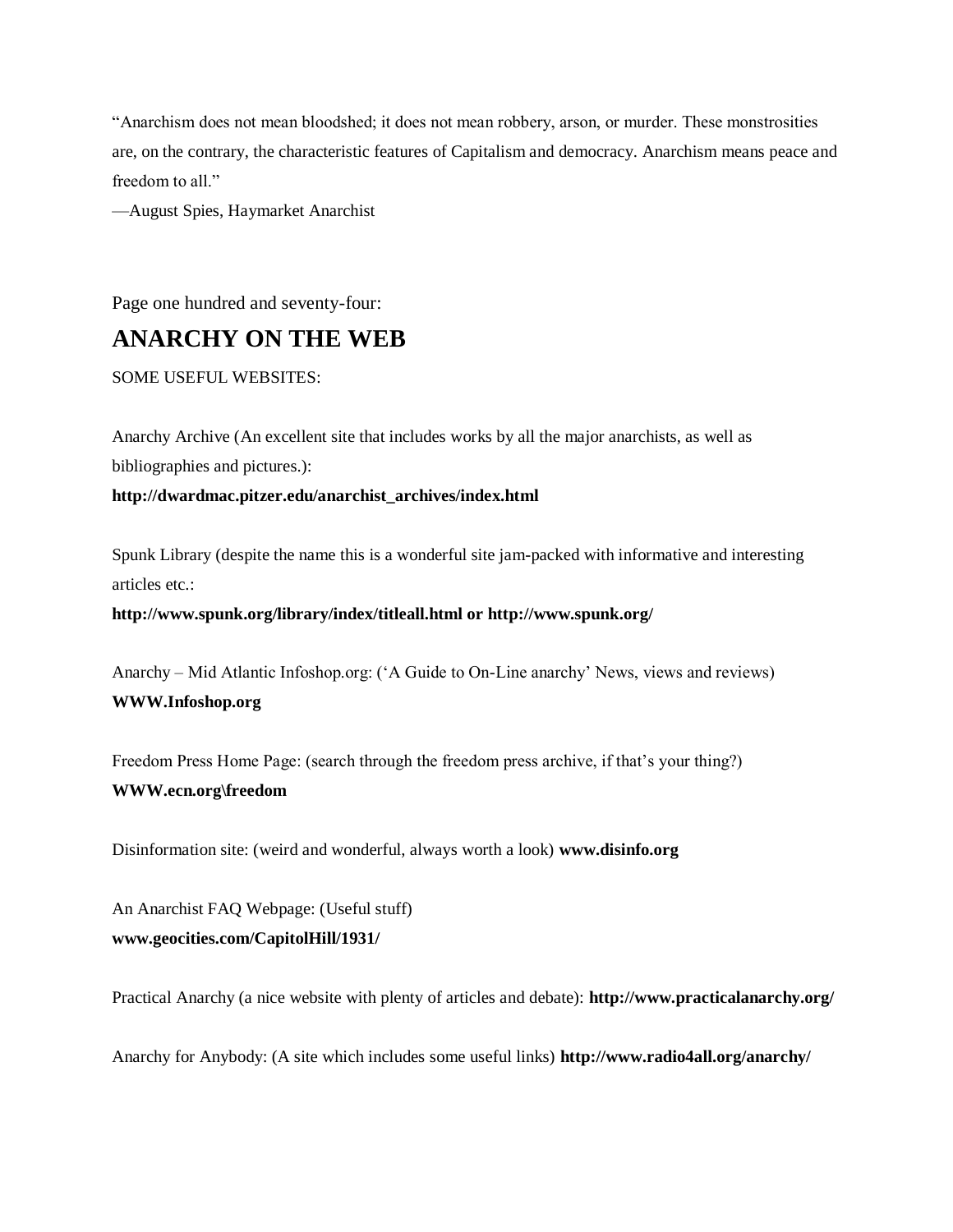"Anarchism does not mean bloodshed; it does not mean robbery, arson, or murder. These monstrosities are, on the contrary, the characteristic features of Capitalism and democracy. Anarchism means peace and freedom to all."

—August Spies, Haymarket Anarchist

Page one hundred and seventy-four:

### **ANARCHY ON THE WEB**

SOME USEFUL WEBSITES:

Anarchy Archive (An excellent site that includes works by all the major anarchists, as well as bibliographies and pictures.):

#### **http://dwardmac.pitzer.edu/anarchist\_archives/index.html**

Spunk Library (despite the name this is a wonderful site jam-packed with informative and interesting articles etc.:

**http://www.spunk.org/library/index/titleall.html or http://www.spunk.org/** 

Anarchy – Mid Atlantic Infoshop.org: ('A Guide to On-Line anarchy' News, views and reviews) **WWW.Infoshop.org**

Freedom Press Home Page: (search through the freedom press archive, if that's your thing?) **WWW.ecn.org\freedom**

Disinformation site: (weird and wonderful, always worth a look) **www.disinfo.org**

An Anarchist FAQ Webpage: (Useful stuff) **www.geocities.com/CapitolHill/1931/** 

Practical Anarchy (a nice website with plenty of articles and debate): **http://www.practicalanarchy.org/** 

Anarchy for Anybody: (A site which includes some useful links) **http://www.radio4all.org/anarchy/**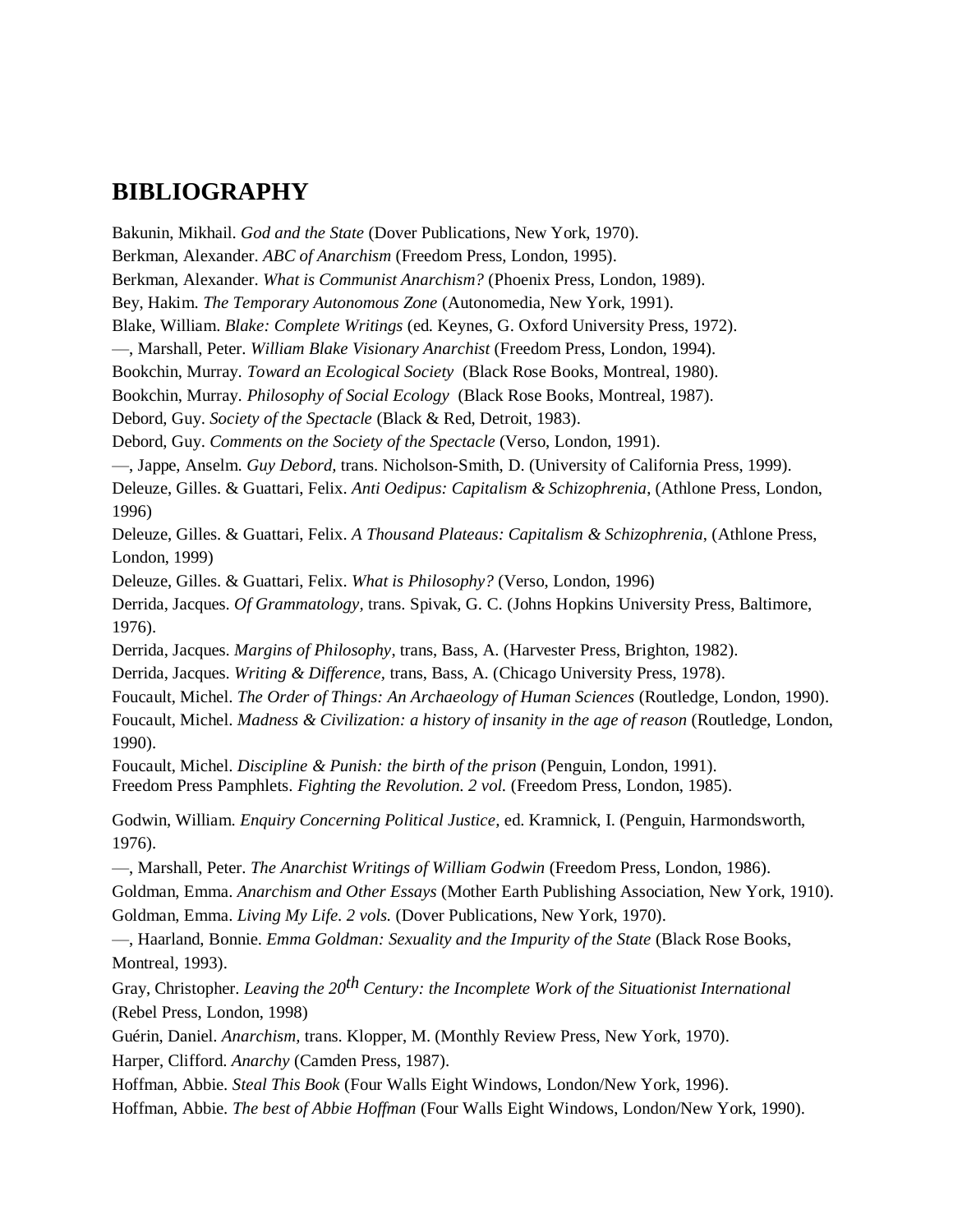### **BIBLIOGRAPHY**

Bakunin, Mikhail. *God and the State* (Dover Publications, New York, 1970). Berkman, Alexander. *ABC of Anarchism* (Freedom Press, London, 1995). Berkman, Alexander. *What is Communist Anarchism?* (Phoenix Press, London, 1989). Bey, Hakim. *The Temporary Autonomous Zone* (Autonomedia, New York, 1991). Blake, William. *Blake: Complete Writings* (ed. Keynes, G. Oxford University Press, 1972). —, Marshall, Peter. *William Blake Visionary Anarchist* (Freedom Press, London, 1994). Bookchin, Murray. *Toward an Ecological Society* (Black Rose Books, Montreal, 1980). Bookchin, Murray. *Philosophy of Social Ecology* (Black Rose Books, Montreal, 1987). Debord, Guy. *Society of the Spectacle* (Black & Red, Detroit, 1983). Debord, Guy. *Comments on the Society of the Spectacle* (Verso, London, 1991). —, Jappe, Anselm. *Guy Debord,* trans. Nicholson-Smith, D. (University of California Press, 1999). Deleuze, Gilles. & Guattari, Felix. *Anti Oedipus: Capitalism & Schizophrenia*, (Athlone Press, London, 1996) Deleuze, Gilles. & Guattari, Felix. *A Thousand Plateaus: Capitalism & Schizophrenia*, (Athlone Press, London, 1999) Deleuze, Gilles. & Guattari, Felix. *What is Philosophy?* (Verso, London, 1996) Derrida, Jacques. *Of Grammatology,* trans. Spivak, G. C. (Johns Hopkins University Press, Baltimore, 1976). Derrida, Jacques. *Margins of Philosophy*, trans, Bass, A. (Harvester Press, Brighton, 1982). Derrida, Jacques. *Writing & Difference,* trans, Bass, A. (Chicago University Press, 1978). Foucault, Michel. *The Order of Things: An Archaeology of Human Sciences* (Routledge, London, 1990). Foucault, Michel. *Madness & Civilization: a history of insanity in the age of reason* (Routledge, London, 1990). Foucault, Michel. *Discipline & Punish: the birth of the prison* (Penguin, London, 1991). Freedom Press Pamphlets. *Fighting the Revolution. 2 vol.* (Freedom Press, London, 1985). Godwin, William. *Enquiry Concerning Political Justice,* ed. Kramnick, I. (Penguin, Harmondsworth, 1976). —, Marshall, Peter. *The Anarchist Writings of William Godwin* (Freedom Press, London, 1986). Goldman, Emma. *Anarchism and Other Essays* (Mother Earth Publishing Association, New York, 1910). Goldman, Emma. *Living My Life. 2 vols.* (Dover Publications, New York, 1970). —, Haarland, Bonnie. *Emma Goldman: Sexuality and the Impurity of the State* (Black Rose Books, Montreal, 1993). Gray, Christopher. *Leaving the 20th Century: the Incomplete Work of the Situationist International*  (Rebel Press, London, 1998) Guérin, Daniel. *Anarchism,* trans. Klopper, M. (Monthly Review Press, New York, 1970). Harper, Clifford. *Anarchy* (Camden Press, 1987). Hoffman, Abbie. *Steal This Book* (Four Walls Eight Windows, London/New York, 1996).

Hoffman, Abbie. *The best of Abbie Hoffman* (Four Walls Eight Windows, London/New York, 1990).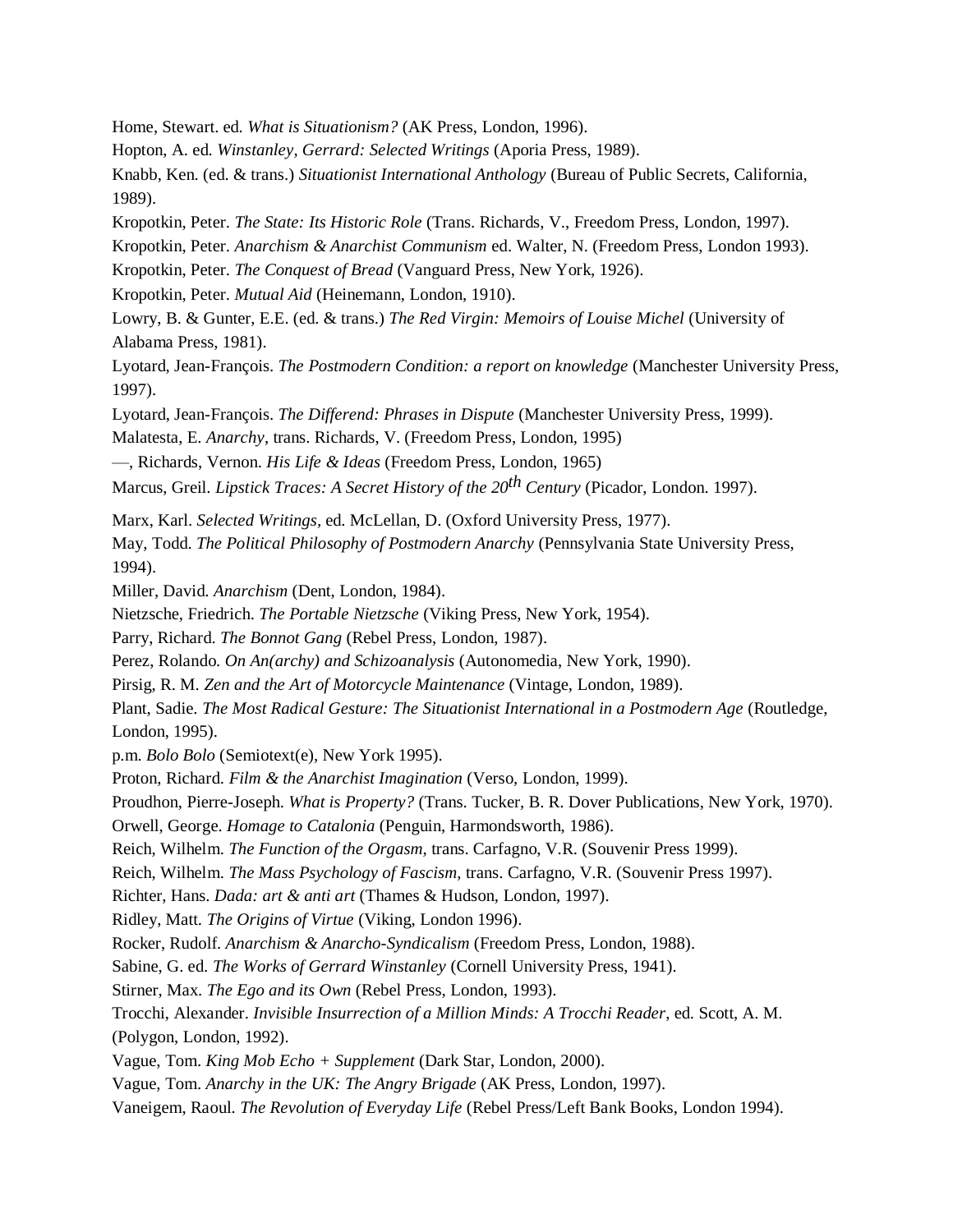Home, Stewart. ed. *What is Situationism?* (AK Press, London, 1996).

Hopton, A. ed. *Winstanley, Gerrard: Selected Writings* (Aporia Press, 1989).

Knabb, Ken. (ed. & trans.) *Situationist International Anthology* (Bureau of Public Secrets, California, 1989).

Kropotkin, Peter. *The State: Its Historic Role* (Trans. Richards, V., Freedom Press, London, 1997).

Kropotkin, Peter. *Anarchism & Anarchist Communism* ed. Walter, N. (Freedom Press, London 1993).

Kropotkin, Peter. *The Conquest of Bread* (Vanguard Press, New York, 1926).

Kropotkin, Peter. *Mutual Aid* (Heinemann, London, 1910).

Lowry, B. & Gunter, E.E. (ed. & trans.) *The Red Virgin: Memoirs of Louise Michel* (University of Alabama Press, 1981).

Lyotard, Jean-François. *The Postmodern Condition: a report on knowledge* (Manchester University Press, 1997).

Lyotard, Jean-François. *The Differend: Phrases in Dispute* (Manchester University Press, 1999).

Malatesta, E. *Anarchy*, trans. Richards, V. (Freedom Press, London, 1995)

—, Richards, Vernon. *His Life & Ideas* (Freedom Press, London, 1965)

Marcus, Greil. *Lipstick Traces: A Secret History of the 20th Century* (Picador, London. 1997).

Marx, Karl. *Selected Writings,* ed. McLellan, D. (Oxford University Press, 1977).

May, Todd. *The Political Philosophy of Postmodern Anarchy* (Pennsylvania State University Press, 1994).

Miller, David. *Anarchism* (Dent, London, 1984).

Nietzsche, Friedrich. *The Portable Nietzsche* (Viking Press, New York, 1954).

Parry, Richard. *The Bonnot Gang* (Rebel Press, London, 1987).

Perez, Rolando. *On An(archy) and Schizoanalysis* (Autonomedia, New York, 1990).

Pirsig, R. M. *Zen and the Art of Motorcycle Maintenance* (Vintage, London, 1989).

Plant, Sadie. *The Most Radical Gesture: The Situationist International in a Postmodern Age* (Routledge, London, 1995).

p.m. *Bolo Bolo* (Semiotext(e), New York 1995).

Proton, Richard. *Film & the Anarchist Imagination* (Verso, London, 1999).

Proudhon, Pierre-Joseph. *What is Property?* (Trans. Tucker, B. R. Dover Publications, New York, 1970).

Orwell, George. *Homage to Catalonia* (Penguin, Harmondsworth, 1986).

Reich, Wilhelm. *The Function of the Orgasm,* trans. Carfagno, V.R. (Souvenir Press 1999).

Reich, Wilhelm. *The Mass Psychology of Fascism,* trans. Carfagno, V.R. (Souvenir Press 1997).

Richter, Hans. *Dada: art & anti art* (Thames & Hudson, London, 1997).

Ridley, Matt. *The Origins of Virtue* (Viking, London 1996).

Rocker, Rudolf. *Anarchism & Anarcho-Syndicalism* (Freedom Press, London, 1988).

Sabine, G. ed. *The Works of Gerrard Winstanley* (Cornell University Press, 1941).

Stirner, Max*. The Ego and its Own* (Rebel Press, London, 1993).

Trocchi, Alexander. *Invisible Insurrection of a Million Minds: A Trocchi Reader*, ed. Scott, A. M. (Polygon, London, 1992).

Vague, Tom. *King Mob Echo + Supplement* (Dark Star, London, 2000).

Vague, Tom. *Anarchy in the UK: The Angry Brigade* (AK Press, London, 1997).

Vaneigem, Raoul. *The Revolution of Everyday Life* (Rebel Press/Left Bank Books, London 1994).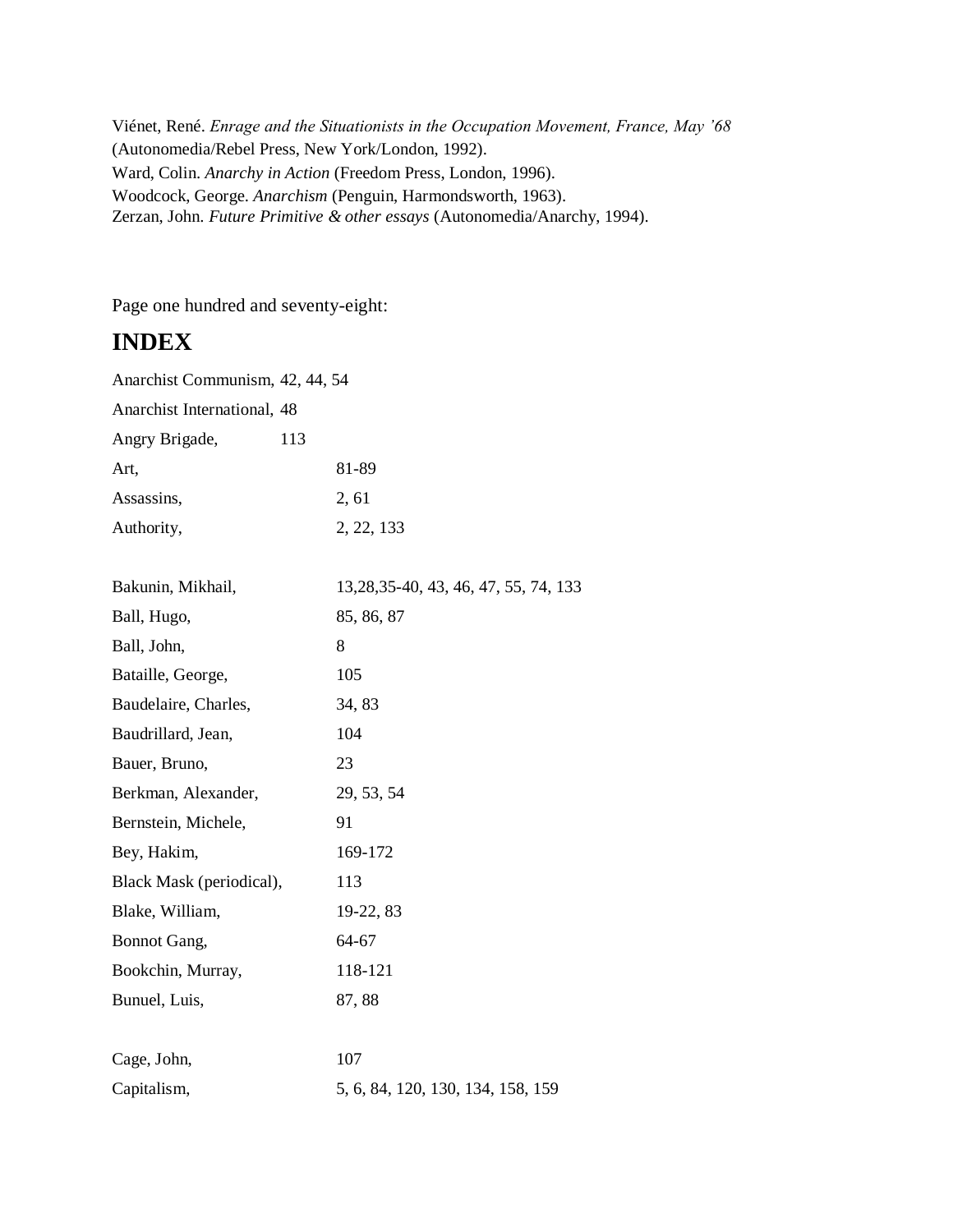Viénet, René. *Enrage and the Situationists in the Occupation Movement, France, May '68* (Autonomedia/Rebel Press, New York/London, 1992). Ward, Colin. *Anarchy in Action* (Freedom Press, London, 1996). Woodcock, George. *Anarchism* (Penguin, Harmondsworth, 1963). Zerzan, John. *Future Primitive & other essays* (Autonomedia/Anarchy, 1994).

Page one hundred and seventy-eight:

# **INDEX**

Anarchist Communism, 42, 44, 54

Anarchist International, 48

| Angry Brigade, | 113 |            |
|----------------|-----|------------|
| Art,           |     | 81-89      |
| Assassins,     |     | 2, 61      |
| Authority,     |     | 2, 22, 133 |

| Bakunin, Mikhail,        | 13, 28, 35 - 40, 43, 46, 47, 55, 74, 133 |
|--------------------------|------------------------------------------|
| Ball, Hugo,              | 85, 86, 87                               |
| Ball, John,              | 8                                        |
| Bataille, George,        | 105                                      |
| Baudelaire, Charles,     | 34, 83                                   |
| Baudrillard, Jean,       | 104                                      |
| Bauer, Bruno,            | 23                                       |
| Berkman, Alexander,      | 29, 53, 54                               |
| Bernstein, Michele,      | 91                                       |
| Bey, Hakim,              | 169-172                                  |
| Black Mask (periodical), | 113                                      |
| Blake, William,          | 19-22, 83                                |
| Bonnot Gang,             | 64-67                                    |
| Bookchin, Murray,        | 118-121                                  |
| Bunuel, Luis,            | 87, 88                                   |
|                          |                                          |
| Cage, John,              | 107                                      |
| Capitalism,              | 5, 6, 84, 120, 130, 134, 158, 159        |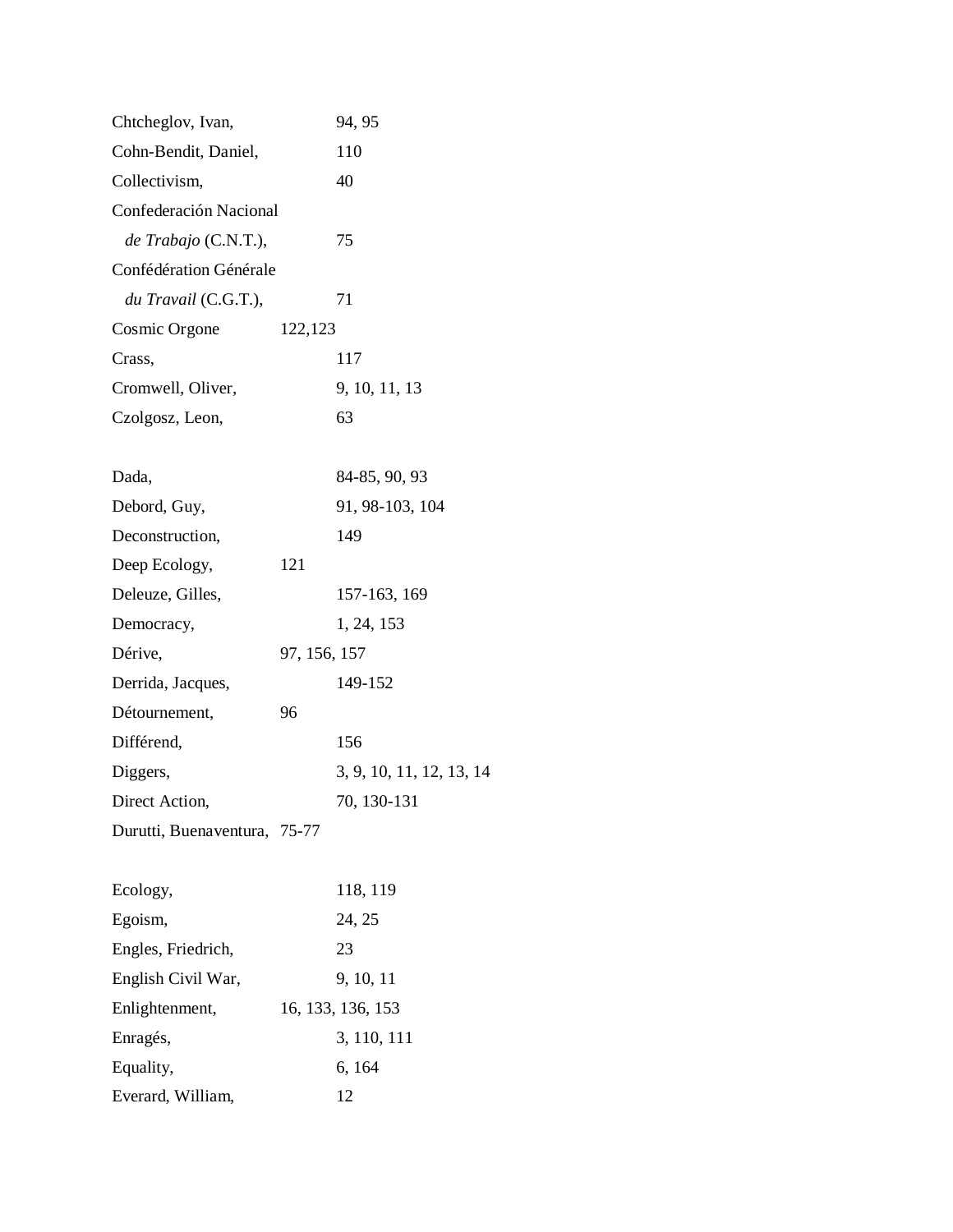| Chtcheglov, Ivan,            |              | 94, 95                   |
|------------------------------|--------------|--------------------------|
| Cohn-Bendit, Daniel,         |              | 110                      |
| Collectivism,                |              | 40                       |
| Confederación Nacional       |              |                          |
| $de$ Trabajo (C.N.T.),       |              | 75                       |
| Confédération Générale       |              |                          |
| du Travail (C.G.T.),         |              | 71                       |
| Cosmic Orgone                | 122,123      |                          |
| Crass,                       |              | 117                      |
| Cromwell, Oliver,            |              | 9, 10, 11, 13            |
| Czolgosz, Leon,              |              | 63                       |
|                              |              |                          |
| Dada,                        |              | 84-85, 90, 93            |
| Debord, Guy,                 |              | 91, 98-103, 104          |
| Deconstruction,              |              | 149                      |
| Deep Ecology,                | 121          |                          |
| Deleuze, Gilles,             |              | 157-163, 169             |
| Democracy,                   |              | 1, 24, 153               |
| Dérive,                      | 97, 156, 157 |                          |
| Derrida, Jacques,            |              | 149-152                  |
| Détournement,                | 96           |                          |
| Différend,                   |              | 156                      |
| Diggers,                     |              | 3, 9, 10, 11, 12, 13, 14 |
| Direct Action,               |              | 70, 130-131              |
| Durutti, Buenaventura, 75-77 |              |                          |
|                              |              |                          |
| Ecology,                     |              | 118, 119                 |
| Egoism,                      |              | 24, 25                   |
| Engles, Friedrich,           |              | 23                       |
| English Civil War,           |              | 9, 10, 11                |
| Enlightenment,               |              | 16, 133, 136, 153        |
| Enragés,                     |              | 3, 110, 111              |
| Equality,                    |              | 6, 164                   |
| Everard, William,            |              | 12                       |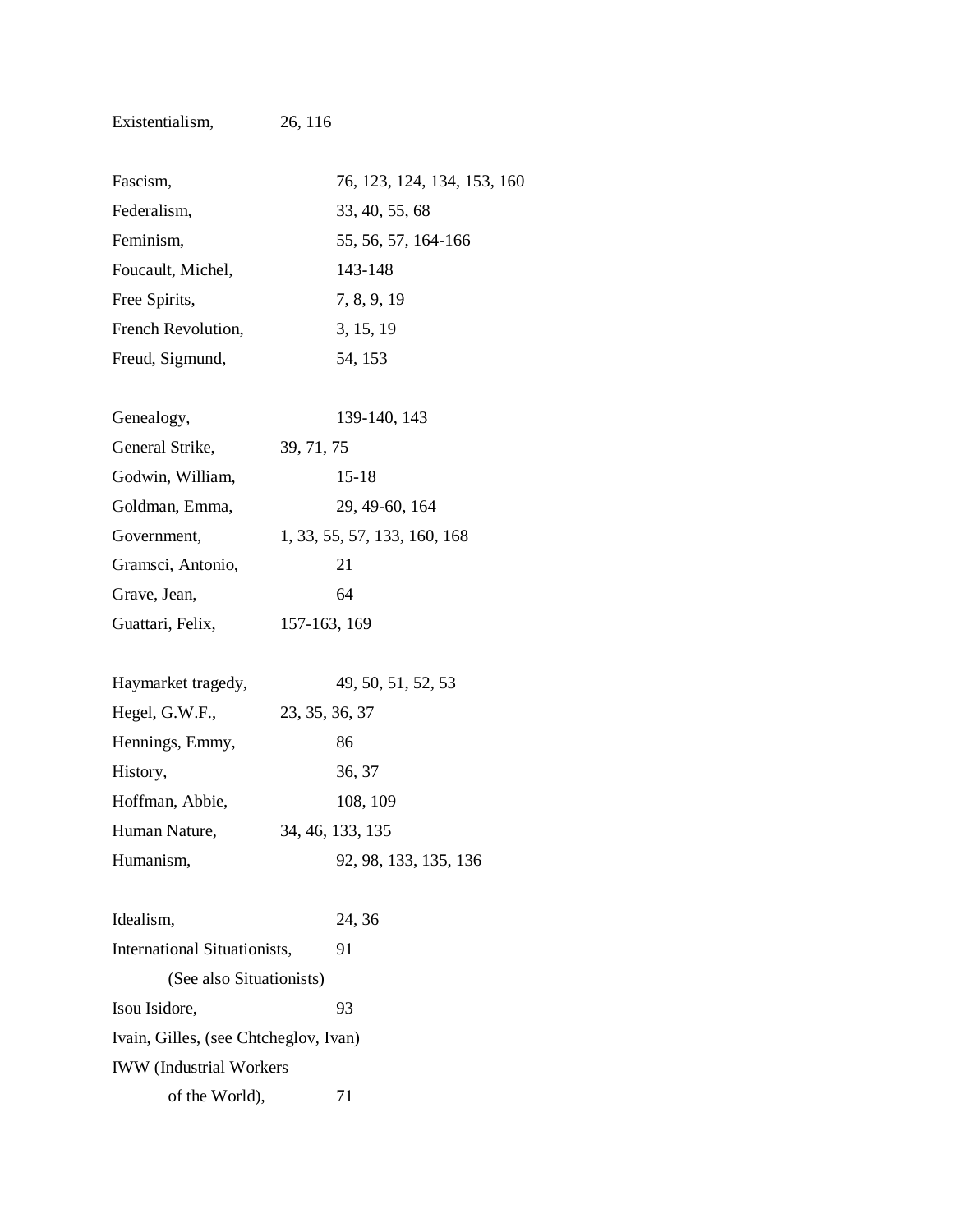| Fascism,                              | 76, 123, 124, 134, 153, 160  |
|---------------------------------------|------------------------------|
| Federalism,                           | 33, 40, 55, 68               |
| Feminism,                             | 55, 56, 57, 164-166          |
| Foucault, Michel,                     | 143-148                      |
| Free Spirits,                         | 7, 8, 9, 19                  |
| French Revolution,                    | 3, 15, 19                    |
| Freud, Sigmund,                       | 54, 153                      |
| Genealogy,                            | 139-140, 143                 |
| General Strike,                       | 39, 71, 75                   |
| Godwin, William,                      | $15 - 18$                    |
| Goldman, Emma,                        | 29, 49-60, 164               |
| Government,                           | 1, 33, 55, 57, 133, 160, 168 |
| Gramsci, Antonio,                     | 21                           |
| Grave, Jean,                          | 64                           |
| Guattari, Felix,                      | 157-163, 169                 |
| Haymarket tragedy,                    | 49, 50, 51, 52, 53           |
| Hegel, G.W.F.,                        | 23, 35, 36, 37               |
| Hennings, Emmy,                       | 86                           |
| History,                              | 36, 37                       |
| Hoffman, Abbie,                       | 108, 109                     |
| Human Nature,                         | 34, 46, 133, 135             |
| Humanism,                             | 92, 98, 133, 135, 136        |
| Idealism,                             | 24, 36                       |
| International Situationists,          | 91                           |
| (See also Situationists)              |                              |
| Isou Isidore,                         | 93                           |
| Ivain, Gilles, (see Chtcheglov, Ivan) |                              |
| <b>IWW</b> (Industrial Workers        |                              |

of the World),  $71$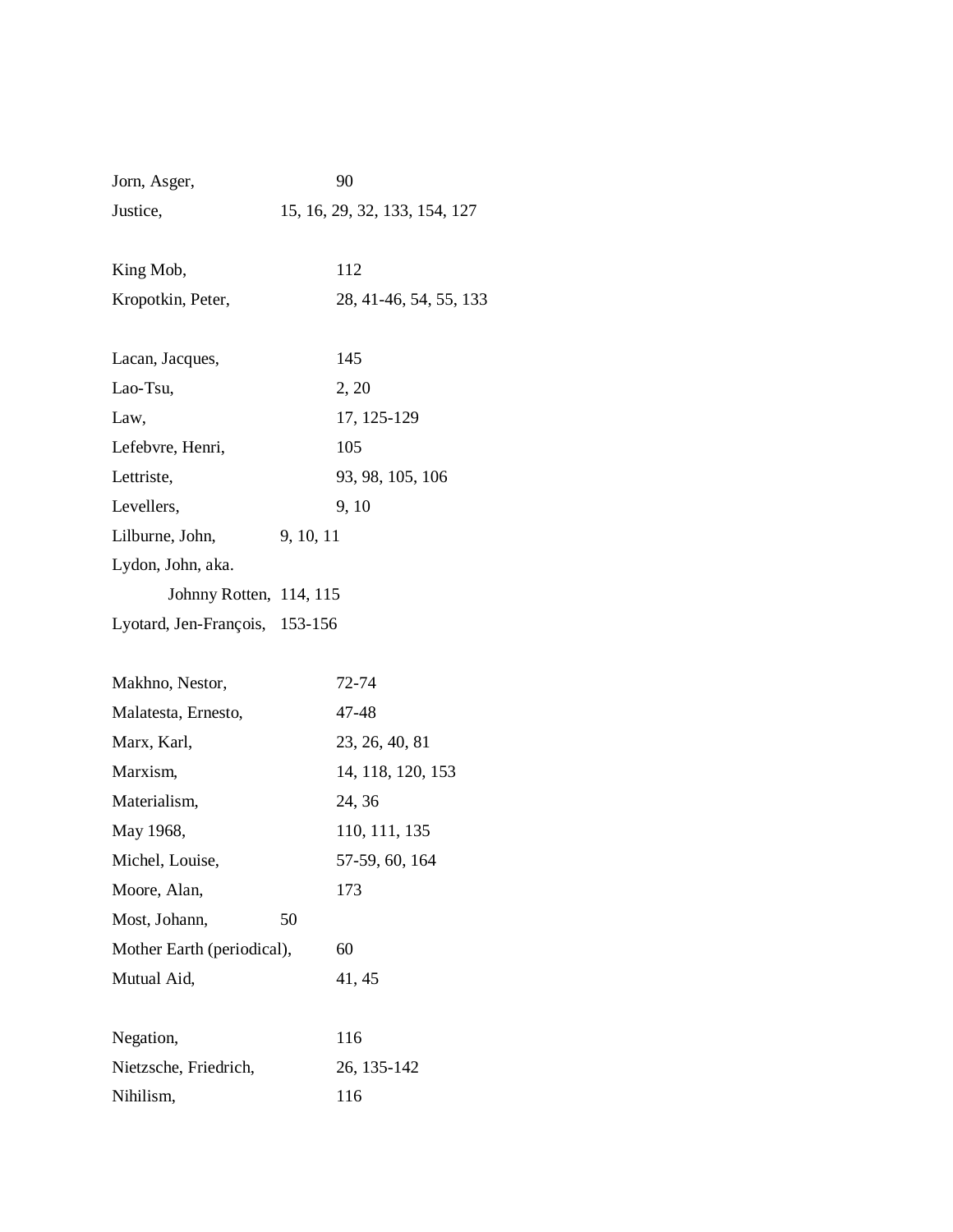| Jorn, Asger,                   | 90                            |
|--------------------------------|-------------------------------|
| Justice,                       | 15, 16, 29, 32, 133, 154, 127 |
| King Mob,                      | 112                           |
| Kropotkin, Peter,              | 28, 41-46, 54, 55, 133        |
| Lacan, Jacques,                | 145                           |
| Lao-Tsu,                       | 2, 20                         |
| Law,                           | 17, 125-129                   |
| Lefebvre, Henri,               | 105                           |
| Lettriste,                     | 93, 98, 105, 106              |
| Levellers,                     | 9, 10                         |
| Lilburne, John,                | 9, 10, 11                     |
| Lydon, John, aka.              |                               |
| Johnny Rotten, 114, 115        |                               |
| Lyotard, Jen-François, 153-156 |                               |
| Makhno, Nestor,                | 72-74                         |
| Malatesta, Ernesto,            | 47-48                         |
| Marx, Karl,                    | 23, 26, 40, 81                |
| Marxism,                       | 14, 118, 120, 153             |
| Materialism,                   | 24, 36                        |
| May 1968,                      | 110, 111, 135                 |
| Michel, Louise,                | 57-59, 60, 164                |
| Moore, Alan,                   | 173                           |
| Most, Johann,                  | 50                            |
| Mother Earth (periodical),     | 60                            |
| Mutual Aid,                    | 41, 45                        |
| Negation,                      | 116                           |
| Nietzsche, Friedrich,          | 26, 135-142                   |
| Nihilism,                      | 116                           |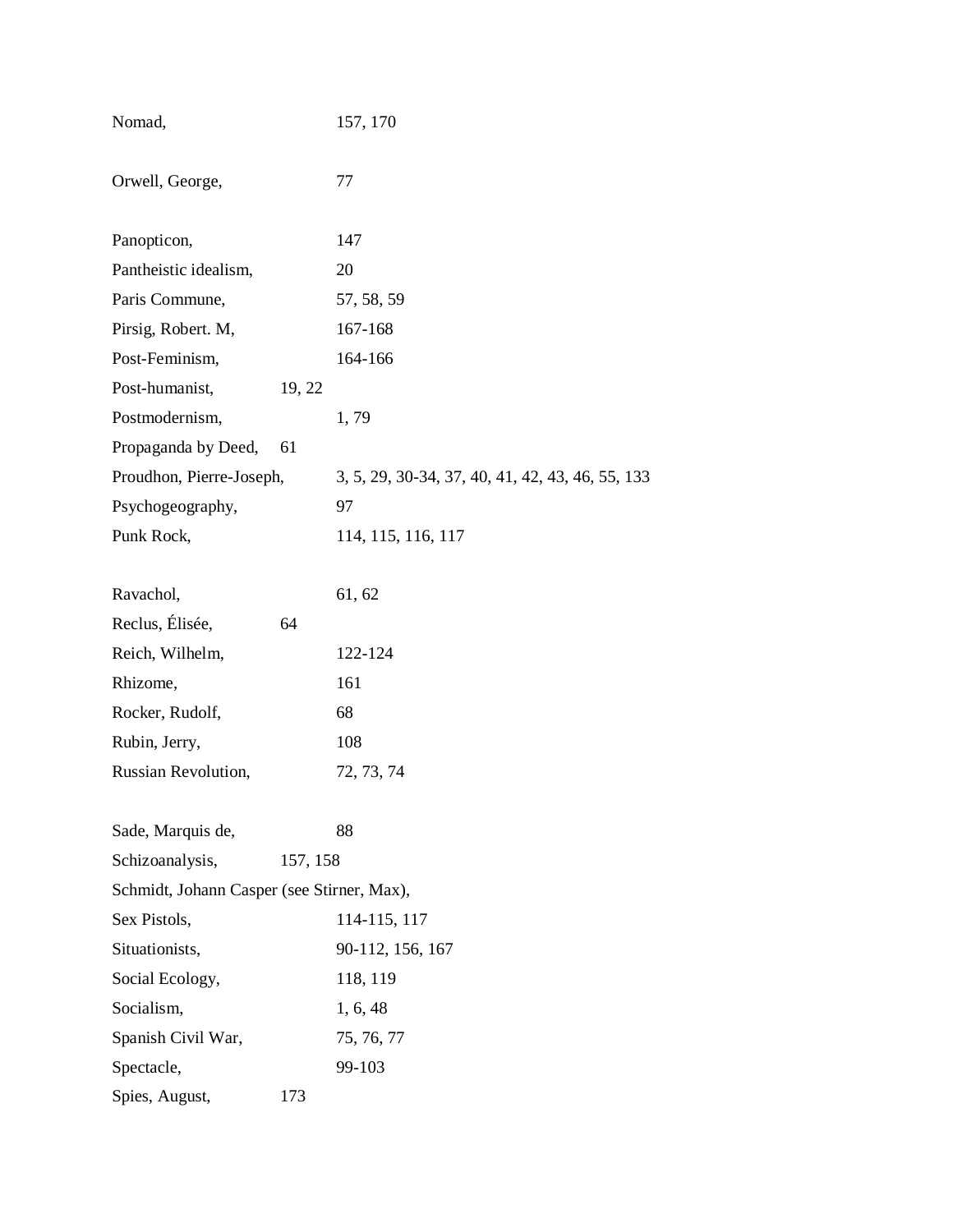| Nomad,                                     |          | 157, 170                                         |
|--------------------------------------------|----------|--------------------------------------------------|
| Orwell, George,                            |          | 77                                               |
| Panopticon,                                |          | 147                                              |
| Pantheistic idealism,                      |          | 20                                               |
| Paris Commune,                             |          | 57, 58, 59                                       |
| Pirsig, Robert. M,                         |          | 167-168                                          |
| Post-Feminism,                             |          | 164-166                                          |
| Post-humanist,                             | 19, 22   |                                                  |
| Postmodernism,                             |          | 1,79                                             |
| Propaganda by Deed,                        | 61       |                                                  |
| Proudhon, Pierre-Joseph,                   |          | 3, 5, 29, 30-34, 37, 40, 41, 42, 43, 46, 55, 133 |
| Psychogeography,                           |          | 97                                               |
| Punk Rock,                                 |          | 114, 115, 116, 117                               |
|                                            |          |                                                  |
| Ravachol,                                  |          | 61, 62                                           |
| Reclus, Élisée,                            | 64       |                                                  |
| Reich, Wilhelm,                            |          | 122-124                                          |
| Rhizome,                                   |          | 161                                              |
| Rocker, Rudolf,                            |          | 68                                               |
| Rubin, Jerry,                              |          | 108                                              |
| Russian Revolution,                        |          | 72, 73, 74                                       |
|                                            |          | 88                                               |
| Sade, Marquis de,<br>Schizoanalysis,       | 157, 158 |                                                  |
| Schmidt, Johann Casper (see Stirner, Max), |          |                                                  |
| Sex Pistols,                               |          | 114-115, 117                                     |
| Situationists,                             |          | 90-112, 156, 167                                 |
| Social Ecology,                            |          | 118, 119                                         |
| Socialism,                                 |          | 1, 6, 48                                         |
| Spanish Civil War,                         |          | 75, 76, 77                                       |
| Spectacle,                                 |          | 99-103                                           |
|                                            | 173      |                                                  |
| Spies, August,                             |          |                                                  |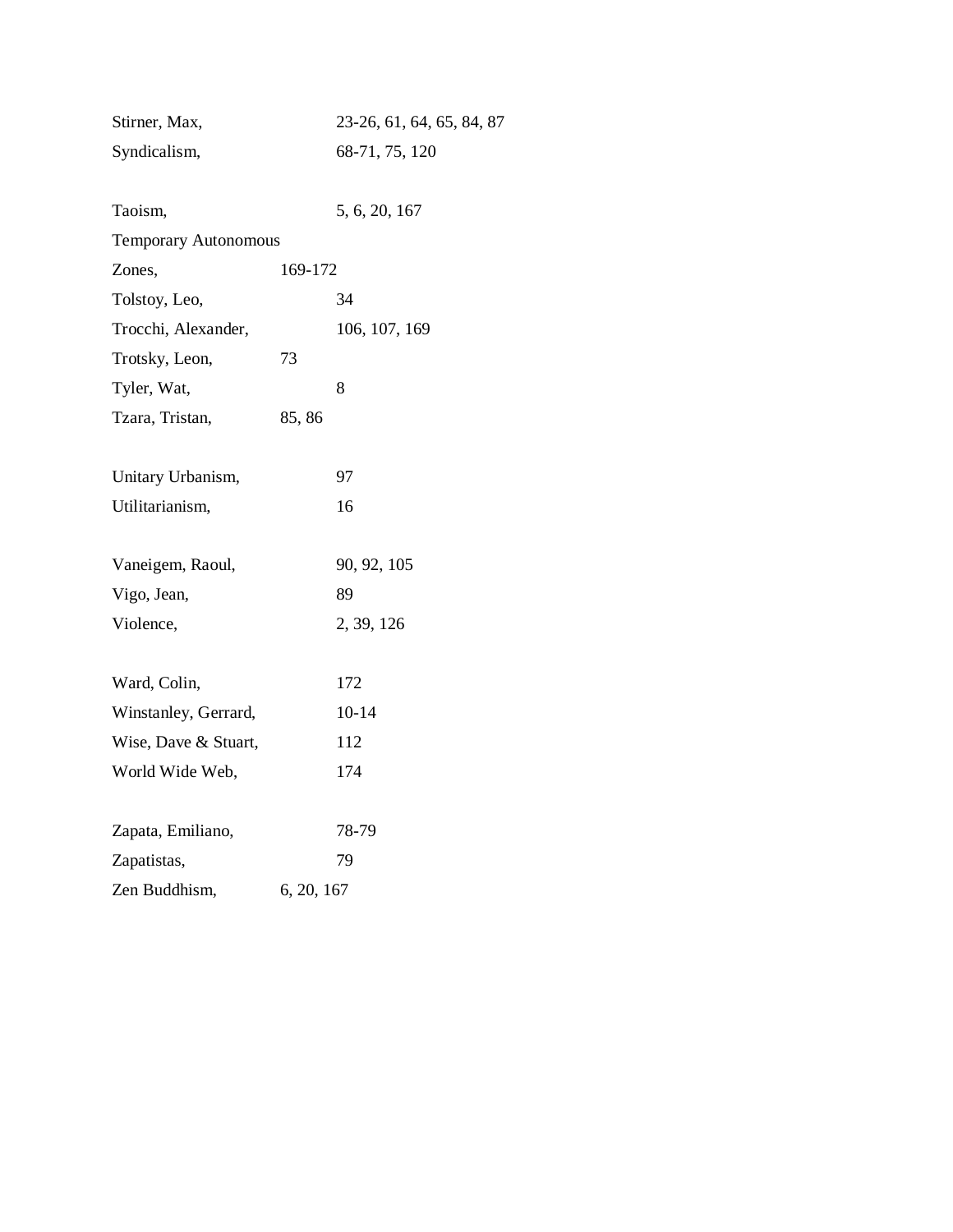| Stirner, Max,               |            | 23-26, 61, 64, 65, 84, 87 |
|-----------------------------|------------|---------------------------|
| Syndicalism,                |            | 68-71, 75, 120            |
|                             |            |                           |
| Taoism,                     |            | 5, 6, 20, 167             |
| <b>Temporary Autonomous</b> |            |                           |
| Zones,                      | 169-172    |                           |
| Tolstoy, Leo,               |            | 34                        |
| Trocchi, Alexander,         |            | 106, 107, 169             |
| Trotsky, Leon,              | 73         |                           |
| Tyler, Wat,                 |            | 8                         |
| Tzara, Tristan,             | 85,86      |                           |
|                             |            |                           |
| Unitary Urbanism,           |            | 97                        |
| Utilitarianism,             |            | 16                        |
|                             |            |                           |
| Vaneigem, Raoul,            |            | 90, 92, 105               |
| Vigo, Jean,                 |            | 89                        |
| Violence,                   |            | 2, 39, 126                |
|                             |            |                           |
| Ward, Colin,                |            | 172                       |
| Winstanley, Gerrard,        |            | $10 - 14$                 |
| Wise, Dave & Stuart,        |            | 112                       |
| World Wide Web,             |            | 174                       |
|                             |            |                           |
| Zapata, Emiliano,           |            | 78-79                     |
| Zapatistas,                 |            | 79                        |
| Zen Buddhism,               | 6, 20, 167 |                           |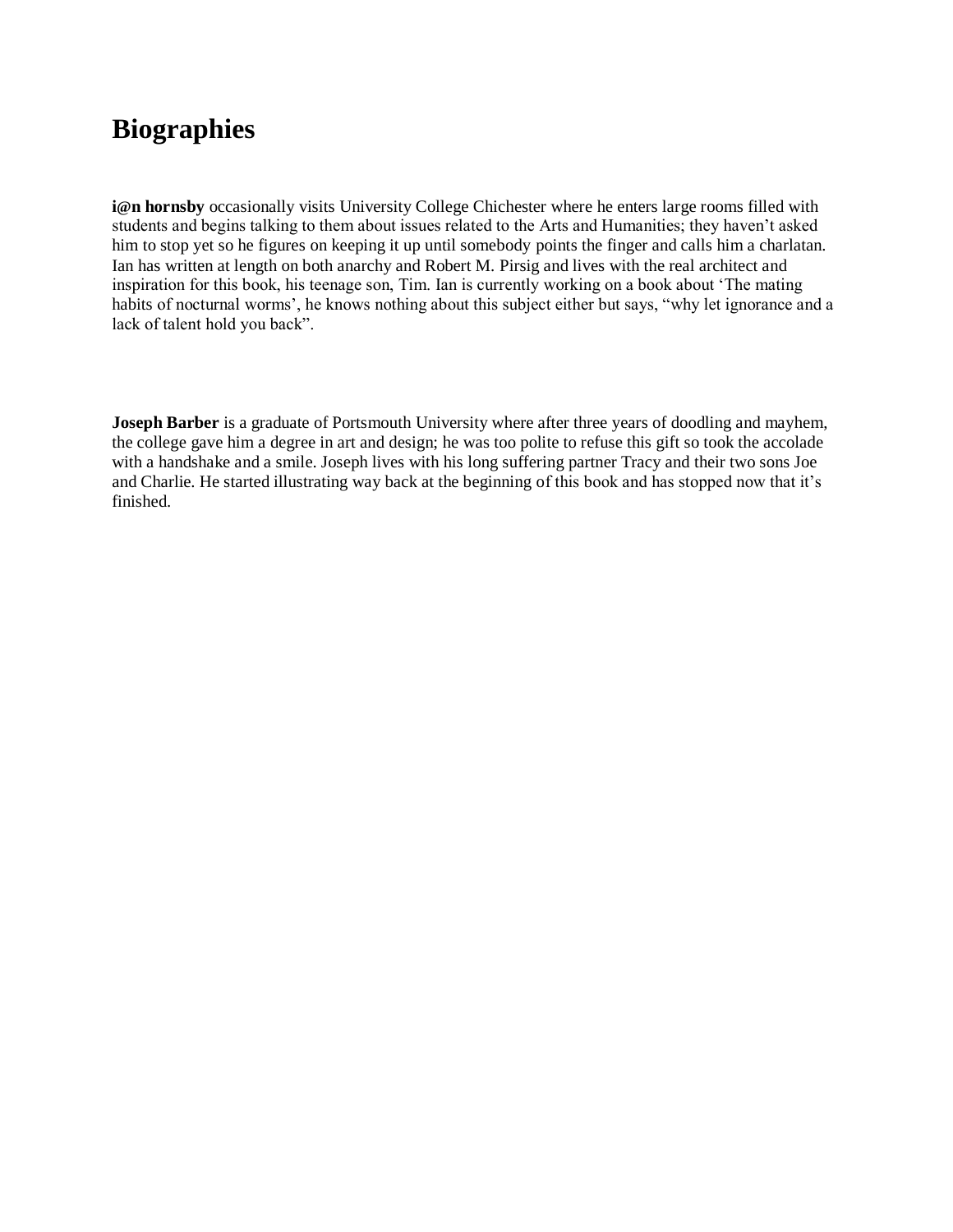## **Biographies**

**i@n** hornsby occasionally visits University College Chichester where he enters large rooms filled with students and begins talking to them about issues related to the Arts and Humanities; they haven't asked him to stop yet so he figures on keeping it up until somebody points the finger and calls him a charlatan. Ian has written at length on both anarchy and Robert M. Pirsig and lives with the real architect and inspiration for this book, his teenage son, Tim. Ian is currently working on a book about 'The mating habits of nocturnal worms', he knows nothing about this subject either but says, "why let ignorance and a lack of talent hold you back".

**Joseph Barber** is a graduate of Portsmouth University where after three years of doodling and mayhem, the college gave him a degree in art and design; he was too polite to refuse this gift so took the accolade with a handshake and a smile. Joseph lives with his long suffering partner Tracy and their two sons Joe and Charlie. He started illustrating way back at the beginning of this book and has stopped now that it's finished.